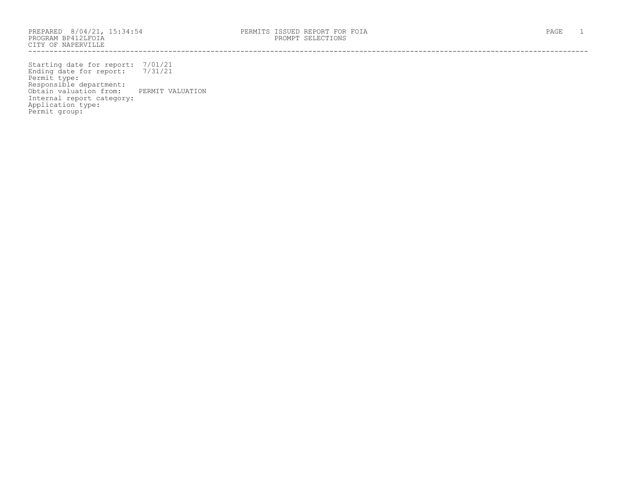PROGRAM BP412LFOIA PROMPT SELECTIONS CITY OF NAPERVILLE ------------------------------------------------------------------------------------------------------------------------------------

Starting date for report: 7/01/21 Ending date for report: 7/31/21 Permit type: Responsible department: Obtain valuation from: PERMIT VALUATION Internal report category: Application type: Permit group: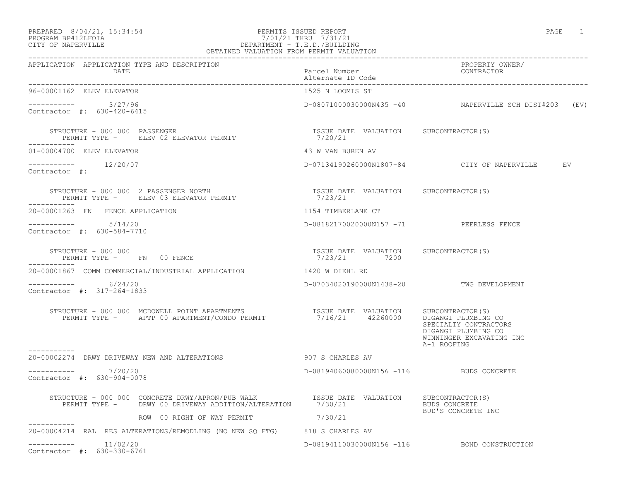### PREPARED 8/04/21, 15:34:54 PERMITS ISSUED REPORT PAGE 1 PAGE 1 PAGE 1 PROGRAM BP412LFOIA 7/01/21 THRU 7/31/21 CITY OF NAPERVILLE DEPARTMENT - T.E.D./BUILDING

|                                                              | OBTAINED VALUATION FROM PERMIT VALUATION                                                                                                                           |                    |                                                                                                                |  |
|--------------------------------------------------------------|--------------------------------------------------------------------------------------------------------------------------------------------------------------------|--------------------|----------------------------------------------------------------------------------------------------------------|--|
| APPLICATION APPLICATION TYPE AND DESCRIPTION                 | DATE<br>Parcel Number<br>Alternate ID Code<br>96-00001162 FIEN FIENATOR                                                                                            |                    | PROPERTY OWNER/<br>CONTRACTOR                                                                                  |  |
| 96-00001162 ELEV ELEVATOR                                    |                                                                                                                                                                    | 1525 N LOOMIS ST   |                                                                                                                |  |
| $--------- 3/27/96$<br>Contractor #: 630-420-6415            |                                                                                                                                                                    |                    | D-08071000030000N435 -40 NAPERVILLE SCH DIST#203 (EV)                                                          |  |
| STRUCTURE - 000 000 PASSENGER                                | PERMIT TYPE - ELEV 02 ELEVATOR PERMIT<br>------                                                                                                                    | 7/20/21            | ISSUE DATE VALUATION SUBCONTRACTOR(S)                                                                          |  |
| 01-00004700 ELEV ELEVATOR                                    |                                                                                                                                                                    | 43 W VAN BUREN AV  |                                                                                                                |  |
| $--------- 12/20/07$<br>Contractor #:                        |                                                                                                                                                                    |                    | D-07134190260000N1807-84 CITY OF NAPERVILLE EV                                                                 |  |
| STRUCTURE - 000 000 2 PASSENGER NORTH<br>-----------         | PERMIT TYPE - ELEV 03 ELEVATOR PERMIT                                                                                                                              |                    | ISSUE DATE VALUATION SUBCONTRACTOR(S)<br>7/23/21                                                               |  |
| 20-00001263 FN FENCE APPLICATION                             |                                                                                                                                                                    | 1154 TIMBERLANE CT |                                                                                                                |  |
| $--------- 5/14/20$<br>Contractor #: 630-584-7710            |                                                                                                                                                                    |                    | D-08182170020000N157 -71 PEERLESS FENCE                                                                        |  |
| STRUCTURE - 000 000<br>PERMIT TYPE - FN 00 FENCE             |                                                                                                                                                                    | 7/23/21 7200       | ISSUE DATE VALUATION SUBCONTRACTOR(S)                                                                          |  |
|                                                              | 20-00001867 COMM COMMERCIAL/INDUSTRIAL APPLICATION                                                                                                                 | 1420 W DIEHL RD    |                                                                                                                |  |
| $--------- 6/24/20$<br>Contractor #: 317-264-1833            |                                                                                                                                                                    |                    | D-07034020190000N1438-20 TWG DEVELOPMENT                                                                       |  |
|                                                              |                                                                                                                                                                    |                    | DIGANGI PLUMBING CO<br>SPECIALTY CONTRACTORS<br>DIGANGI PLUMBING CO<br>WINNINGER EXCAVATING INC<br>A-1 ROOFING |  |
| -----------<br>20-00002274 DRWY DRIVEWAY NEW AND ALTERATIONS |                                                                                                                                                                    | 907 S CHARLES AV   |                                                                                                                |  |
| $--------- 7/20/20$<br>Contractor #: 630-904-0078            |                                                                                                                                                                    |                    | D-08194060080000N156 -116 BUDS CONCRETE                                                                        |  |
|                                                              | STRUCTURE - 000 000 CONCRETE DRWY/APRON/PUB WALK TSSUE DATE VALUATION SUBCONTRACTOR(S)<br>PERMIT TYPE - DRWY 00 DRIVEWAY ADDITION/ALTERATION 7/30/21 BUDS CONCRETE |                    | BUD'S CONCRETE INC                                                                                             |  |
| -----------                                                  | ROW 00 RIGHT OF WAY PERMIT                                                                                                                                         | 7/30/21            |                                                                                                                |  |
|                                                              | 20-00004214 RAL RES ALTERATIONS/REMODLING (NO NEW SO FTG) 818 S CHARLES AV                                                                                         |                    |                                                                                                                |  |
| 11/02/20<br>Contractor #: 630-330-6761                       |                                                                                                                                                                    |                    | D-08194110030000N156 -116 BOND CONSTRUCTION                                                                    |  |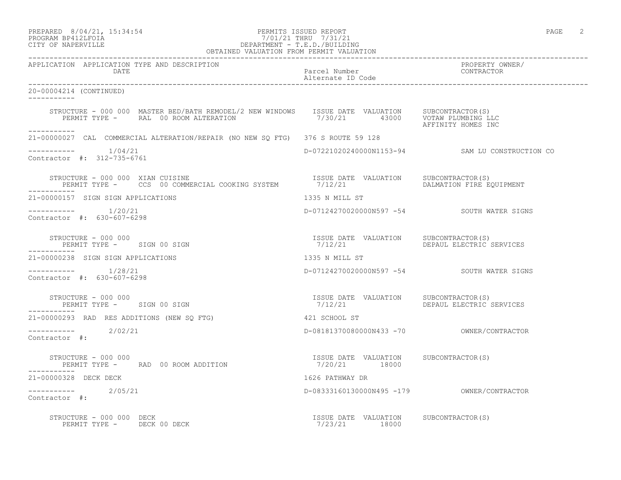| PREPARED | 8/04/21, 15:34:54 |  |
|----------|-------------------|--|
|          |                   |  |

### PREPARED 8/04/21, 15:34:54 PERMITS ISSUED REPORT<br>PROGRAM BP412LFOIA PAGE 2<br>
7/01/21 THRU 7/31/21 PROGRAM BP412LFOIA 7/01/21 THRU 7/31/21 CITY OF NAPERVILLE DEPARTMENT - T.E.D./BUILDING

| OBTAINED VALUATION FROM PERMIT VALUATION                                                                               |                                                        |                                                 |
|------------------------------------------------------------------------------------------------------------------------|--------------------------------------------------------|-------------------------------------------------|
| APPLICATION APPLICATION TYPE AND DESCRIPTION<br>DATE                                                                   | Parcel Number<br>Alternate ID Code                     | PROPERTY OWNER/<br>CONTRACTOR                   |
| 20-00004214 (CONTINUED)                                                                                                |                                                        |                                                 |
|                                                                                                                        |                                                        | AFFINITY HOMES INC                              |
| -----------<br>21-00000027 CAL COMMERCIAL ALTERATION/REPAIR (NO NEW SO FTG) 376 S ROUTE 59 128                         |                                                        |                                                 |
| $--------- 1/04/21$<br>Contractor #: 312-735-6761                                                                      |                                                        | D-07221020240000N1153-94 SAM LU CONSTRUCTION CO |
| STRUCTURE - 000 000 XIAN CUISINE<br>PERMIT TYPE - CCS 00 COMMERCIAL COOKING SYSTEM 7/12/21 21 DALMATION FIRE EQUIPMENT | ISSUE DATE VALUATION SUBCONTRACTOR(S)                  |                                                 |
| 21-00000157 SIGN SIGN APPLICATIONS                                                                                     | 1335 N MILL ST                                         |                                                 |
| -----------    1/20/21<br>Contractor #: 630-607-6298                                                                   |                                                        | D-07124270020000N597 -54 SOUTH WATER SIGNS      |
| STRUCTURE - 000 000<br>PERMIT TYPE - SIGN 00 SIGN                                                                      | ISSUE DATE VALUATION SUBCONTRACTOR(S)<br>7/12/21       | DEPAUL ELECTRIC SERVICES                        |
| 21-00000238 SIGN SIGN APPLICATIONS                                                                                     | 1335 N MILL ST                                         |                                                 |
| $--------- 1/28/21$<br>Contractor #: 630-607-6298                                                                      |                                                        | D-07124270020000N597 -54 SOUTH WATER SIGNS      |
| STRUCTURE - 000 000<br>PERMIT TYPE - SIGN 00 SIGN                                                                      | ISSUE DATE VALUATION SUBCONTRACTOR(S)<br>7/12/21       | DEPAUL ELECTRIC SERVICES                        |
| 21-00000293 RAD RES ADDITIONS (NEW SO FTG)                                                                             | 421 SCHOOL ST                                          |                                                 |
| ----------- 2/02/21<br>Contractor #:                                                                                   |                                                        |                                                 |
| STRUCTURE - 000 000<br>PERMIT TYPE - RAD 00 ROOM ADDITION                                                              | ISSUE DATE VALUATION SUBCONTRACTOR(S)<br>7/20/21 18000 |                                                 |
| 21-00000328 DECK DECK                                                                                                  | 1626 PATHWAY DR                                        |                                                 |
| ----------- 2/05/21<br>Contractor #:                                                                                   |                                                        |                                                 |
| STRUCTURE - 000 000 DECK<br>PERMIT TYPE - DECK 00 DECK                                                                 | ISSUE DATE VALUATION SUBCONTRACTOR(S)<br>7/23/21 18000 |                                                 |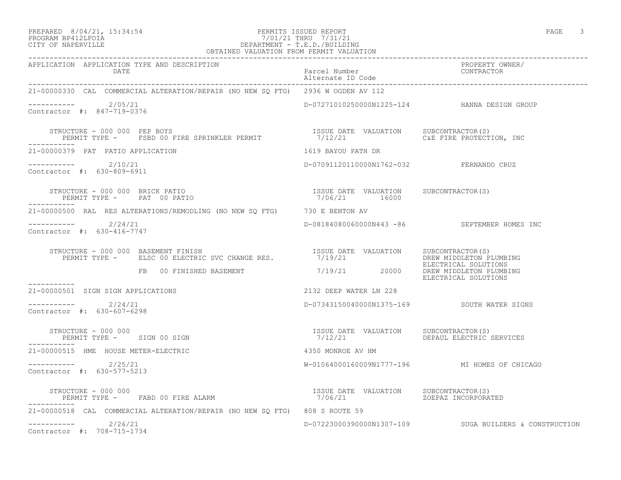### PREPARED 8/04/21, 15:34:54 PERMITS ISSUED REPORT PAGE 3 PROGRAM BP412LFOIA 7/01/21 THRU 7/31/21 CITY OF NAPERVILLE DEPARTMENT - T.E.D./BUILDING

| OBTAINED VALUATION FROM PERMIT VALUATION                                                                                                                                                                                                                                                                                                          |                                                        |                                                        |
|---------------------------------------------------------------------------------------------------------------------------------------------------------------------------------------------------------------------------------------------------------------------------------------------------------------------------------------------------|--------------------------------------------------------|--------------------------------------------------------|
| APPLICATION APPLICATION TYPE AND DESCRIPTION<br>DATE                                                                                                                                                                                                                                                                                              | Parcel Number<br>Alternate ID Code                     | PROPERTY OWNER/<br>CONTRACTOR                          |
| 21-00000330 CAL COMMERCIAL ALTERATION/REPAIR (NO NEW SQ FTG) 2936 W OGDEN AV 112                                                                                                                                                                                                                                                                  |                                                        |                                                        |
| $--------- 2/05/21$<br>Contractor #: 847-719-0376                                                                                                                                                                                                                                                                                                 |                                                        | D-07271010250000N1225-124 HANNA DESIGN GROUP           |
| $\begin{array}{cccccc} \texttt{STRUCTURE} & - & 000 & 000 & \texttt{PEP BOYS} & \texttt{DATE} & \texttt{SUE} & \texttt{DATE} & \texttt{VALUATION} & \texttt{SUBCONTRACTOR(S)} \\ \texttt{PERMIT} & \texttt{TYPE} & - & \texttt{FSBD} & 00 & \texttt{FIRE} & \texttt{SPRINKLER} & \texttt{PERMIT} & & & & & & & & & \\ \end{array}$<br>----------- |                                                        |                                                        |
| 21-00000379 PAT PATIO APPLICATION                                                                                                                                                                                                                                                                                                                 | 1619 BAYOU PATH DR                                     |                                                        |
| $--------- 2/10/21$<br>Contractor #: 630-809-6911                                                                                                                                                                                                                                                                                                 | D-07091120110000N1762-032 FERNANDO CRUZ                |                                                        |
| STRUCTURE - 000 000 BRICK PATIO<br>PERMIT TYPE - PAT 00 PATIO                                                                                                                                                                                                                                                                                     | ISSUE DATE VALUATION SUBCONTRACTOR(S)<br>7/06/21 16000 |                                                        |
| 21-00000500 RAL RES ALTERATIONS/REMODLING (NO NEW SO FTG) 730 E BENTON AV                                                                                                                                                                                                                                                                         |                                                        |                                                        |
| $---------2/24/21$<br>Contractor #: 630-416-7747                                                                                                                                                                                                                                                                                                  |                                                        | D-08184080060000N443 -86 SEPTEMBER HOMES INC           |
| STRUCTURE - 000 000 BASEMENT FINISH<br>PERMIT TYPE - ELSC 00 ELECTRIC SVC CHANGE RES. T/19/21 DREW MIDDLETON PLUMBING<br>FB 00 FINISHED BASEMENT 7/19/21 20000 DREW MIDDLETON PLUMBING                                                                                                                                                            |                                                        |                                                        |
|                                                                                                                                                                                                                                                                                                                                                   |                                                        | ELECTRICAL SOLUTIONS                                   |
| 21-00000501 SIGN SIGN APPLICATIONS                                                                                                                                                                                                                                                                                                                | 2132 DEEP WATER LN 228                                 |                                                        |
| $--------- 2/24/21$<br>Contractor #: 630-607-6298                                                                                                                                                                                                                                                                                                 |                                                        | D-07343150040000N1375-169 SOUTH WATER SIGNS            |
|                                                                                                                                                                                                                                                                                                                                                   |                                                        | DEPAUL ELECTRIC SERVICES                               |
| 4350 MONROE AV HM<br>21-00000515 HME HOUSE METER-ELECTRIC                                                                                                                                                                                                                                                                                         |                                                        |                                                        |
| $---------2/25/21$<br>Contractor #: 630-577-5213                                                                                                                                                                                                                                                                                                  |                                                        | W-01064000160009N1777-196 MI HOMES OF CHICAGO          |
|                                                                                                                                                                                                                                                                                                                                                   | 7/06/21 ZOEPAZ INCORPORATED                            |                                                        |
| 21-00000518 CAL COMMERCIAL ALTERATION/REPAIR (NO NEW SQ FTG) 808 S ROUTE 59                                                                                                                                                                                                                                                                       |                                                        |                                                        |
| $--------- 2/26/21$<br>Contractor #: 708-715-1734                                                                                                                                                                                                                                                                                                 |                                                        | D-07223000390000N1307-109 SUGA BUILDERS & CONSTRUCTION |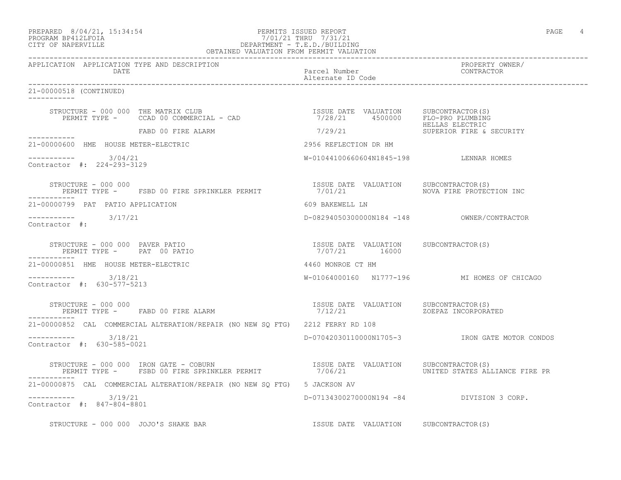| PREPARED 8/04/21, 15:34:54 |  |
|----------------------------|--|
| PROCRAM RP412LFOIA         |  |

21-00000518 (CONTINUED)

 $--------- 3/04/21$ 

Contractor #: 224-293-3129

-----------

-----------

### PREPARED 8/04/21, 15:34:54 PERMITS ISSUED REPORT PAGE 4 PROGRAM BP412LFOIA 7/01/21 THRU 7/31/21 CITY OF NAPERVILLE DEPARTMENT - T.E.D./BUILDING OBTAINED VALUATION FROM PERMIT VALUATION

------------------------------------------------------------------------------------------------------------------------------------ APPLICATION APPLICATION TYPE AND DESCRIPTION PROPERTY OWNER/ DATE Parcel Number Alternate ID Code ------------------------------------------------------------------------------------------------------------------------------------ STRUCTURE - 000 000 THE MATRIX CLUB<br>PERMIT TYPE - CCAD 00 COMMERCIAL - CAD ISSUE DATE VALUATION SUBCONTRACTOR(S)<br>7/28/21 4500000 FLO-PRO PLUMBING HELLAS ELECTRIC FABD 00 FIRE ALARM 7/29/21 SUPERIOR FIRE & SECURITY 21-00000600 HME HOUSE METER-ELECTRIC 2956 REFLECTION DR HM W-01044100660604N1845-198 LENNAR HOMES STRUCTURE - 000 000<br>PERMIT TYPE - FSBD 00 FIRE SPRINKLER PERMIT - 17/01/21 - 17/01/21 NOVA FIRE PROTECTION INC PERMIT TYPE - FSBD 00 FIRE SPRINKLER PERMIT 21-00000799 PAT PATIO APPLICATION 609 BAKEWELL LN ----------- 3/17/21 D-08294050300000N184 -148 OWNER/CONTRACTOR

Contractor #:

-----------

 STRUCTURE - 000 000 PAVER PATIO ISSUE DATE VALUATION SUBCONTRACTOR(S) PERMIT TYPE - PAT 00 PATIO ----------- 21-00000851 HME HOUSE METER-ELECTRIC 4460 MONROE CT HM ----------- 3/18/21 W-01064000160 N1777-196 MI HOMES OF CHICAGO

Contractor #: 630-577-5213

Contractor #: 630-585-0021

 STRUCTURE - 000 000 ISSUE DATE VALUATION SUBCONTRACTOR(S) PERMIT TYPE - FABD 00 FIRE ALARM ----------- 21-00000852 CAL COMMERCIAL ALTERATION/REPAIR (NO NEW SQ FTG) 2212 FERRY RD 108 ----------- 3/18/21 D-07042030110000N1705-3 IRON GATE MOTOR CONDOS

 STRUCTURE - 000 000 IRON GATE - COBURN ISSUE DATE VALUATION SUBCONTRACTOR(S) PERMIT TYPE - FSBD 00 FIRE SPRINKLER PERMIT 7/06/21 UNITED STATES ALLIANCE FIRE PR ----------- 21-00000875 CAL COMMERCIAL ALTERATION/REPAIR (NO NEW SQ FTG) 5 JACKSON AV ----------- 3/19/21 D-07134300270000N194 -84 DIVISION 3 CORP. Contractor #: 847-804-8801

STRUCTURE - 000 000 JOJO'S SHAKE BAR ISSUE TASSUE DATE VALUATION SUBCONTRACTOR(S)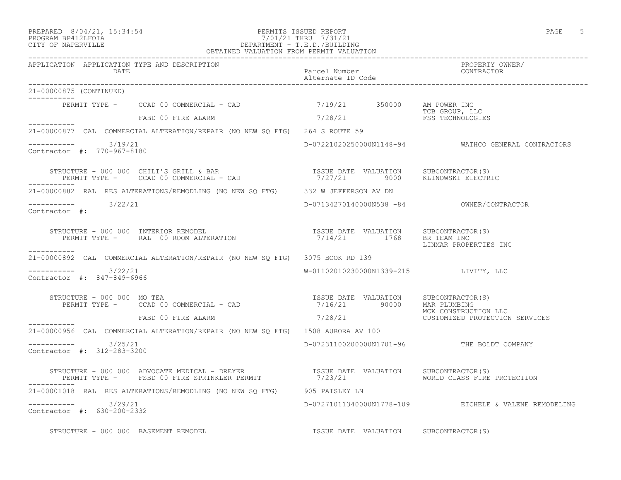### PREPARED 8/04/21, 15:34:54 PERMITS ISSUED REPORT PAGE 5 PROGRAM BP412LFOIA 7/01/21 THRU 7/31/21 CITY OF NAPERVILLE DEPARTMENT - T.E.D./BUILDING OBTAINED VALUATION FROM PERMIT VALUATION

| APPLICATION APPLICATION TYPE AND DESCRIPTION                                                 |                                                                                                                                               |  |  |
|----------------------------------------------------------------------------------------------|-----------------------------------------------------------------------------------------------------------------------------------------------|--|--|
| 21-00000875 (CONTINUED)                                                                      |                                                                                                                                               |  |  |
| ___________                                                                                  | PERMIT TYPE - CCAD 00 COMMERCIAL - CAD 7/19/21 350000 AM POWER INC                                                                            |  |  |
| FABD 00 FIRE ALARM                                                                           | TCB GROUP, LLC<br>7/28/21 FSS TECHNOLOGIES                                                                                                    |  |  |
| 21-00000877 CAL COMMERCIAL ALTERATION/REPAIR (NO NEW SQ FTG) 264 S ROUTE 59                  |                                                                                                                                               |  |  |
| $--------- 3/19/21$<br>Contractor #: 770-967-8180                                            | D-07221020250000N1148-94 WATHCO GENERAL CONTRACTORS                                                                                           |  |  |
|                                                                                              | STRUCTURE - 000 000 CHILI'S GRILL & BAR<br>PERMIT TYPE - CCAD 00 COMMERCIAL - CAD 10 COMMERCIAL - CAD 10 2000 7/27/21 9000 KLINOWSKI ELECTRIC |  |  |
| 21-00000882 RAL RES ALTERATIONS/REMODLING (NO NEW SQ FTG) 332 W JEFFERSON AV DN              |                                                                                                                                               |  |  |
| $--------- 3/22/21$<br>Contractor #:                                                         |                                                                                                                                               |  |  |
|                                                                                              | STRUCTURE - 000 000 INTERIOR REMODEL<br>PERMIT TYPE - RAL 00 ROOM ALTERATION - 1768 BR TEAM INC<br>LINMAR PROPERTIES INC                      |  |  |
| -----------<br>21-00000892 CAL COMMERCIAL ALTERATION/REPAIR (NO NEW SQ FTG) 3075 BOOK RD 139 |                                                                                                                                               |  |  |
| $--------- 3/22/21$<br>Contractor #: 847-849-6966                                            | W-01102010230000N1339-215 LIVITY, LLC                                                                                                         |  |  |
| STRUCTURE - 000 000 MO TEA                                                                   | STRUCTURE – 000 000 MO TEA<br>PERMIT TYPE – CCAD 00 COMMERCIAL – CAD<br>$7/16/21$ 90000 MAR PLUMBING<br>MCK CONSTRUCTION LLC                  |  |  |
| FABD 00 FIRE ALARM<br>------------                                                           | 7/28/21<br>CUSTOMIZED PROTECTION SERVICES                                                                                                     |  |  |
| 21-00000956 CAL COMMERCIAL ALTERATION/REPAIR (NO NEW SQ FTG) 1508 AURORA AV 100              |                                                                                                                                               |  |  |
| $--------- 3/25/21$<br>Contractor #: 312-283-3200                                            | D-07231100200000N1701-96 THE BOLDT COMPANY                                                                                                    |  |  |
|                                                                                              |                                                                                                                                               |  |  |
| 21-00001018 RAL RES ALTERATIONS/REMODLING (NO NEW SQ FTG) 905 PAISLEY LN                     |                                                                                                                                               |  |  |
| $--------- 3/29/21$<br>Contractor #: 630-200-2332                                            | D-07271011340000N1778-109 EICHELE & VALENE REMODELING                                                                                         |  |  |
| STRUCTURE - 000 000 BASEMENT REMODEL                                                         | ISSUE DATE VALUATION SUBCONTRACTOR(S)                                                                                                         |  |  |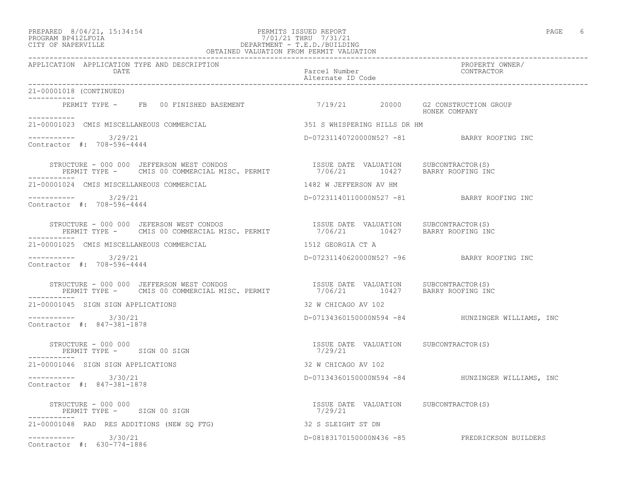### PREPARED 8/04/21, 15:34:54 PERMITS ISSUED REPORT PAGE 6 PROGRAM BP412LFOIA 7/01/21 THRU 7/31/21 CITY OF NAPERVILLE DEPARTMENT - T.E.D./BUILDING OBTAINED VALUATION FROM PERMIT VALUATION

------------------------------------------------------------------------------------------------------------------------------------ APPLICATION APPLICATION TYPE AND DESCRIPTION PROPERTY OWNER/ DATE Parcel Number CONTRACTOR Alternate ID Code ------------------------------------------------------------------------------------------------------------------------------------ 21-00001018 (CONTINUED) ----------- PERMIT TYPE - FB 00 FINISHED BASEMENT 67/19/21 20000 G2 CONSTRUCTION GROUP HONEK COMPANY ----------- 21-00001023 CMIS MISCELLANEOUS COMMERCIAL 351 S WHISPERING HILLS DR HM  $--------- 3/29/21$ D-07231140720000N527 -81 BARRY ROOFING INC Contractor #: 708-596-4444 STRUCTURE - 000 000 JEFFERSON WEST CONDOS ISSUE DATE VALUATION SUBCONTRACTOR(S) PERMIT TYPE - CMIS 00 COMMERCIAL MISC. PERMIT 67/06/21 10427 BARRY ROOFING INC ----------- 21-00001024 CMIS MISCELLANEOUS COMMERCIAL 1482 W JEFFERSON AV HM ----------- 3/29/21 D-07231140110000N527 -81 BARRY ROOFING INC Contractor #: 708-596-4444 STRUCTURE - 000 000 JEFERSON WEST CONDOS ISSUE DATE VALUATION SUBCONTRACTOR(S) PERMIT TYPE - CMIS 00 COMMERCIAL MISC. PERMIT 67/06/21 10427 BARRY ROOFING INC ----------- 21-00001025 CMIS MISCELLANEOUS COMMERCIAL 1512 GEORGIA CT A ----------- 3/29/21 3/29/21 D-07231140620000N527 -96 BARRY ROOFING INC Contractor #: 708-596-4444 STRUCTURE - 000 000 JEFFERSON WEST CONDOS ISSUE DATE VALUATION SUBCONTRACTOR(S) PERMIT TYPE - CMIS 00 COMMERCIAL MISC. PERMIT 67/06/21 10427 BARRY ROOFING INC ----------- 21-00001045 SIGN SIGN APPLICATIONS 32 W CHICAGO AV 102 ----------- 3/30/21 D-07134360150000N594 -84 HUNZINGER WILLIAMS, INC Contractor #: 847-381-1878 STRUCTURE - 000 000 ISSUE DATE VALUATION SUBCONTRACTOR(S) PERMIT TYPE - SIGN 00 SIGN ----------- 21-00001046 SIGN SIGN APPLICATIONS 32 W CHICAGO AV 102 ----------- 3/30/21 D-07134360150000N594 -84 HUNZINGER WILLIAMS, INC Contractor #: 847-381-1878 STRUCTURE – 000 000<br>
PERMIT TYPE – SIGN 00 SIGN 1999 (29/21 1999) PERMIT TYPE – SIGN 00 SIGN PERMIT TYPE - SIGN 00 SIGN ----------- 21-00001048 RAD RES ADDITIONS (NEW SQ FTG) 32 S SLEIGHT ST DN ----------- 3/30/21 D-08183170150000N436 -85 FREDRICKSON BUILDERS Contractor #: 630-774-1886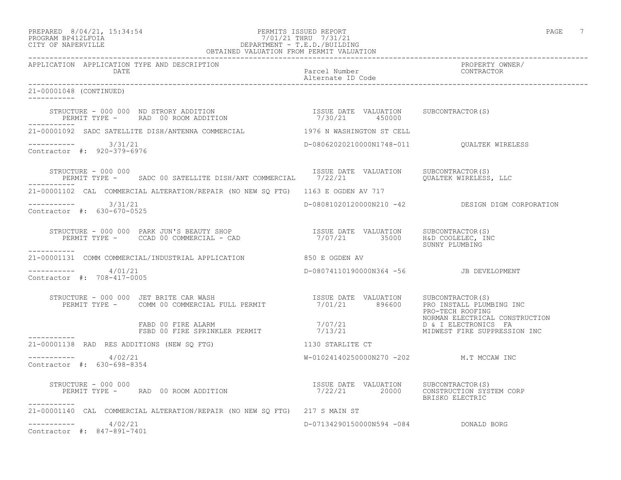### PREPARED 8/04/21, 15:34:54 PERMITS ISSUED REPORT PAGE 7 PROGRAM BP412LFOIA 7/01/21 THRU 7/31/21 CITY OF NAPERVILLE DEPARTMENT - T.E.D./BUILDING OBTAINED VALUATION FROM PERMIT VALUATION

| APPLICATION APPLICATION TYPE AND DESCRIPTION<br>DATE                             |                                                                                                                                                                                                | Parcel Number<br>Parcel Number<br>Alternate ID Code<br>--------                 |                                                                                        |  |
|----------------------------------------------------------------------------------|------------------------------------------------------------------------------------------------------------------------------------------------------------------------------------------------|---------------------------------------------------------------------------------|----------------------------------------------------------------------------------------|--|
| 21-00001048 (CONTINUED)<br>-----------                                           |                                                                                                                                                                                                |                                                                                 |                                                                                        |  |
|                                                                                  |                                                                                                                                                                                                |                                                                                 |                                                                                        |  |
|                                                                                  | 21-00001092 SADC SATELLITE DISH/ANTENNA COMMERCIAL 1976 N WASHINGTON ST CELL                                                                                                                   |                                                                                 |                                                                                        |  |
| $--------- 3/31/21$<br>Contractor #: 920-379-6976                                |                                                                                                                                                                                                | D-08062020210000N1748-011 QUALTEK WIRELESS                                      |                                                                                        |  |
| STRUCTURE - 000 000                                                              | PERMIT TYPE - SADC 00 SATELLITE DISH/ANT COMMERCIAL 7/22/21 5 2011 2012 2014 2020 2015 2020                                                                                                    | ISSUE DATE VALUATION SUBCONTRACTOR(S)                                           |                                                                                        |  |
|                                                                                  | 21-00001102 CAL COMMERCIAL ALTERATION/REPAIR (NO NEW SO FTG) 1163 E OGDEN AV 717                                                                                                               |                                                                                 |                                                                                        |  |
| $--------- 3/31/21$<br>Contractor #: 630-670-0525                                |                                                                                                                                                                                                |                                                                                 | D-08081020120000N210 -42 DESIGN DIGM CORPORATION                                       |  |
|                                                                                  | STRUCTURE - 000 000 PARK JUN'S BEAUTY SHOP                            ISSUE DATE VALUATION     SUBCONTRACTOR(S)<br>PERMIT TYPE -     CCAD 00 COMMERCIAL - CAD                          7/07/21 |                                                                                 |                                                                                        |  |
| -----------<br>21-00001131 COMM COMMERCIAL/INDUSTRIAL APPLICATION 850 E OGDEN AV |                                                                                                                                                                                                |                                                                                 |                                                                                        |  |
| $--------- 4/01/21$<br>Contractor #: 708-417-0005                                |                                                                                                                                                                                                | D-08074110190000N364 -56  JB DEVELOPMENT                                        |                                                                                        |  |
|                                                                                  | STRUCTURE - 000 000 JET BRITE CAR WASH<br>PERMIT TYPE - COMM 00 COMMERCIAL FULL PERMIT 1701/21 896600 PRO INSTALL PLUMBING INC                                                                 |                                                                                 | PRO-TECH ROOFING                                                                       |  |
|                                                                                  | FABD 00 FIRE ALARM<br>FSBD 00 FIRE SPRINKLER PERMIT 7/13/21<br>FABD 00 FIRE ALARM                                                                                                              |                                                                                 | NORMAN ELECTRICAL CONSTRUCTION<br>D & I ELECTRONICS FA<br>MIDWEST FIRE SUPPRESSION INC |  |
|                                                                                  | 21-00001138 RAD RES ADDITIONS (NEW SQ FTG) 1130 STARLITE CT                                                                                                                                    |                                                                                 |                                                                                        |  |
| $--------- 4/02/21$<br>Contractor #: 630-698-8354                                |                                                                                                                                                                                                | W-01024140250000N270 -202 M.T MCCAW INC                                         |                                                                                        |  |
| STRUCTURE - 000 000                                                              | TRUCTURE - 000 000<br>PERMIT TYPE -     RAD  00 ROOM ADDITION                                                                                                                                  | ISSUE DATE VALUATION SUBCONTRACTOR(S)<br>7/22/21 20000 CONSTRUCTION SYSTEM CORP | BRISKO ELECTRIC                                                                        |  |
| -----------                                                                      | 21-00001140 CAL COMMERCIAL ALTERATION/REPAIR (NO NEW SQ FTG) 217 S MAIN ST                                                                                                                     |                                                                                 |                                                                                        |  |
| $--------- 4/02/21$<br>Contractor #: 847-891-7401                                |                                                                                                                                                                                                | D-07134290150000N594 -084 DONALD BORG                                           |                                                                                        |  |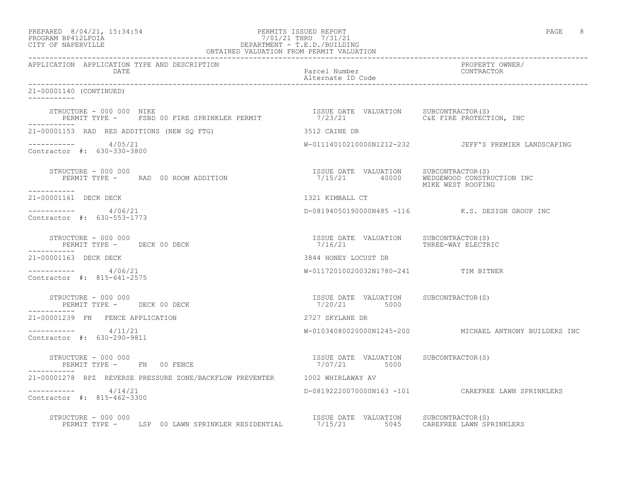|                    | PREPARED 8/04/21, 15:34:54 | PERMITS ISSUED REPORT     | PAGE | 8 |
|--------------------|----------------------------|---------------------------|------|---|
| BROCHAM BRATOTHOTA |                            | $7/01/01$ mupst $7/01/01$ |      |   |

### PROGRAM BP412LFOIA 7/01/21 THRU 7/31/21 CITY OF NAPERVILLE DEPARTMENT - T.E.D./BUILDING OBTAINED VALUATION FROM PERMIT VALUATION

------------------------------------------------------------------------------------------------------------------------------------ APPLICATION APPLICATION TYPE AND DESCRIPTION PROPERTY OWNER/ DATE Parcel Number Contractor of the Parcel Number Contractor of the Parcel Number Contractor of the Contractor of the Contractor of the Contractor of the Contractor of the Contractor of the Contractor of the Contractor of Alternate ID Code ------------------------------------------------------------------------------------------------------------------------------------ 21-00001140 (CONTINUED) ----------- STRUCTURE - 000 000 NIKE ISSUE DATE VALUATION SUBCONTRACTOR(S) PERMIT TYPE - FSBD 00 FIRE SPRINKLER PERMIT 7/23/21 C&E FIRE PROTECTION, INC ----------- 21-00001153 RAD RES ADDITIONS (NEW SQ FTG) 3512 CAINE DR ----------- 4/05/21 W-01114010210000N1212-232 JEFF'S PREMIER LANDSCAPING Contractor #: 630-330-3800 STRUCTURE - 000 000 ISSUE DATE VALUATION SUBCONTRACTOR(S) PERMIT TYPE - RAD 00 ROOM ADDITION 7/15/21 40000 WEDGEWOOD CONSTRUCTION INC MIKE WEST ROOFING ----------- 21-00001161 DECK DECK 1321 KIMBALL CT ----------- 4/06/21 D-08194050190000N485 -116 K.S. DESIGN GROUP INC Contractor #: 630-553-1773 STRUCTURE - 000 000 ISSUE DATE VALUATION SUBCONTRACTOR(S) PERMIT TYPE - DECK 00 DECK ----------- 21-00001163 DECK DECK 3844 HONEY LOCUST DR ----------- 4/06/21 W-01172010020032N1780-241 TIM BITNER Contractor #: 815-641-2575 STRUCTURE - 000 000 ISSUE DATE VALUATION SUBCONTRACTOR(S) PERMIT TYPE - DECK 00 DECK ----------- 21-00001239 FN FENCE APPLICATION 2727 SKYLANE DR ----------- 4/11/21 W-01034080020000N1245-200 MICHAEL ANTHONY BUILDERS INC Contractor #: 630-290-9811 STRUCTURE - 000 000 ISSUE DATE VALUATION SUBCONTRACTOR(S) PERMIT TYPE - FN 00 FENCE ----------- 21-00001278 RPZ REVERSE PRESSURE ZONE/BACKFLOW PREVENTER 1002 WHIRLAWAY AV ----------- 4/14/21 D-08192220070000N163 -101 CAREFREE LAWN SPRINKLERS Contractor #: 815-462-3300 STRUCTURE - 000 000 ISSUE DATE VALUATION SUBCONTRACTOR(S) PERMIT TYPE - LSP 00 LAWN SPRINKLER RESIDENTIAL 7/15/21 5045 CAREFREE LAWN SPRINKLERS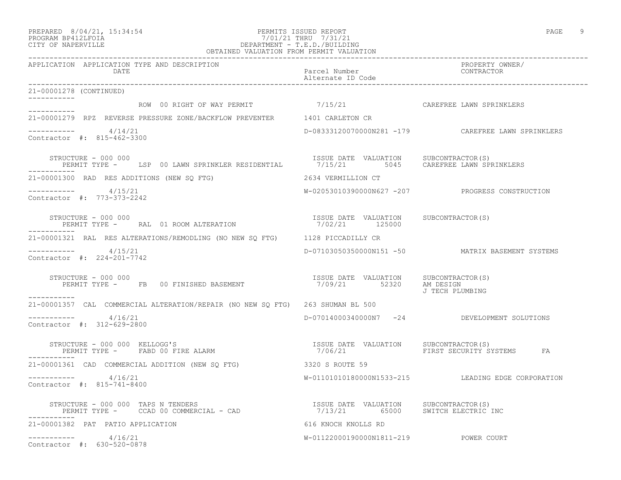21-00001278 (CONTINUED)

 $--------- 4/14/21$ 

Contractor #: 815-462-3300

Contractor #: 773-373-2242

Contractor #: 224-201-7742

-----------

-----------

-----------

-----------

### PREPARED 8/04/21, 15:34:54 PERMITS ISSUED REPORT PAGE 9 PROGRAM BP412LFOIA 7/01/21 THRU 7/31/21 CITY OF NAPERVILLE DEPARTMENT - T.E.D./BUILDING OBTAINED VALUATION FROM PERMIT VALUATION

------------------------------------------------------------------------------------------------------------------------------------ APPLICATION APPLICATION TYPE AND DESCRIPTION PROPERTY OWNER/ DATE Parcel Number CONTRACTOR Alternate ID Code ------------------------------------------------------------------------------------------------------------------------------------ ROW 00 RIGHT OF WAY PERMIT  $7/15/21$  CAREFREE LAWN SPRINKLERS 21-00001279 RPZ REVERSE PRESSURE ZONE/BACKFLOW PREVENTER 1401 CARLETON CR ----------- 4/14/21 D-08333120070000N281 -179 CAREFREE LAWN SPRINKLERS STRUCTURE - 000 000 ISSUE DATE VALUATION SUBCONTRACTOR(S) PERMIT TYPE - LSP 00 LAWN SPRINKLER RESIDENTIAL 7/15/21 5045 CAREFREE LAWN SPRINKLERS 21-00001300 RAD RES ADDITIONS (NEW SQ FTG) 2634 VERMILLION CT ----------- 4/15/21 W-02053010390000N627 -207 PROGRESS CONSTRUCTION STRUCTURE - 000 000 ISSUE DATE VALUATION SUBCONTRACTOR(S) PERMIT TYPE - RAL 01 ROOM ALTERATION 7/02/21 125000 21-00001321 RAL RES ALTERATIONS/REMODLING (NO NEW SQ FTG) 1128 PICCADILLY CR ----------- 4/15/21 D-07103050350000N151 -50 MATRIX BASEMENT SYSTEMS

 STRUCTURE - 000 000 ISSUE DATE VALUATION SUBCONTRACTOR(S) PERMIT TYPE - FB 00 FINISHED BASEMENT J TECH PLUMBING ----------- 21-00001357 CAL COMMERCIAL ALTERATION/REPAIR (NO NEW SQ FTG) 263 SHUMAN BL 500  $--------- 4/16/21$ ----------- 4/16/21 D-07014000340000N7 -24 DEVELOPMENT SOLUTIONS Contractor #: 312-629-2800

 STRUCTURE - 000 000 KELLOGG'S ISSUE DATE VALUATION SUBCONTRACTOR(S) PERMIT TYPE - FABD 00 FIRE ALARM 1999 1999 7/06/21 THE SECURITY SYSTEMS FARE FARE REGURITY SYSTEMS ----------- 21-00001361 CAD COMMERCIAL ADDITION (NEW SQ FTG) 3320 S ROUTE 59 ----------- 4/16/21 W-01101010180000N1533-215 LEADING EDGE CORPORATION Contractor #: 815-741-8400

 STRUCTURE - 000 000 TAPS N TENDERS ISSUE DATE VALUATION SUBCONTRACTOR(S) PERMIT TYPE - CCAD 00 COMMERCIAL - CAD 7/13/21 65000 SWITCH ELECTRIC INC ----------- 21-00001382 PAT PATIO APPLICATION 616 KNOCH KNOLLS RD ----------- 4/16/21 W-01122000190000N1811-219 POWER COURT Contractor #: 630-520-0878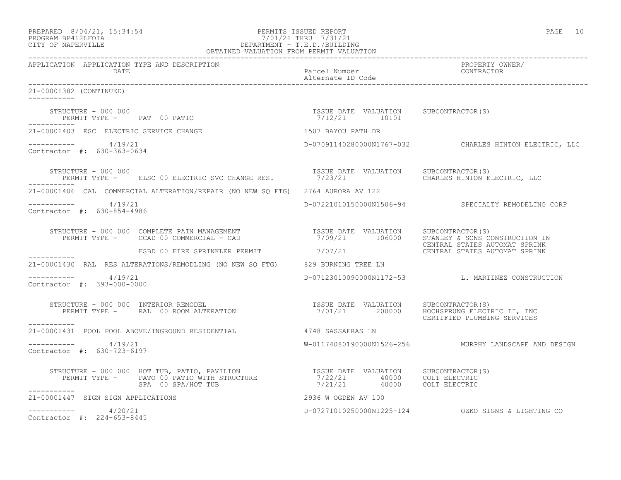| PREPARED 8/04/21, 15:34:54<br>PERMITS ISSUED REPORT<br>PROGRAM BP412LFOIA<br>CITY OF NAPERVILLE<br>CITY OF NAPERVILLE<br>CITY OF NAPERVILLE<br>CEPARTMENT - T.E.D./BUILDING<br>OBTAINED VALUATION FROM PERMIT VALUATION                                                                                                                                                                                                             |                                       | PAGE 10                                                |
|-------------------------------------------------------------------------------------------------------------------------------------------------------------------------------------------------------------------------------------------------------------------------------------------------------------------------------------------------------------------------------------------------------------------------------------|---------------------------------------|--------------------------------------------------------|
| APPLICATION APPLICATION TYPE AND DESCRIPTION<br>DATE                                                                                                                                                                                                                                                                                                                                                                                |                                       | PROPERTY OWNER/                                        |
| 21-00001382 (CONTINUED)                                                                                                                                                                                                                                                                                                                                                                                                             |                                       |                                                        |
| STRUCTURE - 000 000<br>------------                                                                                                                                                                                                                                                                                                                                                                                                 | ISSUE DATE VALUATION SUBCONTRACTOR(S) |                                                        |
| 21-00001403 ESC ELECTRIC SERVICE CHANGE                                                                                                                                                                                                                                                                                                                                                                                             | 1507 BAYOU PATH DR                    |                                                        |
| $--------- 4/19/21$<br>Contractor #: 630-363-0634                                                                                                                                                                                                                                                                                                                                                                                   |                                       | D-07091140280000N1767-032 CHARLES HINTON ELECTRIC, LLC |
| STRUCTURE - 000 000<br>PERMIT TYPE - ELSC 00 ELECTRIC SVC CHANGE RES.                                                                                                                                                                                                                                                                                                                                                               |                                       |                                                        |
| 21-00001406 CAL COMMERCIAL ALTERATION/REPAIR (NO NEW SQ FTG) 2764 AURORA AV 122                                                                                                                                                                                                                                                                                                                                                     |                                       |                                                        |
| $--------- 4/19/21$<br>Contractor #: 630-854-4986                                                                                                                                                                                                                                                                                                                                                                                   |                                       | D-07221010150000N1506-94 SPECIALTY REMODELING CORP     |
| STRUCTURE - 000 000 COMPLETE PAIN MANAGEMENT<br>PERMIT TYPE - CCAD 00 COMMERCIAL - CAD (2000) PERMIT TYPE - CCAD 00 COMMERCIAL - CAD (2000) 21 27/09/21 2106000                                                                                                                                                                                                                                                                     |                                       | CENTRAL STATES AUTOMAT SPRINK                          |
| FSBD 00 FIRE SPRINKLER PERMIT 7/07/21<br>-----------                                                                                                                                                                                                                                                                                                                                                                                |                                       | CENTRAL STATES AUTOMAT SPRINK                          |
| 21-00001430 RAL RES ALTERATIONS/REMODLING (NO NEW SQ FTG) 829 BURNING TREE LN                                                                                                                                                                                                                                                                                                                                                       |                                       |                                                        |
| $--------- 4/19/21$<br>Contractor #: 393-000-0000                                                                                                                                                                                                                                                                                                                                                                                   |                                       | D-0712301009000001172-53 L. MARTINEZ CONSTRUCTION      |
| STRUCTURE - 000 000 INTERIOR REMODEL<br>PERMIT TYPE -     RAL 00 ROOM ALTERATION                                  7/01/21        200000    HOCHSPRUNG ELECTRIC II, INC<br>------------                                                                                                                                                                                                                                              |                                       | CERTIFIED PLUMBING SERVICES                            |
| 21-00001431 POOL POOL ABOVE/INGROUND RESIDENTIAL 4748 SASSAFRAS LN                                                                                                                                                                                                                                                                                                                                                                  |                                       |                                                        |
| $--------- 4/19/21$<br>Contractor #: 630-723-6197                                                                                                                                                                                                                                                                                                                                                                                   |                                       | W-01174080190000N1526-256 MURPHY LANDSCAPE AND DESIGN  |
| $\begin{tabular}{lcccc} \texttt{STRUCTURE} & - & 000 & 000 & \texttt{HOT TUB} & \texttt{PATIO} & \texttt{PAVILION} & \texttt{ISSUE} & \texttt{DATE} & \texttt{VALUATION} & \texttt{SUBCONTRACTOR(S)} \\ \texttt{PERMIT TYPE} & - & \texttt{PATO 00 PATIO WITH STRUCTURE} & 7/22/21 & 40000 & \texttt{COLT ELECTRIC} \\ & \texttt{SPA} & 00 SPA/HOT TUB & 7/21/21 & 40000 & \texttt{COLT ELECTRIC} \\ \end{tabular}$<br>____________ |                                       |                                                        |
| 21-00001447 SIGN SIGN APPLICATIONS                                                                                                                                                                                                                                                                                                                                                                                                  | 2936 W OGDEN AV 100                   |                                                        |
| -----------    4/20/21<br>Contractor #: 224-653-8445                                                                                                                                                                                                                                                                                                                                                                                |                                       | D-07271010250000N1225-124 0ZKO SIGNS & LIGHTING CO     |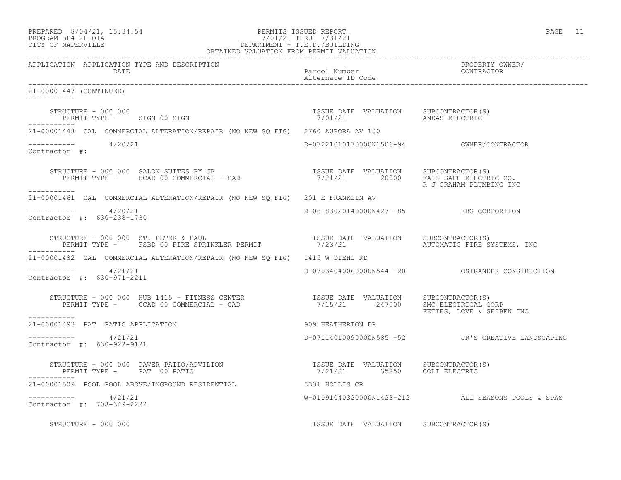| PREPARED             | $8/04/21$ , $15:34:54$ |  |
|----------------------|------------------------|--|
| הדמה זמונות ווגמממחת |                        |  |

### PREPARED 8/04/21, 15:34:54 PERMITS ISSUED REPORT<br>PROGRAM BP412LFOIA PAGE 11 PROGRAM BP412LFOIA 7/01/21 THRU 7/31/21 CITY OF NAPERVILLE DEPARTMENT - T.E.D./BUILDING

| OBTAINED VALUATION FROM PERMIT VALUATION                                                                                                                                                                                                                                                                                                                                                |                                         |                                                    |
|-----------------------------------------------------------------------------------------------------------------------------------------------------------------------------------------------------------------------------------------------------------------------------------------------------------------------------------------------------------------------------------------|-----------------------------------------|----------------------------------------------------|
| APPLICATION APPLICATION TYPE AND DESCRIPTION<br>DATE                                                                                                                                                                                                                                                                                                                                    | Parcel Number<br>Alternate ID Code      | PROPERTY OWNER/<br>CONTRACTOR                      |
| 21-00001447 (CONTINUED)<br>------------                                                                                                                                                                                                                                                                                                                                                 |                                         |                                                    |
|                                                                                                                                                                                                                                                                                                                                                                                         |                                         |                                                    |
| 21-00001448 CAL COMMERCIAL ALTERATION/REPAIR (NO NEW SO FTG) 2760 AURORA AV 100                                                                                                                                                                                                                                                                                                         |                                         |                                                    |
| $--------- 4/20/21$<br>Contractor #:                                                                                                                                                                                                                                                                                                                                                    |                                         |                                                    |
| STRUCTURE - 000 000 SALON SUITES BY JB<br>PERMIT TYPE - CCAD 00 COMMERCIAL - CAD COMPERTING COLLECTION PERMIT TYPE - CCAD 00 COMMERCIAL - CAD<br>------------                                                                                                                                                                                                                           |                                         | R J GRAHAM PLUMBING INC                            |
| 21-00001461  CAL  COMMERCIAL ALTERATION/REPAIR (NO NEW SO FTG)  201 E FRANKLIN AV                                                                                                                                                                                                                                                                                                       |                                         |                                                    |
| $--------- 4/20/21$<br>Contractor #: 630-238-1730                                                                                                                                                                                                                                                                                                                                       | D-08183020140000N427 -85 FBG CORPORTION |                                                    |
| STRUCTURE - 000 000 ST. PETER & PAUL<br>1990 - 1991 - 1992/21 MALUATION SUBCONTRACTOR (S) PERMIT TYPE - FSBD 00 FIRE SPRINKLER PERMIT<br>1992/21 MALUATION AUTOMATIC FIRE SYSTEMS, INC                                                                                                                                                                                                  |                                         |                                                    |
| 21-00001482 CAL COMMERCIAL ALTERATION/REPAIR (NO NEW SO FTG) 1415 W DIEHL RD                                                                                                                                                                                                                                                                                                            |                                         |                                                    |
| $--------- 4/21/21$<br>Contractor #: 630-971-2211                                                                                                                                                                                                                                                                                                                                       |                                         |                                                    |
| -----------                                                                                                                                                                                                                                                                                                                                                                             |                                         | FETTES, LOVE & SEIBEN INC                          |
| 21-00001493 PAT PATIO APPLICATION                                                                                                                                                                                                                                                                                                                                                       | 909 HEATHERTON DR                       |                                                    |
| $--------- 4/21/21$<br>Contractor #: 630-922-9121                                                                                                                                                                                                                                                                                                                                       |                                         | D-07114010090000N585 -52 JR'S CREATIVE LANDSCAPING |
| $\begin{array}{cccc} \texttt{STRUCTURE} - 000 000 & \texttt{PAVER PATIO/APVILION} \\ \texttt{PERMIT TYPE} - \texttt{PAT 00 PATIO} \\ \texttt{PERNIT TYPE} - \texttt{PAT 00 PATIO} \end{array} \qquad \begin{array}{cccc} \texttt{TSUE} & \texttt{DATE} & \texttt{VALUATION} \\ \texttt{7/21/21} & \texttt{35250} & \texttt{COLT ELECTRIC} \\ \end{array}$<br>PERMIT TYPE - PAT 00 PATIO |                                         |                                                    |
| 21-00001509 POOL POOL ABOVE/INGROUND RESIDENTIAL 600001509 BOOLLIS CR                                                                                                                                                                                                                                                                                                                   |                                         |                                                    |
| ----------- 4/21/21<br>Contractor #: 708-349-2222                                                                                                                                                                                                                                                                                                                                       |                                         | W-01091040320000N1423-212 ALL SEASONS POOLS & SPAS |
| STRUCTURE - 000 000                                                                                                                                                                                                                                                                                                                                                                     | ISSUE DATE VALUATION SUBCONTRACTOR(S)   |                                                    |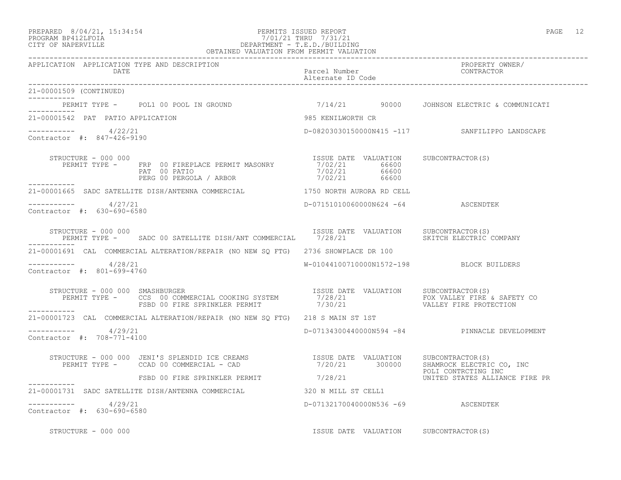### PREPARED 8/04/21, 15:34:54 PERMITS ISSUED REPORT PAGE 12 PROGRAM BP412LFOIA 7/01/21 THRU 7/31/21 CITY OF NAPERVILLE DEPARTMENT - T.E.D./BUILDING

|                                                      | OBTAINED VALUATION FROM PERMIT VALUATION                                                                                                                                                                          |                                    |                                                |
|------------------------------------------------------|-------------------------------------------------------------------------------------------------------------------------------------------------------------------------------------------------------------------|------------------------------------|------------------------------------------------|
| APPLICATION APPLICATION TYPE AND DESCRIPTION<br>DATE |                                                                                                                                                                                                                   | Parcel Number<br>Alternate ID Code | PROPERTY OWNER/<br>CONTRACTOR                  |
| 21-00001509 (CONTINUED)<br>------------              |                                                                                                                                                                                                                   |                                    |                                                |
|                                                      |                                                                                                                                                                                                                   |                                    |                                                |
| 21-00001542 PAT PATIO APPLICATION                    |                                                                                                                                                                                                                   | 985 KENILWORTH CR                  |                                                |
| $--------- 4/22/21$<br>Contractor #: 847-426-9190    |                                                                                                                                                                                                                   |                                    | D-08203030150000N415 -117 SANFILIPPO LANDSCAPE |
| STRUCTURE - 000 000<br>__________                    | PERMIT TYPE - FRP 00 FIREPLACE PERMIT MASONRY 7/02/21 66600<br>PAT 00 PATIO $7/02/21$ 66600<br>PERG 00 PERGOLA / ARBOR 7/02/21 66600                                                                              |                                    | ISSUE DATE VALUATION SUBCONTRACTOR(S)          |
|                                                      | 21-00001665 SADC SATELLITE DISH/ANTENNA COMMERCIAL 6 1750 NORTH AURORA RD CELL                                                                                                                                    |                                    |                                                |
| ----------     4/27/21<br>Contractor #: 630-690-6580 |                                                                                                                                                                                                                   |                                    | D-07151010060000N624 -64 ASCENDTEK             |
| STRUCTURE - 000 000                                  | PERMIT TYPE - SADC 00 SATELLITE DISH/ANT COMMERCIAL 7/28/21 SKITCH ELECTRIC COMPANY                                                                                                                               |                                    | ISSUE DATE VALUATION SUBCONTRACTOR(S)          |
|                                                      | 21-00001691 CAL COMMERCIAL ALTERATION/REPAIR (NO NEW SQ FTG) 2736 SHOWPLACE DR 100                                                                                                                                |                                    |                                                |
| $--------- 4/28/21$<br>Contractor #: 801-699-4760    |                                                                                                                                                                                                                   |                                    | W-01044100710000N1572-198 BLOCK BUILDERS       |
| STRUCTURE - 000 000 SMASHBURGER                      | RUCTURE - 000 000 SMASHBURGER<br>PERMIT TYPE - CCS 00 COMMERCIAL COOKING SYSTEM 1999 7/28/21 FOX VALLEY FIRE & SAFETY CONNERATION FOX VALLEY<br>---- FSBD 00 FIRE SPRINKLER PERMIT 7/30/21 VALLEY FIRE PROTECTION |                                    |                                                |
|                                                      | 21-00001723 CAL COMMERCIAL ALTERATION/REPAIR (NO NEW SQ FTG) 218 S MAIN ST 1ST                                                                                                                                    |                                    |                                                |
| $--------- 4/29/21$<br>Contractor #: 708-771-4100    |                                                                                                                                                                                                                   |                                    | D-07134300440000N594 -84 PINNACLE DEVELOPMENT  |
|                                                      | STRUCTURE - 000 000 JENI'S SPLENDID ICE CREAMS<br>PERMIT TYPE - CCAD 00 COMMERCIAL - CAD (2010) COMPERENT - CAD (2010) PERMIT TYPE - CCAD 00 COMMERCIAL - CAD (2010)                                              |                                    | POLI CONTRCTING INC                            |
|                                                      | FSBD 00 FIRE SPRINKLER PERMIT 7/28/21                                                                                                                                                                             |                                    | UNITED STATES ALLIANCE FIRE PR                 |
|                                                      | 21-00001731 SADC SATELLITE DISH/ANTENNA COMMERCIAL 320 N MILL ST CELL1                                                                                                                                            |                                    |                                                |
| ----------- 4/29/21<br>Contractor #: 630-690-6580    |                                                                                                                                                                                                                   |                                    | D-07132170040000N536 -69 ASCENDTEK             |
| STRUCTURE - 000 000                                  |                                                                                                                                                                                                                   |                                    | ISSUE DATE VALUATION SUBCONTRACTOR(S)          |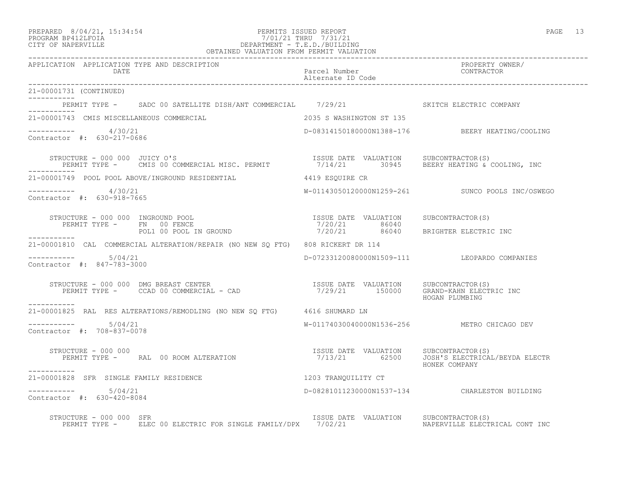| PREPARED            | $8/04/21$ , $15:34:54$ |  |
|---------------------|------------------------|--|
| DDOCDAM DDA10T DOTA |                        |  |

### PREPARED 8/04/21, 15:34:54 PERMITS ISSUED REPORT<br>PROGRAM BP412LFOIA PAGE 13<br>
7/01/21 THRU 7/31/21 PROGRAM BP412LFOIA 7/01/21 THRU 7/31/21 CITY OF NAPERVILLE DEPARTMENT - T.E.D./BUILDING OBTAINED VALUATION FROM PERMIT VALUATION

| APPLICATION APPLICATION TYPE AND DESCRIPTION<br>DATE                                                                                                                                                                                                                                                                                         | Parcel Number<br>Alternate ID Code    | PROPERTY OWNER/<br>CONTRACTOR                    |
|----------------------------------------------------------------------------------------------------------------------------------------------------------------------------------------------------------------------------------------------------------------------------------------------------------------------------------------------|---------------------------------------|--------------------------------------------------|
| 21-00001731 (CONTINUED)                                                                                                                                                                                                                                                                                                                      |                                       |                                                  |
| PERMIT TYPE - SADC 00 SATELLITE DISH/ANT COMMERCIAL 7/29/21 SKITCH ELECTRIC COMPANY                                                                                                                                                                                                                                                          |                                       |                                                  |
| 21-00001743 CMIS MISCELLANEOUS COMMERCIAL                                                                                                                                                                                                                                                                                                    | 2035 S WASHINGTON ST 135              |                                                  |
| $--------- 4/30/21$<br>Contractor #: 630-217-0686                                                                                                                                                                                                                                                                                            |                                       | D-08314150180000N1388-176 BEERY HEATING/COOLING  |
|                                                                                                                                                                                                                                                                                                                                              |                                       |                                                  |
| 21-00001749 POOL POOL ABOVE/INGROUND RESIDENTIAL                                                                                                                                                                                                                                                                                             | 4419 ESOUIRE CR                       |                                                  |
| $--------- 4/30/21$<br>Contractor #: 630-918-7665                                                                                                                                                                                                                                                                                            |                                       | W-01143050120000N1259-261 SUNCO POOLS INC/OSWEGO |
| $\begin{array}{cccc} \texttt{STRUCTURE} & - & 000 & 000 & \texttt{INGROUND POOL} & & & \\ \texttt{PERMIT TYPE} & - & \texttt{FN} & 00 & \texttt{FENCE} & & \\ \texttt{PERMIT TYPE} & - & \texttt{FN} & 00 & \texttt{PENCE} & & \\ \texttt{POL1 00 POOL IN GROUND} & & & & & 7/20/21 & 86040 & \texttt{BRIGHTER ELECTRIC INC} \\ \end{array}$ |                                       |                                                  |
|                                                                                                                                                                                                                                                                                                                                              |                                       |                                                  |
| 21-00001810 CAL COMMERCIAL ALTERATION/REPAIR (NO NEW SQ FTG) 808 RICKERT DR 114                                                                                                                                                                                                                                                              |                                       |                                                  |
| $--------- 5/04/21$<br>Contractor #: 847-783-3000                                                                                                                                                                                                                                                                                            |                                       | D-07233120080000N1509-111 LEOPARDO COMPANIES     |
| STRUCTURE – 000 000 DMG BREAST CENTER<br>PERMIT TYPE – CCAD 00 COMMERCIAL – CAD (29/21 150000 GRAND-KAHN ELECTRIC INC                                                                                                                                                                                                                        |                                       | HOGAN PLUMBING                                   |
| 21-00001825 RAL RES ALTERATIONS/REMODLING (NO NEW SQ FTG) 4616 SHUMARD LN                                                                                                                                                                                                                                                                    |                                       |                                                  |
| ----------- 5/04/21<br>Contractor #: 708-837-0078                                                                                                                                                                                                                                                                                            |                                       | W-01174030040000N1536-256 METRO CHICAGO DEV      |
| STRUCTURE - 000 000                                                                                                                                                                                                                                                                                                                          |                                       | HONEK COMPANY                                    |
| 1203 TRANQUILITY CT<br>21-00001828 SFR SINGLE FAMILY RESIDENCE                                                                                                                                                                                                                                                                               |                                       |                                                  |
| $--------- 5/04/21$<br>Contractor #: 630-420-8084                                                                                                                                                                                                                                                                                            |                                       | D-08281011230000N1537-134 CHARLESTON BUILDING    |
| STRUCTURE - 000 000 SFR<br>PERMIT TYPE - ELEC 00 ELECTRIC FOR SINGLE FAMILY/DPX 7/02/21 MAPERVILLE ELECTRICAL CONT INC                                                                                                                                                                                                                       | ISSUE DATE VALUATION SUBCONTRACTOR(S) |                                                  |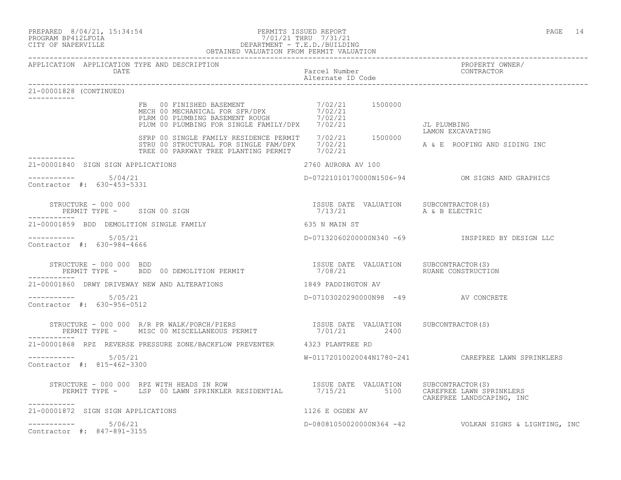### PREPARED 8/04/21, 15:34:54 PERMITS ISSUED REPORT PAGE 14 PROGRAM BP412LFOIA 7/01/21 THRU 7/31/21 CITY OF NAPERVILLE DEPARTMENT - T.E.D./BUILDING

|                         |                                                      | OBTAINED VALUATION FROM PERMIT VALUATION                                                                                                                                                                                                                                                                                          |                                     |                                 |                                                              |
|-------------------------|------------------------------------------------------|-----------------------------------------------------------------------------------------------------------------------------------------------------------------------------------------------------------------------------------------------------------------------------------------------------------------------------------|-------------------------------------|---------------------------------|--------------------------------------------------------------|
|                         | APPLICATION APPLICATION TYPE AND DESCRIPTION         |                                                                                                                                                                                                                                                                                                                                   |                                     |                                 | PROPERTY OWNER/                                              |
| 21-00001828 (CONTINUED) |                                                      |                                                                                                                                                                                                                                                                                                                                   |                                     |                                 |                                                              |
| ___________             |                                                      | FB 00 FINISHED BASEMENT 7/02/21 1500000<br>MECH 00 MECHANICAL FOR SFR/DPX 7/02/21<br>PLRM 00 PLUMBING BASEMENT ROUGH 7/02/21<br>PLUM 00 PLUMBING FOR SINGLE FAMILY/DPX 7/02/21                                                                                                                                                    |                                     | JL PLUMBING<br>LAMON EXCAVATING |                                                              |
|                         |                                                      | SFRP 00 SINGLE FAMILY RESIDENCE PERMIT 7/02/21 1500000<br>STRU 00 STRUCTURAL FOR SINGLE FAM/DPX 7/02/21<br>TREE 00 PARKWAY TREE PLANTING PERMIT 7/02/21                                                                                                                                                                           |                                     |                                 | A & E ROOFING AND SIDING INC                                 |
|                         | 21-00001840 SIGN SIGN APPLICATIONS                   |                                                                                                                                                                                                                                                                                                                                   | 2760 AURORA AV 100                  |                                 |                                                              |
|                         | Contractor #: 630-453-5331                           |                                                                                                                                                                                                                                                                                                                                   |                                     |                                 | D-07221010170000N1506-94 OM SIGNS AND GRAPHICS               |
| . _ _ _ _ _ _ _ _ _ _   |                                                      | $\begin{array}{cccccc} \texttt{STRUCTURE} & - & 000 & 000 & \\ \texttt{PERMIT TYPE} & - & & \texttt{SIGN} & 00 & \texttt{SIGN} & \\ \end{array} \qquad \begin{array}{cccccc} \texttt{SIVE DATE} & \texttt{VALUATION} & \texttt{SUBCONTRACTOR(S)} \\ \texttt{7/13/21} & \texttt{7/13/21} & \texttt{A & B ELECTRIC} \\ \end{array}$ |                                     |                                 |                                                              |
|                         | 21-00001859 BDD DEMOLITION SINGLE FAMILY             |                                                                                                                                                                                                                                                                                                                                   | 635 N MAIN ST                       |                                 |                                                              |
|                         | Contractor #: 630-984-4666                           |                                                                                                                                                                                                                                                                                                                                   |                                     |                                 | D-07132060200000N340 -69              INSPIRED BY DESIGN LLC |
| ___________             |                                                      | STRUCTURE - 000 000 BDD<br>PERMIT TYPE -     BDD 00 DEMOLITION PERMIT                       7/08/21       RUANE CONSTRUCTION                                                                                                                                                                                                      |                                     |                                 |                                                              |
|                         |                                                      | 21-00001860 DRWY DRIVEWAY NEW AND ALTERATIONS                                                                                                                                                                                                                                                                                     | 1849 PADDINGTON AV                  |                                 |                                                              |
|                         | Contractor #: 630-956-0512                           |                                                                                                                                                                                                                                                                                                                                   | D-07103020290000N98 -49 AV CONCRETE |                                 |                                                              |
|                         |                                                      | STRUCTURE – 000 000 R/R PR WALK/PORCH/PIERS                          ISSUE DATE VALUATION     SUBCONTRACTOR(S)                                                                                                                                                                                                                    |                                     |                                 |                                                              |
|                         |                                                      | 21-00001868 RPZ REVERSE PRESSURE ZONE/BACKFLOW PREVENTER 4323 PLANTREE RD                                                                                                                                                                                                                                                         |                                     |                                 |                                                              |
|                         | -----------    5/05/21<br>Contractor #: 815-462-3300 |                                                                                                                                                                                                                                                                                                                                   |                                     |                                 | W-01172010020044N1780-241 CAREFREE LAWN SPRINKLERS           |
| ----------              |                                                      | STRUCTURE - 000 000 RPZ WITH HEADS IN ROW                        ISSUE DATE VALUATION     SUBCONTRACTOR(S)<br>PERMIT TYPE -     LSP 00 LAWN SPRINKLER RESIDENTIAL        7/15/21        5100    CAREFREE LAWN SPRINKLERS                                                                                                          |                                     |                                 | CAREFREE LANDSCAPING, INC                                    |
|                         | 21-00001872 SIGN SIGN APPLICATIONS                   |                                                                                                                                                                                                                                                                                                                                   | 1126 E OGDEN AV                     |                                 |                                                              |
|                         | $--------- 5/06/21$<br>Contractor #: 847-891-3155    |                                                                                                                                                                                                                                                                                                                                   |                                     |                                 | D-08081050020000N364 -42    VOLKAN SIGNS & LIGHTING, INC     |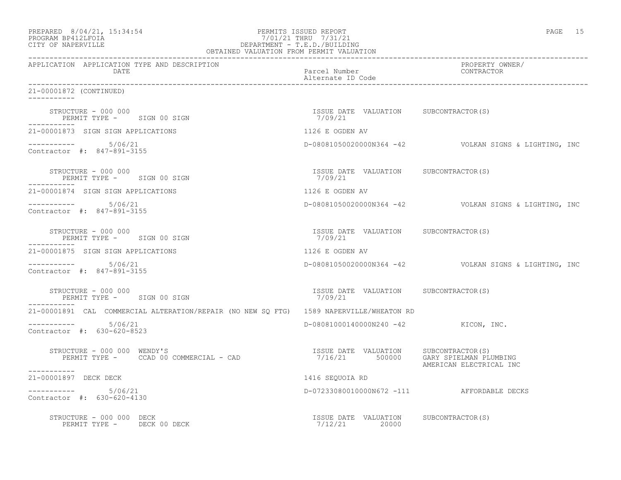| PREPARED 8/04/21, 15:34:54<br>PERMITS ISSUED REPORT<br>PROGRAM BP412LFOIA<br>CITY OF NAPERVILLE<br>CITY OF NAPERVILLE<br>CITY OF NAPERVILLE<br>CETAINED VALUATION FROM PERMIT VALUATION           |                                                  | PAGE 15                                                  |
|---------------------------------------------------------------------------------------------------------------------------------------------------------------------------------------------------|--------------------------------------------------|----------------------------------------------------------|
| APPLICATION APPLICATION TYPE AND DESCRIPTION<br>DATE                                                                                                                                              | Parcel Number<br>Alternate ID Code               | PROPERTY OWNER/<br>CONTRACTOR                            |
| 21-00001872 (CONTINUED)                                                                                                                                                                           |                                                  |                                                          |
| STRUCTURE - 000 000<br>PERMIT TYPE - SIGN 00 SIGN                                                                                                                                                 | ISSUE DATE VALUATION SUBCONTRACTOR(S)<br>7/09/21 |                                                          |
| 21-00001873 SIGN SIGN APPLICATIONS                                                                                                                                                                | 1126 E OGDEN AV                                  |                                                          |
| $--------- 5/06/21$<br>Contractor #: 847-891-3155                                                                                                                                                 |                                                  | D-08081050020000N364 -42    VOLKAN SIGNS & LIGHTING, INC |
| STRUCTURE - 000 000<br>PERMIT TYPE - SIGN 00 SIGN                                                                                                                                                 | ISSUE DATE VALUATION SUBCONTRACTOR(S)<br>7/09/21 |                                                          |
| 21-00001874 SIGN SIGN APPLICATIONS                                                                                                                                                                | 1126 E OGDEN AV                                  |                                                          |
| $--------- 5/06/21$<br>Contractor #: 847-891-3155                                                                                                                                                 |                                                  | D-08081050020000N364 -42    VOLKAN SIGNS & LIGHTING, INC |
| PERMIT TYPE - SIGN 00 SIGN                                                                                                                                                                        | ISSUE DATE VALUATION SUBCONTRACTOR(S)<br>7/09/21 |                                                          |
| 21-00001875 SIGN SIGN APPLICATIONS                                                                                                                                                                | 1126 E OGDEN AV                                  |                                                          |
| -----------    5/06/21<br>Contractor #: 847-891-3155                                                                                                                                              |                                                  | D-08081050020000N364 -42    VOLKAN SIGNS & LIGHTING, INC |
| STRUCTURE - 000 000<br>PERMIT TYPE - SIGN 00 SIGN                                                                                                                                                 | ISSUE DATE VALUATION SUBCONTRACTOR(S)<br>7/09/21 |                                                          |
| 21-00001891 CAL COMMERCIAL ALTERATION/REPAIR (NO NEW SO FTG) 1589 NAPERVILLE/WHEATON RD                                                                                                           |                                                  |                                                          |
| $--------- 5/06/21$<br>Contractor #: 630-620-8523                                                                                                                                                 | D-08081000140000N240 -42 KICON, INC.             |                                                          |
| TRUCTURE - 000 000 WENDY'S<br>PERMIT TYPE - CCAD 00 COMMERCIAL - CAD                                7/16/21        500000    GARY SPIELMAN PLUMBING<br>STRUCTURE - 000 000 WENDY'S<br>----------- |                                                  | AMERICAN ELECTRICAL INC                                  |
| 21-00001897 DECK DECK                                                                                                                                                                             | 1416 SEQUOIA RD                                  |                                                          |
| $--------- 5/06/21$<br>Contractor #: 630-620-4130                                                                                                                                                 | D-07233080010000N672 -111 AFFORDABLE DECKS       |                                                          |
| STRUCTURE - 000 000 DECK<br>PERMIT TYPE - DECK 00 DECK                                                                                                                                            | ISSUE DATE VALUATION<br>7/12/21 20000            | SUBCONTRACTOR(S)                                         |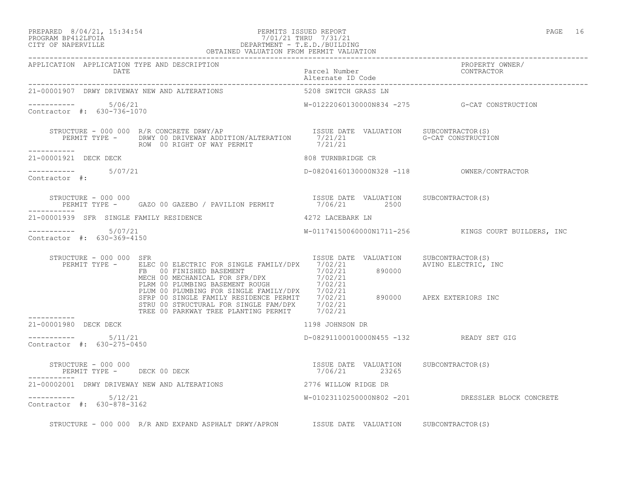### PREPARED 8/04/21, 15:34:54 PERMITS ISSUED REPORT PAGE 16 PROGRAM BP412LFOIA 7/01/21 THRU 7/31/21 CITY OF NAPERVILLE DEPARTMENT - T.E.D./BUILDING OBTAINED VALUATION FROM PERMIT VALUATION

------------------------------------------------------------------------------------------------------------------------------------ APPLICATION APPLICATION TYPE AND DESCRIPTION<br>DATE barel Number Parcel Number Parcel Solution CONTRACTOR DATE Parcel Number CONTRACTOR Alternate ID Code ------------------------------------------------------------------------------------------------------------------------------------ 21-00001907 DRWY DRIVEWAY NEW AND ALTERATIONS ----------- 5/06/21 W-01222060130000N834 -275 G-CAT CONSTRUCTION Contractor #: 630-736-1070 STRUCTURE - 000 000 R/R CONCRETE DRWY/AP ISSUE DATE VALUATION SUBCONTRACTOR(S) PERMIT TYPE - DRWY 00 DRIVEWAY ADDITION/ALTERATION 7/21/21 G-CAT CONSTRUCTION ROW 00 RIGHT OF WAY PERMIT  $7/21/21$ -----------<br>21-00001921 DECK DECK 21-00001921 DECK DECK 808 TURNBRIDGE CR  $--------- 5/07/21$ ----------- 5/07/21 D-08204160130000N328 -118 OWNER/CONTRACTOR Contractor #: STRUCTURE - 000 000<br>PERMIT TYPE - GAZO 00 GAZEBO / PAVILION PERMIT 1/06/21 2500 2500 PERMIT TYPE - GAZO 00 GAZEBO / PAVILION PERMIT<br>PERMIT TYPE - GAZO 00 GAZEBO / PAVILION PERMIT ----------- 21-00001939 SFR SINGLE FAMILY RESIDENCE 4272 LACEBARK LN ----------- 5/07/21 W-01174150060000N1711-256 KINGS COURT BUILDERS, INC Contractor #: 630-369-4150 STRUCTURE - 000 000 SFR ISSUE DATE VALUATION SUBCONTRACTOR(S) PERMIT TYPE - ELEC 00 ELECTRIC FOR SINGLE FAMILY/DPX 7/02/21 AVINO ELECTRIC, INC FB 00 FINISHED BASEMENT 7/02/21 890000 MECH 00 MECHANICAL FOR SFR/DPX 7/02/21 PLRM 00 PLUMBING BASEMENT ROUGH 7/02/21 PLUM 00 PLUMBING FOR SINGLE FAMILY/DPX 7/02/21 SFRP 00 SINGLE FAMILY RESIDENCE PERMIT 7/02/21 890000 APEX EXTERIORS INC STRU 00 STRUCTURAL FOR SINGLE FAM/DPX  $7/02/21$ TREE 00 PARKWAY TREE PLANTING PERMIT  $7/02/21$ ----------- 21-00001980 DECK DECK 1198 JOHNSON DR  $--------- 5/11/21$ D-08291100010000N455 -132 READY SET GIG Contractor #: 630-275-0450 STRUCTURE - 000 000 ISSUE DATE VALUATION SUBCONTRACTOR(S) PERMIT TYPE - DECK 00 DECK ----------- 21-00002001 DRWY DRIVEWAY NEW AND ALTERATIONS 2776 WILLOW RIDGE DR ----------- 5/12/21 W-01023110250000N802 -201 DRESSLER BLOCK CONCRETE Contractor #: 630-878-3162 STRUCTURE - 000 000 R/R AND EXPAND ASPHALT DRWY/APRON ISSUE DATE VALUATION SUBCONTRACTOR(S)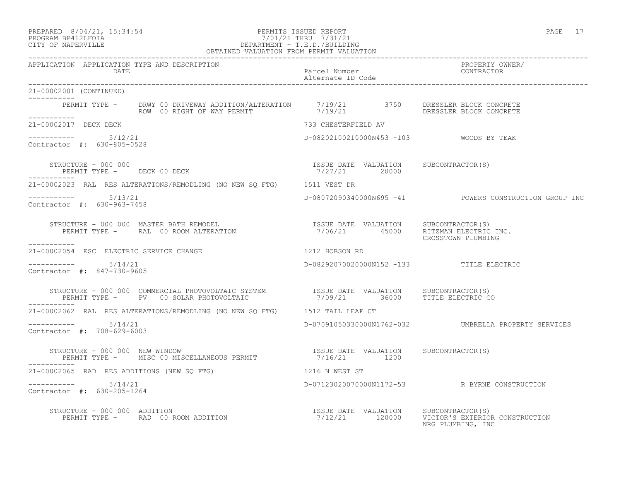### PREPARED 8/04/21, 15:34:54 PERMITS ISSUED REPORT PROGRAM BP412LFOIA PAGE 17<br>PROGRAM BP412LFOIA PROGRAM BP412LFOIA 7/01/21 THRU 7/31/21 CITY OF NAPERVILLE DEPARTMENT - T.E.D./BUILDING

| OBTAINED VALUATION FROM PERMIT VALUATION                                                                                                                                        |                                                                                |                                                        |  |
|---------------------------------------------------------------------------------------------------------------------------------------------------------------------------------|--------------------------------------------------------------------------------|--------------------------------------------------------|--|
| APPLICATION APPLICATION TYPE AND DESCRIPTION<br>DATE                                                                                                                            | Parcel Number<br>Alternate ID Code                                             | PROPERTY OWNER/<br>CONTRACTOR                          |  |
| 21-00002001 (CONTINUED)                                                                                                                                                         |                                                                                |                                                        |  |
| __________<br>PERMIT TYPE - DRWY 00 DRIVEWAY ADDITION/ALTERATION 7/19/21 3750 DRESSLER BLOCK CONCRETE<br>----------- ROW 00 RIGHT OF WAY PERMIT 7/19/21 DRESSLER BLOCK CONCRETE |                                                                                |                                                        |  |
| 21-00002017 DECK DECK                                                                                                                                                           | 733 CHESTERFIELD AV                                                            |                                                        |  |
| Contractor #: 630-805-0528                                                                                                                                                      | D-08202100210000N453 -103 WOODS BY TEAK                                        |                                                        |  |
| STRUCTURE - 000 000<br>PERMIT TYPE - DECK 00 DECK                                                                                                                               | ISSUE DATE VALUATION SUBCONTRACTOR(S)<br>ISSUE DATE VALUATION<br>7/27/21 20000 |                                                        |  |
| 21-00002023 RAL RES ALTERATIONS/REMODLING (NO NEW SQ FTG) 1511 VEST DR                                                                                                          |                                                                                |                                                        |  |
| $--------$ 5/13/21<br>Contractor #: 630-963-7458                                                                                                                                |                                                                                | D-08072090340000N695 -41 POWERS CONSTRUCTION GROUP INC |  |
| STRUCTURE - 000 000 MASTER BATH REMODEL<br>PERMIT TYPE -     RAL 00 ROOM ALTERATION                                     7/06/21         45000     RITZMAN ELECTRIC INC.         |                                                                                | CROSSTOWN PLUMBING                                     |  |
| -----------<br>21-00002054 ESC ELECTRIC SERVICE CHANGE<br>1212 HOBSON RD                                                                                                        |                                                                                |                                                        |  |
| $--------- 5/14/21$<br>Contractor #: 847-730-9605                                                                                                                               | D-08292070020000N152 -133 TITLE ELECTRIC                                       |                                                        |  |
| ___________                                                                                                                                                                     |                                                                                |                                                        |  |
| 21-00002062 RAL RES ALTERATIONS/REMODLING (NO NEW SQ FTG) 1512 TAIL LEAF CT                                                                                                     |                                                                                |                                                        |  |
| $--------- 5/14/21$<br>Contractor #: 708-629-6003                                                                                                                               |                                                                                | D-07091050330000N1762-032 UMBRELLA PROPERTY SERVICES   |  |
|                                                                                                                                                                                 |                                                                                |                                                        |  |
| -----------<br>21-00002065 RAD RES ADDITIONS (NEW SQ FTG) 1216 N WEST ST                                                                                                        |                                                                                |                                                        |  |
| $--------- 5/14/21$<br>Contractor #: 630-205-1264                                                                                                                               |                                                                                | D-07123020070000N1172-53 R BYRNE CONSTRUCTION          |  |
| STRUCTURE - 000 000 ADDITION                                                                                                                                                    |                                                                                | NRG PLUMBING, INC                                      |  |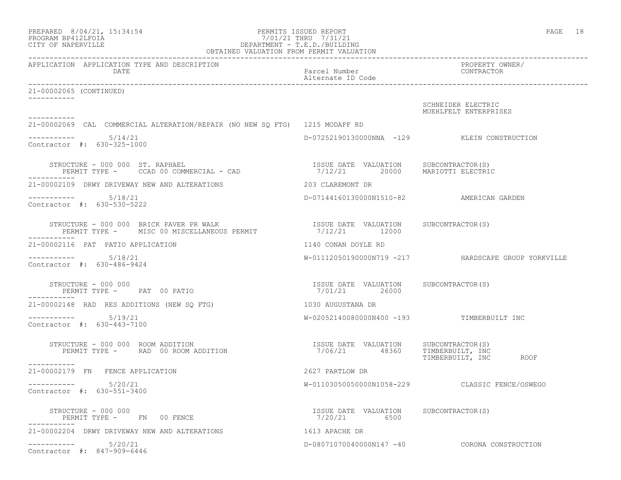| PREPARED 8/04/21, 15:34:54<br>PROGRAM BP412LFOIA 7/01/21 THRU 7/31/21<br>CITY OF NAPERVILLE CITY OF NAPERVILLE DEPARTMENT - T.E.D./BUILDING<br>OBTAINED VALUATION FROM PERMIT VALUATION                                                                                                                   |                                                       | PAGE 18                                             |
|-----------------------------------------------------------------------------------------------------------------------------------------------------------------------------------------------------------------------------------------------------------------------------------------------------------|-------------------------------------------------------|-----------------------------------------------------|
| APPLICATION APPLICATION TYPE AND DESCRIPTION<br>DATE                                                                                                                                                                                                                                                      | Parcel Number<br>Alternate ID Code                    | PROPERTY OWNER/<br>CONTRACTOR                       |
| 21-00002065 (CONTINUED)                                                                                                                                                                                                                                                                                   |                                                       |                                                     |
|                                                                                                                                                                                                                                                                                                           |                                                       | SCHNEIDER ELECTRIC<br>MUEHLFELT ENTERPRISES         |
| 21-00002069 CAL COMMERCIAL ALTERATION/REPAIR (NO NEW SQ FTG) 1215 MODAFF RD                                                                                                                                                                                                                               |                                                       |                                                     |
| $--------- 5/14/21$<br>Contractor #: 630-325-1000                                                                                                                                                                                                                                                         |                                                       | D-07252190130000NNA -129 KLEIN CONSTRUCTION         |
|                                                                                                                                                                                                                                                                                                           |                                                       |                                                     |
| 21-00002109 DRWY DRIVEWAY NEW AND ALTERATIONS 203 CLAREMONT DR                                                                                                                                                                                                                                            |                                                       |                                                     |
| Contractor #: 630-530-5222                                                                                                                                                                                                                                                                                | D-07144160130000N1510-82 AMERICAN GARDEN              |                                                     |
| STRUCTURE – 000 000 BRICK PAVER PR WALK                               ISSUE DATE VALUATION     SUBCONTRACTOR(S)<br>PERMIT TYPE –     MISC 00 MISCELLANEOUS PERMIT                   7/12/21       12000<br>-----------                                                                                    |                                                       |                                                     |
| 21-00002116 PAT PATIO APPLICATION                                                                                                                                                                                                                                                                         | 1140 CONAN DOYLE RD                                   |                                                     |
| $--------- 5/18/21$<br>Contractor #: 630-486-9424                                                                                                                                                                                                                                                         |                                                       | W-01112050190000N719 -217 HARDSCAPE GROUP YORKVILLE |
| $\begin{array}{cccc} \texttt{STRUCTURE} & - & 000 & 000 \\ \texttt{PERMIT} & \texttt{TYPE} & - & \texttt{PAT} & 00 & \texttt{PATIO} \\ \end{array} \qquad \begin{array}{cccc} \texttt{TSSUE} & \texttt{DATE} & \texttt{VALUATION} & \texttt{SUBCONTRACTOR(S)} \\ \texttt{7/01/21} & 26000 \\ \end{array}$ |                                                       |                                                     |
| 21-00002148 RAD RES ADDITIONS (NEW SQ FTG)                                                                                                                                                                                                                                                                | 1030 AUGUSTANA DR                                     |                                                     |
| $--------- 5/19/21$<br>Contractor #: 630-443-7100                                                                                                                                                                                                                                                         | W-02052140080000N400 -193 TIMBERBUILT INC             |                                                     |
| -----------                                                                                                                                                                                                                                                                                               |                                                       | TIMBERBUILT, INC ROOF                               |
| 21-00002179 FN FENCE APPLICATION                                                                                                                                                                                                                                                                          | 2627 PARTLOW DR                                       |                                                     |
| $--------- 5/20/21$<br>Contractor #: 630-551-3400                                                                                                                                                                                                                                                         | W-01103050050000N1058-229                             | CLASSIC FENCE/OSWEGO                                |
| STRUCTURE - 000 000<br>PERMIT TYPE - FN 00 FENCE<br>-----------                                                                                                                                                                                                                                           | ISSUE DATE VALUATION SUBCONTRACTOR(S)<br>7/20/21 6500 |                                                     |
| 21-00002204 DRWY DRIVEWAY NEW AND ALTERATIONS                                                                                                                                                                                                                                                             | 1613 APACHE DR                                        |                                                     |
| $--------- 5/20/21$<br>Contractor #: 847-909-6446                                                                                                                                                                                                                                                         |                                                       | D-08071070040000N147 -40 CORONA CONSTRUCTION        |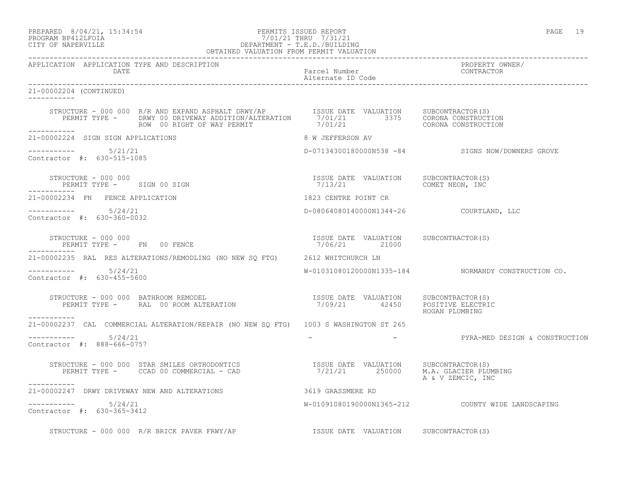PREPARED 8/04/21, 15:34:54 PERMITS ISSUED REPORT PAGE 19

### PROGRAM BP412LFOIA 7/01/21 THRU 7/31/21 CITY OF NAPERVILLE DEPARTMENT - T.E.D./BUILDING OBTAINED VALUATION FROM PERMIT VALUATION

------------------------------------------------------------------------------------------------------------------------------------

APPLICATION APPLICATION TYPE AND DESCRIPTION<br>DATE bated parcel Number property contractor DATE **Parcel Number** Parcel Number Alternate ID Code ------------------------------------------------------------------------------------------------------------------------------------ 21-00002204 (CONTINUED) ----------- STRUCTURE - 000 000 R/R AND EXPAND ASPHALT DRWY/AP ISSUE DATE VALUATION SUBCONTRACTOR(S) PERMIT TYPE - DRWY 00 DRIVEWAY ADDITION/ALTERATION 7/01/21 3375 CORONA CONSTRUCTION ROW 00 RIGHT OF WAY PERMIT  $7/01/21$  CORONA CONSTRUCTION ----------- 21-00002224 SIGN SIGN APPLICATIONS 8 W JEFFERSON AV  $--------- 5/21/21$ D-07134300180000N538 -84 SIGNS NOW/DOWNERS GROVE Contractor #: 630-515-1085 STRUCTURE – 000 000<br>
STRUCTURE – 000 000 ISSUE DATE VALUATION SUBCONTRACTOR(S) PERMIT TYPE - SIGN 00 SIGN ----------- 21-00002234 FN FENCE APPLICATION 1823 CENTRE POINT CR ----------- 5/24/21 D-08064080140000N1344-26 COURTLAND, LLC Contractor #: 630-360-0032 STRUCTURE - 000 000 ISSUE DATE VALUATION SUBCONTRACTOR(S) PERMIT TYPE - FN 00 FENCE ----------- 21-00002235 RAL RES ALTERATIONS/REMODLING (NO NEW SQ FTG) 2612 WHITCHURCH LN ----------- 5/24/21 W-01031080120000N1335-184 NORMANDY CONSTRUCTION CO. Contractor #: 630-455-5600 STRUCTURE - 000 000 BATHROOM REMODEL ISSUE DATE VALUATION SUBCONTRACTOR(S) PERMIT TYPE - RAL 00 ROOM ALTERATION 7/09/21 42450 POSITIVE ELECTRIC HOGAN PLUMBING ----------- 21-00002237 CAL COMMERCIAL ALTERATION/REPAIR (NO NEW SQ FTG) 1003 S WASHINGTON ST 265 \_\_\_\_\_\_\_\_\_\_\_ ----------- 5/24/21 - - PYRA-MED DESIGN & CONSTRUCTION Contractor #: 888-666-0757 STRUCTURE - 000 000 STAR SMILES ORTHODONTICS ISSUE DATE VALUATION SUBCONTRACTOR(S) PERMIT TYPE - CCAD 00 COMMERCIAL - CAD 7/21/21 250000 M.A. GLACIER PLUMBING A & V ZEMCIC, INC ----------- 21-00002247 DRWY DRIVEWAY NEW AND ALTERATIONS 3619 GRASSMERE RD ----------- 5/24/21 W-01091080190000N1365-212 COUNTY WIDE LANDSCAPING Contractor #: 630-365-3412 STRUCTURE - 000 000 R/R BRICK PAVER FRWY/AP **ISSUE DATE VALUATION** SUBCONTRACTOR(S)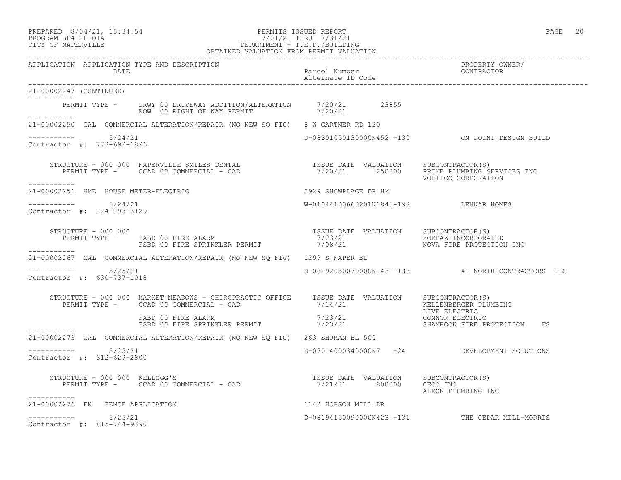21-00002247 (CONTINUED) -----------

 $--------- 5/24/21$ 

Contractor #: 773-692-1896

-----------

-----------

-----------

\_\_\_\_\_\_\_\_\_\_\_

### PREPARED 8/04/21, 15:34:54 PERMITS ISSUED REPORT PAGE 20 PROGRAM BP412LFOIA 7/01/21 THRU 7/31/21 CITY OF NAPERVILLE DEPARTMENT - T.E.D./BUILDING OBTAINED VALUATION FROM PERMIT VALUATION

------------------------------------------------------------------------------------------------------------------------------------ APPLICATION APPLICATION TYPE AND DESCRIPTION PROPERTY OWNER/ DATE Parcel Number CONTRACTOR Alternate ID Code ------------------------------------------------------------------------------------------------------------------------------------ PERMIT TYPE - DRWY 00 DRIVEWAY ADDITION/ALTERATION 7/20/21 23855<br>ROW 00 RIGHT OF WAY PERMIT 7/20/21 ROW 00 RIGHT OF WAY PERMIT  $7/20/21$ 21-00002250 CAL COMMERCIAL ALTERATION/REPAIR (NO NEW SQ FTG) 8 W GARTNER RD 120 D-08301050130000N452 -130 ON POINT DESIGN BUILD STRUCTURE - 000 000 NAPERVILLE SMILES DENTAL<br>PERMIT TYPE - CCAD 00 COMMERCIAL - CAD ISSUE DATE VALUATION SUBCONTRACTOR(S)<br>7/20/21 250000 PRIME PLUMBING SERVICES INC VOLTICO CORPORATION 21-00002256 HME HOUSE METER-ELECTRIC 2929 SHOWPLACE DR HM ----------- 5/24/21 W-01044100660201N1845-198 LENNAR HOMES STRUCTURE - 000 000 ISSUE DATE VALUATION SUBCONTRACTOR(S) PERMIT TYPE - FABD 00 FIRE ALARM  $7/23/21$  7/23/21 20EPAZ INCORPORATED FSBD 00 FIRE SPRINKLER PERMIT  $7/08/21$  NOVA FIRE PROTECTION INC 21-00002267 CAL COMMERCIAL ALTERATION/REPAIR (NO NEW SQ FTG) 1299 S NAPER BL

D-08292030070000N143 -133 41 NORTH CONTRACTORS LLC

 $--------- 5/25/21$ Contractor #: 630-737-1018

Contractor #: 224-293-3129

STRUCTURE - 000 000 MARKET MEADOWS - CHIROPRACTIC OFFICE ISSUE DATE VALUATION SUBCONTRACTOR(S)<br>PERMIT TYPE - CCAD 00 COMMERCIAL - CAD  $\nonumber 7/14/21 \qquad \qquad \textrm{KELLENBERGER PLUMBING}$  LIVE ELECTRIC LIVE ELECTRIC FABD 00 FIRE ALARM  $7/23/21$  CONNOR ELECTRIC FSBD 00 FIRE SPRINKLER PERMIT  $7/23/21$  SHAMROCK FIRE PROTECTION FS ----------- 21-00002273 CAL COMMERCIAL ALTERATION/REPAIR (NO NEW SQ FTG) 263 SHUMAN BL 500 \_\_\_\_\_\_\_\_\_\_\_ ----------- 5/25/21 D-07014000340000N7 -24 DEVELOPMENT SOLUTIONS Contractor #: 312-629-2800

 STRUCTURE - 000 000 KELLOGG'S ISSUE DATE VALUATION SUBCONTRACTOR(S) PERMIT TYPE - CCAD 00 COMMERCIAL - CAD  $7/21/21$  800000 CECO INC ALECK PLUMBING INC ----------- 21-00002276 FN FENCE APPLICATION 1142 HOBSON MILL DR  $--------- 5/25/21$ ----------- 5/25/21 D-08194150090000N423 -131 THE CEDAR MILL-MORRIS Contractor #: 815-744-9390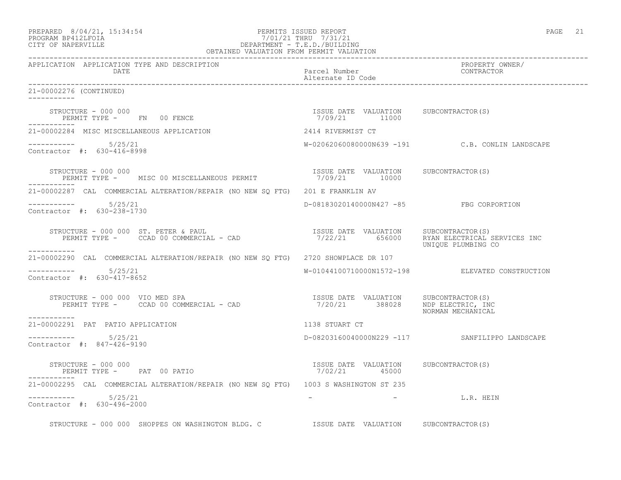| PREPARED            | $8/04/21$ , $15:34:54$ |  |
|---------------------|------------------------|--|
| גד∩ם זר11מם וגמר∩מם |                        |  |

### PREPARED 8/04/21, 15:34:54 PERMITS ISSUED REPORT PAGE 21 PROGRAM BP412LFOIA 7/01/21 THRU 7/31/21 CITY OF NAPERVILLE DEPARTMENT - T.E.D./BUILDING OBTAINED VALUATION FROM PERMIT VALUATION

------------------------------------------------------------------------------------------------------------------------------------ APPLICATION APPLICATION TYPE AND DESCRIPTION PROPERTY OWNER/ Parcel Number<br>Alternate ID Code Alternate ID Code ------------------------------------------------------------------------------------------------------------------------------------ 21-00002276 (CONTINUED) ----------- STRUCTURE - 000 000 ISSUE DATE VALUATION SUBCONTRACTOR(S) PERMIT TYPE - FN 00 FENCE ----------- 21-00002284 MISC MISCELLANEOUS APPLICATION 2414 RIVERMIST CT ----------- 5/25/21 W-02062060080000N639 -191 C.B. CONLIN LANDSCAPE Contractor #: 630-416-8998 STRUCTURE - 000 000 ISSUE DATE VALUATION SUBCONTRACTOR(S) PERMIT TYPE - MISC 00 MISCELLANEOUS PERMIT  $7/09/21$  10000 ----------- 21-00002287 CAL COMMERCIAL ALTERATION/REPAIR (NO NEW SQ FTG) 201 E FRANKLIN AV ----------- 5/25/21 D-08183020140000N427 -85 FBG CORPORTION Contractor #: 630-238-1730 STRUCTURE - 000 000 ST. PETER & PAUL ISSUE DATE VALUATION SUBCONTRACTOR(S) PERMIT TYPE - CCAD 00 COMMERCIAL - CAD 7/22/21 656000 RYAN ELECTRICAL SERVICES INC UNIQUE PLUMBING CO ----------- 21-00002290 CAL COMMERCIAL ALTERATION/REPAIR (NO NEW SQ FTG) 2720 SHOWPLACE DR 107  $--------- 5/25/21$ W-01044100710000N1572-198 ELEVATED CONSTRUCTION Contractor #: 630-417-8652 STRUCTURE - 000 000 VIO MED SPA ISSUE DATE VALUATION SUBCONTRACTOR(S) PERMIT TYPE - CCAD 00 COMMERCIAL - CAD 7/20/21 388028 NDP ELECTRIC, INC NORMAN MECHANICAL ----------- 21-00002291 PAT PATIO APPLICATION 1138 STUART CT  $--------- 5/25/21$ D-08203160040000N229 -117 SANFILIPPO LANDSCAPE Contractor #: 847-426-9190 STRUCTURE - 000 000 ISSUE DATE VALUATION SUBCONTRACTOR(S) STRUCTURE - UUU UUU<br>PERMIT TYPE - PAT 00 PATIO ----------- 21-00002295 CAL COMMERCIAL ALTERATION/REPAIR (NO NEW SQ FTG) 1003 S WASHINGTON ST 235 ----------- 5/25/21 - - L.R. HEIN Contractor #: 630-496-2000 STRUCTURE - 000 000 SHOPPES ON WASHINGTON BLDG. C STRUCT SUBCONTRACTOR(S)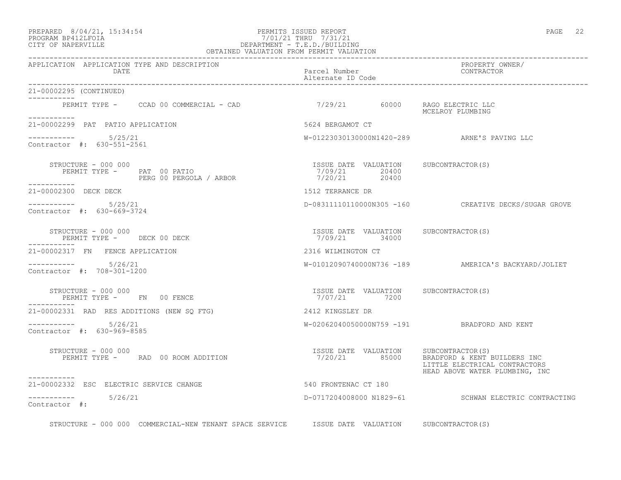### PREPARED 8/04/21, 15:34:54 PERMITS ISSUED REPORT PAGE 22 PROGRAM BP412LFOIA 7/01/21 THRU 7/31/21 CITY OF NAPERVILLE DEPARTMENT - T.E.D./BUILDING OBTAINED VALUATION FROM PERMIT VALUATION

------------------------------------------------------------------------------------------------------------------------------------

APPLICATION APPLICATION TYPE AND DESCRIPTION<br>DATE bated parcel Number property owner/ DATE Parcel Number CONTRACTOR Alternate ID Code ------------------------------------------------------------------------------------------------------------------------------------ 21-00002295 (CONTINUED) ----------- PERMIT TYPE - CCAD 00 COMMERCIAL - CAD 7/29/21 60000 RAGO ELECTRIC LLC MCELROY PLUMBING ----------- 21-00002299 PAT PATIO APPLICATION 5624 BERGAMOT CT  $--------- 5/25/21$ W-01223030130000N1420-289 ARNE'S PAVING LLC Contractor #: 630-551-2561 STRUCTURE - 000 000 ISSUE DATE VALUATION SUBCONTRACTOR(S) PERMIT TYPE - PAT 00 PATIO 7/09/21 20400 PERG 00 PERGOLA / ARBOR 7/20/21 20400 ----------- 21-00002300 DECK DECK 1512 TERRANCE DR \_\_\_\_\_\_\_\_\_\_\_ ----------- 5/25/21 D-08311110110000N305 -160 CREATIVE DECKS/SUGAR GROVE Contractor #: 630-669-3724 STRUCTURE - 000 000 ISSUE DATE VALUATION SUBCONTRACTOR(S) PERMIT TYPE - DECK 00 DECK ----------- 21-00002317 FN FENCE APPLICATION 2316 WILMINGTON CT ----------- 5/26/21 W-01012090740000N736 -189 AMERICA'S BACKYARD/JOLIET Contractor #: 708-301-1200 STRUCTURE - 000 000 ISSUE DATE VALUATION SUBCONTRACTOR(S) PERMIT TYPE - FN 00 FENCE ----------- 21-00002331 RAD RES ADDITIONS (NEW SQ FTG) 2412 KINGSLEY DR ----------- 5/26/21 W-02062040050000N759 -191 BRADFORD AND KENT Contractor #: 630-969-8585 STRUCTURE - 000 000 ISSUE DATE VALUATION SUBCONTRACTOR(S) PERMIT TYPE - RAD 00 ROOM ADDITION 7/20/21 85000 BRADFORD & KENT BUILDERS INC LITTLE ELECTRICAL CONTRACTORS HEAD ABOVE WATER PLUMBING, INC ----------- 21-00002332 ESC ELECTRIC SERVICE CHANGE 540 FRONTENAC CT 180  $--------- 5/26/21$ D-0717204008000 N1829-61 SCHWAN ELECTRIC CONTRACTING Contractor #: STRUCTURE - 000 000 COMMERCIAL-NEW TENANT SPACE SERVICE ISSUE DATE VALUATION SUBCONTRACTOR(S)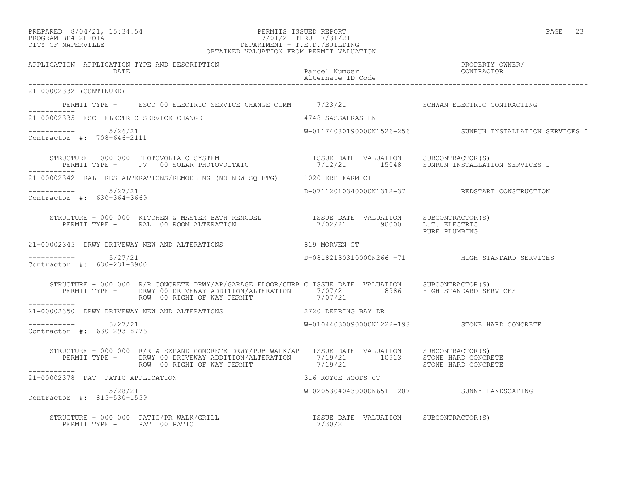| PREPARED            | $8/04/21$ , $15:34:54$ |  |
|---------------------|------------------------|--|
| DDOCDAM DD410T DOTA |                        |  |

### PREPARED 8/04/21, 15:34:54 PERMITS ISSUED REPORT PAGE 23 PROGRAM BP412LFOIA 7/01/21 THRU 7/31/21 CITY OF NAPERVILLE DEPARTMENT - T.E.D./BUILDING OBTAINED VALUATION FROM PERMIT VALUATION

------------------------------------------------------------------------------------------------------------------------------------ APPLICATION APPLICATION TYPE AND DESCRIPTION<br>DATE DATE DATE DATE DATE DATE DATE DATE Parcel Number CONTRACTOR

|                                                                                                                                                                                                                                                                                  | Alternate ID Code                           |                                                          |
|----------------------------------------------------------------------------------------------------------------------------------------------------------------------------------------------------------------------------------------------------------------------------------|---------------------------------------------|----------------------------------------------------------|
| 21-00002332 (CONTINUED)<br>___________                                                                                                                                                                                                                                           |                                             |                                                          |
| PERMIT TYPE - ESCC 00 ELECTRIC SERVICE CHANGE COMM 7/23/21 SCHWAN ELECTRIC CONTRACTING                                                                                                                                                                                           |                                             |                                                          |
| 4748 SASSAFRAS LN<br>21-00002335 ESC ELECTRIC SERVICE CHANGE                                                                                                                                                                                                                     |                                             |                                                          |
| $--------- 5/26/21$<br>Contractor #: 708-646-2111                                                                                                                                                                                                                                |                                             | W-01174080190000N1526-256 SUNRUN INSTALLATION SERVICES I |
| STRUCTURE - 000 000 PHOTOVOLTAIC SYSTEM                           ISSUE DATE VALUATION    SUBCONTRACTOR(S)<br>PERMIT TYPE -     PV   00 SOLAR PHOTOVOLTAIC                   7/12/21      15048    SUNRUN INSTALLATION SERVICES I                                                |                                             |                                                          |
| 21-00002342 RAL RES ALTERATIONS/REMODLING (NO NEW SQ FTG) 1020 ERB FARM CT                                                                                                                                                                                                       |                                             |                                                          |
| ----------    5/27/21<br>Contractor #: 630-364-3669                                                                                                                                                                                                                              |                                             | D-07112010340000N1312-37 REDSTART CONSTRUCTION           |
| -----------                                                                                                                                                                                                                                                                      |                                             | PURE PLUMBING                                            |
| 21-00002345 DRWY DRIVEWAY NEW AND ALTERATIONS                                                                                                                                                                                                                                    | 819 MORVEN CT                               |                                                          |
| -----------    5/27/21<br>Contractor #: 630-231-3900                                                                                                                                                                                                                             |                                             | D-08182130310000N266 -71 HIGH STANDARD SERVICES          |
| STRUCTURE - 000 000 R/R CONCRETE DRWY/AP/GARAGE FLOOR/CURB C ISSUE DATE VALUATION SUBCONTRACTOR(S)<br>PERMIT TYPE – DRWY 00 DRIVEWAY ADDITION/ALTERATION 7/07/21 8986 HIGH STANDARD SERVICES ROW 00 RIGHT OF WAY PERMIT                                                          |                                             |                                                          |
| 21-00002350 DRWY DRIVEWAY NEW AND ALTERATIONS 40 2720 DEERING BAY DR                                                                                                                                                                                                             |                                             |                                                          |
| $--------$ 5/27/21<br>Contractor #: 630-293-8776                                                                                                                                                                                                                                 |                                             | W-01044030090000N1222-198 STONE HARD CONCRETE            |
| STRUCTURE - 000 000 R/R & EXPAND CONCRETE DRWY/PUB WALK/AP ISSUE DATE VALUATION SUBCONTRACTOR(S)<br>PERMIT TYPE - DRWY 00 DRIVEWAY ADDITION/ALTERATION 7/19/21 10913 STONE HARD CONCRETE<br>ROW 00 RIGHT OF WAY PERMIT 7/19/21 STONE HARD CONCRETE<br>ROW 00 RIGHT OF WAY PERMIT |                                             |                                                          |
| 21-00002378 PAT PATIO APPLICATION                                                                                                                                                                                                                                                | 316 ROYCE WOODS CT                          |                                                          |
| $--------- 5/28/21$<br>Contractor #: 815-530-1559                                                                                                                                                                                                                                | W-02053040430000N651 -207 SUNNY LANDSCAPING |                                                          |

STRUCTURE – 000 000 PATIO/PR WALK/GRILL ISSUE DATE VALUATION SUBCONTRACTOR(S) PERMIT TYPE - PAT 00 PATIO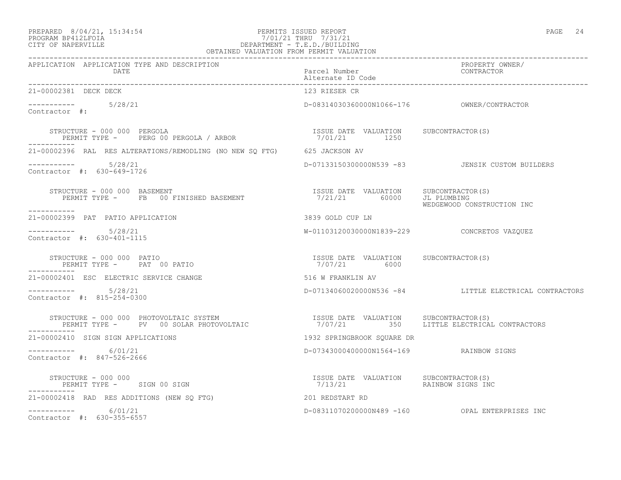### PREPARED 8/04/21, 15:34:54 PERMITS ISSUED REPORT PAGE 24 PROGRAM BP412LFOIA 7/01/21 THRU 7/31/21 CITY OF NAPERVILLE DEPARTMENT - T.E.D./BUILDING

| OBTAINED VALUATION FROM PERMIT VALUATION                                                                                                                                                                                                                                                                                                                                                                                                                                          |                                             |                                                        |  |
|-----------------------------------------------------------------------------------------------------------------------------------------------------------------------------------------------------------------------------------------------------------------------------------------------------------------------------------------------------------------------------------------------------------------------------------------------------------------------------------|---------------------------------------------|--------------------------------------------------------|--|
| APPLICATION APPLICATION TYPE AND DESCRIPTION<br>DATE                                                                                                                                                                                                                                                                                                                                                                                                                              | Parcel Number<br>Alternate ID Code          | PROPERTY OWNER/<br>CONTRACTOR                          |  |
| 21-00002381 DECK DECK                                                                                                                                                                                                                                                                                                                                                                                                                                                             | 123 RIESER CR                               |                                                        |  |
| $--------$ 5/28/21<br>Contractor #:                                                                                                                                                                                                                                                                                                                                                                                                                                               |                                             |                                                        |  |
| $\begin{array}{cccccccccccc} \texttt{STRUCTURE} & - & 000 & 000 & PERGOLA \\ \texttt{PERMIT TYPE} & - & & & & & & & & & & & \\ \texttt{PERMIT TYPE} & - & & & & & & & & & & \\ \end{array} \quad \begin{array}{cccccccc} \texttt{RROR} & & & & & & & & & \\ \texttt{RROR} & & & & & & & & & \\ \texttt{RROR} & & & & & & & & & \\ \texttt{RROR} & & & & & & & & & \\ \end{array} \quad \begin{array}{cccccccc} \texttt{ISSUE} & \texttt{DATE} & \texttt{VALUATION} & & & & & & &$ |                                             |                                                        |  |
| 21-00002396 RAL RES ALTERATIONS/REMODLING (NO NEW SO FTG) 625 JACKSON AV                                                                                                                                                                                                                                                                                                                                                                                                          |                                             |                                                        |  |
| $--------- 5/28/21$<br>Contractor #: 630-649-1726                                                                                                                                                                                                                                                                                                                                                                                                                                 |                                             | D-07133150300000N539 -83 JENSIK CUSTOM BUILDERS        |  |
| STRUCTURE - 000 000 BASEMENT<br>STRUCTURE - 000 000 BASEMENT<br>PERMIT TYPE - FB 00 FINISHED BASEMENT 1990 1/21/21 60000 JL PLUMBING<br>-----------                                                                                                                                                                                                                                                                                                                               |                                             | WEDGEWOOD CONSTRUCTION INC                             |  |
| 21-00002399 PAT PATIO APPLICATION                                                                                                                                                                                                                                                                                                                                                                                                                                                 | 3839 GOLD CUP LN                            |                                                        |  |
| $--------- 5/28/21$<br>Contractor #: 630-401-1115                                                                                                                                                                                                                                                                                                                                                                                                                                 | W-01103120030000N1839-229 CONCRETOS VAZQUEZ |                                                        |  |
| $\begin{array}{cccc} \texttt{STRUCTURE} & - & 000 & 000 & \texttt{PATIO} \\ \texttt{PERMIT TYPE} & - & \texttt{PAT} & 00 & \texttt{PATIO} \\ \end{array} \qquad \begin{array}{cccc} \texttt{TSSUE} & \texttt{DATE} & \texttt{VALUATION} & \texttt{SUBCONTRACTOR(S)} \\ \texttt{7/07/21} & 6000 \\ \end{array}$                                                                                                                                                                    |                                             |                                                        |  |
| 21-00002401 ESC ELECTRIC SERVICE CHANGE                                                                                                                                                                                                                                                                                                                                                                                                                                           | 516 W FRANKLIN AV                           |                                                        |  |
| $-$ --------- $5/28/21$<br>Contractor #: 815-254-0300                                                                                                                                                                                                                                                                                                                                                                                                                             |                                             | D-07134060020000N536 -84 LITTLE ELECTRICAL CONTRACTORS |  |
| STRUCTURE - 000 000 PHOTOVOLTAIC SYSTEM                           ISSUE DATE VALUATION     SUBCONTRACTOR(S)<br>PERMIT TYPE -     PV   00 SOLAR PHOTOVOLTAIC                    7/07/21        350     LITTLE ELECTRICAL CONTRACTO                                                                                                                                                                                                                                                 |                                             |                                                        |  |
| 21-00002410 SIGN SIGN APPLICATIONS                                                                                                                                                                                                                                                                                                                                                                                                                                                | 1932 SPRINGBROOK SOUARE DR                  |                                                        |  |
| $--------- 6/01/21$<br>Contractor #: 847-526-2666                                                                                                                                                                                                                                                                                                                                                                                                                                 | D-07343000400000N1564-169 RAINBOW SIGNS     |                                                        |  |
| STRUCTURE - 000 000<br>PERMIT TYPE - SIGN 00 SIGN<br>-------                                                                                                                                                                                                                                                                                                                                                                                                                      |                                             |                                                        |  |
| 21-00002418 RAD RES ADDITIONS (NEW SQ FTG)                                                                                                                                                                                                                                                                                                                                                                                                                                        | 201 REDSTART RD                             |                                                        |  |
| $--------- 6/01/21$<br>Contractor #: 630-355-6557                                                                                                                                                                                                                                                                                                                                                                                                                                 |                                             | D-08311070200000N489 -160 OPAL ENTERPRISES INC         |  |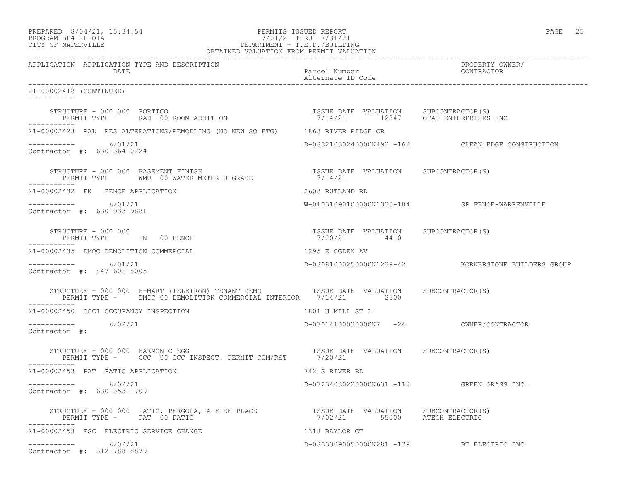PREPARED 8/04/21, 15:34:54 PERMITS ISSUED REPORT PAGE 25

# PROGRAM BP412LFOIA 7/01/21 THRU 7/31/21 CITY OF NAPERVILLE DEPARTMENT - T.E.D./BUILDING

| OBTAINED VALUATION FROM PERMIT VALUATION                                                                                                                                   |                                                                             |                                                     |  |
|----------------------------------------------------------------------------------------------------------------------------------------------------------------------------|-----------------------------------------------------------------------------|-----------------------------------------------------|--|
| APPLICATION APPLICATION TYPE AND DESCRIPTION<br>DATE                                                                                                                       | Parcel Number<br>Alternate ID Code                                          | PROPERTY OWNER/<br>CONTRACTOR                       |  |
| 21-00002418 (CONTINUED)<br><u> Liberalis Liberal</u>                                                                                                                       |                                                                             |                                                     |  |
| STRUCTURE - 000 000 PORTICO<br>TRUCTURE - UUU UUU PORTICO<br>PERMIT TYPE -     RAD  00 ROOM ADDITION                                                                       | ISSUE DATE VALUATION SUBCONTRACTOR(S)<br>7/14/21 12347 OPAL ENTERPRISES INC |                                                     |  |
| 21-00002428 RAL RES ALTERATIONS/REMODLING (NO NEW SQ FTG) 1863 RIVER RIDGE CR                                                                                              |                                                                             |                                                     |  |
| $--------- 6/01/21$<br>Contractor #: 630-364-0224                                                                                                                          |                                                                             | D-08321030240000N492 -162 CLEAN EDGE CONSTRUCTION   |  |
|                                                                                                                                                                            |                                                                             |                                                     |  |
| 21-00002432 FN FENCE APPLICATION                                                                                                                                           | 2603 RUTLAND RD                                                             |                                                     |  |
| 6/01/21<br>Contractor #: 630-933-9881                                                                                                                                      |                                                                             | W-01031090100000N1330-184 SP FENCE-WARRENVILLE      |  |
| STRUCTURE - 000 000<br>PERMIT TYPE - FN 00 FENCE                                                                                                                           | ISSUE DATE VALUATION SUBCONTRACTOR(S)<br>7/20/21 4410                       |                                                     |  |
| 1295 E OGDEN AV<br>21-00002435 DMOC DEMOLITION COMMERCIAL                                                                                                                  |                                                                             |                                                     |  |
| 6/01/21<br>Contractor #: 847-606-8005                                                                                                                                      |                                                                             | D-08081000250000N1239-42 KORNERSTONE BUILDERS GROUP |  |
| STRUCTURE - 000 000 H-MART (TELETRON) TENANT DEMO            ISSUE DATE VALUATION    SUBCONTRACTOR(S)<br>PERMIT TYPE - DMIC 00 DEMOLITION COMMERCIAL INTERIOR 7/14/21 2500 |                                                                             |                                                     |  |
| 21-00002450 OCCI OCCUPANCY INSPECTION                                                                                                                                      | 1801 N MILL ST L                                                            |                                                     |  |
| $--------- 6/02/21$<br>Contractor #:                                                                                                                                       | D-07014100030000N7 -24 OWNER/CONTRACTOR                                     |                                                     |  |
| ----------                                                                                                                                                                 |                                                                             |                                                     |  |
| 21-00002453 PAT PATIO APPLICATION                                                                                                                                          | 742 S RIVER RD                                                              |                                                     |  |
| -----------     6/02/21<br>Contractor #: 630-353-1709                                                                                                                      | D-07234030220000N631 -112 GREEN GRASS INC.                                  |                                                     |  |
| PERMIT TYPE - PAT 00 PATIO                                                                                                                                                 |                                                                             |                                                     |  |
| 21-00002458 ESC ELECTRIC SERVICE CHANGE                                                                                                                                    | 1318 BAYLOR CT                                                              |                                                     |  |
| ----------- 6/02/21<br>Contractor #: 312-788-8879                                                                                                                          | D-08333090050000N281 -179 BT ELECTRIC INC                                   |                                                     |  |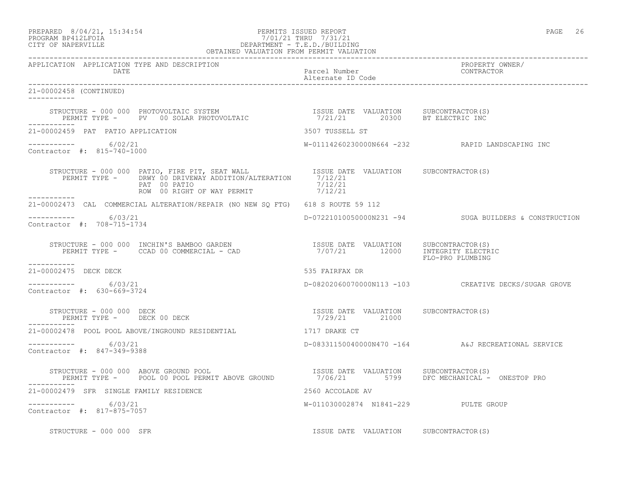### PREPARED 8/04/21, 15:34:54 PERMITS ISSUED REPORT PAGE 26 PROGRAM BP412LFOIA 7/01/21 THRU 7/31/21 PREPARED 8/04/21, 15:34:54<br>
PERMITS ISSUED REPORT<br>
CITY OF NAPERVILLE<br>
CITY OF NAPERVILLE

| OBTAINED VALUATION FROM PERMIT VALUATION             |                                                                                                                                                                                                                                                                                                                                                                                                                    |                                                        |                                                       |  |
|------------------------------------------------------|--------------------------------------------------------------------------------------------------------------------------------------------------------------------------------------------------------------------------------------------------------------------------------------------------------------------------------------------------------------------------------------------------------------------|--------------------------------------------------------|-------------------------------------------------------|--|
| APPLICATION APPLICATION TYPE AND DESCRIPTION<br>DATE |                                                                                                                                                                                                                                                                                                                                                                                                                    | Parcel Number<br>Alternate ID Code                     | PROPERTY OWNER/<br>CONTRACTOR                         |  |
| 21-00002458 (CONTINUED)<br>$- - - - - - - - - - -$   |                                                                                                                                                                                                                                                                                                                                                                                                                    |                                                        |                                                       |  |
| ------------                                         | STRUCTURE - 000 000 PHOTOVOLTAIC SYSTEM                              ISSUE DATE VALUATION      SUBCONTRACTOR(S)<br>PERMIT TYPE -      PV   00 SOLAR PHOTOVOLTAIC                      7/21/21       20300      BT ELECTRIC INC                                                                                                                                                                                     |                                                        |                                                       |  |
| 21-00002459 PAT PATIO APPLICATION                    |                                                                                                                                                                                                                                                                                                                                                                                                                    | 3507 TUSSELL ST                                        |                                                       |  |
| $--------- 6/02/21$<br>Contractor #: 815-740-1000    |                                                                                                                                                                                                                                                                                                                                                                                                                    |                                                        | W-01114260230000N664 -232 RAPID LANDSCAPING INC       |  |
|                                                      | STRUCTURE - 000 000 PATIO, FIRE PIT, SEAT WALL ISSUE DATE VALUATION SUBCONTRACTOR(S)<br>PERMIT TYPE - DRWY 00 DRIVEWAY ADDITION/ALTERATION 7/12/21<br>PAT 00 PATIO 7/12/21                                                                                                                                                                                                                                         |                                                        |                                                       |  |
| ___________                                          | 21-00002473 CAL COMMERCIAL ALTERATION/REPAIR (NO NEW SQ FTG) 618 S ROUTE 59 112                                                                                                                                                                                                                                                                                                                                    |                                                        |                                                       |  |
| $--------- 6/03/21$<br>Contractor #: 708-715-1734    |                                                                                                                                                                                                                                                                                                                                                                                                                    |                                                        | D-07221010050000N231 -94 SUGA BUILDERS & CONSTRUCTION |  |
|                                                      | $\begin{array}{cccccc} \texttt{STRUTURE} & - & 000 & 000 & \texttt{INCHIN'S BAMBOO GARDEN} & & & & & & \\ \texttt{PERMIT TYPE} & - & \texttt{CCAD} & 00 & \texttt{COMMERCIAL} & - & \texttt{CAD} & & & & \\ \end{array} \qquad \begin{array}{cccccc} \texttt{TSSUE} & \texttt{DATE} & \texttt{VALUATION} & & \texttt{SUBCONTRACTOR(S)} \\ \texttt{7/07/21} & & 12000 & \texttt{INTEGRITY ELECTRIC} \\ \end{array}$ |                                                        | FLO-PRO PLUMBING                                      |  |
| ------------<br>21-00002475 DECK DECK                |                                                                                                                                                                                                                                                                                                                                                                                                                    | 535 FAIRFAX DR                                         |                                                       |  |
| $---------$ 6/03/21<br>Contractor #: 630-669-3724    |                                                                                                                                                                                                                                                                                                                                                                                                                    |                                                        | D-08202060070000N113 -103 CREATIVE DECKS/SUGAR GROVE  |  |
| STRUCTURE - 000 000 DECK                             | PERMIT TYPE - DECK 00 DECK                                                                                                                                                                                                                                                                                                                                                                                         | ISSUE DATE VALUATION SUBCONTRACTOR(S)<br>7/29/21 21000 |                                                       |  |
|                                                      | 21-00002478 POOL POOL ABOVE/INGROUND RESIDENTIAL                                                                                                                                                                                                                                                                                                                                                                   | 1717 DRAKE CT                                          |                                                       |  |
| $--------- 6/03/21$<br>Contractor #: 847-349-9388    |                                                                                                                                                                                                                                                                                                                                                                                                                    |                                                        | D-08331150040000N470 -164 A&J RECREATIONAL SERVICE    |  |
|                                                      | STRUCTURE - 000 000 ABOVE GROUND POOL                                  ISSUE DATE VALUATION     SUBCONTRACTOR(S)<br>PERMIT TYPE -      POOL 00 POOL PERMIT ABOVE GROUND             7/06/21        5799      DFC MECHANICAL - ONE                                                                                                                                                                                  |                                                        |                                                       |  |
| 21-00002479 SFR SINGLE FAMILY RESIDENCE              |                                                                                                                                                                                                                                                                                                                                                                                                                    | 2560 ACCOLADE AV                                       |                                                       |  |
| $--------- 6/03/21$<br>Contractor #: 817-875-7057    |                                                                                                                                                                                                                                                                                                                                                                                                                    | W-011030002874 N1841-229 PULTE GROUP                   |                                                       |  |
| STRUCTURE - 000 000 SFR                              |                                                                                                                                                                                                                                                                                                                                                                                                                    | ISSUE DATE VALUATION SUBCONTRACTOR(S)                  |                                                       |  |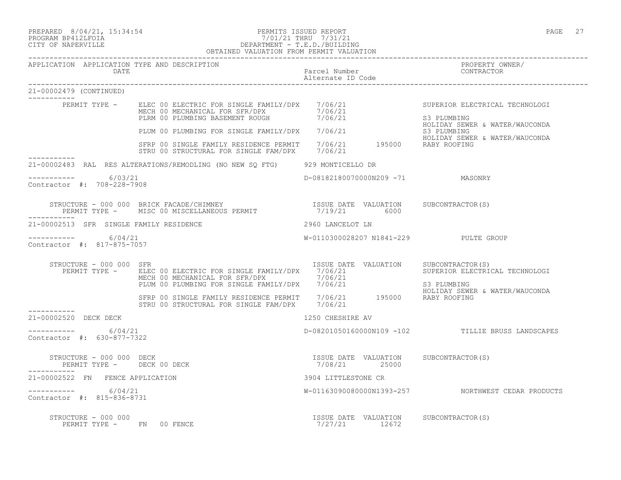PREPARED 8/04/21, 15:34:54 PERMITS ISSUED REPORT PAGE 27

### PROGRAM BP412LFOIA 7/01/21 THRU 7/31/21 CITY OF NAPERVILLE DEPARTMENT - T.E.D./BUILDING OBTAINED VALUATION FROM PERMIT VALUATION

------------------------------------------------------------------------------------------------------------------------------------ APPLICATION APPLICATION TYPE AND DESCRIPTION PROPERTY OWNER/ DATE Parcel Number CONTRACTOR Alternate ID Code ------------------------------------------------------------------------------------------------------------------------------------ 21-00002479 (CONTINUED) ----------- PERMIT TYPE - ELEC 00 ELECTRIC FOR SINGLE FAMILY/DPX 7/06/21 SUPERIOR ELECTRICAL TECHNOLOGI MECH 00 MECHANICAL FOR SFR/DPX 7/06/21 PLRM 00 PLUMBING BASEMENT ROUGH  $7/06/21$  S3 PLUMBING HOLIDAY SEWER & WATER/WAUCONDA PLUM 00 PLUMBING FOR SINGLE FAMILY/DPX 7/06/21 S3 PLUMBING HOLIDAY SEWER & WATER/WAUCONDA SFRP 00 SINGLE FAMILY RESIDENCE PERMIT 7/06/21 195000 RABY ROOFING STRU 00 STRUCTURAL FOR SINGLE FAM/DPX 7/06/21 ----------- 21-00002483 RAL RES ALTERATIONS/REMODLING (NO NEW SQ FTG) 929 MONTICELLO DR  $--------- 6/03/21$ ----------- 6/03/21 D-08182180070000N209 -71 MASONRY Contractor #: 708-228-7908 STRUCTURE - 000 000 BRICK FACADE/CHIMNEY ISSUE DATE VALUATION SUBCONTRACTOR(S) PERMIT TYPE - MISC 00 MISCELLANEOUS PERMIT 6000 7/19/21 6000 ----------- 21-00002513 SFR SINGLE FAMILY RESIDENCE 2960 LANCELOT LN ----------- 6/04/21 W-0110300028207 N1841-229 PULTE GROUP Contractor #: 817-875-7057 STRUCTURE - 000 000 SFR ISSUE DATE VALUATION SUBCONTRACTOR(S) PERMIT TYPE - BLEC 00 ELECTRIC FOR SINGLE FAMILY/DPX 7/06/21 SUPERIOR ELECTRICAL TECHNOLOGI MECH 00 MECHANICAL FOR SFR/DPX 7/06/21 PLUM 00 PLUMBING FOR SINGLE FAMILY/DPX 7/06/21 S3 PLUMBING HOLIDAY SEWER & WATER/WAUCONDA SFRP 00 SINGLE FAMILY RESIDENCE PERMIT 7/06/21 195000 RABY ROOFING STRU 00 STRUCTURAL FOR SINGLE FAM/DPX  $7/06/21$ ----------- 21-00002520 DECK DECK 1250 CHESHIRE AV  $--------- 6/04/21$ ----------- 6/04/21 D-08201050160000N109 -102 TILLIE BRUSS LANDSCAPES Contractor #: 630-877-7322 STRUCTURE - 000 000 DECK ISSUE DATE VALUATION SUBCONTRACTOR(S) PERMIT TYPE - DECK 00 DECK 21-00002522 FN FENCE APPLICATION 3904 LITTLESTONE CR ----------- 6/04/21 W-01163090080000N1393-257 NORTHWEST CEDAR PRODUCTS Contractor #: 815-836-8731 STRUCTURE - 000 000 ISSUE DATE VALUATION SUBCONTRACTOR(S) PERMIT TYPE - FN 00 FENCE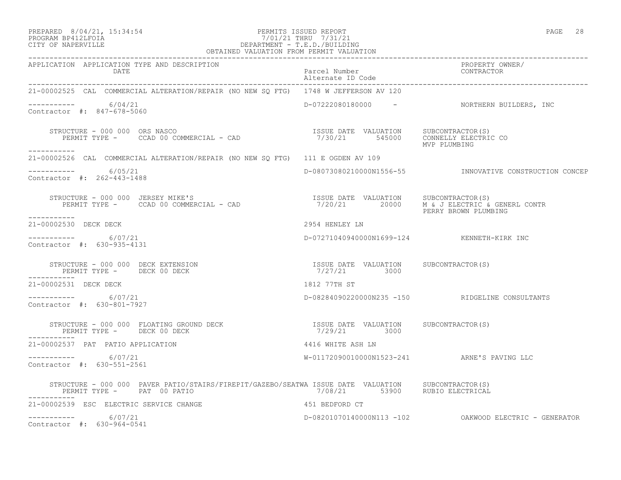### PREPARED 8/04/21, 15:34:54 PERMITS ISSUED REPORT PROGRAM BP412LFOIA PAGE 28<br>PROGRAM BP412LFOIA PROGRAM BP412LFOIA 7/01/21 THRU 7/31/21 CITY OF NAPERVILLE DEPARTMENT - T.E.D./BUILDING

| OBTAINED VALUATION FROM PERMIT VALUATION                                                                                                                                                            |                                                       |                                                            |
|-----------------------------------------------------------------------------------------------------------------------------------------------------------------------------------------------------|-------------------------------------------------------|------------------------------------------------------------|
| APPLICATION APPLICATION TYPE AND DESCRIPTION<br>DATE                                                                                                                                                | Parcel Number<br>Alternate ID Code                    | PROPERTY OWNER/<br>CONTRACTOR                              |
| 21-00002525 CAL COMMERCIAL ALTERATION/REPAIR (NO NEW SQ FTG) 1748 W JEFFERSON AV 120                                                                                                                |                                                       |                                                            |
| $---------$ 6/04/21<br>Contractor #: 847-678-5060                                                                                                                                                   |                                                       | D-07222080180000 - NORTHERN BUILDERS, INC                  |
| STRUCTURE - 000 000 ORS NASCO<br>PERMIT TYPE - CCAD 00 COMMERCIAL - CAD                             7/30/21      545000   CONNELLY ELECTRIC CO<br>STRUCTURE - 000 000 ORS NASCO                     |                                                       | MVP PLUMBING                                               |
| 21-00002526 CAL COMMERCIAL ALTERATION/REPAIR (NO NEW SO FTG) 111 E OGDEN AV 109                                                                                                                     |                                                       |                                                            |
| ----------     6/05/21<br>Contractor #: 262-443-1488                                                                                                                                                |                                                       | D-08073080210000N1556-55    INNOVATIVE CONSTRUCTION CONCEP |
| STRUCTURE - 000 000 JERSEY MIKE'S<br>PERMIT TYPE - CCAD 00 COMMERCIAL - CAD - 15SUE DATE VALUATION SUBCONTRACTOR(S)<br>7/20/21 20000 M & J ELECTRIC & GENERL CONTR<br>-----------                   |                                                       |                                                            |
| 21-00002530 DECK DECK                                                                                                                                                                               | 2954 HENLEY LN                                        |                                                            |
| $--------- 6/07/21$<br>Contractor #: 630-935-4131                                                                                                                                                   | D-07271040940000N1699-124 KENNETH-KIRK INC            |                                                            |
| STRUCTURE - 000 000 DECK EXTENSION<br>PERMIT TYPE - DECK 00 DECK                                                                                                                                    | ISSUE DATE VALUATION SUBCONTRACTOR(S)<br>7/27/21 3000 |                                                            |
| 21-00002531 DECK DECK                                                                                                                                                                               | 1812 77TH ST                                          |                                                            |
| $--------- 6/07/21$<br>Contractor #: 630-801-7927                                                                                                                                                   |                                                       | D-08284090220000N235 -150 RIDGELINE CONSULTANTS            |
| STRUCTURE - 000 000 FLOATING GROUND DECK<br>PERMIT TYPE - DECK 00 DECK                                                                                                                              | ISSUE DATE VALUATION SUBCONTRACTOR(S)<br>7/29/21 3000 |                                                            |
| 21-00002537 PAT PATIO APPLICATION                                                                                                                                                                   | 4416 WHITE ASH LN                                     |                                                            |
| $--------- 6/07/21$<br>Contractor #: 630-551-2561                                                                                                                                                   | W-01172090010000N1523-241 ARNE'S PAVING LLC           |                                                            |
| STRUCTURE - 000 000 PAVER PATIO/STAIRS/FIREPIT/GAZEBO/SEATWA ISSUE DATE VALUATION SUBCONTRACTOR(S)<br>PERMIT TYPE - PAT 00 PATIO PATIO 7/08/21 53900 RUBIO ELECTRICAL<br>PERMIT TYPE - PAT 00 PATIO |                                                       |                                                            |
| 21-00002539 ESC ELECTRIC SERVICE CHANGE                                                                                                                                                             | 451 BEDFORD CT                                        |                                                            |
| $--------- 6/07/21$<br>Contractor #: 630-964-0541                                                                                                                                                   |                                                       |                                                            |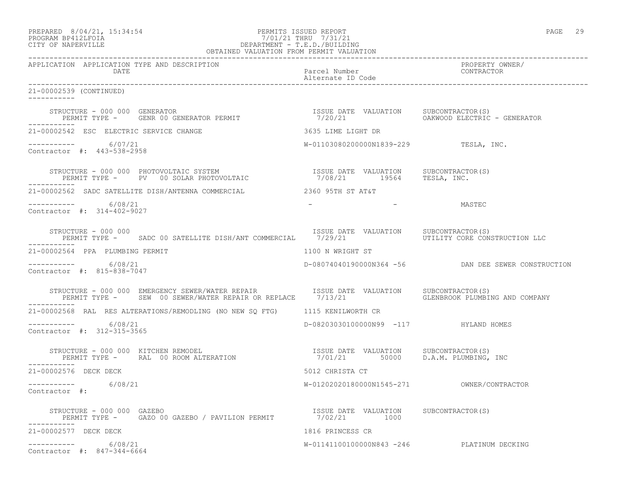|                    | PREPARED 8/04/21, 15:34:54 | PERMITS ISSUED REPORT     |  | PAGE | 29 |
|--------------------|----------------------------|---------------------------|--|------|----|
| PROCRAM RP412LFOIA |                            | $7/01/21$ THRII $7/31/21$ |  |      |    |

# PROGRAM BP412LFOIA 7/01/21 THRU 7/31/21 CITY OF NAPERVILLE DEPARTMENT - T.E.D./BUILDING

| OBTAINED VALUATION FROM PERMIT VALUATION                                                                                                                                                                                        |                                                  |                                                     |  |
|---------------------------------------------------------------------------------------------------------------------------------------------------------------------------------------------------------------------------------|--------------------------------------------------|-----------------------------------------------------|--|
| APPLICATION APPLICATION TYPE AND DESCRIPTION<br>DATE                                                                                                                                                                            | Parcel Number<br>Alternate ID Code               | PROPERTY OWNER/<br>CONTRACTOR                       |  |
| 21-00002539 (CONTINUED)                                                                                                                                                                                                         |                                                  |                                                     |  |
| STRUCTURE - 000 000 GENERATOR<br>PERMIT TYPE - GENR 00 GENERATOR PERMIT                                                                                                                                                         | ISSUE DATE VALUATION SUBCONTRACTOR(S)<br>7/20/21 | OAKWOOD ELECTRIC - GENERATOR                        |  |
| 21-00002542 ESC ELECTRIC SERVICE CHANGE                                                                                                                                                                                         | 3635 LIME LIGHT DR                               |                                                     |  |
| $--------- 6/07/21$<br>Contractor #: 443-538-2958                                                                                                                                                                               | $W-01103080200000N1839-229$ TESLA, INC.          |                                                     |  |
| STRUCTURE - 000 000 PHOTOVOLTAIC SYSTEM                              ISSUE DATE VALUATION     SUBCONTRACTOR(S)<br>PERMIT TYPE -      PV   00 SOLAR PHOTOVOLTAIC                     7/08/21       19564     TESLA, INC.         |                                                  |                                                     |  |
| 21-00002562 SADC SATELLITE DISH/ANTENNA COMMERCIAL 2360 95TH ST AT&T                                                                                                                                                            |                                                  |                                                     |  |
| 6/08/21<br>Contractor #: 314-402-9027                                                                                                                                                                                           |                                                  | MASTEC                                              |  |
| STRUCTURE - 000 000<br>PERMIT TYPE - SADC 00 SATELLITE DISH/ANT COMMERCIAL 7/29/21                                                                                                                                              | ISSUE DATE VALUATION SUBCONTRACTOR(S)            | UTILITY CORE CONSTRUCTION LLC                       |  |
| 21-00002564 PPA PLUMBING PERMIT                                                                                                                                                                                                 | 1100 N WRIGHT ST                                 |                                                     |  |
| ---------- 6/08/21<br>Contractor #: 815-838-7047                                                                                                                                                                                |                                                  | D-08074040190000N364 -56 DAN DEE SEWER CONSTRUCTION |  |
| STRUCTURE - 000 000 EMERGENCY SEWER/WATER REPAIR             ISSUE DATE VALUATION     SUBCONTRACTOR(S)<br>PERMIT TYPE -     SEW 00 SEWER/WATER REPAIR OR REPLACE     7/13/21                     GLENBROOK PLUMBING AND COMPANY |                                                  |                                                     |  |
| 21-00002568 RAL RES ALTERATIONS/REMODLING (NO NEW SQ FTG) 1115 KENILWORTH CR                                                                                                                                                    |                                                  |                                                     |  |
| 6/08/21<br>Contractor #: 312-315-3565                                                                                                                                                                                           | D-08203030100000N99 -117 HYLAND HOMES            |                                                     |  |
| STRUCTURE - 000 000 KITCHEN REMODEL (S) THE STRUCTURE - 000 000 KITCHEN REMODEL (S) SUBSONTRACTOR (S) SERMIT TYPE - RAL 00 ROOM ALTERATION (S) 7/01/21 50000 D.A.M. PLUMBING, INC<br>----------                                 |                                                  |                                                     |  |
| 21-00002576 DECK DECK                                                                                                                                                                                                           | 5012 CHRISTA CT                                  |                                                     |  |
| -----------     6/08/21<br>Contractor #:                                                                                                                                                                                        |                                                  |                                                     |  |
|                                                                                                                                                                                                                                 |                                                  |                                                     |  |
| 21-00002577 DECK DECK                                                                                                                                                                                                           | 1816 PRINCESS CR                                 |                                                     |  |
| ----------- 6/08/21<br>Contractor #: 847-344-6664                                                                                                                                                                               | W-01141100100000N843 -246 PLATINUM DECKING       |                                                     |  |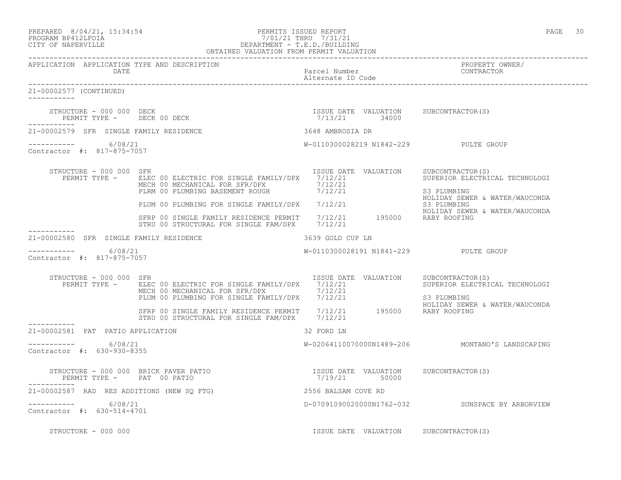| PREPARED             | 8/04/21, 15:34:54 |
|----------------------|-------------------|
| גדמה זמונות ווגמממחת |                   |

### PERMITS ISSUED REPORT FOR THE REPORT SERVICE SOLUTION OF PAGE 30 PAGE 30 PROGRAM BP412LFOIA 7/01/21 THRU 7/31/21 CITY OF NAPERVILLE DEPARTMENT - T.E.D./BUILDING OBTAINED VALUATION FROM PERMIT VALUATION

------------------------------------------------------------------------------------------------------------------------------------ APPLICATION APPLICATION TYPE AND DESCRIPTION PROPERTY OWNER/ DATE Parcel Number Contractor Contractor Contractor Parcel Number Alternate ID Code ------------------------------------------------------------------------------------------------------------------------------------ 21-00002577 (CONTINUED) ----------- STRUCTURE - 000 000 DECK ISSUE DATE VALUATION SUBCONTRACTOR(S) PERMIT TYPE - DECK 00 DECK ----------- 21-00002579 SFR SINGLE FAMILY RESIDENCE 3648 AMBROSIA DR ----------- 6/08/21 W-0110300028219 N1842-229 PULTE GROUP Contractor #: 817-875-7057 STRUCTURE - 000 000 SFR<br>PERMIT TYPE - ELEC 00 ELECTRIC FOR SINGLE FAMILY/DPX 7/12/21 21 SUPERIOR ELECTRICAL TECHNOLOGI PERMIT TYPE - ELEC 00 ELECTRIC FOR SINGLE FAMILY/DPX 7/12/21<br>MECH 00 MECHANICAL FOR SFR/DPX 7/12/21<br>PLRM 00 PLUMBING BASEMENT ROUGH 7/12/21 MECH 00 MECHANICAL FOR SFR/DPX PLRM 00 PLUMBING BASEMENT ROUGH 7/12/21 S3 PLUMBING HOLIDAY SEWER & WATER/WAUCONDA PLUM 00 PLUMBING FOR SINGLE FAMILY/DPX 7/12/21 HOLIDAY SEWER & WATER/WAUCONDA SFRP 00 SINGLE FAMILY RESIDENCE PERMIT 7/12/21 195000 RABY ROOFING STRU 00 STRUCTURAL FOR SINGLE FAM/DPX 7/12/21 ----------- 21-00002580 SFR SINGLE FAMILY RESIDENCE 3639 GOLD CUP LN ----------- 6/08/21 W-0110300028191 N1841-229 PULTE GROUP Contractor #: 817-875-7057 STRUCTURE - 000 000 SFR ISSUE DATE VALUATION SUBCONTRACTOR(S) PERMIT TYPE - ELEC 00 ELECTRIC FOR SINGLE FAMILY/DPX 7/12/21 SUPERIOR ELECTRICAL TECHNOLOGI MECH 00 MECHANICAL FOR SFR/DPX  $7/12/21$ PLUM 00 PLUMBING FOR SINGLE FAMILY/DPX  $7/12/21$  S3 PLUMBING HOLIDAY SEWER & WATER/WAUCONDA SFRP 00 SINGLE FAMILY RESIDENCE PERMIT 7/12/21 195000 RABY ROOFING STRU 00 STRUCTURAL FOR SINGLE FAM/DPX  $7/12/21$ ----------- 21-00002581 PAT PATIO APPLICATION 32 FORD LN \_\_\_\_\_\_\_\_\_\_\_ ----------- 6/08/21 W-02064110070000N1489-206 MONTANO'S LANDSCAPING Contractor #: 630-930-8355 STRUCTURE - 000 000 BRICK PAVER PATIO ISSUE DATE VALUATION SUBCONTRACTOR(S) PERMIT TYPE - PAT 00 PATIO ----------- 21-00002587 RAD RES ADDITIONS (NEW SQ FTG) 2556 BALSAM COVE RD ----------- 6/08/21 D-07091090020000N1762-032 SUNSPACE BY ARBORVIEW Contractor #: 630-514-4701 STRUCTURE - 000 000 **ISSUE DATE VALUATION** SUBCONTRACTOR(S)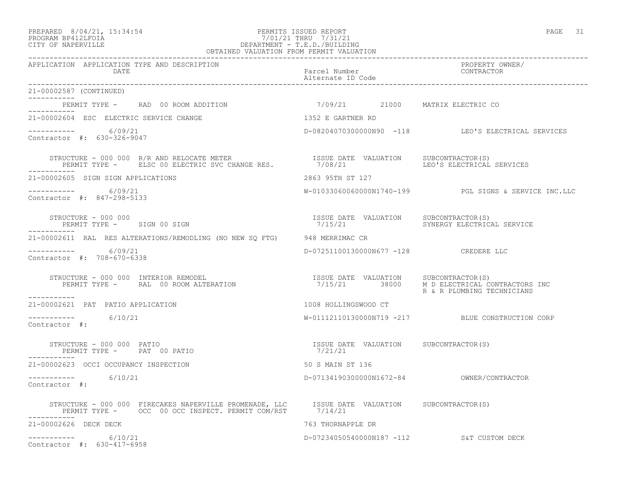#### PREPARED 8/04/21, 15:34:54 PERMITS ISSUED REPORT PAGE 31 PROGRAM BP412LFOIA 7/01/21 THRU 7/31/21 CITY OF NAPERVILLE DEPARTMENT - T.E.D./BUILDING OBTAINED VALUATION FROM PERMIT VALUATION

APPLICATION APPLICATION TYPE AND DESCRIPTION PROPERTY OWNER/

------------------------------------------------------------------------------------------------------------------------------------

DATE DATE Parcel Number Alternate ID Code ------------------------------------------------------------------------------------------------------------------------------------ 21-00002587 (CONTINUED) ----------- PERMIT TYPE - RAD 00 ROOM ADDITION 7/09/21 21000 MATRIX ELECTRIC CO ----------- 21-00002604 ESC ELECTRIC SERVICE CHANGE 1352 E GARTNER RD  $--------- 6/09/21$ D-08204070300000N90 -118 LEO'S ELECTRICAL SERVICES Contractor #: 630-326-9047 STRUCTURE - 000 000 R/R AND RELOCATE METER ISSUE DATE VALUATION SUBCONTRACTOR(S) PERMIT TYPE - ELSC 00 ELECTRIC SVC CHANGE RES. 7/08/21 LEO'S ELECTRICAL SERVICES ----------- 21-00002605 SIGN SIGN APPLICATIONS 2863 95TH ST 127 ----------- 6/09/21 W-01033060060000N1740-199 PGL SIGNS & SERVICE INC.LLC Contractor #: 847-298-5133 STRUCTURE - 000 000<br>
STRUCTURE - 1990 SIGN 1990 SIGN 1990 STATE VALUATION SUBCONTRACTOR(S)<br>
T/15/21 3YNERGY ELECTRICAL SERVICE PERMIT TYPE - SIGN 00 SIGN ----------- 21-00002611 RAL RES ALTERATIONS/REMODLING (NO NEW SQ FTG) 948 MERRIMAC CR ----------- 6/09/21 D-07251100130000N677 -128 CREDERE LLC Contractor #: 708-670-6338 STRUCTURE - 000 000 INTERIOR REMODEL ISSUE DATE VALUATION SUBCONTRACTOR(S) PERMIT TYPE - RAL 00 ROOM ALTERATION 7/15/21 38000 M D ELECTRICAL CONTRACTORS INC R & R PLUMBING TECHNICIANS ----------- 21-00002621 PAT PATIO APPLICATION 1008 HOLLINGSWOOD CT  $--------- 6/10/21$ W-01112110130000N719 -217 BLUE CONSTRUCTION CORP Contractor #: STRUCTURE - 000 000 PATIO ISSUE DATE VALUATION SUBCONTRACTOR(S) PERMIT TYPE - PAT 00 PATIO ----------- 21-00002623 OCCI OCCUPANCY INSPECTION 50 S MAIN ST 136 ----------- 6/10/21 D-07134190300000N1672-84 OWNER/CONTRACTOR Contractor #: STRUCTURE - 000 000 FIRECAKES NAPERVILLE PROMENADE, LLC ISSUE DATE VALUATION SUBCONTRACTOR(S) PERMIT TYPE - OCC 00 OCC INSPECT. PERMIT COM/RST 7/14/21 ----------- 21-00002626 DECK DECK 763 THORNAPPLE DR ----------- 6/10/21 D-07234050540000N187 -112 S&T CUSTOM DECK Contractor #: 630-417-6958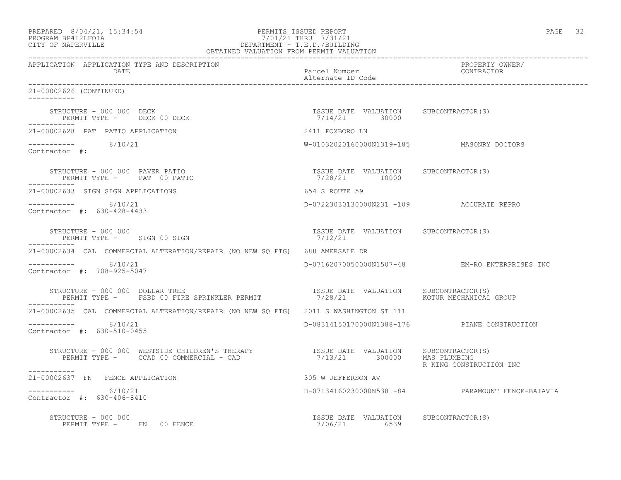| PREPARED             | $8/04/21$ , 15:34:54 |  |
|----------------------|----------------------|--|
| גדמת זרונתם וגנסמספם |                      |  |

## PREPARED 8/04/21, 15:34:54 PERMITS ISSUED REPORT<br>PROGRAM BP412LFOIA PAGE 32<br>
7/01/21 THRU 7/31/21 PROGRAM BP412LFOIA 7/01/21 THRU 7/31/21 CITY OF NAPERVILLE DEPARTMENT - T.E.D./BUILDING

| OBTAINED VALUATION FROM PERMIT VALUATION                                                                                                                                                                                                                                                                                                                                                                                                       |                                                       |                                                  |  |
|------------------------------------------------------------------------------------------------------------------------------------------------------------------------------------------------------------------------------------------------------------------------------------------------------------------------------------------------------------------------------------------------------------------------------------------------|-------------------------------------------------------|--------------------------------------------------|--|
| APPLICATION APPLICATION TYPE AND DESCRIPTION<br>DATE                                                                                                                                                                                                                                                                                                                                                                                           | Parcel Number<br>Alternate ID Code                    | PROPERTY OWNER/<br>CONTRACTOR                    |  |
| 21-00002626 (CONTINUED)                                                                                                                                                                                                                                                                                                                                                                                                                        |                                                       |                                                  |  |
| $\begin{array}{cccccccccc} \texttt{STRUCTURE} & - & 000 & 000 & \texttt{DECK} & & & & & & & & \\ \texttt{PERMIT TYPE} & - & & & & & & & & & & \\ \texttt{PERMIT TYPE} & - & & & & & & & & & \\ \end{array}$                                                                                                                                                                                                                                    |                                                       |                                                  |  |
| 21-00002628 PAT PATIO APPLICATION                                                                                                                                                                                                                                                                                                                                                                                                              | 2411 FOXBORO LN                                       |                                                  |  |
| $--------- 6/10/21$<br>Contractor #:                                                                                                                                                                                                                                                                                                                                                                                                           | W-01032020160000N1319-185 MASONRY DOCTORS             |                                                  |  |
| $\begin{array}{cccccccccc} \texttt{STRUCTURE} & - & 000 & 000 & \texttt{PAVER} & \texttt{PATIO} & \texttt{TSSUE} & \texttt{DATE} & \texttt{VALUATION} & \texttt{SUBCONTRACTOR(S)} \\ \texttt{PERMIT TYPE} & - & \texttt{PAT} & 00 & \texttt{PATIO} & \texttt{SUTS} & \texttt{SUTS} & \texttt{SUTS} & \texttt{SUTS} & \texttt{SUTS} & \texttt{SUTS} & \texttt{SUTS} & \texttt{SUTS} & \texttt{SUTS} & \texttt{SUTS} & \texttt{SUTS} & \texttt{$ |                                                       |                                                  |  |
| 21-00002633 SIGN SIGN APPLICATIONS                                                                                                                                                                                                                                                                                                                                                                                                             | 654 S ROUTE 59                                        |                                                  |  |
| $--------- 6/10/21$<br>Contractor #: 630-428-4433                                                                                                                                                                                                                                                                                                                                                                                              | D-07223030130000N231 -109 ACCURATE REPRO              |                                                  |  |
| STRUCTURE - 000 000<br>PERMIT TYPE - SIGN 00 SIGN<br>------------                                                                                                                                                                                                                                                                                                                                                                              | ISSUE DATE VALUATION SUBCONTRACTOR(S)<br>7/12/21      |                                                  |  |
| 21-00002634 CAL COMMERCIAL ALTERATION/REPAIR (NO NEW SQ FTG) 688 AMERSALE DR                                                                                                                                                                                                                                                                                                                                                                   |                                                       |                                                  |  |
| $--------- 6/10/21$<br>Contractor #: 708-925-5047                                                                                                                                                                                                                                                                                                                                                                                              |                                                       | D-07162070050000N1507-48 EM-RO ENTERPRISES INC   |  |
| STRUCTURE - 000 000 DOLLAR TREE<br>PERMIT TYPE - FSBD 00 FIRE SPRINKLER PERMIT 17/28/21                                                                                                                                                                                                                                                                                                                                                        | ISSUE DATE VALUATION SUBCONTRACTOR(S)                 | KOTUR MECHANICAL GROUP                           |  |
| 21-00002635 CAL COMMERCIAL ALTERATION/REPAIR (NO NEW SQ FTG) 2011 S WASHINGTON ST 111                                                                                                                                                                                                                                                                                                                                                          |                                                       |                                                  |  |
| ----------- 6/10/21<br>Contractor #: 630-510-0455                                                                                                                                                                                                                                                                                                                                                                                              |                                                       | D-08314150170000N1388-176 PIANE CONSTRUCTION     |  |
|                                                                                                                                                                                                                                                                                                                                                                                                                                                |                                                       | R KING CONSTRUCTION INC                          |  |
| 21-00002637 FN FENCE APPLICATION                                                                                                                                                                                                                                                                                                                                                                                                               | 305 W JEFFERSON AV                                    |                                                  |  |
| -----------     6/10/21<br>Contractor #: 630-406-8410                                                                                                                                                                                                                                                                                                                                                                                          |                                                       | D-07134160230000N538 -84 PARAMOUNT FENCE-BATAVIA |  |
| STRUCTURE - 000 000<br>STRUCTURE - 000 000<br>PERMIT TYPE - FN 00 FENCE                                                                                                                                                                                                                                                                                                                                                                        | ISSUE DATE VALUATION SUBCONTRACTOR(S)<br>7/06/21 6539 |                                                  |  |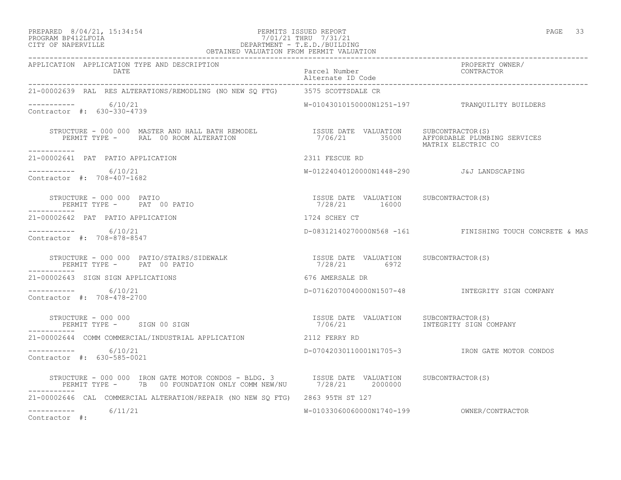### PREPARED 8/04/21, 15:34:54 PERMITS ISSUED REPORT PROGRAM BP412LFOIA PAGE 33 PROGRAM BP412LFOIA 7/01/21 THRU 7/31/21 CITY OF NAPERVILLE DEPARTMENT - T.E.D./BUILDING

| OBTAINED VALUATION FROM PERMIT VALUATION                                                                                                                                                                                                                               |                                                                             |                                                                  |
|------------------------------------------------------------------------------------------------------------------------------------------------------------------------------------------------------------------------------------------------------------------------|-----------------------------------------------------------------------------|------------------------------------------------------------------|
| APPLICATION APPLICATION TYPE AND DESCRIPTION<br><b>DATE</b>                                                                                                                                                                                                            | Parcel Number<br>Alternate ID Code                                          | PROPERTY OWNER/<br>CONTRACTOR                                    |
| 21-00002639 RAL RES ALTERATIONS/REMODLING (NO NEW SO FTG) 3575 SCOTTSDALE CR                                                                                                                                                                                           |                                                                             |                                                                  |
| $---------$ 6/10/21<br>Contractor #: 630-330-4739                                                                                                                                                                                                                      |                                                                             | W-01043010150000N1251-197 TRANQUILITY BUILDERS                   |
| STRUCTURE – 000 000 MASTER AND HALL BATH REMODEL                ISSUE DATE VALUATION    SUBCONTRACTOR(S)<br>PERMIT TYPE –     RAL  00 ROOM ALTERATION                       7/06/21       35000     AFFORDABLE PLUMBING<br>-----------                                 |                                                                             | 7/06/21 35000 AFFORDABLE PLUMBING SERVICES<br>MATRIX ELECTRIC CO |
| 21-00002641 PAT PATIO APPLICATION                                                                                                                                                                                                                                      | 2311 FESCUE RD                                                              |                                                                  |
| $--------- 6/10/21$<br>Contractor #: 708-407-1682                                                                                                                                                                                                                      | W-01224040120000N1448-290 J&J LANDSCAPING                                   |                                                                  |
| $\begin{array}{cccccccccc} \texttt{STRUCTURE} & - & 000 & 000 & \texttt{PATIO} & & & & & & & \\ \texttt{PERMIT TYPE} & - & \texttt{PAT} & 00 & \texttt{PATIO} & & & & & & \\ \texttt{PERMIT TYPE} & - & \texttt{PAT} & 00 & \texttt{PATIO} & & & & & & \\ \end{array}$ |                                                                             |                                                                  |
| 21-00002642 PAT PATIO APPLICATION                                                                                                                                                                                                                                      | 1724 SCHEY CT                                                               |                                                                  |
| $--------- 6/10/21$<br>Contractor #: 708-878-8547                                                                                                                                                                                                                      |                                                                             | D-08312140270000N568 -161 FINISHING TOUCH CONCRETE & MAS         |
| STRUCTURE - 000 000 PATIO/STAIRS/SIDEWALK<br>PERMIT TYPE - PAT 00 PATIO                                                                                                                                                                                                | ISSUE DATE VALUATION SUBCONTRACTOR(S)<br>7/28/21 6972                       |                                                                  |
| 21-00002643 SIGN SIGN APPLICATIONS                                                                                                                                                                                                                                     | 676 AMERSALE DR                                                             |                                                                  |
| $--------- 6/10/21$<br>Contractor #: 708-478-2700                                                                                                                                                                                                                      |                                                                             | D-07162070040000N1507-48 INTEGRITY SIGN COMPANY                  |
| STRUCTURE - 000 000<br>PERMIT TYPE - SIGN 00 SIGN                                                                                                                                                                                                                      | ISSUE DATE VALUATION SUBCONTRACTOR(S)<br>7/06/21     INTEGRITY SIGN COMPANY |                                                                  |
| 21-00002644 COMM COMMERCIAL/INDUSTRIAL APPLICATION 2112 FERRY RD                                                                                                                                                                                                       |                                                                             |                                                                  |
| $--------- 6/10/21$<br>Contractor #: 630-585-0021                                                                                                                                                                                                                      |                                                                             | D-07042030110001N1705-3 IRON GATE MOTOR CONDOS                   |
| STRUCTURE - 000 000 IRON GATE MOTOR CONDOS - BLDG. 3         ISSUE DATE VALUATION SUBCONTRACTOR(S)<br>PERMIT TYPE -       7B   00 FOUNDATION ONLY COMM NEW/NU         7/28/21       2000000                                                                            |                                                                             |                                                                  |
| 21-00002646 CAL COMMERCIAL ALTERATION/REPAIR (NO NEW SQ FTG) 2863 95TH ST 127                                                                                                                                                                                          |                                                                             |                                                                  |
| $--------- 6/11/21$<br>Contractor #:                                                                                                                                                                                                                                   |                                                                             |                                                                  |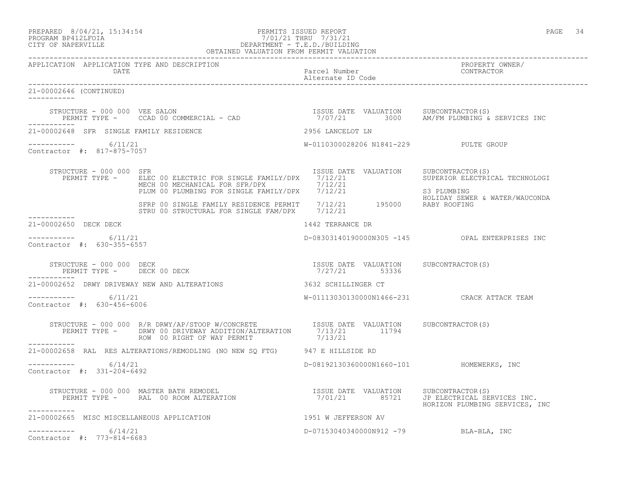| PREPARED 8/04/21, 15:34:54 | PERMITS ISSUED REPORT     | PAGE |  |
|----------------------------|---------------------------|------|--|
| DDOCD3M DD419TDOT3         | $7/01/01$ munti $7/01/01$ |      |  |

### PROGRAM BP412LFOIA 7/01/21 THRU 7/31/21 CITY OF NAPERVILLE DEPARTMENT - T.E.D./BUILDING OBTAINED VALUATION FROM PERMIT VALUATION

------------------------------------------------------------------------------------------------------------------------------------

APPLICATION APPLICATION TYPE AND DESCRIPTION PROPERTY OWNER/ DATE Parcel Number Contractor Contractor Contractor Parcel Number Alternate ID Code ------------------------------------------------------------------------------------------------------------------------------------ 21-00002646 (CONTINUED) ----------- STRUCTURE - 000 000 VEE SALON ISSUE DATE VALUATION SUBCONTRACTOR(S) PERMIT TYPE - CCAD 00 COMMERCIAL - CAD 7/07/21 3000 AM/FM PLUMBING & SERVICES INC ----------- 21-00002648 SFR SINGLE FAMILY RESIDENCE 2956 LANCELOT LN ----------- 6/11/21 W-0110300028206 N1841-229 PULTE GROUP Contractor #: 817-875-7057 STRUCTURE - 000 000 SFR<br>PERMIT TYPE - ELEC 00 ELECTRIC FOR SINGLE FAMILY/DPX 7/12/21 21 SUPERIOR ELECTRICAL TECHNOLOGI PERMIT TYPE - ELEC 00 ELECTRIC FOR SINGLE FAMILY/DPX 7/12/21<br>MECH 00 MECHANICAL FOR SFR/DPX 7/12/21 MECH 00 MECHANICAL FOR SFR/DPX  $7/12/21$ PLUM 00 PLUMBING FOR SINGLE FAMILY/DPX  $7/12/21$  S3 PLUMBING HOLIDAY SEWER & WATER/WAUCONDA SFRP 00 SINGLE FAMILY RESIDENCE PERMIT 7/12/21 195000 RABY ROOFING STRU 00 STRUCTURAL FOR SINGLE FAM/DPX  $7/12/21$ ----------- 21-00002650 DECK DECK 1442 TERRANCE DR  $--------- 6/11/21$ D-08303140190000N305 -145 OPAL ENTERPRISES INC Contractor #: 630-355-6557 STRUCTURE - 000 000 DECK ISSUE DATE VALUATION SUBCONTRACTOR(S) PERMIT TYPE - DECK 00 DECK ----------- 21-00002652 DRWY DRIVEWAY NEW AND ALTERATIONS 3632 SCHILLINGER CT ----------- 6/11/21 W-01113030130000N1466-231 CRACK ATTACK TEAM Contractor #: 630-456-6006 STRUCTURE - 000 000 R/R DRWY/AP/STOOP W/CONCRETE ISSUE DATE VALUATION SUBCONTRACTOR(S) PERMIT TYPE - DRWY 00 DRIVEWAY ADDITION/ALTERATION 7/13/21 11794 ROW 00 RIGHT OF WAY PERMIT 7/13/21 ----------- 21-00002658 RAL RES ALTERATIONS/REMODLING (NO NEW SQ FTG) 947 E HILLSIDE RD ----------- 6/14/21 D-08192130360000N1660-101 HOMEWERKS, INC Contractor #: 331-204-6492 STRUCTURE - 000 000 MASTER BATH REMODEL ISSUE DATE VALUATION SUBCONTRACTOR(S) PERMIT TYPE - RAL 00 ROOM ALTERATION  $7/01/21$  85721 JP ELECTRICAL SERVICES INC. HORIZON PLUMBING SERVICES, INC ----------- 21-00002665 MISC MISCELLANEOUS APPLICATION 1951 W JEFFERSON AV  $--------- 6/14/21$ D-07153040340000N912 -79 BLA-BLA, INC Contractor #: 773-814-6683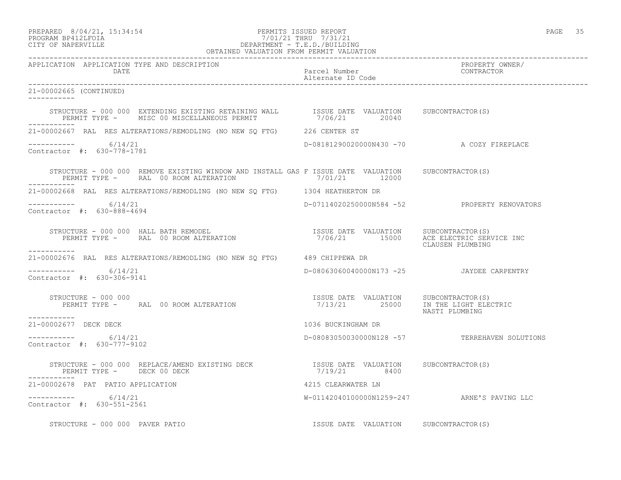## PREPARED 8/04/21, 15:34:54 PERMITS ISSUED REPORT<br>PROGRAM BP412LFOIA PAGE 35 PROGRAM BP412LFOIA 7/01/21 THRU 7/31/21 CITY OF NAPERVILLE DEPARTMENT - T.E.D./BUILDING

| OBTAINED VALUATION FROM PERMIT VALUATION                                                                                                                                                                                                                                            |                                                                              |                                               |  |
|-------------------------------------------------------------------------------------------------------------------------------------------------------------------------------------------------------------------------------------------------------------------------------------|------------------------------------------------------------------------------|-----------------------------------------------|--|
| APPLICATION APPLICATION TYPE AND DESCRIPTION<br>DATE                                                                                                                                                                                                                                | Parcel Number<br>Alternate ID Code                                           | PROPERTY OWNER/<br>CONTRACTOR                 |  |
| 21-00002665 (CONTINUED)<br>___________                                                                                                                                                                                                                                              |                                                                              |                                               |  |
| STRUCTURE - 000 000 EXTENDING EXISTING RETAINING WALL $\begin{array}{cccc}$ ISSUE DATE VALUATION SUBCONTRACTOR(S)<br>PERMIT TYPE - MISC 00 MISCELLANEOUS PERMIT 7/06/21 20040                                                                                                       |                                                                              |                                               |  |
| 21-00002667 RAL RES ALTERATIONS/REMODLING (NO NEW SQ FTG) 226 CENTER ST                                                                                                                                                                                                             |                                                                              |                                               |  |
| $--------- 6/14/21$<br>Contractor #: 630-778-1781                                                                                                                                                                                                                                   | D-08181290020000N430 -70 A COZY FIREPLACE                                    |                                               |  |
| STRUCTURE - 000 000 REMOVE EXISTING WINDOW AND INSTALL GAS F ISSUE DATE VALUATION SUBCONTRACTOR(S)<br>PERMIT TYPE - RAL 00 ROOM ALTERATION<br>------------                                                                                                                          | $7/01/21$ 12000                                                              |                                               |  |
| 21-00002668 RAL RES ALTERATIONS/REMODLING (NO NEW SQ FTG) 1304 HEATHERTON DR                                                                                                                                                                                                        |                                                                              |                                               |  |
| $--------- 6/14/21$<br>Contractor #: 630-888-4694                                                                                                                                                                                                                                   |                                                                              | D-07114020250000N584 -52 PROPERTY RENOVATORS  |  |
| $\begin{array}{cccc} \texttt{STRUCTURE} - 000 000 \texttt{ HALL BATH REMODEL} \end{array} \qquad \begin{array}{cccc} \texttt{ISSUE} \texttt{DATE} \texttt{VALUATION} \end{array} \qquad \begin{array}{cccc} \texttt{SUBCONTRACTOR(S)} \texttt{SERVICE INC} \end{array} \end{array}$ |                                                                              | CLAUSEN PLUMBING                              |  |
| 21-00002676 RAL RES ALTERATIONS/REMODLING (NO NEW SO FTG) 489 CHIPPEWA DR                                                                                                                                                                                                           |                                                                              |                                               |  |
| $--------- 6/14/21$<br>Contractor #: 630-306-9141                                                                                                                                                                                                                                   | D-08063060040000N173 -25 JAYDEE CARPENTRY                                    |                                               |  |
| STRUCTURE - 000 000<br>PERMIT TYPE - RAL 00 ROOM ALTERATION<br>-----------                                                                                                                                                                                                          | ISSUE DATE VALUATION SUBCONTRACTOR(S)<br>7/13/21 25000 IN THE LIGHT ELECTRIC | NASTI PLUMBING                                |  |
| 21-00002677 DECK DECK                                                                                                                                                                                                                                                               | 1036 BUCKINGHAM DR                                                           |                                               |  |
| $--------- 6/14/21$<br>Contractor #: 630-777-9102                                                                                                                                                                                                                                   |                                                                              | D-08083050030000N128 -57 TERREHAVEN SOLUTIONS |  |
| STRUCTURE – 000 000 REPLACE/AMEND EXISTING DECK 1SSUE DATE VALUATION SUBCONTRACTOR(S)<br>PERMIT TYPE - DECK 00 DECK                                                                                                                                                                 |                                                                              |                                               |  |
| 21-00002678 PAT PATIO APPLICATION                                                                                                                                                                                                                                                   | 4215 CLEARWATER LN                                                           |                                               |  |
| $--------- 6/14/21$<br>Contractor #: 630-551-2561                                                                                                                                                                                                                                   |                                                                              | W-01142040100000N1259-247 ARNE'S PAVING LLC   |  |
| STRUCTURE - 000 000 PAVER PATIO                                                                                                                                                                                                                                                     | ISSUE DATE VALUATION SUBCONTRACTOR(S)                                        |                                               |  |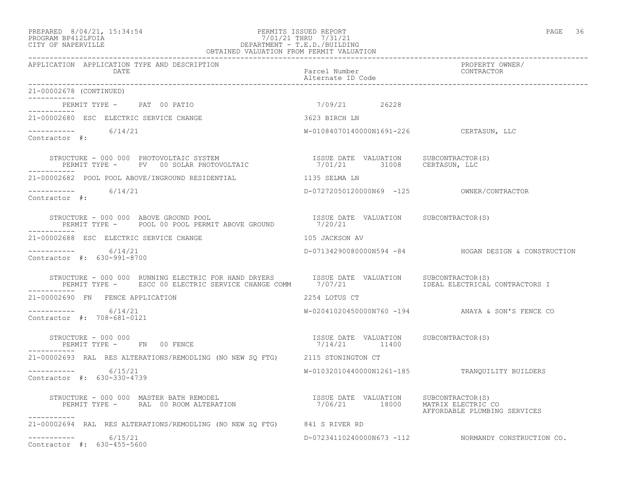# PREPARED 8/04/21, 15:34:54 PERMITS ISSUED REPORT PAGE 36 PROGRAM BP412LFOIA 7/01/21 THRU 7/31/21 CITY OF NAPERVILLE DEPARTMENT - T.E.D./BUILDING

| OBTAINED VALUATION FROM PERMIT VALUATION                                                                                                                                                                                                                      |                                                                         |                                                      |
|---------------------------------------------------------------------------------------------------------------------------------------------------------------------------------------------------------------------------------------------------------------|-------------------------------------------------------------------------|------------------------------------------------------|
| APPLICATION APPLICATION TYPE AND DESCRIPTION<br>DATE                                                                                                                                                                                                          | Parcel Number<br>Alternate ID Code                                      | PROPERTY OWNER/<br>CONTRACTOR                        |
| 21-00002678 (CONTINUED)                                                                                                                                                                                                                                       |                                                                         |                                                      |
| PERMIT TYPE - PAT 00 PATIO                                                                                                                                                                                                                                    | 7/09/21 26228                                                           |                                                      |
| . <u>.</u> .<br>21-00002680 ESC ELECTRIC SERVICE CHANGE                                                                                                                                                                                                       | 3623 BIRCH LN                                                           |                                                      |
| $--------- 6/14/21$<br>Contractor #:                                                                                                                                                                                                                          | W-01084070140000N1691-226 CERTASUN, LLC                                 |                                                      |
| $\begin{array}{cccccc} \texttt{STRUCTURE} & - & 000 & 000 & \texttt{PHOTOVOLTAIC} & \texttt{SYSTEM} & & & & & & \\ \texttt{PERMIT TYPE} & - & \texttt{PV} & 00 \texttt{ SOLAR PHOTOVOLTAIC} & & & & & & 7/01/21 & 31008 & \texttt{CERTASUN, LLC} \end{array}$ |                                                                         |                                                      |
| 21-00002682 POOL POOL ABOVE/INGROUND RESIDENTIAL THE MANUSIC SELMA LN                                                                                                                                                                                         |                                                                         |                                                      |
| $--------- 6/14/21$<br>Contractor #:                                                                                                                                                                                                                          | D-07272050120000N69 -125 OWNER/CONTRACTOR                               |                                                      |
| RUCTURE – 000 000 ABOVE GROUND POOL<br>PERMIT TYPE – POOL 00 POOL PERMIT ABOVE GROUND 7/20/21<br>STRUCTURE - 000 000 ABOVE GROUND POOL                                                                                                                        |                                                                         |                                                      |
| 21-00002688 ESC ELECTRIC SERVICE CHANGE                                                                                                                                                                                                                       | 105 JACKSON AV                                                          |                                                      |
| -----------     6/14/21<br>Contractor #: 630-991-8700                                                                                                                                                                                                         |                                                                         | D-07134290080000N594 -84 HOGAN DESIGN & CONSTRUCTION |
|                                                                                                                                                                                                                                                               |                                                                         | IDEAL ELECTRICAL CONTRACTORS I                       |
| 21-00002690 FN FENCE APPLICATION                                                                                                                                                                                                                              | 2254 LOTUS CT                                                           |                                                      |
| -----------     6/14/21<br>Contractor #: 708-681-0121                                                                                                                                                                                                         |                                                                         | W-02041020450000N760 -194 ANAYA & SON'S FENCE CO     |
| STRUCTURE - 000 000<br>PERMIT TYPE - FN 00 FENCE                                                                                                                                                                                                              | ISSUE DATE VALUATION SUBCONTRACTOR(S)<br>7/14/21 11400<br>7/14/21 11400 |                                                      |
| 21-00002693 RAL RES ALTERATIONS/REMODLING (NO NEW SQ FTG) 2115 STONINGTON CT                                                                                                                                                                                  |                                                                         |                                                      |
| $--------- 6/15/21$<br>Contractor #: 630-330-4739                                                                                                                                                                                                             |                                                                         | W-01032010440000N1261-185 TRANQUILITY BUILDERS       |
| STRUCTURE – 000 000 MASTER BATH REMODEL                              ISSUE DATE VALUATION     SUBCONTRACTOR(S)<br>PERMIT TYPE –       RAL  00 ROOM ALTERATION                         7/06/21        18000     MATRIX ELECTRIC                                | 7/06/21 18000 MATRIX ELECTRIC CO                                        | AFFORDABLE PLUMBING SERVICES                         |
| 21-00002694 RAL RES ALTERATIONS/REMODLING (NO NEW SQ FTG) 841 S RIVER RD                                                                                                                                                                                      |                                                                         |                                                      |
| 6/15/21<br>Contractor #: 630-455-5600                                                                                                                                                                                                                         |                                                                         | D-07234110240000N673 -112 NORMANDY CONSTRUCTION CO.  |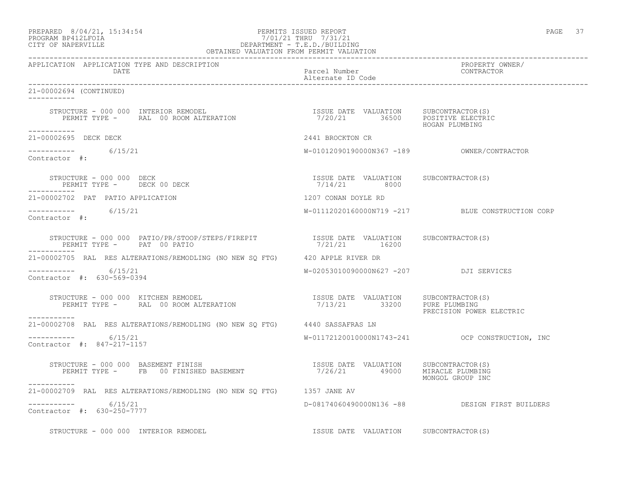| PREPARED | 8/04/21, 15:34:54  |  |
|----------|--------------------|--|
|          | PROGRAM RP412LFOIA |  |

# ed a set of the PERMITS ISSUED REPORT And the set of the page of the set of the page of the page of the page of the page of the page of the page of the page of the page of the page of the page of the page of the page of th PROGRAM BP412LFOIA<br>
PROGRAM BP412LFOIA<br>
CITY OF NAPERVILLE<br>
CITY OF NAPERVILLE CITY OF NAPERVILLE DEPARTMENT - T.E.D./BUILDING

| OBTAINED VALUATION FROM PERMIT VALUATION                                                                                                                                                                                                                                                                                                                                                                     |                                                         |                                                  |
|--------------------------------------------------------------------------------------------------------------------------------------------------------------------------------------------------------------------------------------------------------------------------------------------------------------------------------------------------------------------------------------------------------------|---------------------------------------------------------|--------------------------------------------------|
| APPLICATION APPLICATION TYPE AND DESCRIPTION<br>DATE                                                                                                                                                                                                                                                                                                                                                         | Parcel Number<br>Alternate ID Code                      | PROPERTY OWNER/<br>CONTRACTOR                    |
| 21-00002694 (CONTINUED)<br>-----------                                                                                                                                                                                                                                                                                                                                                                       |                                                         |                                                  |
| $\begin{array}{cccccccc} \texttt{STRUCTURE} & - & 000 & 000 & \texttt{INTERIOR} & \texttt{REMODEL} & & & & \\ \texttt{PERMIT TYPE} & - & \texttt{RAL} & 00 & \texttt{ROOM ALTERATION} & & & & & \\ \end{array} \qquad \begin{array}{cccc} \texttt{ISSUE} & \texttt{DATE} & \texttt{VALUATION} & & \texttt{SUBCONTRACTOR(S)}\\ & 7/20/21 & & 36500 & & \texttt{POSITIVE ELECTRIC} \end{array}$<br>___________ |                                                         | HOGAN PLUMBING                                   |
| 21-00002695 DECK DECK                                                                                                                                                                                                                                                                                                                                                                                        | 2441 BROCKTON CR                                        |                                                  |
| ----------- 6/15/21<br>Contractor #:                                                                                                                                                                                                                                                                                                                                                                         |                                                         |                                                  |
| STRUCTURE - 000 000 DECK<br>PERMIT TYPE - PECK 00 DECK<br>PERMIT TYPE - DECK 00 DECK                                                                                                                                                                                                                                                                                                                         | ISSUE DATE VALUATION SUBCONTRACTOR(S)<br>$7/14/21$ 8000 |                                                  |
| 21-00002702 PAT PATIO APPLICATION                                                                                                                                                                                                                                                                                                                                                                            | 1207 CONAN DOYLE RD                                     |                                                  |
| $--------- 6/15/21$<br>Contractor #:                                                                                                                                                                                                                                                                                                                                                                         |                                                         | W-01112020160000N719 -217 BLUE CONSTRUCTION CORP |
| STRUCTURE - 000 000 PATIO/PR/STOOP/STEPS/FIREPIT<br>SISUE DATE VALUATION SUBCONTRACTOR(S)<br>PERMIT TYPE - PAT 00 PATIO                                                                                                                                                                                                                                                                                      | 7/21/21 16200                                           |                                                  |
| 21-00002705 RAL RES ALTERATIONS/REMODLING (NO NEW SO FTG) 420 APPLE RIVER DR                                                                                                                                                                                                                                                                                                                                 |                                                         |                                                  |
| ----------- 6/15/21<br>Contractor #: 630-569-0394                                                                                                                                                                                                                                                                                                                                                            | W-02053010090000N627 -207 DJI SERVICES                  |                                                  |
| -----------                                                                                                                                                                                                                                                                                                                                                                                                  |                                                         | PRECISION POWER ELECTRIC                         |
| 21-00002708 RAL RES ALTERATIONS/REMODLING (NO NEW SQ FTG) 4440 SASSAFRAS LN                                                                                                                                                                                                                                                                                                                                  |                                                         |                                                  |
| $--------- 6/15/21$<br>Contractor #: 847-217-1157                                                                                                                                                                                                                                                                                                                                                            |                                                         | W-01172120010000N1743-241 OCP CONSTRUCTION, INC  |
| STRUCTURE - 000 000 BASEMENT FINISH<br>PERMIT TYPE -    FB   00 FINISHED BASEMENT                                    7/26/21      49000   MIRACLE PLUMBING<br>STRUCTURE - 000 000 BASEMENT FINISH                                                                                                                                                                                                            |                                                         | MONGOL GROUP INC                                 |
| 21-00002709 RAL RES ALTERATIONS/REMODLING (NO NEW SQ FTG) 1357 JANE AV                                                                                                                                                                                                                                                                                                                                       |                                                         |                                                  |
| -----------    6/15/21<br>Contractor #: 630-250-7777                                                                                                                                                                                                                                                                                                                                                         |                                                         | D-08174060490000N136 -88 DESIGN FIRST BUILDERS   |
| STRUCTURE - 000 000 INTERIOR REMODEL                                                                                                                                                                                                                                                                                                                                                                         | ISSUE DATE VALUATION SUBCONTRACTOR(S)                   |                                                  |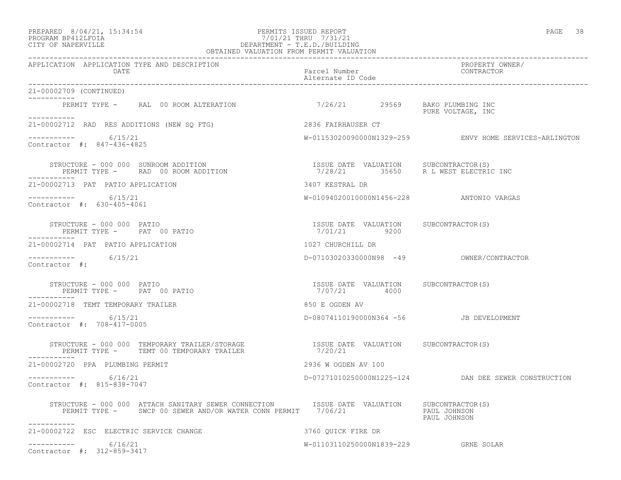# PREPARED 8/04/21, 15:34:54 PERMITS ISSUED REPORT PROGRAM BP412LFOIA PAGE 38 PROGRAM BP412LFOIA 7/01/21 THRU 7/31/21 CITY OF NAPERVILLE DEPARTMENT - T.E.D./BUILDING

| OBTAINED VALUATION FROM PERMIT VALUATION                                                                                                                                               |                                                       |                                                      |  |
|----------------------------------------------------------------------------------------------------------------------------------------------------------------------------------------|-------------------------------------------------------|------------------------------------------------------|--|
| APPLICATION APPLICATION TYPE AND DESCRIPTION<br>DATE                                                                                                                                   | Parcel Number<br>Alternate ID Code                    | PROPERTY OWNER/<br>CONTRACTOR                        |  |
| 21-00002709 (CONTINUED)<br>------------                                                                                                                                                |                                                       |                                                      |  |
| PERMIT TYPE - RAL 00 ROOM ALTERATION 7/26/21 29569 BAKO PLUMBING INC<br>-----------                                                                                                    |                                                       | PURE VOLTAGE, INC                                    |  |
| 21-00002712 RAD RES ADDITIONS (NEW SO FTG)                                                                                                                                             | 2836 FAIRHAUSER CT                                    |                                                      |  |
| $--------- 6/15/21$<br>Contractor #: 847-436-4825                                                                                                                                      |                                                       |                                                      |  |
| STRUCTURE - 000 000 SUNROOM ADDITION<br>PERMIT TYPE - RAD 00 ROOM ADDITION                                                                                                             |                                                       |                                                      |  |
| 21-00002713 PAT PATIO APPLICATION                                                                                                                                                      | 3407 KESTRAL DR                                       |                                                      |  |
| $--------- 6/15/21$<br>Contractor #: 630-405-4061                                                                                                                                      | W-01094020010000N1456-228 ANTONIO VARGAS              |                                                      |  |
| STRUCTURE - 000 000 PATIO<br>PERMIT TYPE -       PAT  00 PATIO                                                                                                                         | ISSUE DATE VALUATION SUBCONTRACTOR(S)<br>7/01/21 9200 |                                                      |  |
| 21-00002714 PAT PATIO APPLICATION                                                                                                                                                      | 1027 CHURCHILL DR                                     |                                                      |  |
| $--------- 6/15/21$<br>Contractor #:                                                                                                                                                   |                                                       | D-07103020330000N98 -49 OWNER/CONTRACTOR             |  |
| STRUCTURE - 000 000 PATIO<br>PERMIT TYPE -       PAT    00  PATIO                                                                                                                      | ISSUE DATE VALUATION SUBCONTRACTOR(S)<br>7/07/21 4000 |                                                      |  |
| 21-00002718 TEMT TEMPORARY TRAILER                                                                                                                                                     | 850 E OGDEN AV                                        |                                                      |  |
| $--------$ 6/15/21<br>Contractor #: 708-417-0005                                                                                                                                       | D-08074110190000N364 -56 JB DEVELOPMENT               |                                                      |  |
| STRUCTURE – 000 000 TEMPORARY TRAILER/STORAGE                   ISSUE DATE VALUATION     SUBCONTRACTOR(S)<br>PERMIT TYPE –     TEMT 00 TEMPORARY TRAILER                       7/20/21 |                                                       |                                                      |  |
| 21-00002720 PPA PLUMBING PERMIT                                                                                                                                                        | 2936 W OGDEN AV 100                                   |                                                      |  |
| 6/16/21<br>Contractor #: 815-838-7047                                                                                                                                                  |                                                       | D-07271010250000N1225-124 DAN DEE SEWER CONSTRUCTION |  |
| STRUCTURE - 000 000 ATTACH SANITARY SEWER CONNECTION ISSUE DATE VALUATION SUBCONTRACTOR(S)<br>PERMIT TYPE - SWCP 00 SEWER AND/OR WATER CONN PERMIT 7/06/21                             |                                                       | PAUL JOHNSON<br>PAUL JOHNSON                         |  |
| 21-00002722 ESC ELECTRIC SERVICE CHANGE                                                                                                                                                | 3760 OUICK FIRE DR                                    |                                                      |  |
| 6/16/21<br>___________<br>Contractor #: 312-859-3417                                                                                                                                   | W-01103110250000N1839-229 GRNE SOLAR                  |                                                      |  |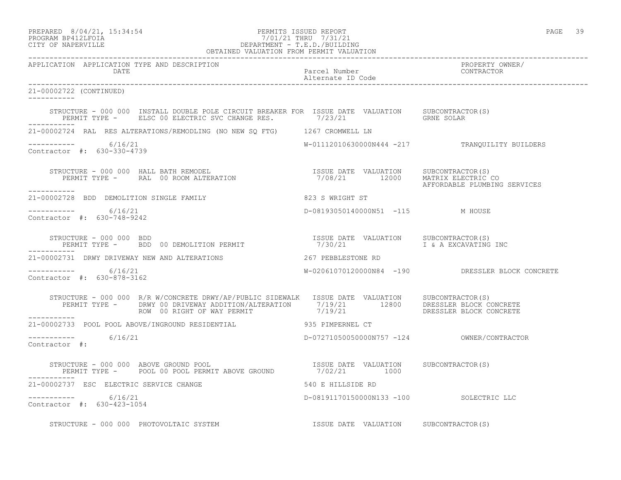| PREPARED            | 8/04/21, 15:34:54 |  |
|---------------------|-------------------|--|
| DDACDAM BDA12T FATA |                   |  |

# PERMITS ISSUED REPORT **PAGE 39** PROGRAM BP412LFOIA<br>
PROGRAM BP412LFOIA<br>
CITY OF NAPERVILLE<br>
CITY OF NAPERVILLE CITY OF NAPERVILLE DEPARTMENT - T.E.D./BUILDING

| OBTAINED VALUATION FROM PERMIT VALUATION             |                                                                                                                                                                                                                                                                                                                                                                                          |                                         |                                                  |
|------------------------------------------------------|------------------------------------------------------------------------------------------------------------------------------------------------------------------------------------------------------------------------------------------------------------------------------------------------------------------------------------------------------------------------------------------|-----------------------------------------|--------------------------------------------------|
| APPLICATION APPLICATION TYPE AND DESCRIPTION<br>DATE |                                                                                                                                                                                                                                                                                                                                                                                          | Parcel Number<br>Alternate ID Code      | PROPERTY OWNER/<br>CONTRACTOR                    |
| 21-00002722 (CONTINUED)<br>___________               |                                                                                                                                                                                                                                                                                                                                                                                          |                                         |                                                  |
|                                                      | STRUCTURE - 000 000 INSTALL DOUBLE POLE CIRCUIT BREAKER FOR ISSUE DATE VALUATION SUBCONTRACTOR(S)<br>PERMIT TYPE - ELSC 00 ELECTRIC SVC CHANGE RES. 7/23/21 6RNE SOLAR                                                                                                                                                                                                                   |                                         |                                                  |
|                                                      | 21-00002724 RAL RES ALTERATIONS/REMODLING (NO NEW SQ FTG) 1267 CROMWELL LN                                                                                                                                                                                                                                                                                                               |                                         |                                                  |
| $--------- 6/16/21$<br>Contractor #: 630-330-4739    |                                                                                                                                                                                                                                                                                                                                                                                          |                                         | W-01112010630000N444 -217 TRANQUILITY BUILDERS   |
| ------------                                         | $\begin{array}{cccc} \texttt{STRUCTURE} & - & 000 & 000 & \texttt{HALL} \texttt{ BATH} \texttt{ REMODEL} \\ \texttt{PERMIT TYPE} & - & \texttt{RAL} & 00\texttt{ ROM ALTERATION} & \texttt{SUTERATION} \\ \end{array} \qquad \begin{array}{cccc} \texttt{ISSUE} & \texttt{DATE} & \texttt{VALUATION} \\ \texttt{7/08/21} & 12000 & \texttt{MATRIX} \texttt{ ELECTRIC CO} \\ \end{array}$ |                                         | AFFORDABLE PLUMBING SERVICES                     |
|                                                      | 21-00002728 BDD DEMOLITION SINGLE FAMILY THE RESERVE SERVICHT ST                                                                                                                                                                                                                                                                                                                         |                                         |                                                  |
| ----------- 6/16/21<br>Contractor #: 630-748-9242    |                                                                                                                                                                                                                                                                                                                                                                                          | D-08193050140000N51 -115 M HOUSE        |                                                  |
| STRUCTURE - 000 000 BDD                              | PERMIT TYPE - BDD 00 DEMOLITION PERMIT<br>------                                                                                                                                                                                                                                                                                                                                         |                                         |                                                  |
|                                                      | 21-00002731 DRWY DRIVEWAY NEW AND ALTERATIONS THE RESOLUTION CONTRIBUTIONS RD                                                                                                                                                                                                                                                                                                            |                                         |                                                  |
| ----------- 6/16/21<br>Contractor #: 630-878-3162    |                                                                                                                                                                                                                                                                                                                                                                                          |                                         | W-02061070120000N84 -190 DRESSLER BLOCK CONCRETE |
|                                                      | STRUCTURE - 000 000 R/R W/CONCRETE DRWY/AP/PUBLIC SIDEWALK ISSUE DATE VALUATION SUBCONTRACTOR(S)<br>PERMIT TYPE - DRWY 00 DRIVEWAY ADDITION/ALTERATION 7/19/21 12800 DRESSLER BLOCK CONCRETE<br>ROW 00 RIGHT OF WAY PERMIT 7/19/21 D<br>ROW 00 RIGHT OF WAY PERMIT                                                                                                                       |                                         |                                                  |
| ------------                                         |                                                                                                                                                                                                                                                                                                                                                                                          |                                         |                                                  |
| $--------- 6/16/21$<br>Contractor #:                 |                                                                                                                                                                                                                                                                                                                                                                                          |                                         |                                                  |
|                                                      |                                                                                                                                                                                                                                                                                                                                                                                          |                                         |                                                  |
| 21-00002737 ESC ELECTRIC SERVICE CHANGE              | 540 E HILLSIDE RD                                                                                                                                                                                                                                                                                                                                                                        |                                         |                                                  |
| $--------- 6/16/21$<br>Contractor #: 630-423-1054    |                                                                                                                                                                                                                                                                                                                                                                                          | D-08191170150000N133 -100 SOLECTRIC LLC |                                                  |
|                                                      | STRUCTURE - 000 000 PHOTOVOLTAIC SYSTEM                                                                                                                                                                                                                                                                                                                                                  | ISSUE DATE VALUATION SUBCONTRACTOR(S)   |                                                  |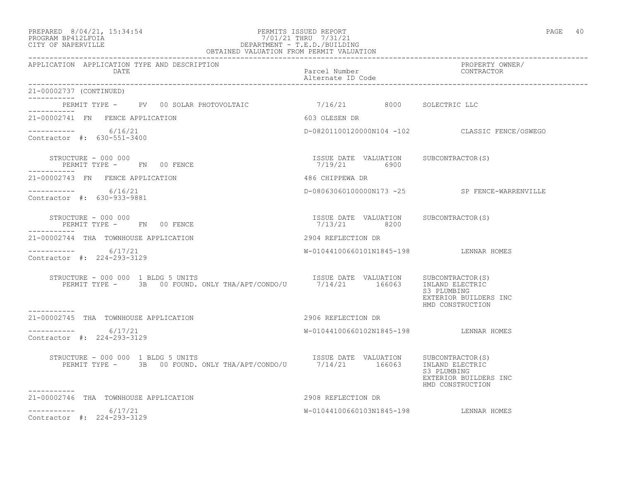# PREPARED 8/04/21, 15:34:54 PERMITS ISSUED REPORT PROGRAM BP412LFOIA PAGE 40 PROGRAM BP412LFOIA 7/01/21 THRU 7/31/21 CITY OF NAPERVILLE DEPARTMENT - T.E.D./BUILDING

| OBTAINED VALUATION FROM PERMIT VALUATION                                                                                                                                                                                                                                                                                                                                                                                                      |                                                       |                                                          |
|-----------------------------------------------------------------------------------------------------------------------------------------------------------------------------------------------------------------------------------------------------------------------------------------------------------------------------------------------------------------------------------------------------------------------------------------------|-------------------------------------------------------|----------------------------------------------------------|
| APPLICATION APPLICATION TYPE AND DESCRIPTION<br>DATE                                                                                                                                                                                                                                                                                                                                                                                          | Parcel Number                                         | PROPERTY OWNER/<br>CONTRACTOR                            |
| 21-00002737 (CONTINUED)                                                                                                                                                                                                                                                                                                                                                                                                                       |                                                       |                                                          |
| PERMIT TYPE - PV 00 SOLAR PHOTOVOLTAIC $7/16/21$ 8000 SOLECTRIC LLC<br>-----------                                                                                                                                                                                                                                                                                                                                                            |                                                       |                                                          |
| 21-00002741 FN FENCE APPLICATION                                                                                                                                                                                                                                                                                                                                                                                                              | 603 OLESEN DR                                         |                                                          |
| $--------- 6/16/21$<br>Contractor #: 630-551-3400                                                                                                                                                                                                                                                                                                                                                                                             |                                                       | D-08201100120000N104 -102 CLASSIC FENCE/OSWEGO           |
| STRUCTURE - 000 000<br>PERMIT TYPE -      FN    00 FENCE<br>STRUCTURE - 000 000<br>-----------                                                                                                                                                                                                                                                                                                                                                | ISSUE DATE VALUATION SUBCONTRACTOR(S)<br>7/19/21 6900 |                                                          |
| 21-00002743 FN FENCE APPLICATION                                                                                                                                                                                                                                                                                                                                                                                                              | 486 CHIPPEWA DR                                       |                                                          |
| $--------- 6/16/21$<br>Contractor #: 630-933-9881                                                                                                                                                                                                                                                                                                                                                                                             |                                                       | D-08063060100000N173 -25 SP FENCE-WARRENVILLE            |
| STRUCTURE - 000 000<br>PERMIT TYPE - FN 00 FENCE                                                                                                                                                                                                                                                                                                                                                                                              | ISSUE DATE VALUATION SUBCONTRACTOR(S)<br>7/13/21 8200 |                                                          |
| 21-00002744 THA TOWNHOUSE APPLICATION                                                                                                                                                                                                                                                                                                                                                                                                         | 2904 REFLECTION DR                                    |                                                          |
| $--------- 6/17/21$<br>Contractor #: 224-293-3129                                                                                                                                                                                                                                                                                                                                                                                             | W-01044100660101N1845-198 LENNAR HOMES                |                                                          |
|                                                                                                                                                                                                                                                                                                                                                                                                                                               |                                                       | S3 PLUMBING<br>EXTERIOR BUILDERS INC<br>HMD CONSTRUCTION |
| 21-00002745 THA TOWNHOUSE APPLICATION                                                                                                                                                                                                                                                                                                                                                                                                         | 2906 REFLECTION DR                                    |                                                          |
| $--------- 6/17/21$<br>Contractor #: 224-293-3129                                                                                                                                                                                                                                                                                                                                                                                             | W-01044100660102N1845-198 LENNAR HOMES                |                                                          |
| $\begin{tabular}{lclclcl} \texttt{STRUCTURE} & - & 000 & 000 & 1 & \texttt{BLDG} & 5 & \texttt{UNITS} & & & & & & & & & & & \\ \texttt{STRUCTURE} & - & & 3B & 00 & \texttt{FOUND} & . & \texttt{ONLY} & \texttt{THA/APT/COND} / U & & & & & & & & & & \\ & & & & & & & & & & & & & & & & & \\ \texttt{PERMIT TYPE} & - & & 3B & 00 & \texttt{FOUND} & . & \texttt{ONLY} & \texttt{THA/APT/COND} / U & & & & & & & & & & & & \\ \end{tabular$ |                                                       | S3 PLUMBING<br>EXTERIOR BUILDERS INC<br>HMD CONSTRUCTION |
| -----------<br>21-00002746 THA TOWNHOUSE APPLICATION                                                                                                                                                                                                                                                                                                                                                                                          | 2908 REFLECTION DR                                    |                                                          |
| $--------- 6/17/21$<br>Contractor #: 224-293-3129                                                                                                                                                                                                                                                                                                                                                                                             | W-01044100660103N1845-198 LENNAR HOMES                |                                                          |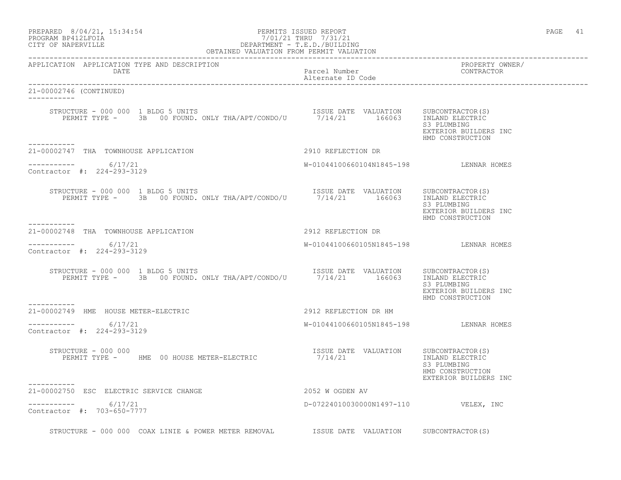| PREPARED 8/04/21, 15:34:54 |  |
|----------------------------|--|
| גדמת זרונתם ווגמממסת       |  |

### PREPARED 8/04/21, 15:34:54 PERMITS ISSUED REPORT<br>PROGRAM BP412LFOIA PAGE 41 PROGRAM BP412LFOIA 7/01/21 THRU 7/31/21 CITY OF NAPERVILLE (1999) 2012 1999 12:30 PEPARTMENT - T.E.D. (BUILDI CITY OF NAPERVILLE DEPARTMENT - T.E.D./BUILDING

| OBTAINED VALUATION FROM PERMIT VALUATION                                                                                                                 |                                                   |                                                                             |  |
|----------------------------------------------------------------------------------------------------------------------------------------------------------|---------------------------------------------------|-----------------------------------------------------------------------------|--|
| APPLICATION APPLICATION TYPE AND DESCRIPTION<br>DATE                                                                                                     | Parcel Number<br>Alternate ID Code                | PROPERTY OWNER/<br>CONTRACTOR                                               |  |
| 21-00002746 (CONTINUED)<br>------------                                                                                                                  |                                                   |                                                                             |  |
| ----------                                                                                                                                               |                                                   | S3 PLUMBING<br>EXTERIOR BUILDERS INC<br>HMD CONSTRUCTION                    |  |
| 21-00002747 THA TOWNHOUSE APPLICATION                                                                                                                    | 2910 REFLECTION DR                                |                                                                             |  |
| $--------- 6/17/21$<br>Contractor #: 224-293-3129                                                                                                        | W-01044100660104N1845-198 LENNAR HOMES            |                                                                             |  |
| STRUCTURE - 000 000 1 BLDG 5 UNITS<br>PERMIT TYPE - 3B 00 FOUND. ONLY THA/APT/CONDO/U $7/14/21$ 166063 INLAND ELECTRIC                                   |                                                   | S3 PLUMBING<br>EXTERIOR BUILDERS INC<br>HMD CONSTRUCTION                    |  |
| ----------<br>21-00002748 THA TOWNHOUSE APPLICATION NAME ON STATE 2912 REFLECTION DR                                                                     |                                                   |                                                                             |  |
| -----------     6/17/21<br>Contractor #: 224-293-3129                                                                                                    | W-01044100660105N1845-198 LENNAR HOMES            |                                                                             |  |
| RUCTURE – 000 000 1 BLDG 5 UNITS<br>PERMIT TYPE – 3B 00 FOUND. ONLY THA/APT/CONDO/U 7/14/21 166063 INLAND ELECTRIC<br>STRUCTURE - 000 000 1 BLDG 5 UNITS |                                                   | S3 PLUMBING<br>EXTERIOR BUILDERS INC<br>HMD CONSTRUCTION                    |  |
| -----------<br>21-00002749 HME HOUSE METER-ELECTRIC                                                                                                      | 2912 REFLECTION DR HM                             |                                                                             |  |
| $--------- 6/17/21$<br>Contractor #: 224-293-3129                                                                                                        | W-01044100660105N1845-198 LENNAR HOMES            |                                                                             |  |
| STRUCTURE - 000 000<br>PERMIT TYPE - HME 00 HOUSE METER-ELECTRIC                                                                                         | ISSUE DATE VALUATION SUBCONTRACTOR (S)<br>7/14/21 | INLAND ELECTRIC<br>S3 PLUMBING<br>HMD CONSTRUCTION<br>EXTERIOR BUILDERS INC |  |
| 2052 W OGDEN AV<br>21-00002750 ESC ELECTRIC SERVICE CHANGE                                                                                               |                                                   |                                                                             |  |
| -----------     6/17/21<br>Contractor #: 703-650-7777                                                                                                    | D-07224010030000N1497-110 VELEX, INC              |                                                                             |  |
| STRUCTURE - 000 000 COAX LINIE & POWER METER REMOVAL ISSUE DATE VALUATION SUBCONTRACTOR(S)                                                               |                                                   |                                                                             |  |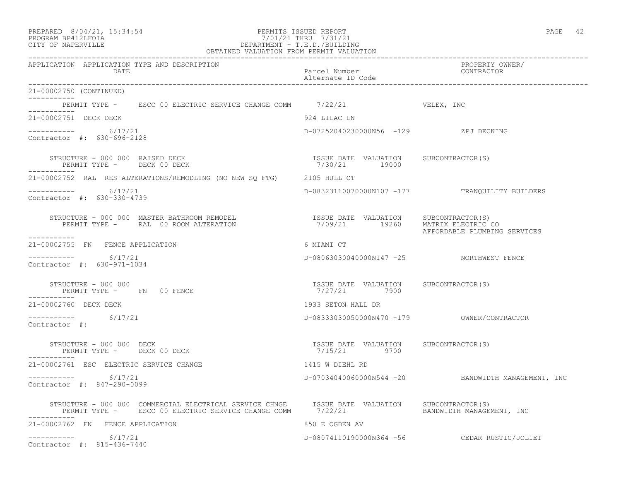| PREPARED |                     | $8/04/21$ , $15:34:54$ |
|----------|---------------------|------------------------|
|          | - - - - - - - - - - |                        |

### PREPARED 8/04/21, 15:34:54 PERMITS ISSUED REPORT PAGE 42 PROGRAM BP412LFOIA 7/01/21 THRU 7/31/21 CITY OF NAPERVILLE DEPARTMENT - T.E.D./BUILDING

| OBTAINED VALUATION FROM PERMIT VALUATION                                                                                                                                                                     |                                                                           |                                                    |
|--------------------------------------------------------------------------------------------------------------------------------------------------------------------------------------------------------------|---------------------------------------------------------------------------|----------------------------------------------------|
| APPLICATION APPLICATION TYPE AND DESCRIPTION<br>DATE                                                                                                                                                         | Parcel Number<br>Alternate ID Code                                        | PROPERTY OWNER/<br>CONTRACTOR                      |
| 21-00002750 (CONTINUED)<br>___________                                                                                                                                                                       |                                                                           |                                                    |
| PERMIT TYPE - ESCC 00 ELECTRIC SERVICE CHANGE COMM 7/22/21<br>__________                                                                                                                                     |                                                                           | VELEX, INC                                         |
| 21-00002751 DECK DECK                                                                                                                                                                                        | 924 LILAC LN                                                              |                                                    |
| $--------- 6/17/21$<br>Contractor #: 630-696-2128                                                                                                                                                            | D-07252040230000N56 -129 ZPJ DECKING                                      |                                                    |
| STRUCTURE - 000 000 RAISED DECK<br>PERMIT TYPE - DECK 00 DECK                                                                                                                                                | ISSUE DATE VALUATION SUBCONTRACTOR(S)<br>7/30/21 19000                    |                                                    |
| 21-00002752 RAL RES ALTERATIONS/REMODLING (NO NEW SQ FTG) 2105 HULL CT                                                                                                                                       |                                                                           |                                                    |
| $--------- 6/17/21$<br>Contractor #: 630-330-4739                                                                                                                                                            |                                                                           | D-08323110070000N107 -177 TRANQUILITY BUILDERS     |
| STRUCTURE - 000 000 MASTER BATHROOM REMODEL<br>PERMIT TYPE - RAL 00 ROOM ALTERATION                                                                                                                          | ISSUE DATE VALUATION SUBCONTRACTOR(S)<br>7/09/21 19260 MATRIX ELECTRIC CO | AFFORDABLE PLUMBING SERVICES                       |
| -----------<br>21-00002755 FN FENCE APPLICATION                                                                                                                                                              | 6 MIAMI CT                                                                |                                                    |
| -----------     6/17/21<br>Contractor #: 630-971-1034                                                                                                                                                        | D-08063030040000N147 -25 NORTHWEST FENCE                                  |                                                    |
| STRUCTURE - 000 000<br>PERMIT TYPE - FN 00 FENCE<br>-----------                                                                                                                                              | ISSUE DATE VALUATION SUBCONTRACTOR(S)<br>7/27/21 7900                     |                                                    |
| 21-00002760 DECK DECK                                                                                                                                                                                        | 1933 SETON HALL DR                                                        |                                                    |
| $--------- 6/17/21$<br>Contractor #:                                                                                                                                                                         |                                                                           |                                                    |
| STRUCTURE - 000 000 DECK<br>PERMIT TYPE - DECK 00 DECK                                                                                                                                                       | ISSUE DATE VALUATION SUBCONTRACTOR(S)<br>7/15/21 9700                     |                                                    |
| 21-00002761 ESC ELECTRIC SERVICE CHANGE                                                                                                                                                                      | 1415 W DIEHL RD                                                           |                                                    |
| $--------- 6/17/21$<br>Contractor #: 847-290-0099                                                                                                                                                            |                                                                           | D-07034040060000N544 -20 BANDWIDTH MANAGEMENT, INC |
| STRUCTURE - 000 000 COMMERCIAL ELECTRICAL SERVICE CHNGE     ISSUE DATE VALUATION    SUBCONTRACTOR(S)<br>PERMIT TYPE -    ESCC 00 ELECTRIC SERVICE CHANGE COMM     7/22/21          BANDWIDTH MANAGEMENT, INC |                                                                           |                                                    |
| 21-00002762 FN FENCE APPLICATION                                                                                                                                                                             | 850 E OGDEN AV                                                            |                                                    |
| ----------- 6/17/21<br>Contractor #: 815-436-7440                                                                                                                                                            |                                                                           | D-08074110190000N364 -56 CEDAR RUSTIC/JOLIET       |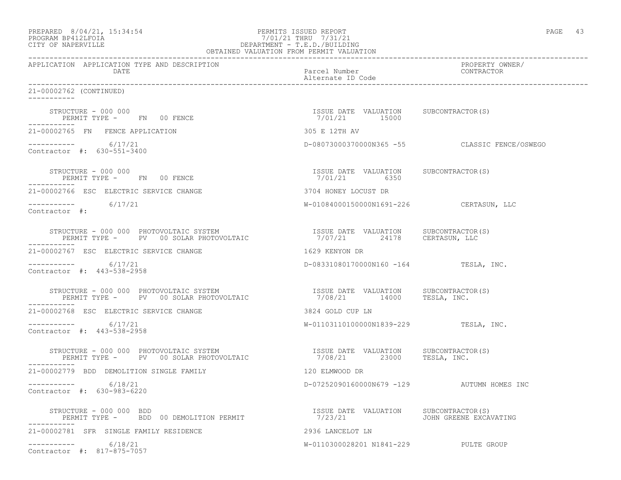| PREPARED 8/04/21, 15:34:54<br>12121 THRU 7/31/21<br>DEPARTMENT - T.E.D./BUILDING<br>OBTAINED VALUATION FROM PERMIT VALUATION<br>PROGRAM BP412LFOIA<br>CITY OF NAPERVILLE                                                                                                                                                                                                                                                                                                                             | PERMITS ISSUED REPORT                                  | PAGE 43                                       |
|------------------------------------------------------------------------------------------------------------------------------------------------------------------------------------------------------------------------------------------------------------------------------------------------------------------------------------------------------------------------------------------------------------------------------------------------------------------------------------------------------|--------------------------------------------------------|-----------------------------------------------|
| APPLICATION APPLICATION TYPE AND DESCRIPTION<br>DATE                                                                                                                                                                                                                                                                                                                                                                                                                                                 | Parcel Number<br>Alternate ID Code                     | PROPERTY OWNER/<br>CONTRACTOR                 |
| 21-00002762 (CONTINUED)                                                                                                                                                                                                                                                                                                                                                                                                                                                                              |                                                        |                                               |
| STRUCTURE - 000 000<br>PERMIT TYPE -      FN    00 FENCE<br>-----------                                                                                                                                                                                                                                                                                                                                                                                                                              | ISSUE DATE VALUATION SUBCONTRACTOR(S)<br>7/01/21 15000 |                                               |
| 21-00002765 FN FENCE APPLICATION                                                                                                                                                                                                                                                                                                                                                                                                                                                                     | 305 E 12TH AV                                          |                                               |
| $--------- 6/17/21$<br>Contractor #: 630-551-3400                                                                                                                                                                                                                                                                                                                                                                                                                                                    |                                                        | D-08073000370000N365 -55 CLASSIC FENCE/OSWEGO |
| STRUCTURE - 000 000<br>PERMIT TYPE - FN 00 FENCE<br>-----------                                                                                                                                                                                                                                                                                                                                                                                                                                      | ISSUE DATE VALUATION SUBCONTRACTOR(S)<br>7/01/21 6350  |                                               |
| 21-00002766 ESC ELECTRIC SERVICE CHANGE                                                                                                                                                                                                                                                                                                                                                                                                                                                              | 3704 HONEY LOCUST DR                                   |                                               |
| $--------- 6/17/21$<br>Contractor #:                                                                                                                                                                                                                                                                                                                                                                                                                                                                 | W-01084000150000N1691-226 CERTASUN, LLC                |                                               |
| $\begin{array}{cccccccccc} \texttt{STRUCTURE} & - & 000 & 000 & \texttt{PHOTOVOLTAIC} & \texttt{SYSTEM} & & & & & & & \\ \texttt{PERMIT TYPE} & - & & & & & & & & & \\ \texttt{PERMIT TYPE} & - & & & & & & & & & \\ \end{array} \qquad \begin{array}{cccccccccc} \texttt{SVE DATE} & \texttt{VALUATION} & \texttt{SUBCONTRACTOR(S)} \\ \texttt{SUE DATE} & \texttt{VALUATION} & \texttt{SUBCONTRACTOR(S)} \\ \texttt{7/07/21} & \texttt{24178} & \texttt{CERTASUN, LLC} \end{array}$<br>----------- |                                                        |                                               |
| 21-00002767 ESC ELECTRIC SERVICE CHANGE                                                                                                                                                                                                                                                                                                                                                                                                                                                              | 1629 KENYON DR                                         |                                               |
| $--------- 6/17/21$<br>Contractor #: 443-538-2958                                                                                                                                                                                                                                                                                                                                                                                                                                                    | D-08331080170000N160 -164 TESLA, INC.                  |                                               |
| STRUCTURE – 000 000 PHOTOVOLTAIC SYSTEM                            ISSUE DATE VALUATION     SUBCONTRACTOR(S)<br>PERMIT TYPE –     PV   00 SOLAR PHOTOVOLTAIC                      7/08/21      14000      TESLA, INC.                                                                                                                                                                                                                                                                                |                                                        |                                               |
| 21-00002768 ESC ELECTRIC SERVICE CHANGE                                                                                                                                                                                                                                                                                                                                                                                                                                                              | 3824 GOLD CUP LN                                       |                                               |
| $--------- 6/17/21$<br>Contractor #: 443-538-2958                                                                                                                                                                                                                                                                                                                                                                                                                                                    | W-01103110100000N1839-229 TESLA, INC.                  |                                               |
| STRUCTURE - 000 000 PHOTOVOLTAIC SYSTEM                              ISSUE DATE VALUATION     SUBCONTRACTOR(S)<br>PERMIT TYPE -     PV   00 SOLAR PHOTOVOLTAIC                     7/08/21        23000     TESLA, INC.                                                                                                                                                                                                                                                                              |                                                        |                                               |
| 21-00002779 BDD DEMOLITION SINGLE FAMILY                                                                                                                                                                                                                                                                                                                                                                                                                                                             | 120 ELMWOOD DR                                         |                                               |
| 6/18/21<br>Contractor #: 630-983-6220                                                                                                                                                                                                                                                                                                                                                                                                                                                                |                                                        | D-07252090160000N679 -129 AUTUMN HOMES INC    |
| STRUCTURE - 000 000 BDD<br>PERMIT TYPE - BDD 00 DEMOLITION PERMIT                                                                                                                                                                                                                                                                                                                                                                                                                                    | ISSUE DATE VALUATION SUBCONTRACTOR(S)<br>7/23/21       | JOHN GREENE EXCAVATING                        |
| 21-00002781 SFR SINGLE FAMILY RESIDENCE                                                                                                                                                                                                                                                                                                                                                                                                                                                              | 2936 LANCELOT LN                                       |                                               |
| $--------- 6/18/21$<br>Contractor #: 817-875-7057                                                                                                                                                                                                                                                                                                                                                                                                                                                    | W-0110300028201 N1841-229 PULTE GROUP                  |                                               |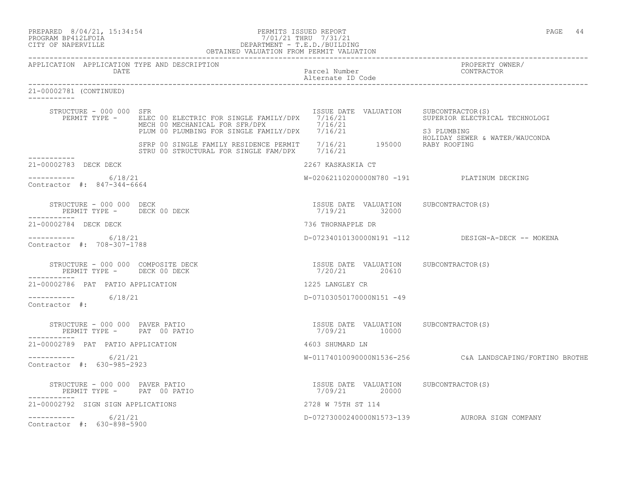| PREPARED 8/04/21, 15:34:54 | PERMITS ISSUED REPORT | PAGE 44 |  |
|----------------------------|-----------------------|---------|--|
|                            |                       |         |  |

# PROGRAM BP412LFOIA 7/01/21 THRU 7/31/21 CITY OF NAPERVILLE DEPARTMENT - T.E.D./BUILDING

|                         |                                                   | OBTAINED VALUATION FROM PERMIT VALUATION                                                                                                                                                                    |                                    |                                                                                        |
|-------------------------|---------------------------------------------------|-------------------------------------------------------------------------------------------------------------------------------------------------------------------------------------------------------------|------------------------------------|----------------------------------------------------------------------------------------|
|                         | DATE                                              | APPLICATION APPLICATION TYPE AND DESCRIPTION                                                                                                                                                                | Parcel Number<br>Alternate ID Code | PROPERTY OWNER/<br>CONTRACTOR                                                          |
| 21-00002781 (CONTINUED) |                                                   |                                                                                                                                                                                                             |                                    |                                                                                        |
|                         | STRUCTURE - 000 000 SFR                           | PERMIT TYPE -     ELEC 00 ELECTRIC FOR SINGLE FAMILY/DPX     7/16/21<br>ELEC OU ELECTRIC FOR SINGLE FARILLY/DEX<br>MECH 00 MECHANICAL FOR SFR/DPX 7/16/21<br>PLUM 00 PLUMBING FOR SINGLE FAMILY/DPX 7/16/21 |                                    | ISSUE DATE VALUATION SUBCONTRACTOR(S)<br>SUPERIOR ELECTRICAL TECHNOLOGI<br>S3 PLUMBING |
| ____________            |                                                   | SFRP 00 SINGLE FAMILY RESIDENCE PERMIT 7/16/21 195000 RABY ROOFING<br>STRU 00 STRUCTURAL FOR SINGLE FAM/DPX 7/16/21                                                                                         |                                    | HOLIDAY SEWER & WATER/WAUCONDA                                                         |
| 21-00002783 DECK DECK   |                                                   |                                                                                                                                                                                                             | 2267 KASKASKIA CT                  |                                                                                        |
|                         | $--------- 6/18/21$<br>Contractor #: 847-344-6664 |                                                                                                                                                                                                             |                                    | W-02062110200000N780 -191 PLATINUM DECKING                                             |
|                         |                                                   | STRUCTURE - 000 000 DECK<br>PERMIT TYPE - DECK 00 DECK                                                                                                                                                      | 7/19/21 32000                      | ISSUE DATE VALUATION SUBCONTRACTOR(S)                                                  |
| 21-00002784 DECK DECK   |                                                   |                                                                                                                                                                                                             | 736 THORNAPPLE DR                  |                                                                                        |
|                         | $--------- 6/18/21$<br>Contractor #: 708-307-1788 |                                                                                                                                                                                                             |                                    | D-07234010130000N191 -112 DESIGN-A-DECK -- MOKENA                                      |
|                         |                                                   | STRUCTURE - 000 000 COMPOSITE DECK<br>PERMIT TYPE - DECK 00 DECK                                                                                                                                            | 7/20/21 20610                      | ISSUE DATE VALUATION SUBCONTRACTOR(S)                                                  |
|                         | 21-00002786 PAT PATIO APPLICATION                 |                                                                                                                                                                                                             | 1225 LANGLEY CR                    |                                                                                        |
| Contractor #:           | -----------     6/18/21                           |                                                                                                                                                                                                             | D-07103050170000N151 -49           |                                                                                        |
|                         | STRUCTURE - 000 000 PAVER PATIO                   | PERMIT TYPE - PAT 00 PATIO                                                                                                                                                                                  | 7/09/21 10000                      | ISSUE DATE VALUATION SUBCONTRACTOR(S)                                                  |
|                         | 21-00002789 PAT PATIO APPLICATION                 |                                                                                                                                                                                                             | 4603 SHUMARD LN                    |                                                                                        |
|                         | $--------- 6/21/21$<br>Contractor #: 630-985-2923 |                                                                                                                                                                                                             |                                    | W-01174010090000N1536-256 C&A LANDSCAPING/FORTINO BROTHE                               |
|                         | STRUCTURE - 000 000 PAVER PATIO                   | ISSUE DATE VALUATION SUBCONTRACTOR(S)<br>7/09/21 20000<br>PERMIT TYPE - PAT 00 PATIO                                                                                                                        |                                    |                                                                                        |
|                         | 21-00002792 SIGN SIGN APPLICATIONS                |                                                                                                                                                                                                             | 2728 W 75TH ST 114                 |                                                                                        |
|                         | $--------- 6/21/21$<br>Contractor #: 630-898-5900 |                                                                                                                                                                                                             |                                    | D-07273000240000N1573-139 AURORA SIGN COMPANY                                          |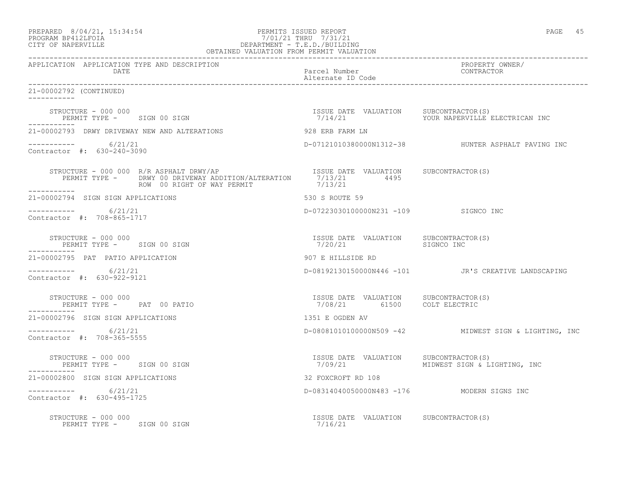| PREPARED 8/04/21, 15:34:54 | PERMITS ISSUED REPORT     | PAGE |  |
|----------------------------|---------------------------|------|--|
| DDOCD3M DD419TDOT3         | $7/01/01$ munti $7/01/01$ |      |  |

# PROGRAM BP412LFOIA 7/01/21 THRU 7/31/21 CITY OF NAPERVILLE DEPARTMENT - T.E.D./BUILDING

|                                                       | OBTAINED VALUATION FROM PERMIT VALUATION                                                             |                                                                      |                                                        |
|-------------------------------------------------------|------------------------------------------------------------------------------------------------------|----------------------------------------------------------------------|--------------------------------------------------------|
| APPLICATION APPLICATION TYPE AND DESCRIPTION<br>DATE  |                                                                                                      | Parcel Number<br>Alternate ID Code                                   | PROPERTY OWNER/<br>CONTRACTOR                          |
| 21-00002792 (CONTINUED)<br>------------               |                                                                                                      |                                                                      |                                                        |
|                                                       | STRUCTURE – 000 000<br>PERMIT TYPE – SIGN 00 SIGN 1999 SERNIA RESULT DATE VALUATION SUBCONTRACTOR(S) |                                                                      | YOUR NAPERVILLE ELECTRICAN INC                         |
|                                                       |                                                                                                      |                                                                      |                                                        |
| $--------- 6/21/21$<br>Contractor #: 630-240-3090     |                                                                                                      |                                                                      | D-07121010380000N1312-38 HUNTER ASPHALT PAVING INC     |
| -----------                                           | ROW 00 RIGHT OF WAY PERMIT                                                                           | 7/13/21                                                              |                                                        |
| 21-00002794 SIGN SIGN APPLICATIONS                    |                                                                                                      | 530 S ROUTE 59                                                       |                                                        |
| -----------     6/21/21<br>Contractor #: 708-865-1717 |                                                                                                      | D-07223030100000N231 -109 SIGNCO INC                                 |                                                        |
| STRUCTURE - 000 000                                   | PERMIT TYPE - SIGN 00 SIGN                                                                           | ISSUE DATE VALUATION SUBCONTRACTOR(S)<br>7/20/21 SIGNCO INC          |                                                        |
| 21-00002795 PAT PATIO APPLICATION                     |                                                                                                      | 907 E HILLSIDE RD                                                    |                                                        |
| $--------- 6/21/21$<br>Contractor #: 630-922-9121     |                                                                                                      |                                                                      | D-08192130150000N446 -101 JR'S CREATIVE LANDSCAPING    |
| STRUCTURE - 000 000<br>PERMIT TYPE - PAT 00 PATIO     |                                                                                                      | ISSUE DATE VALUATION SUBCONTRACTOR(S)<br>7/08/21 61500 COLT ELECTRIC |                                                        |
| 21-00002796 SIGN SIGN APPLICATIONS                    |                                                                                                      | 1351 E OGDEN AV                                                      |                                                        |
| $--------- 6/21/21$<br>Contractor #: 708-365-5555     |                                                                                                      |                                                                      | D-080810101000000N509 -42 MIDWEST SIGN & LIGHTING, INC |
| STRUCTURE - 000 000<br>PERMIT TYPE - SIGN 00 SIGN     |                                                                                                      | ISSUE DATE VALUATION SUBCONTRACTOR(S)                                |                                                        |
| 21-00002800 SIGN SIGN APPLICATIONS                    |                                                                                                      | 32 FOXCROFT RD 108                                                   |                                                        |
| $--------- 6/21/21$<br>Contractor #: 630-495-1725     |                                                                                                      | D-08314040050000N483 -176 MODERN SIGNS INC                           |                                                        |
| STRUCTURE - 000 000                                   | STRUCTURE - 000 000<br>PERMIT TYPE - SIGN 00 SIGN                                                    | ISSUE DATE VALUATION SUBCONTRACTOR(S)<br>7/16/21                     |                                                        |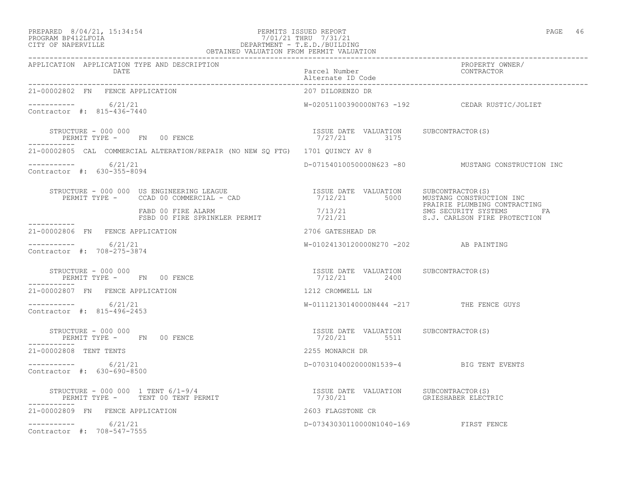# PREPARED 8/04/21, 15:34:54 PERMITS ISSUED REPORT PROGRAM BP412LFOIA PROGRAM BP412LFOIA 7/01/21 THRU 7/31/21 CITY OF NAPERVILLE DEPARTMENT - T.E.D./BUILDING

| ۰<br>w<br>۰. |  |
|--------------|--|
|              |  |

|                                                      | OBTAINED VALUATION FROM PERMIT VALUATION                                                                                                                                                                                                                                                     |                                                         |                                                   |  |
|------------------------------------------------------|----------------------------------------------------------------------------------------------------------------------------------------------------------------------------------------------------------------------------------------------------------------------------------------------|---------------------------------------------------------|---------------------------------------------------|--|
| APPLICATION APPLICATION TYPE AND DESCRIPTION<br>DATE |                                                                                                                                                                                                                                                                                              | Parcel Number<br>Alternate ID Code                      | PROPERTY OWNER/<br>CONTRACTOR                     |  |
| 21-00002802 FN FENCE APPLICATION                     |                                                                                                                                                                                                                                                                                              | 207 DILORENZO DR                                        |                                                   |  |
| ----------- 6/21/21<br>Contractor #: 815-436-7440    |                                                                                                                                                                                                                                                                                              |                                                         | W-02051100390000N763 -192 CEDAR RUSTIC/JOLIET     |  |
| STRUCTURE - 000 000<br>------------                  |                                                                                                                                                                                                                                                                                              | ISSUE DATE VALUATION SUBCONTRACTOR(S)                   |                                                   |  |
|                                                      | 21-00002805 CAL COMMERCIAL ALTERATION/REPAIR (NO NEW SQ FTG) 1701 QUINCY AV 8                                                                                                                                                                                                                |                                                         |                                                   |  |
| $--------- 6/21/21$<br>Contractor #: 630-355-8094    |                                                                                                                                                                                                                                                                                              |                                                         | D-07154010050000N623 -80 MUSTANG CONSTRUCTION INC |  |
|                                                      | STRUCTURE - 000 000 US ENGINEERING LEAGUE<br>PERMIT TYPE - CCAD 00 COMMERCIAL - CAD (200 COMPERCIAL - CAD ) 7/12/21 5000 MUSTANG CONSTRUCTION INC                                                                                                                                            |                                                         |                                                   |  |
| . _ _ _ _ _ _ _ _ _ _ _                              | FABD 00 FIRE ALARM<br>FSBD 00 FIRE SPRINKLER PERMIT                                                                                                                                                                                                                                          |                                                         |                                                   |  |
| 21-00002806 FN FENCE APPLICATION                     |                                                                                                                                                                                                                                                                                              | 2706 GATESHEAD DR                                       |                                                   |  |
| $--------- 6/21/21$<br>Contractor #: 708-275-3874    |                                                                                                                                                                                                                                                                                              | W-01024130120000N270 -202 AB PAINTING                   |                                                   |  |
|                                                      | STRUCTURE - 000 000<br>PERMIT TYPE - FN 00 FENCE                                                                                                                                                                                                                                             | ISSUE DATE VALUATION SUBCONTRACTOR(S)<br>$7/12/21$ 2400 |                                                   |  |
|                                                      | 21-00002807 FN FENCE APPLICATION                                                                                                                                                                                                                                                             | 1212 CROMWELL LN                                        |                                                   |  |
| $--------- 6/21/21$<br>Contractor #: 815-496-2453    |                                                                                                                                                                                                                                                                                              | W-01112130140000N444 -217 THE FENCE GUYS                |                                                   |  |
|                                                      | $\begin{array}{cccc} \texttt{STRUCTURE} & - & 000 & 000 \\ \texttt{PERMIT TYPE} & - & \texttt{FN} & 00 & \texttt{FENCE} \\ \end{array} \qquad \begin{array}{cccc} \texttt{TSSUE} & \texttt{DATE} & \texttt{VALUATION} & \texttt{SUBCONTRACTOR(S)} \\ \texttt{7/20/21} & 5511 \\ \end{array}$ |                                                         |                                                   |  |
| 21-00002808 TENT TENTS                               |                                                                                                                                                                                                                                                                                              | 2255 MONARCH DR                                         |                                                   |  |
| $--------- 6/21/21$<br>Contractor #: 630-690-8500    |                                                                                                                                                                                                                                                                                              | D-07031040020000N1539-4 BIG TENT EVENTS                 |                                                   |  |
| ____________                                         |                                                                                                                                                                                                                                                                                              |                                                         |                                                   |  |
| 21-00002809 FN FENCE APPLICATION                     |                                                                                                                                                                                                                                                                                              | 2603 FLAGSTONE CR                                       |                                                   |  |
| $--------- 6/21/21$<br>Contractor #: 708-547-7555    |                                                                                                                                                                                                                                                                                              | D-07343030110000N1040-169 FIRST FENCE                   |                                                   |  |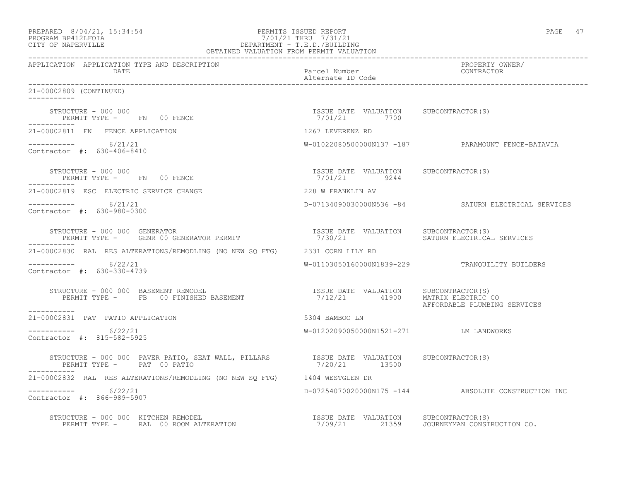|                                                                                              |                                                                              | PAGE 47                                             |
|----------------------------------------------------------------------------------------------|------------------------------------------------------------------------------|-----------------------------------------------------|
| APPLICATION APPLICATION TYPE AND DESCRIPTION<br>DATE                                         | Parcel Number<br>Alternate ID Code                                           | PROPERTY OWNER/<br>CONTRACTOR                       |
| 21-00002809 (CONTINUED)<br>___________                                                       |                                                                              |                                                     |
| STRUCTURE - 000 000<br>PERMIT TYPE - FN 00 FENCE                                             | ISSUE DATE VALUATION SUBCONTRACTOR(S)<br>7/01/21 7700                        |                                                     |
| 21-00002811 FN FENCE APPLICATION                                                             | 1267 LEVERENZ RD                                                             |                                                     |
| $--------- 6/21/21$<br>Contractor #: 630-406-8410                                            |                                                                              | W-01022080500000N137 -187 PARAMOUNT FENCE-BATAVIA   |
| STRUCTURE - 000 000<br>PERMIT TYPE - FN 00 FENCE                                             | ISSUE DATE VALUATION SUBCONTRACTOR(S)<br>7/01/21 9244                        |                                                     |
| 21-00002819 ESC ELECTRIC SERVICE CHANGE                                                      | 228 W FRANKLIN AV                                                            |                                                     |
| $--------- 6/21/21$<br>Contractor #: 630-980-0300                                            |                                                                              | D-07134090030000N536 -84 SATURN ELECTRICAL SERVICES |
| STRUCTURE - 000 000 GENERATOR<br>PERMIT TYPE - GENR 00 GENERATOR PERMIT<br>------------      | ISSUE DATE VALUATION SUBCONTRACTOR(S)<br>ISSUE DATE<br>7/30/21               | SATURN ELECTRICAL SERVICES                          |
| 21-00002830 RAL RES ALTERATIONS/REMODLING (NO NEW SQ FTG) 2331 CORN LILY RD                  |                                                                              |                                                     |
| $--------- 6/22/21$<br>Contractor #: 630-330-4739                                            |                                                                              | W-01103050160000N1839-229 TRANQUILITY BUILDERS      |
| STRUCTURE - 000 000 BASEMENT REMODEL<br>PERMIT TYPE - FB 00 FINISHED BASEMENT<br>----------- | ISSUE DATE VALUATION SUBCONTRACTOR (S)<br>7/12/21  41900  MATRIX ELECTRIC CO | AFFORDABLE PLUMBING SERVICES                        |
| 21-00002831 PAT PATIO APPLICATION                                                            | 5304 BAMBOO LN                                                               |                                                     |
| $--------- 6/22/21$<br>Contractor #: 815-582-5925                                            | W-01202090050000N1521-271 LM LANDWORKS                                       |                                                     |
| PERMIT TYPE - PAT 00 PATIO<br>-----------                                                    |                                                                              |                                                     |
| 21-00002832 RAL RES ALTERATIONS/REMODLING (NO NEW SQ FTG) 1404 WESTGLEN DR                   |                                                                              |                                                     |
| $--------- 6/22/21$<br>Contractor #: 866-989-5907                                            |                                                                              | D-07254070020000N175 -144 ABSOLUTE CONSTRUCTION INC |
|                                                                                              |                                                                              | JOURNEYMAN CONSTRUCTION CO.                         |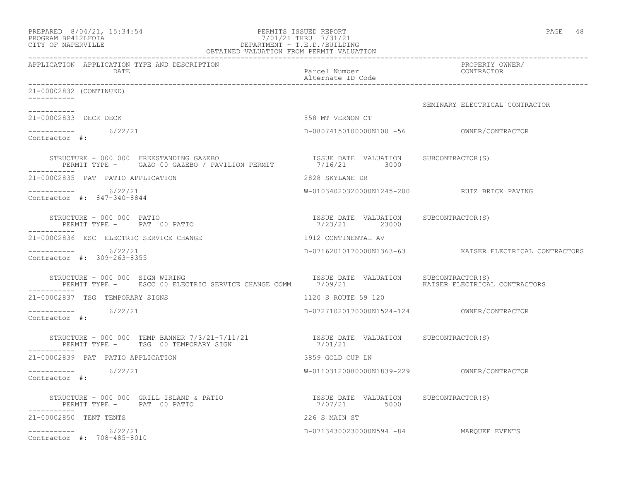| PREPARED 8/04/21, 15:34:54<br>PROGRAM BP412LFOIA<br>7711721 / 11HKU 7731721<br>DEPARTMENT - T.E.D./BUILDING<br>OBTAINED VALUATION FROM PERMIT VALUATION<br>CITY OF NAPERVILLE | PERMITS ISSUED REPORT<br>7/01/21 THRU 7/31/21            | PAGE 48                                                |
|-------------------------------------------------------------------------------------------------------------------------------------------------------------------------------|----------------------------------------------------------|--------------------------------------------------------|
| APPLICATION APPLICATION TYPE AND DESCRIPTION<br>DATE                                                                                                                          | Parcel Number<br>Alternate ID Code                       | PROPERTY OWNER/<br>CONTRACTOR                          |
| 21-00002832 (CONTINUED)                                                                                                                                                       |                                                          |                                                        |
|                                                                                                                                                                               |                                                          | SEMINARY ELECTRICAL CONTRACTOR                         |
| 21-00002833 DECK DECK                                                                                                                                                         | 858 MT VERNON CT                                         |                                                        |
| $--------- 6/22/21$<br>Contractor #:                                                                                                                                          |                                                          |                                                        |
| -----------                                                                                                                                                                   | ISSUE DATE VALUATION SUBCONTRACTOR(S)                    |                                                        |
| 21-00002835 PAT PATIO APPLICATION                                                                                                                                             | 2828 SKYLANE DR                                          |                                                        |
| $--------- 6/22/21$<br>Contractor #: 847-340-8844                                                                                                                             |                                                          | W-01034020320000N1245-200 RUIZ BRICK PAVING            |
| STRUCTURE - 000 000 PATIO<br>PERMIT TYPE - PAT 00 PATIO                                                                                                                       | ISSUE DATE VALUATION SUBCONTRACTOR (S)<br>7/23/21 23000  |                                                        |
| 21-00002836 ESC ELECTRIC SERVICE CHANGE                                                                                                                                       | 1912 CONTINENTAL AV                                      |                                                        |
| $--------- 6/22/21$<br>Contractor #: 309-263-8355                                                                                                                             |                                                          | D-07162010170000N1363-63 KAISER ELECTRICAL CONTRACTORS |
| STRUCTURE - 000 000 SIGN WIRING<br>PERMIT TYPE - ESCC 00 ELECTRIC SERVICE CHANGE COMM 7/09/21                                                                                 | ISSUE DATE VALUATION SUBCONTRACTOR(S)                    | KAISER ELECTRICAL CONTRACTORS                          |
| 21-00002837 TSG TEMPORARY SIGNS                                                                                                                                               | 1120 S ROUTE 59 120                                      |                                                        |
| $--------- 6/22/21$<br>Contractor #:                                                                                                                                          |                                                          |                                                        |
| STRUCTURE - 000 000 TEMP BANNER $7/3/21-7/11/21$ ISSUE DATE VALUATION SUBCONTRACTOR(S)<br>PERMIT TYPE - TSG 00 TEMPORARY SIGN                                                 | 7/01/21                                                  |                                                        |
| 21-00002839 PAT PATIO APPLICATION                                                                                                                                             | 3859 GOLD CUP LN                                         |                                                        |
| $--------- 6/22/21$<br>Contractor #:                                                                                                                                          |                                                          |                                                        |
| STRUCTURE - 000 000 GRILL ISLAND & PATIO<br>PERMIT TYPE - PAT 00 PATIO<br>-----------                                                                                         | ISSUE DATE VALUATION SUBCONTRACTOR(S)<br>7/07/21<br>5000 |                                                        |
| 21-00002850 TENT TENTS                                                                                                                                                        | 226 S MAIN ST                                            |                                                        |
| $--------- 6/22/21$<br>Contractor #: 708-485-8010                                                                                                                             | D-07134300230000N594 -84                                 | MAROUEE EVENTS                                         |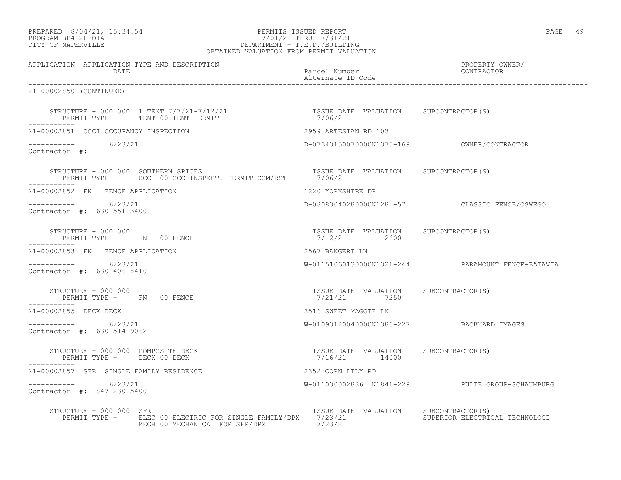# PREPARED 8/04/21, 15:34:54 PERMITS ISSUED REPORT PROGRAM BP412LFOIA PAGE 49 PROGRAM BP412LFOIA 7/01/21 THRU 7/31/21 CITY OF NAPERVILLE DEPARTMENT - T.E.D./BUILDING

| OBTAINED VALUATION FROM PERMIT VALUATION                                                                                                             |                                                        |                                                   |
|------------------------------------------------------------------------------------------------------------------------------------------------------|--------------------------------------------------------|---------------------------------------------------|
| APPLICATION APPLICATION TYPE AND DESCRIPTION<br>DATE DATE                                                                                            | Parcel Number<br>Alternate ID Code                     | PROPERTY OWNER/<br>CONTRACTOR                     |
| 21-00002850 (CONTINUED)                                                                                                                              |                                                        |                                                   |
| STRUCTURE – 000 000 1 TENT 7/7/21-7/12/21                            ISSUE DATE VALUATION      SUBCONTRACTOR(S)<br>PERMIT TYPE - TENT 00 TENT PERMIT |                                                        |                                                   |
| 21-00002851 OCCI OCCUPANCY INSPECTION                                                                                                                | 2959 ARTESIAN RD 103                                   |                                                   |
| $--------- 6/23/21$<br>Contractor #:                                                                                                                 |                                                        |                                                   |
| STRUCTURE - 000 000 SOUTHERN SPICES [ISSUE DAT<br>PERMIT TYPE - 0CC 00 OCC INSPECT. PERMIT COM/RST 7/06/21<br>___________                            | ISSUE DATE VALUATION SUBCONTRACTOR(S)                  |                                                   |
| 21-00002852 FN FENCE APPLICATION                                                                                                                     | 1220 YORKSHIRE DR                                      |                                                   |
| $--------- 6/23/21$<br>Contractor #: 630-551-3400                                                                                                    |                                                        | D-08083040280000N128 -57 CLASSIC FENCE/OSWEGO     |
| STRUCTURE - 000 000<br>PERMIT TYPE - FN 00 FENCE                                                                                                     | ISSUE DATE VALUATION SUBCONTRACTOR(S)                  |                                                   |
| 21-00002853 FN FENCE APPLICATION                                                                                                                     | 2567 BANGERT LN                                        |                                                   |
| $--------- 6/23/21$<br>Contractor #: 630-406-8410                                                                                                    |                                                        | W-01151060130000N1321-244 PARAMOUNT FENCE-BATAVIA |
| STRUCTURE - 000 000<br>PERMIT TYPE - FN 00 FENCE<br>------------                                                                                     | ISSUE DATE VALUATION SUBCONTRACTOR(S)<br>7/21/21 7250  |                                                   |
| 21-00002855 DECK DECK                                                                                                                                | 3516 SWEET MAGGIE LN                                   |                                                   |
| $--------- 6/23/21$<br>Contractor #: 630-514-9062                                                                                                    | W-01093120040000N1386-227 BACKYARD IMAGES              |                                                   |
| STRUCTURE - 000 000 COMPOSITE DECK<br>PERMIT TYPE - DECK 00 DECK                                                                                     | ISSUE DATE VALUATION SUBCONTRACTOR(S)<br>7/16/21 14000 |                                                   |
| 21-00002857 SFR SINGLE FAMILY RESIDENCE                                                                                                              | 2352 CORN LILY RD                                      |                                                   |
| $--------- 6/23/21$<br>Contractor #: 847-230-5400                                                                                                    |                                                        | W-011030002886 N1841-229 PULTE GROUP-SCHAUMBURG   |
| STRUCTURE - 000 000 SFR<br>PERMIT TYPE - ELEC 00 ELECTRIC FOR SINGLE FAMILY/DPX 7/23/21<br>MECH 00 MECHANICAL FOR SFR/DPX 7/23/21                    | ISSUE DATE VALUATION SUBCONTRACTOR(S)                  | SUPERIOR ELECTRICAL TECHNOLOGI                    |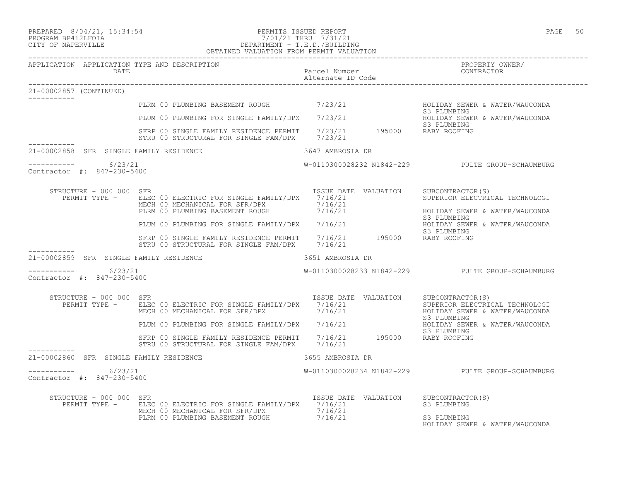#### PREPARED 8/04/21, 15:34:54 PERMITS ISSUED REPORT PAGE 50 PROGRAM BP412LFOIA 7/01/21 THRU 7/31/21 CITY OF NAPERVILLE DEPARTMENT - T.E.D./BUILDING OBTAINED VALUATION FROM PERMIT VALUATION

| 21-00002857 (CONTINUED)                           |                                                                                                                                                                              |                                                             |                                                                                 |
|---------------------------------------------------|------------------------------------------------------------------------------------------------------------------------------------------------------------------------------|-------------------------------------------------------------|---------------------------------------------------------------------------------|
|                                                   | PLRM 00 PLUMBING BASEMENT ROUGH 7/23/21                                                                                                                                      |                                                             | HOLIDAY SEWER & WATER/WAUCONDA                                                  |
|                                                   | PLUM 00 PLUMBING FOR SINGLE FAMILY/DPX 7/23/21                                                                                                                               |                                                             | S3 PLUMBING<br>HOLIDAY SEWER & WATER/WAUCONDA                                   |
|                                                   | SFRP 00 SINGLE FAMILY RESIDENCE PERMIT 7/23/21 195000 RABY ROOFING<br>STRU 00 STRUCTURAL FOR SINGLE FAM/DPX 7/23/21                                                          |                                                             | S3 PLUMBING                                                                     |
| 21-00002858 SFR SINGLE FAMILY RESIDENCE           |                                                                                                                                                                              | 3647 AMBROSIA DR                                            |                                                                                 |
| $--------- 6/23/21$<br>Contractor #: 847-230-5400 |                                                                                                                                                                              |                                                             | W-0110300028232 N1842-229 PULTE GROUP-SCHAUMBURG                                |
| STRUCTURE - 000 000 SFR                           | PERMIT TYPE - ELEC 00 ELECTRIC FOR SINGLE FAMILY/DPX 7/16/21<br>MECH 00 MECHANICAL FOR SFR/DPX                                                                               | ISSUE DATE VALUATION SUBCONTRACTOR(S)<br>7/16/21<br>7/16/21 | SUPERIOR ELECTRICAL TECHNOLOGI                                                  |
|                                                   | PLRM 00 PLUMBING BASEMENT ROUGH                                                                                                                                              |                                                             | HOLIDAY SEWER & WATER/WAUCONDA<br>S3 PLUMBING                                   |
|                                                   | PLUM 00 PLUMBING FOR SINGLE FAMILY/DPX 7/16/21                                                                                                                               |                                                             | HOLIDAY SEWER & WATER/WAUCONDA<br>S3 PLUMBING                                   |
|                                                   | SFRP 00 SINGLE FAMILY RESIDENCE PERMIT 7/16/21 195000 RABY ROOFING<br>STRU 00 STRUCTURAL FOR SINGLE FAM/DPX 7/16/21                                                          |                                                             |                                                                                 |
| 21-00002859 SFR SINGLE FAMILY RESIDENCE           |                                                                                                                                                                              | 3651 AMBROSIA DR                                            |                                                                                 |
| $--------- 6/23/21$<br>Contractor #: 847-230-5400 |                                                                                                                                                                              |                                                             | W-0110300028233 N1842-229 PULTE GROUP-SCHAUMBURG                                |
| STRUCTURE - 000 000 SFR                           | PERMIT TYPE - ELEC 00 ELECTRIC FOR SINGLE FAMILY/DPX 7/16/21<br>MECH 00 MECHANICAL FOR SFR/DPX 7/16/21                                                                       | ISSUE DATE VALUATION SUBCONTRACTOR (S)                      | SUPERIOR ELECTRICAL TECHNOLOGI<br>HOLIDAY SEWER & WATER/WAUCONDA<br>S3 PLUMBING |
|                                                   | PLUM 00 PLUMBING FOR SINGLE FAMILY/DPX 7/16/21                                                                                                                               |                                                             | HOLIDAY SEWER & WATER/WAUCONDA                                                  |
| ___________                                       | SFRP 00 SINGLE FAMILY RESIDENCE PERMIT 7/16/21 195000 RABY ROOFING<br>STRU 00 STRUCTURAL FOR SINGLE FAM/DPX 7/16/21                                                          |                                                             | S3 PLUMBING                                                                     |
| 21-00002860 SFR SINGLE FAMILY RESIDENCE           |                                                                                                                                                                              | 3655 AMBROSIA DR                                            |                                                                                 |
| $--------- 6/23/21$<br>Contractor #: 847-230-5400 |                                                                                                                                                                              |                                                             | W-0110300028234 N1842-229 PULTE GROUP-SCHAUMBURG                                |
|                                                   | STRUCTURE - 000 000 SFR<br>PERMIT TYPE - ELEC 00 ELECTRIC FOR SINGLE FAMILY/DPX 7/16/21<br>MECH 00 MECHANICAL FOR SFR/DPX 7/16/21<br>PLRM 00 PLUMBING BASEMENT ROUGH 7/16/21 | ISSUE DATE VALUATION SUBCONTRACTOR(S)                       | S3 PLUMBING                                                                     |
|                                                   |                                                                                                                                                                              |                                                             | S3 PLUMBING<br>HOLIDAY SEWER & WATER/WAUCONDA                                   |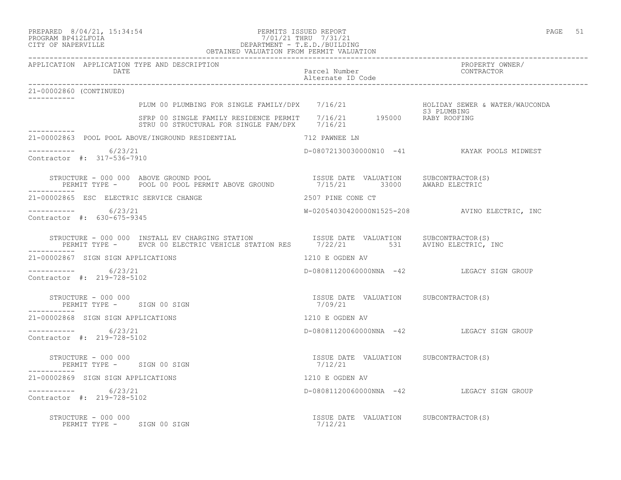-----------

-----------

-----------

-----------

-----------

#### PREPARED 8/04/21, 15:34:54 PERMITS ISSUED REPORT PAGE 51 PROGRAM BP412LFOIA 7/01/21 THRU 7/31/21 CITY OF NAPERVILLE DEPARTMENT - T.E.D./BUILDING OBTAINED VALUATION FROM PERMIT VALUATION

------------------------------------------------------------------------------------------------------------------------------------

APPLICATION APPLICATION TYPE AND DESCRIPTION PROPERTY OWNER/ DATE Parcel Number CONTRACTOR Alternate ID Code ------------------------------------------------------------------------------------------------------------------------------------ 21-00002860 (CONTINUED) PLUM 00 PLUMBING FOR SINGLE FAMILY/DPX 7/16/21 HOLIDAY SEWER & WATER/WAUCONDA S3 PLUMBING SFRP 00 SINGLE FAMILY RESIDENCE PERMIT 7/16/21 195000 RABY ROOFING STRU 00 STRUCTURAL FOR SINGLE FAM/DPX  $7/16/21$ 21-00002863 POOL POOL ABOVE/INGROUND RESIDENTIAL 712 PAWNEE LN  $--------- 6/23/21$ D-08072130030000N10 -41 KAYAK POOLS MIDWEST Contractor #: 317-536-7910 STRUCTURE - 000 000 ABOVE GROUND POOL ISSUE DATE VALUATION SUBCONTRACTOR(S) PERMIT TYPE - POOL 00 POOL PERMIT ABOVE GROUND 21-00002865 ESC ELECTRIC SERVICE CHANGE 2507 PINE CONE CT ----------- 6/23/21 W-02054030420000N1525-208 AVINO ELECTRIC, INC Contractor #: 630-675-9345 STRUCTURE - 000 000 INSTALL EV CHARGING STATION ISSUE DATE VALUATION SUBCONTRACTOR(S) PERMIT TYPE - EVCR 00 ELECTRIC VEHICLE STATION RES  $7/22/21$  531 AVINO ELECTRIC, INC 21-00002867 SIGN SIGN APPLICATIONS 1210 E OGDEN AV ----------- 6/23/21 D-08081120060000NNA -42 LEGACY SIGN GROUP Contractor #: 219-728-5102 STRUCTURE - 000 000 ISSUE DATE VALUATION SUBCONTRACTOR(S) PERMIT TYPE - SIGN 00 SIGN 7/09/21 21-00002868 SIGN SIGN APPLICATIONS 1210 E OGDEN AV ----------- 6/23/21 D-08081120060000NNA -42 LEGACY SIGN GROUP Contractor #: 219-728-5102 STRUCTURE - 000 000 ISSUE DATE VALUATION SUBCONTRACTOR(S) PERMIT TYPE - SIGN 00 SIGN 21-00002869 SIGN SIGN APPLICATIONS 1210 E OGDEN AV ----------- 6/23/21 D-08081120060000NNA -42 LEGACY SIGN GROUP Contractor #: 219-728-5102

STRUCTURE - 000 000<br>
STRUCTURE - 000 000<br>
PERMIT TYPE - SIGN 00 SIGN CONSTRACTOR CONSTRACTOR CONSTRACTOR CONSTRACTOR PERMIT TYPE - SIGN 00 SIGN PERMIT TYPE - SIGN 00 SIGN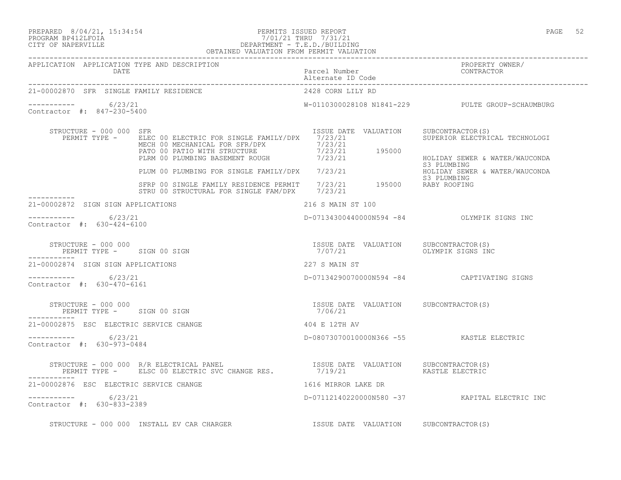#### PREPARED 8/04/21, 15:34:54 PERMITS ISSUED REPORT PAGE 52 PROGRAM BP412LFOIA 7/01/21 THRU 7/31/21 CITY OF NAPERVILLE DEPARTMENT - T.E.D./BUILDING OBTAINED VALUATION FROM PERMIT VALUATION

------------------------------------------------------------------------------------------------------------------------------------

APPLICATION APPLICATION TYPE AND DESCRIPTION<br>DATE barcel Number Parcel Number (CONTRACTOR DATE Parcel Number CONTRACTOR Alternate ID Code ------------------------------------------------------------------------------------------------------------------------------------ 21-00002870 SFR SINGLE FAMILY RESIDENCE  $--------- 6/23/21$ W-0110300028108 N1841-229 PULTE GROUP-SCHAUMBURG Contractor #: 847-230-5400 STRUCTURE - 000 000 SFR ISSUE DATE VALUATION SUBCONTRACTOR(S) PERMIT TYPE - BLEC 00 ELECTRIC FOR SINGLE FAMILY/DPX 7/23/21 SUPERIOR ELECTRICAL TECHNOLOGI MECH 00 MECHANICAL FOR SFR/DPX 7/23/21 PATO 00 PATIO WITH STRUCTURE  $7/23/21$  195000 PLRM 00 PLUMBING BASEMENT ROUGH 7/23/21 HOLIDAY SEWER & WATER/WAUCONDA S3 PLUMBING PLUM 00 PLUMBING FOR SINGLE FAMILY/DPX 7/23/21 HOLIDAY SEWER & WATER/WAUCONDA S3 PLUMBING SFRP 00 SINGLE FAMILY RESIDENCE PERMIT 7/23/21 195000 RABY ROOFING STRU 00 STRUCTURAL FOR SINGLE FAM/DPX  $7/23/21$ ----------- 21-00002872 SIGN SIGN APPLICATIONS 216 S MAIN ST 100 \_\_\_\_\_\_\_\_\_\_\_ ----------- 6/23/21 D-07134300440000N594 -84 OLYMPIK SIGNS INC Contractor #: 630-424-6100 STRUCTURE – 000 000<br>
PERMIT TYPE – SIGN 00 SIGN CONTRACTOR(S) SERMIT TYPE – SIGN 00 SIGN PERMIT TYPE - SIGN 00 SIGN ----------- 21-00002874 SIGN SIGN APPLICATIONS 227 S MAIN ST ----------- 6/23/21 D-07134290070000N594 -84 CAPTIVATING SIGNS Contractor #: 630-470-6161 STRUCTURE - 000 000 ISSUE DATE VALUATION SUBCONTRACTOR(S) PERMIT TYPE - SIGN 00 SIGN ----------- 21-00002875 ESC ELECTRIC SERVICE CHANGE 404 E 12TH AV ----------- 6/23/21 D-08073070010000N366 -55 KASTLE ELECTRIC Contractor #: 630-973-0484 STRUCTURE - 000 000 R/R ELECTRICAL PANEL ISSUE DATE VALUATION SUBCONTRACTOR(S) PERMIT TYPE - ELSC 00 ELECTRIC SVC CHANGE RES. 7/19/21 KASTLE ELECTRIC ----------- 21-00002876 ESC ELECTRIC SERVICE CHANGE 1616 MIRROR LAKE DR ----------- 6/23/21 D-07112140220000N580 -37 KAPITAL ELECTRIC INC Contractor #: 630-833-2389 STRUCTURE - 000 000 INSTALL EV CAR CHARGER THE SUSSUE DATE VALUATION SUBCONTRACTOR(S)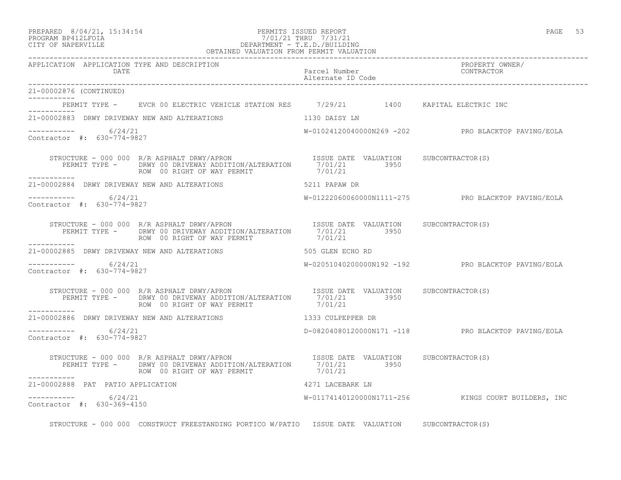# PREPARED 8/04/21, 15:34:54 PERMITS ISSUED REPORT PAGE 53 PROGRAM BP412LFOIA 7/01/21 THRU 7/31/21 CITY OF NAPERVILLE DEPARTMENT - T.E.D./BUILDING

|                                                       | OBTAINED VALUATION FROM PERMIT VALUATION                                                                                                                                                                                         |                                    |                                                       |
|-------------------------------------------------------|----------------------------------------------------------------------------------------------------------------------------------------------------------------------------------------------------------------------------------|------------------------------------|-------------------------------------------------------|
| APPLICATION APPLICATION TYPE AND DESCRIPTION<br>DATE  |                                                                                                                                                                                                                                  | Parcel Number<br>Alternate ID Code | PROPERTY OWNER/<br>CONTRACTOR                         |
| 21-00002876 (CONTINUED)                               |                                                                                                                                                                                                                                  |                                    |                                                       |
| __________                                            | PERMIT TYPE - EVCR 00 ELECTRIC VEHICLE STATION RES 7/29/21 1400 KAPITAL ELECTRIC INC                                                                                                                                             |                                    |                                                       |
| . <u>.</u> .                                          | 21-00002883 DRWY DRIVEWAY NEW AND ALTERATIONS                                                                                                                                                                                    | 1130 DAISY LN                      |                                                       |
| -----------     6/24/21<br>Contractor #: 630-774-9827 |                                                                                                                                                                                                                                  |                                    | W-01024120040000N269 -202 PRO BLACKTOP PAVING/EOLA    |
| ------------                                          | STRUCTURE - 000 000 R/R ASPHALT DRWY/APRON TESUE DATE VALUATION SUBCONTRACTOR(S)<br>STRUCTURE - UUU UUU K/K ASPAALI DAWI/AFINON<br>PERMIT TYPE - DRWY 00 DRIVEWAY ADDITION/ALTERATION 7/01/21 3950<br>ROW 00 RIGHT OF WAY PERMIT | 7/01/21                            |                                                       |
|                                                       | 21-00002884 DRWY DRIVEWAY NEW AND ALTERATIONS 5211 PAPAW DR                                                                                                                                                                      |                                    |                                                       |
| -----------     6/24/21<br>Contractor #: 630-774-9827 |                                                                                                                                                                                                                                  |                                    | W-01222060060000N1111-275 PRO BLACKTOP PAVING/EOLA    |
|                                                       | STRUCTURE - 000 000 R/R ASPHALT DRWY/APRON ISSUE DATE VALUATION SUBCONTRACTOR(S)<br>PERMIT TYPE - DRWY 00 DRIVEWAY ADDITION/ALTERATION 7/01/21 3950<br>ROW 00 RIGHT OF WAY PERMIT 7/01/21                                        |                                    |                                                       |
|                                                       | 21-00002885 DRWY DRIVEWAY NEW AND ALTERATIONS                                                                                                                                                                                    | 505 GLEN ECHO RD                   |                                                       |
| ----------- 6/24/21<br>Contractor #: 630-774-9827     |                                                                                                                                                                                                                                  |                                    | W-02051040200000N192 -192 PRO BLACKTOP PAVING/EOLA    |
| ___________                                           | STRUCTURE - 000 000 R/R ASPHALT DRWY/APRON<br>PERMIT TYPE - DRWY 00 DRIVEWAY ADDITION/ALTERATION 7/01/21 3950<br>ROW 00 RIGHT OF WAY PERMIT 7/01/21                                                                              |                                    |                                                       |
|                                                       | 21-00002886 DRWY DRIVEWAY NEW AND ALTERATIONS THE RELEASE RELEASE OR SULPEPPER DR                                                                                                                                                |                                    |                                                       |
| ----------- 6/24/21<br>Contractor #: 630-774-9827     |                                                                                                                                                                                                                                  |                                    | D-08204080120000N171 -118 PRO BLACKTOP PAVING/EOLA    |
|                                                       | ROW 00 RIGHT OF WAY PERMIT                                                                                                                                                                                                       | 7/01/21                            |                                                       |
| ------------<br>21-00002888 PAT PATIO APPLICATION     |                                                                                                                                                                                                                                  | 4271 LACEBARK LN                   |                                                       |
| $--------- 6/24/21$<br>Contractor #: 630-369-4150     |                                                                                                                                                                                                                                  |                                    | $W-01174140120000N1711-256$ KINGS COURT BUILDERS, INC |

STRUCTURE - 000 000 CONSTRUCT FREESTANDING PORTICO W/PATIO ISSUE DATE VALUATION SUBCONTRACTOR(S)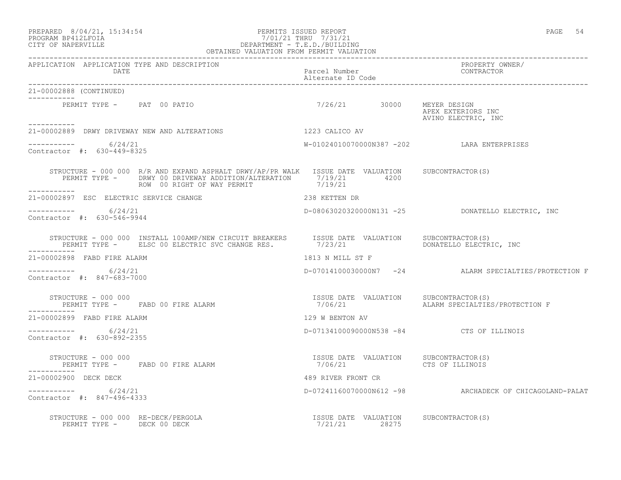#### PREPARED 8/04/21, 15:34:54 PERMITS ISSUED REPORT PROGRAM BP412LFOIA PAGE 54 PROGRAM BP412LFOIA 7/01/21 THRU 7/31/21 CITY OF NAPERVILLE DEPARTMENT - T.E.D./BUILDING OBTAINED VALUATION FROM PERMIT VALUATION

| APPLICATION APPLICATION TYPE AND DESCRIPTION                            |                                                                                                                                                                                                                          |                    |                                                                         |
|-------------------------------------------------------------------------|--------------------------------------------------------------------------------------------------------------------------------------------------------------------------------------------------------------------------|--------------------|-------------------------------------------------------------------------|
| 21-00002888 (CONTINUED)                                                 |                                                                                                                                                                                                                          |                    |                                                                         |
| ___________<br>PERMIT TYPE - PAT 00 PATIO                               |                                                                                                                                                                                                                          |                    | 7/26/21 30000 MEYER DESIGN<br>APEX EXTERIORS INC<br>AVINO ELECTRIC, INC |
| -----------                                                             | 21-00002889 DRWY DRIVEWAY NEW AND ALTERATIONS 1223 CALICO AV                                                                                                                                                             |                    |                                                                         |
| $--------- 6/24/21$<br>Contractor #: 630-449-8325                       |                                                                                                                                                                                                                          |                    | W-01024010070000N387 -202 LARA ENTERPRISES                              |
| ___________                                                             | STRUCTURE - 000 000 R/R AND EXPAND ASPHALT DRWY/AP/PR WALK ISSUE DATE VALUATION SUBCONTRACTOR(S)<br>PERMIT TYPE - DRWY 00 DRIVEWAY ADDITION/ALTERATION 7/19/21 4200<br>ROW 00 RIGHT OF WAY PERMIT 7/19/21                |                    |                                                                         |
| 21-00002897 ESC ELECTRIC SERVICE CHANGE                                 | 238 KETTEN DR                                                                                                                                                                                                            |                    |                                                                         |
| $--------- 6/24/21$<br>Contractor #: 630-546-9944                       |                                                                                                                                                                                                                          |                    | D-08063020320000N131 -25 DONATELLO ELECTRIC, INC                        |
|                                                                         |                                                                                                                                                                                                                          |                    |                                                                         |
| 21-00002898 FABD FIRE ALARM                                             |                                                                                                                                                                                                                          | 1813 N MILL ST F   |                                                                         |
| $--------- 6/24/21$<br>Contractor #: 847-683-7000                       |                                                                                                                                                                                                                          |                    | D-07014100030000N7 -24 ALARM SPECIALTIES/PROTECTION F                   |
| STRUCTURE - 000 000<br>PERMIT TYPE - FABD 00 FIRE ALARM<br>------------ |                                                                                                                                                                                                                          |                    |                                                                         |
| 21-00002899 FABD FIRE ALARM                                             |                                                                                                                                                                                                                          | 129 W BENTON AV    |                                                                         |
| $--------- 6/24/21$<br>Contractor #: 630-892-2355                       |                                                                                                                                                                                                                          |                    | D-07134100090000N538 -84 CTS OF ILLINOIS                                |
| STRUCTURE - 000 000<br>PERMIT TYPE - FABD 00 FIRE ALARM                 |                                                                                                                                                                                                                          |                    | 7/06/21 CTS OF ILLINOIS                                                 |
| 21-00002900 DECK DECK                                                   |                                                                                                                                                                                                                          | 489 RIVER FRONT CR |                                                                         |
| $--------- 6/24/21$<br>Contractor #: 847-496-4333                       |                                                                                                                                                                                                                          |                    | D-07241160070000N612 -98 ARCHADECK OF CHICAGOLAND-PALAT                 |
|                                                                         | $\begin{array}{cccccccccc} \texttt{STRUCTURE} & - & 000 & 000 & \texttt{RE-DECK/PERGOLA} & & & & & & & & & \\ \texttt{PERMIT TYPE} & - & & & & & & & & & & \\ \texttt{PERMIT TYPE} & - & & & & & & & & & \\ \end{array}$ |                    |                                                                         |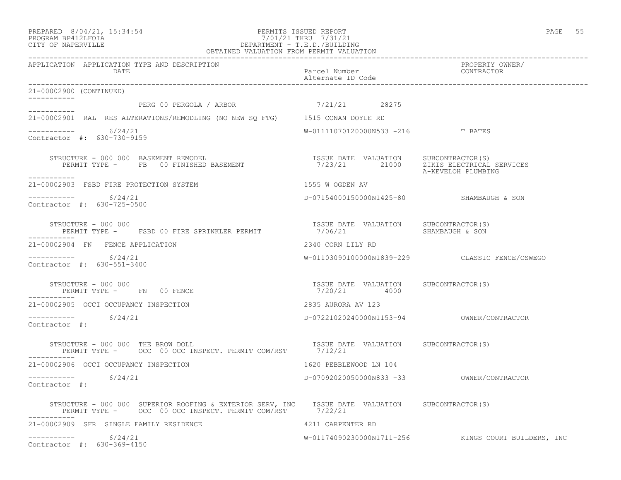#### PREPARED 8/04/21, 15:34:54 PERMITS ISSUED REPORT PAGE 55 PROGRAM BP412LFOIA 7/01/21 THRU 7/31/21 CITY OF NAPERVILLE DEPARTMENT - T.E.D./BUILDING OBTAINED VALUATION FROM PERMIT VALUATION

| APPLICATION APPLICATION TYPE AND DESCRIPTION<br>DATE                                                                                                                           | Parcel Number<br>PROPERTY OWNER/<br>Alternate ID Code<br>----------- |                                                     |
|--------------------------------------------------------------------------------------------------------------------------------------------------------------------------------|----------------------------------------------------------------------|-----------------------------------------------------|
| 21-00002900 (CONTINUED)                                                                                                                                                        |                                                                      |                                                     |
|                                                                                                                                                                                |                                                                      |                                                     |
| 21-00002901 RAL RES ALTERATIONS/REMODLING (NO NEW SQ FTG) 1515 CONAN DOYLE RD                                                                                                  |                                                                      |                                                     |
| $--------- 6/24/21$<br>Contractor #: 630-730-9159                                                                                                                              | W-01111070120000N533 -216 T BATES                                    |                                                     |
| STRUCTURE - 000 000 BASEMENT REMODEL<br>TRUCTURE - 000 000 BASEMENT REMODEL<br>PERMIT TYPE - FB 00 FINISHED BASEMENT - 1/23/21 21000 2IKIS ELECTRICAL SERVICES<br>------------ |                                                                      | A-KEVELOH PLUMBING                                  |
| 21-00002903 FSBD FIRE PROTECTION SYSTEM                                                                                                                                        | 1555 W OGDEN AV                                                      |                                                     |
| ---------- 6/24/21<br>Contractor #: 630-725-0500                                                                                                                               | D-07154000150000N1425-80 SHAMBAUGH & SON                             |                                                     |
| STRUCTURE – 000 000<br>PERMIT TYPE – FSBD 00 FIRE SPRINKLER PERMIT – 1/06/21 SHAMBAUGH & SON                                                                                   |                                                                      |                                                     |
| 21-00002904 FN FENCE APPLICATION                                                                                                                                               | 2340 CORN LILY RD                                                    |                                                     |
| $--------- 6/24/21$<br>Contractor #: 630-551-3400                                                                                                                              |                                                                      | W-01103090100000N1839-229 CLASSIC FENCE/OSWEGO      |
| STRUCTURE - 000 000<br>PERMIT TYPE - FN 00 FENCE                                                                                                                               | ISSUE DATE VALUATION SUBCONTRACTOR(S)<br>7/20/21 4000                |                                                     |
| 21-00002905 OCCI OCCUPANCY INSPECTION                                                                                                                                          | 2835 AURORA AV 123                                                   |                                                     |
| ----------- 6/24/21<br>Contractor #:                                                                                                                                           |                                                                      |                                                     |
| STRUCTURE - 000 000 THE BROW DOLL<br>PERMIT TYPE - OCC 00 OCC INSPECT. PERMIT COM/RST - 7/12/21<br>STRUCTURE - 000 000 THE BROW DOLL                                           |                                                                      |                                                     |
| 21-00002906 OCCI OCCUPANCY INSPECTION                                                                                                                                          | 1620 PEBBLEWOOD LN 104                                               |                                                     |
| ----------- 6/24/21<br>Contractor #:                                                                                                                                           |                                                                      |                                                     |
| STRUCTURE - 000 000 SUPERIOR ROOFING & EXTERIOR SERV, INC ISSUE DATE VALUATION SUBCONTRACTOR(S)<br>PERMIT TYPE - OCC 00 OCC INSPECT. PERMIT COM/RST 7/22/21<br>-----------     |                                                                      |                                                     |
| 4211 CARPENTER RD<br>21-00002909 SFR SINGLE FAMILY RESIDENCE                                                                                                                   |                                                                      |                                                     |
| $--------$ 6/24/21<br>Contractor #: 630-369-4150                                                                                                                               |                                                                      | W-01174090230000N1711-256 KINGS COURT BUILDERS, INC |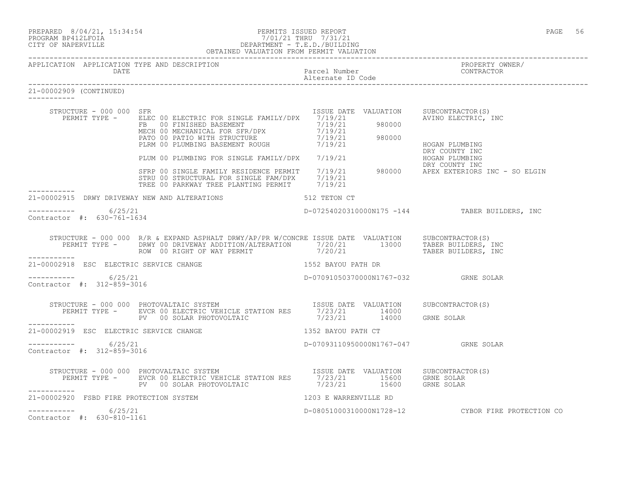| PREPARED | $8/04/21$ , $15:34:54$ |  |
|----------|------------------------|--|
|          |                        |  |

#### PREPARED 8/04/21, 15:34:54 PERMITS ISSUED REPORT<br>PROGRAM BP412LFOIA PAGE 56 PROGRAM PROGRAM PROGRAM PROGRAM PAGE 56 PROGRAM BP412LFOIA 7/01/21 THRU 7/31/21 CITY OF NAPERVILLE DEPARTMENT - T.E.D./BUILDING OBTAINED VALUATION FROM PERMIT VALUATION

|                                                        |                                                                                                                                                                                                                                       |                                      | APPLICATION APPLICATION TYPE AND DESCRIPTION PACKERTY PURE PACE PACKER AND RESCRIPTION PACKERTY OWNER/<br>DATE Paccel Number alternate ID Code Alternate ID Code Alternate ID Code Packers (2001 PACTOR ALTERN 2001 PACTOR |
|--------------------------------------------------------|---------------------------------------------------------------------------------------------------------------------------------------------------------------------------------------------------------------------------------------|--------------------------------------|----------------------------------------------------------------------------------------------------------------------------------------------------------------------------------------------------------------------------|
| 21-00002909 (CONTINUED)                                |                                                                                                                                                                                                                                       |                                      |                                                                                                                                                                                                                            |
| STRUCTURE - 000 000 SFR                                | TRUCTURE - 000 000 STRE CO BLECTRIC FOR SINGLE FAMILY/DPX 7/19/21 980000<br>FERMIT TYPE - ELEC 00 ELECTRIC FOR SINGLE FAMILY/DPX 7/19/21 980000<br>MECHO OMECHANICAL FOR STREVIDENCE<br>PATO 00 PATIO WITH STRUCTURE<br>PATO 00 PATIO | ISSUE DATE VALUATION                 | SUBCONTRACTOR(S)                                                                                                                                                                                                           |
|                                                        |                                                                                                                                                                                                                                       |                                      |                                                                                                                                                                                                                            |
|                                                        |                                                                                                                                                                                                                                       |                                      |                                                                                                                                                                                                                            |
|                                                        | 21-00002915 DRWY DRIVEWAY NEW AND ALTERATIONS 512 TETON CT                                                                                                                                                                            |                                      |                                                                                                                                                                                                                            |
| $--------- 6/25/21$<br>Contractor #: 630-761-1634      |                                                                                                                                                                                                                                       |                                      | D-07254020310000N175 -144 TABER BUILDERS, INC                                                                                                                                                                              |
|                                                        | STRUCTURE - 000 000 R/R & EXPAND ASPHALT DRWY/AP/PR W/CONCRE ISSUE DATE VALUATION SUBCONTRACTOR(S)<br>PERMIT TYPE - DRWY 00 DRIVEWAY ADDITION/ALTERATION 7/20/21 13000 TABER BUILDERS, INC<br>ROW 00 RIGHT OF WAY PERMIT 7/20/21 720  |                                      |                                                                                                                                                                                                                            |
| -----------<br>21-00002918 ESC ELECTRIC SERVICE CHANGE | 1552 BAYOU PATH DR                                                                                                                                                                                                                    |                                      |                                                                                                                                                                                                                            |
| $--------- 6/25/21$<br>Contractor #: 312-859-3016      |                                                                                                                                                                                                                                       | D-07091050370000N1767-032 GRNE SOLAR |                                                                                                                                                                                                                            |
|                                                        | STRUCTURE - 000 000 PHOTOVALTAIC SYSTEM<br>PERMIT TYPE - EVCR 00 ELECTRIC VEHICLE STATION RES 7/23/21 14000<br>PV 00 SOLAR PHOTOVOLTAIC 7/23/21 14000 GRNE SOLAR                                                                      |                                      |                                                                                                                                                                                                                            |
| ___________<br>21-00002919 ESC ELECTRIC SERVICE CHANGE |                                                                                                                                                                                                                                       | 1352 BAYOU PATH CT                   |                                                                                                                                                                                                                            |
| $--------- 6/25/21$<br>Contractor #: 312-859-3016      |                                                                                                                                                                                                                                       | D-07093110950000N1767-047 GRNE SOLAR |                                                                                                                                                                                                                            |
|                                                        |                                                                                                                                                                                                                                       |                                      |                                                                                                                                                                                                                            |
| -----------<br>21-00002920 FSBD FIRE PROTECTION SYSTEM | 1203 E WARRENVILLE RD                                                                                                                                                                                                                 |                                      |                                                                                                                                                                                                                            |
| $--------- 6/25/21$<br>Contractor #: 630-810-1161      |                                                                                                                                                                                                                                       |                                      | D-08051000310000N1728-12 CYBOR FIRE PROTECTION CO                                                                                                                                                                          |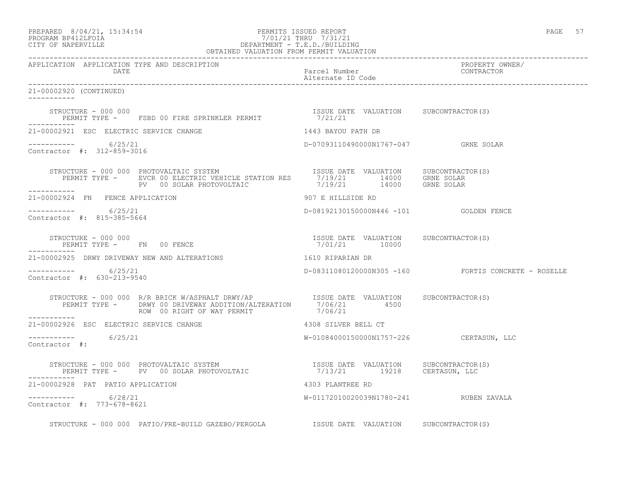| PREPARED            | $8/04/21$ , $15:34:54$ |  |
|---------------------|------------------------|--|
| DDOCD3M DD410T DOT3 |                        |  |

# PREPARED 8/04/21, 15:34:54 PERMITS ISSUED REPORT<br>PROGRAM BP412LFOIA PAGE 57 PROGRAM PROGRAM PROGRAM PROGRAM PAGE 57 PROGRAM BP412LFOIA 7/01/21 THRU 7/31/21 CITY OF NAPERVILLE DEPARTMENT - T.E.D./BUILDING

|                                                       | OBTAINED VALUATION FROM PERMIT VALUATION                                                                                                                                                                                                      |                                                        |                                                     |
|-------------------------------------------------------|-----------------------------------------------------------------------------------------------------------------------------------------------------------------------------------------------------------------------------------------------|--------------------------------------------------------|-----------------------------------------------------|
| APPLICATION APPLICATION TYPE AND DESCRIPTION<br>DATE  |                                                                                                                                                                                                                                               | Parcel Number<br>Alternate ID Code                     | PROPERTY OWNER/<br>CONTRACTOR                       |
| 21-00002920 (CONTINUED)<br>___________                |                                                                                                                                                                                                                                               |                                                        |                                                     |
| STRUCTURE - 000 000                                   | STRUCTURE - 000 000<br>PERMIT TYPE - FSBD 00 FIRE SPRINKLER PERMIT - 1/21/21<br>7/21/21                                                                                                                                                       |                                                        |                                                     |
| 21-00002921 ESC ELECTRIC SERVICE CHANGE               | 1443 BAYOU PATH DR                                                                                                                                                                                                                            |                                                        |                                                     |
| $--------- 6/25/21$<br>Contractor #: 312-859-3016     |                                                                                                                                                                                                                                               | D-07093110490000N1767-047 GRNE SOLAR                   |                                                     |
|                                                       | STRUCTURE - 000 000 PHOTOVALTAIC SYSTEM TSSUE DATE VALUATION SUBCONTRACTOR(S)<br>PERMIT TYPE - EVCR 00 ELECTRIC VEHICLE STATION RES 7/19/21 14000 GRNE SOLAR<br>PV 00 SOLAR PHOTOVOLTAIC 7/19/21 14000 GRNE SOLAR<br>PV 00 SOLAR PHOTOVOLTAIC |                                                        |                                                     |
| 21-00002924 FN FENCE APPLICATION                      |                                                                                                                                                                                                                                               | 907 E HILLSIDE RD                                      |                                                     |
| -----------     6/25/21<br>Contractor #: 815-385-5664 |                                                                                                                                                                                                                                               | D-08192130150000N446 -101    GOLDEN FENCE              |                                                     |
| STRUCTURE - 000 000<br>PERMIT TYPE - FN 00 FENCE      |                                                                                                                                                                                                                                               | ISSUE DATE VALUATION SUBCONTRACTOR(S)<br>7/01/21 10000 |                                                     |
|                                                       | 21-00002925 DRWY DRIVEWAY NEW AND ALTERATIONS 1610 RIPARIAN DR                                                                                                                                                                                |                                                        |                                                     |
| -----------     6/25/21<br>Contractor #: 630-213-9540 |                                                                                                                                                                                                                                               |                                                        | D-08311080120000N305 -160 FORTIS CONCRETE - ROSELLE |
|                                                       | STRUCTURE - 000 000 R/R BRICK W/ASPHALT DRWY/AP TSSUE DATE VALUATION SUBCONTRACTOR(S)<br>PERMIT TYPE - DRWY 00 DRIVEWAY ADDITION/ALTERATION 7/06/21 4500<br>------- ROW 00 RIGHT OF WAY PERMIT 7/06/21                                        |                                                        |                                                     |
| 21-00002926 ESC ELECTRIC SERVICE CHANGE               | 4308 SILVER BELL CT                                                                                                                                                                                                                           |                                                        |                                                     |
| -----------     6/25/21<br>Contractor #:              |                                                                                                                                                                                                                                               | W-01084000150000N1757-226 CERTASUN, LLC                |                                                     |
|                                                       | STRUCTURE - 000 000 PHOTOVALTAIC SYSTEM                             ISSUE DATE VALUATION     SUBCONTRACTOR(S)<br>PERMIT TYPE -      PV   00 SOLAR PHOTOVOLTAIC                     7/13/21        19218     CERTASUN, LLC                     |                                                        |                                                     |
| 21-00002928 PAT PATIO APPLICATION                     |                                                                                                                                                                                                                                               | 4303 PLANTREE RD                                       |                                                     |
| ----------- 6/28/21<br>Contractor #: 773-678-8621     |                                                                                                                                                                                                                                               | W-01172010020039N1780-241 RUBEN ZAVALA                 |                                                     |
|                                                       | STRUCTURE - 000 000 PATIO/PRE-BUILD GAZEBO/PERGOLA SISSUE DATE VALUATION SUBCONTRACTOR(S)                                                                                                                                                     |                                                        |                                                     |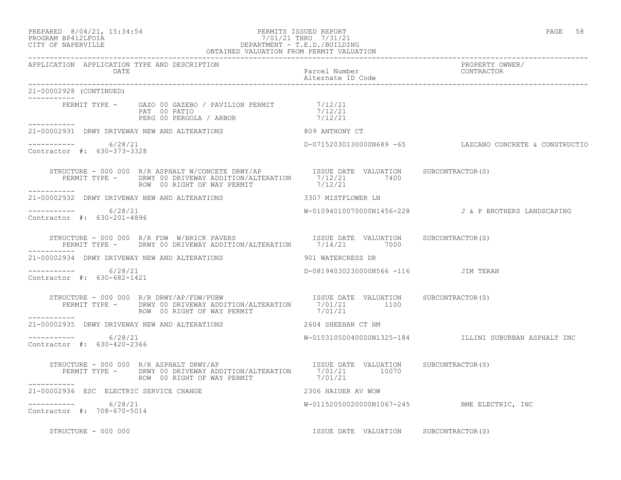PREPARED 8/04/21, 15:34:54 PERMITS ISSUED REPORT PAGE 58

# PROGRAM BP412LFOIA 7/01/21 THRU 7/31/21 CITY OF NAPERVILLE DEPARTMENT - T.E.D./BUILDING

|                                                   | OBTAINED VALUATION FROM PERMIT VALUATION                                                                                                                                                         |                                       |                                                         |
|---------------------------------------------------|--------------------------------------------------------------------------------------------------------------------------------------------------------------------------------------------------|---------------------------------------|---------------------------------------------------------|
| DATE                                              | APPLICATION APPLICATION TYPE AND DESCRIPTION<br>Parcel Number<br>Parcel Number<br>Alternate ID Code                                                                                              |                                       | PROPERTY OWNER/                                         |
| 21-00002928 (CONTINUED)<br>------------           |                                                                                                                                                                                                  |                                       |                                                         |
| ___________<br>____________                       | PERMIT TYPE - GAZO 00 GAZEBO / PAVILION PERMIT - 7/12/21<br>PAT 00 PATIO 7/12/21<br>PERG 00 PERGOLA / ARBOR 7/12/21                                                                              |                                       |                                                         |
|                                                   | 21-00002931 DRWY DRIVEWAY NEW AND ALTERATIONS 609 ANTHONY CT                                                                                                                                     |                                       |                                                         |
| $--------- 6/28/21$<br>Contractor #: 630-373-3328 |                                                                                                                                                                                                  |                                       | D-07152030130000N689 -65 LAZCANO CONCRETE & CONSTRUCTIO |
| ------------                                      | STRUCTURE - 000 000 R/R ASPHALT W/CONCETE DRWY/AP ISSUE DATE VALUATION SUBCONTRACTOR(S)<br>PERMIT TYPE - DRWY 00 DRIVEWAY ADDITION/ALTERATION 7/12/21 7400<br>ROW 00 RIGHT OF WAY PERMIT 7/12/21 |                                       |                                                         |
|                                                   |                                                                                                                                                                                                  |                                       |                                                         |
| $--------- 6/28/21$<br>Contractor #: 630-201-4896 |                                                                                                                                                                                                  |                                       | W-01094010070000N1456-228 J& P BROTHERS LANDSCAPING     |
|                                                   | STRUCTURE - 000 000 R/R FDW W/BRICK PAVERS ISSUE DATE VALUATION SUBCONTRACTOR(S)<br>PERMIT TYPE - DRWY 00 DRIVEWAY ADDITION/ALTERATION 7/14/21 7000                                              |                                       |                                                         |
|                                                   | 21-00002934 DRWY DRIVEWAY NEW AND ALTERATIONS                                                                                                                                                    | 901 WATERCRESS DR                     |                                                         |
| ----------- 6/28/21<br>Contractor #: 630-682-1421 |                                                                                                                                                                                                  | D-08194030230000N566 -116 JIM TERAN   |                                                         |
| ------------                                      | STRUCTURE - 000 000 R/R DRWY/AP/FDW/PUBW ISSUE DATE VALUATION SUBCONTRACTOR(S)<br>PERMIT TYPE - DRWY 00 DRIVEWAY ADDITION/ALTERATION 7/01/21 1100<br>ROW 00 RIGHT OF WAY PERMIT 7/01/21          |                                       |                                                         |
|                                                   | 21-00002935 DRWY DRIVEWAY NEW AND ALTERATIONS 2604 SHEEHAN CT HM                                                                                                                                 |                                       |                                                         |
| ----------- 6/28/21<br>Contractor #: 630-420-2366 |                                                                                                                                                                                                  |                                       | W-01031050040000N1325-184 ILLINI SUBURBAN ASPHALT INC   |
| -----------                                       | STRUCTURE - 000 000 R/R ASPHALT DRWY/AP                                                                                                                                                          |                                       |                                                         |
| 21-00002936 ESC ELECTRIC SERVICE CHANGE           | 2306 HAIDER AV WOW                                                                                                                                                                               |                                       |                                                         |
| $--------- 6/28/21$<br>Contractor #: 708-670-5014 |                                                                                                                                                                                                  |                                       | W-01152050020000N1067-245 BME ELECTRIC, INC             |
| STRUCTURE - 000 000                               |                                                                                                                                                                                                  | ISSUE DATE VALUATION SUBCONTRACTOR(S) |                                                         |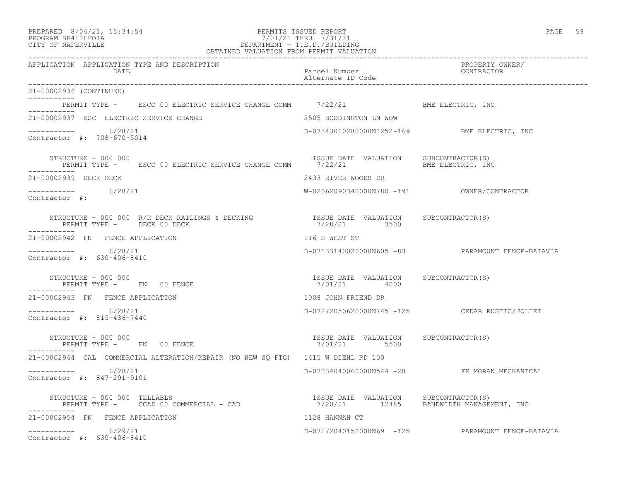| PREPARED       | $8/04/21$ , $15:34:54$                  |  |
|----------------|-----------------------------------------|--|
| <b>DDAAD31</b> | $\begin{array}{c}\n\hline\n\end{array}$ |  |

# PREPARED 8/04/21, 15:34:54 PERMITS ISSUED REPORT<br>PROGRAM BP412LFOIA PAGE 59 PROGRAM PROGRAM PROGRAM PROGRAM BP412LFOIA PROGRAM BP412LFOIA 7/01/21 THRU 7/31/21 CITY OF NAPERVILLE DEPARTMENT - T.E.D./BUILDING

| OBTAINED VALUATION FROM PERMIT VALUATION                                                                 |                                                       |                                                  |
|----------------------------------------------------------------------------------------------------------|-------------------------------------------------------|--------------------------------------------------|
| APPLICATION APPLICATION TYPE AND DESCRIPTION<br>DATE                                                     | Parcel Number<br>Alternate ID Code                    | PROPERTY OWNER/<br>CONTRACTOR                    |
| 21-00002936 (CONTINUED)                                                                                  |                                                       |                                                  |
| PERMIT TYPE - ESCC 00 ELECTRIC SERVICE CHANGE COMM 7/22/21 THE RESECTRIC, INC                            |                                                       |                                                  |
| 21-00002937 ESC ELECTRIC SERVICE CHANGE                                                                  | 2505 BODDINGTON LN WOW                                |                                                  |
| $--------- 6/28/21$<br>Contractor #: 708-670-5014                                                        | D-07343010280000N1252-169 BME ELECTRIC, INC           |                                                  |
| STRUCTURE - 000 000<br>PERMIT TYPE - ESCC 00 ELECTRIC SERVICE CHANGE COMM 7/22/21 THE RELECTRIC, INC     | ISSUE DATE VALUATION SUBCONTRACTOR(S)                 |                                                  |
| 21-00002939 DECK DECK                                                                                    | 2433 RIVER WOODS DR                                   |                                                  |
| $---------$ 6/28/21<br>Contractor #:                                                                     |                                                       |                                                  |
| PERMIT TYPE - DECK 00 DECK<br>------------                                                               |                                                       |                                                  |
| 21-00002942 FN FENCE APPLICATION                                                                         | 116 S WEST ST                                         |                                                  |
| $--------- 6/28/21$<br>Contractor #: 630-406-8410                                                        |                                                       | D-07133140020000N605 -83 PARAMOUNT FENCE-BATAVIA |
| STRUCTURE - 000 000<br>PERMIT TYPE - FN 00 FENCE                                                         | ISSUE DATE VALUATION SUBCONTRACTOR(S)<br>7/01/21 4000 |                                                  |
| 21-00002943 FN FENCE APPLICATION                                                                         | 1008 JOHN FRIEND DR                                   |                                                  |
| ----------     6/28/21<br>Contractor #: 815-436-7440                                                     |                                                       | D-07272050620000N745 -125 CEDAR RUSTIC/JOLIET    |
| STRUCTURE - 000 000<br>PERMIT TYPE - FN 00 FENCE                                                         | ISSUE DATE VALUATION SUBCONTRACTOR(S)<br>7/01/21 5500 |                                                  |
| 21-00002944 CAL COMMERCIAL ALTERATION/REPAIR (NO NEW SQ FTG) 1415 W DIEHL RD 100                         |                                                       |                                                  |
| $--------- 6/28/21$<br>Contractor #: 847-291-9101                                                        |                                                       | D-07034040060000N544 -20 FE MORAN MECHANICAL     |
| STRUCTURE - 000 000 TELLABLS<br>PERMIT TYPE - CCAD 00 COMMERCIAL - CAD - 12485 BANDWIDTH MANAGEMENT, INC |                                                       |                                                  |
| 21-00002954 FN FENCE APPLICATION                                                                         | 1128 HANNAH CT                                        |                                                  |
| $--------- 6/29/21$<br>Contractor #: 630-406-8410                                                        |                                                       | D-07272040150000N69 -125 PARAMOUNT FENCE-BATAVIA |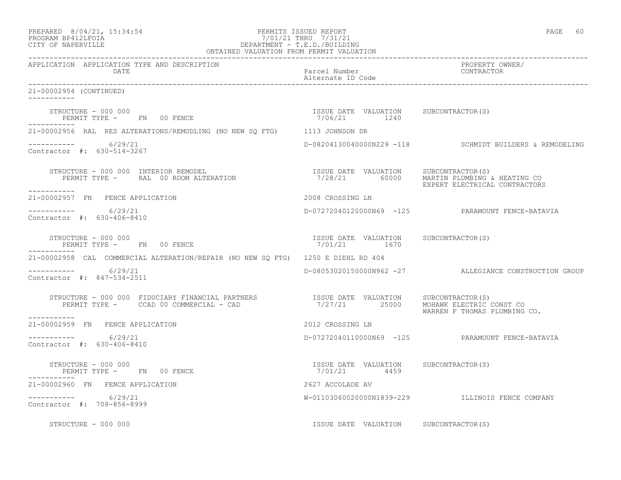| PREPARED            | $8/04/21$ , $15:34:54$ |  |
|---------------------|------------------------|--|
| DDOCD3M DD410T DOT3 |                        |  |

# PREPARED 8/04/21, 15:34:54 PERMITS ISSUED REPORT<br>PROGRAM BP412LFOIA PAGE 60<br>
7/01/21 THRU 7/31/21 PROGRAM BP412LFOIA 7/01/21 THRU 7/31/21 CITY OF NAPERVILLE DEPARTMENT - T.E.D./BUILDING

| OBTAINED VALUATION FROM PERMIT VALUATION                                                                                                                                                                                                                                                                  |                                                       |                                                         |
|-----------------------------------------------------------------------------------------------------------------------------------------------------------------------------------------------------------------------------------------------------------------------------------------------------------|-------------------------------------------------------|---------------------------------------------------------|
| APPLICATION APPLICATION TYPE AND DESCRIPTION<br>DATE                                                                                                                                                                                                                                                      | Parcel Number<br>Alternate ID Code                    | PROPERTY OWNER/<br>CONTRACTOR                           |
| 21-00002954 (CONTINUED)<br>___________                                                                                                                                                                                                                                                                    |                                                       |                                                         |
| $\begin{array}{cccc} \texttt{STRUCTURE} & - & 000 & 000 \\ \texttt{PERMIT TYPE} & - & - & \texttt{FN} & 00 & \texttt{FENCE} \\ \end{array} \qquad \begin{array}{cccc} \texttt{TSSUE} & \texttt{DATE} & \texttt{VALUATION} & \texttt{SUBCONTRACTOR(S)} \\ \texttt{7/06/21} & \texttt{1240} \\ \end{array}$ |                                                       |                                                         |
| 21-00002956 RAL RES ALTERATIONS/REMODLING (NO NEW SQ FTG) 1113 JOHNSON DR                                                                                                                                                                                                                                 |                                                       |                                                         |
| $--------- 6/29/21$<br>Contractor #: 630-514-3267                                                                                                                                                                                                                                                         |                                                       | D-08204130040000N229 -118 SCHMIDT BUILDERS & REMODELING |
| STRUCTURE - 000 000 INTERIOR REMODEL                              ISSUE DATE VALUATION    SUBCONTRACTOR(S)<br>PERMIT TYPE -     RAL 00 ROOM ALTERATION                        7/28/21      60000   MARTIN PLUMBING & HEATING CO<br>------------                                                           |                                                       | EXPERT ELECTRICAL CONTRACTORS                           |
| 21-00002957 FN FENCE APPLICATION                                                                                                                                                                                                                                                                          | 2008 CROSSING LN                                      |                                                         |
| -----------     6/29/21<br>Contractor #: 630-406-8410                                                                                                                                                                                                                                                     |                                                       | D-07272040120000N69 -125 PARAMOUNT FENCE-BATAVIA        |
| STRUCTURE - 000 000<br>PERMIT TYPE - FN 00 FENCE                                                                                                                                                                                                                                                          | ISSUE DATE VALUATION SUBCONTRACTOR(S)<br>7/01/21 1670 |                                                         |
| 21-00002958 CAL COMMERCIAL ALTERATION/REPAIR (NO NEW SO FTG) 1250 E DIEHL RD 404                                                                                                                                                                                                                          |                                                       |                                                         |
| $---------$ 6/29/21<br>Contractor #: 847-534-2511                                                                                                                                                                                                                                                         |                                                       | D-08053020150000N962 -27 ALLEGIANCE CONSTRUCTION GROUP  |
| STRUCTURE - 000 000 FIDUCIARY FINANCIAL PARTNERS TISSUE DATE VALUATION SUBCONTRACTOR(S)<br>PERMIT TYPE - CCAD 00 COMMERCIAL - CAD - 7/27/21 25000 MOHAWK ELECTRIC CONST CO                                                                                                                                |                                                       | WARREN F THOMAS PLUMBING CO.                            |
| 21-00002959 FN FENCE APPLICATION                                                                                                                                                                                                                                                                          | 2012 CROSSING LN                                      |                                                         |
| ----------- 6/29/21<br>Contractor #: 630-406-8410                                                                                                                                                                                                                                                         |                                                       | D-07272040110000N69 -125 PARAMOUNT FENCE-BATAVIA        |
| STRUCTURE - 000 000<br>PERMIT TYPE - FN 00 FENCE                                                                                                                                                                                                                                                          | ISSUE DATE VALUATION SUBCONTRACTOR(S)<br>7/01/21 4459 |                                                         |
| 21-00002960 FN FENCE APPLICATION                                                                                                                                                                                                                                                                          | 2627 ACCOLADE AV                                      |                                                         |
| $--------- 6/29/21$<br>Contractor #: 708-856-8999                                                                                                                                                                                                                                                         |                                                       | W-01103060020000N1839-229 ILLINOIS FENCE COMPANY        |
| STRUCTURE - 000 000                                                                                                                                                                                                                                                                                       | ISSUE DATE VALUATION SUBCONTRACTOR(S)                 |                                                         |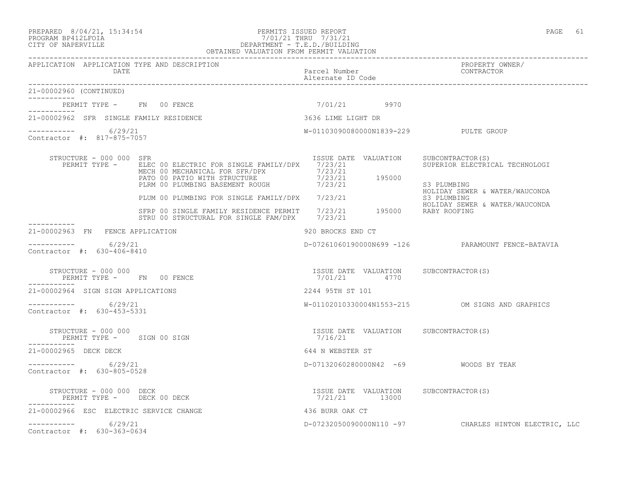#### PREPARED 8/04/21, 15:34:54 PERMITS ISSUED REPORT PAGE 61 PROGRAM BP412LFOIA 7/01/21 THRU 7/31/21 CITY OF NAPERVILLE DEPARTMENT - T.E.D./BUILDING OBTAINED VALUATION FROM PERMIT VALUATION

------------------------------------------------------------------------------------------------------------------------------------ APPLICATION APPLICATION TYPE AND DESCRIPTION PROPERTY OWNER/ Parcel Number Alternate ID Code ------------------------------------------------------------------------------------------------------------------------------------ 21-00002960 (CONTINUED) ----------- PERMIT TYPE - FN 00 FENCE 19970 1/01/21 9970 ----------- 21-00002962 SFR SINGLE FAMILY RESIDENCE 3636 LIME LIGHT DR  $---------$  6/29/21 W-01103090080000N1839-229 PULTE GROUP Contractor #: 817-875-7057 STRUCTURE - 000 000 SFR<br>PERMIT TYPE - ELEC 00 ELECTRIC FOR SINGLE FAMILY/DPX 7/23/21 SUPERIOR ELECTRICAL TECHNOLOGI PERMIT TYPE - ELEC 00 ELECTRIC FOR SINGLE FAMILY/DPX 7/23/21 MECH 00 MECHANICAL FOR SFR/DPX 7/23/21 PATO 00 PATIO WITH STRUCTURE  $7/23/21$  195000 PLRM 00 PLUMBING BASEMENT ROUGH  $7/23/21$  S3 PLUMBING<br>HOLIDAY SEWER & WATER/WAUCONDA HOLIDAY SEWER & WATER/WAUCONDA PLUM 00 PLUMBING FOR SINGLE FAMILY/DPX 7/23/21 S3 PLUMBING HOLIDAY SEWER & WATER/WAUCONDA SFRP 00 SINGLE FAMILY RESIDENCE PERMIT 7/23/21 195000 RABY ROOFING STRU 00 STRUCTURAL FOR SINGLE FAM/DPX  $7/23/21$ ----------- 21-00002963 FN FENCE APPLICATION 920 BROCKS END CT ----------- 6/29/21 D-07261060190000N699 -126 PARAMOUNT FENCE-BATAVIA Contractor #: 630-406-8410 STRUCTURE - 000 000 ISSUE DATE VALUATION SUBCONTRACTOR(S) PERMIT TYPE - FN 00 FENCE ----------- 21-00002964 SIGN SIGN APPLICATIONS 2244 95TH ST 101 ----------- 6/29/21 W-01102010330004N1553-215 OM SIGNS AND GRAPHICS Contractor #: 630-453-5331 STRUCTURE - 000 000<br>
PERMIT TYPE - SIGN 00 SIGN CONSTRACTOR SUBCONTRACTOR(S) PERMIT TYPE - SIGN 00 SIGN ----------- 21-00002965 DECK DECK 644 N WEBSTER ST ----------- 6/29/21 D-07132060280000N42 -69 WOODS BY TEAK Contractor #: 630-805-0528 STRUCTURE - 000 000 DECK ISSUE DATE VALUATION SUBCONTRACTOR(S) PERMIT TYPE - DECK 00 DECK ----------- 21-00002966 ESC ELECTRIC SERVICE CHANGE 436 BURR OAK CT ----------- 6/29/21 D-07232050090000N110 -97 CHARLES HINTON ELECTRIC, LLC Contractor #: 630-363-0634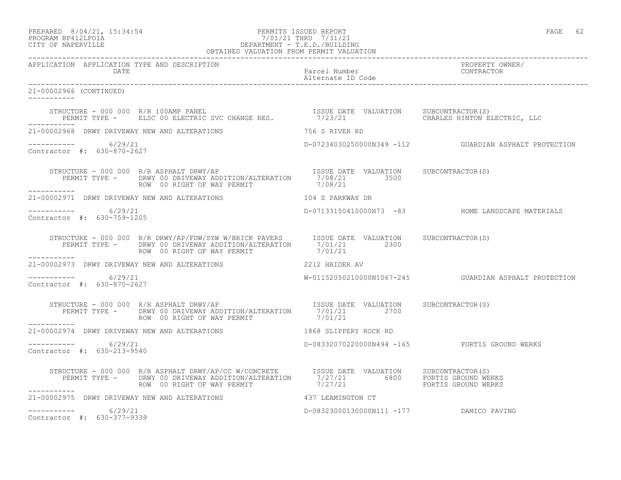# PREPARED 8/04/21, 15:34:54 PERMITS ISSUED REPORT<br>PROGRAM BP412LFOIA PAGE 62 PROGRAM PROGRAM PAGE 62 PROGRAM BP412LFOIA 7/01/21 THRU 7/31/21 CITY OF NAPERVILLE DEPARTMENT - T.E.D./BUILDING

|                                                      | OBTAINED VALUATION FROM PERMIT VALUATION                                                                                                                                                                                          |                                         |                                                       |
|------------------------------------------------------|-----------------------------------------------------------------------------------------------------------------------------------------------------------------------------------------------------------------------------------|-----------------------------------------|-------------------------------------------------------|
| APPLICATION APPLICATION TYPE AND DESCRIPTION<br>DATE |                                                                                                                                                                                                                                   | Parcel Number<br>Alternate ID Code      | PROPERTY OWNER/<br>CONTRACTOR                         |
| 21-00002966 (CONTINUED)<br>___________               |                                                                                                                                                                                                                                   |                                         |                                                       |
|                                                      | STRUCTURE - 000 000 R/R 100AMP PANEL                                ISSUE DATE VALUATION    SUBCONTRACTOR(S)<br>PERMIT TYPE -      ELSC 00 ELECTRIC SVC CHANGE RES.             7/23/21                         CHARLES HINTON EL |                                         |                                                       |
|                                                      | 21-00002968 DRWY DRIVEWAY NEW AND ALTERATIONS                                                                                                                                                                                     | 756 S RIVER RD                          |                                                       |
| ----------- 6/29/21<br>Contractor #: 630-870-2627    |                                                                                                                                                                                                                                   |                                         | D-07234030250000N349 -112 GUARDIAN ASPHALT PROTECTION |
| -----------                                          |                                                                                                                                                                                                                                   |                                         |                                                       |
|                                                      | 21-00002971 DRWY DRIVEWAY NEW AND ALTERATIONS THE RESERVED MASS PARKWAY DR                                                                                                                                                        |                                         |                                                       |
| $--------- 6/29/21$<br>Contractor #: 630-759-1205    |                                                                                                                                                                                                                                   |                                         | D-07133150410000N73 -83 HOME LANDSCAPE MATERIALS      |
|                                                      | STRUCTURE - 000 000 R/R DRWY/AP/FDW/SYW W/BRICK PAVERS ISSUE DATE VALUATION SUBCONTRACTOR(S)<br>PERMIT TYPE - DRWY 00 DRIVEWAY ADDITION/ALTERATION 7/01/21 2300<br>ROW 00 RIGHT OF WAY PERMIT                                     | 7/01/21                                 |                                                       |
| ___________                                          | 21-00002973 DRWY DRIVEWAY NEW AND ALTERATIONS 2212 HAIDER AV                                                                                                                                                                      |                                         |                                                       |
| ---------     6/29/21<br>Contractor #: 630-870-2627  |                                                                                                                                                                                                                                   |                                         |                                                       |
|                                                      | STRUCTURE - 000 000 R/R ASPHALT DRWY/AP<br>PERMIT TYPE - DRWY 00 DRIVEWAY ADDITION/ALTERATION 7/01/21 2700<br>7/01/21<br>ROW 00 RIGHT OF WAY PERMIT 7/01/21                                                                       |                                         |                                                       |
| ___________                                          | 21-00002974 DRWY DRIVEWAY NEW AND ALTERATIONS 1868 SLIPPERY ROCK RD                                                                                                                                                               |                                         |                                                       |
| $--------- 6/29/21$<br>Contractor #: 630-213-9540    |                                                                                                                                                                                                                                   |                                         | D-08332070220000N494 -165  FORTIS GROUND WERKS        |
| -----------                                          | STRUCTURE - 000 000 R/R ASPHALT DRWY/AP/CC W/CONCRETE ISSUE DATE VALUATION SUBCONTRACTOR(S)<br>PERMIT TYPE - DRWY 00 DRIVEWAY ADDITION/ALTERATION 7/27/21 6800 FORTIS GROUND WERKS                                                |                                         |                                                       |
| 21-00002975 DRWY DRIVEWAY NEW AND ALTERATIONS        |                                                                                                                                                                                                                                   | 437 LEAMINGTON CT                       |                                                       |
| $--------$ 6/29/21<br>Contractor #: 630-377-9339     |                                                                                                                                                                                                                                   | D-08323000130000N111 -177 DAMICO PAVING |                                                       |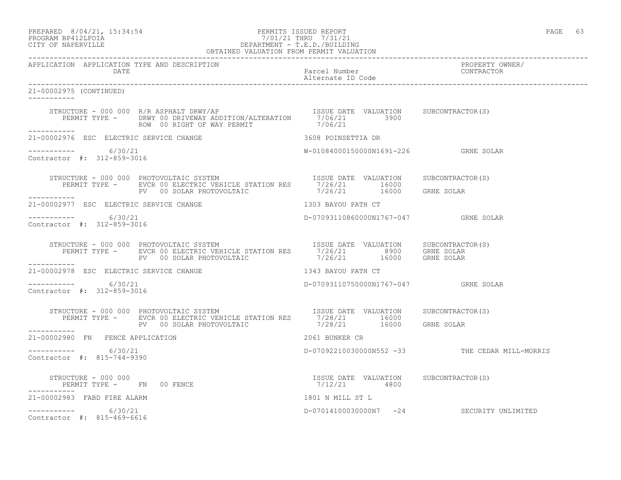PREPARED 8/04/21, 15:34:54 PERMITS ISSUED REPORT PAGE 63

### PROGRAM BP412LFOIA 7/01/21 THRU 7/31/21 CITY OF NAPERVILLE DEPARTMENT - T.E.D./BUILDING OBTAINED VALUATION FROM PERMIT VALUATION

------------------------------------------------------------------------------------------------------------------------------------

| APPLICATION APPLICATION TYPE AND DESCRIPTION<br>DATE             |                                                                                                                                                                                                                                                 | Parcel Number<br>Alternate ID Code                                            | PROPERTY OWNER/<br>CONTRACTOR                  |
|------------------------------------------------------------------|-------------------------------------------------------------------------------------------------------------------------------------------------------------------------------------------------------------------------------------------------|-------------------------------------------------------------------------------|------------------------------------------------|
| 21-00002975 (CONTINUED)                                          |                                                                                                                                                                                                                                                 |                                                                               |                                                |
|                                                                  |                                                                                                                                                                                                                                                 |                                                                               |                                                |
| -----------<br>21-00002976 ESC ELECTRIC SERVICE CHANGE           |                                                                                                                                                                                                                                                 | 3608 POINSETTIA DR                                                            |                                                |
| ----------- 6/30/21<br>Contractor #: 312-859-3016                |                                                                                                                                                                                                                                                 | W-01084000150000N1691-226 GRNE SOLAR                                          |                                                |
|                                                                  | STRUCTURE - 000 000 PHOTOVOLTAIC SYSTEM TISSUE DATE VALUATION SUBCONTRACTOR(S)<br>PERMIT TYPE - EVCR 00 ELECTRIC VEHICLE STATION RES 7/26/21 16000 GRNE SOLAR<br>PV 00 SOLAR PHOTOVOLTAIC 7/26/21 16000 GRNE SOLAR                              |                                                                               |                                                |
| ------------<br>21-00002977 ESC ELECTRIC SERVICE CHANGE          |                                                                                                                                                                                                                                                 | 1303 BAYOU PATH CT                                                            |                                                |
| ----------- 6/30/21<br>Contractor #: 312-859-3016                |                                                                                                                                                                                                                                                 | D-07093110860000N1767-047 GRNE SOLAR                                          |                                                |
|                                                                  | STRUCTURE - 000 000 PHOTOVOLTAIC SYSTEM TSSUE DATE VALUATION SUBCONTRACTOR(S)<br>PERMIT TYPE - EVCR 00 ELECTRIC VEHICLE STATION RES 7/26/21 8900 GRNE SOLAR<br>PV 00 SOLAR PHOTOVOLTAIC 7/26/21 16000 GRNE SOLAR                                |                                                                               |                                                |
| ------------<br>21-00002978 ESC ELECTRIC SERVICE CHANGE          |                                                                                                                                                                                                                                                 | 1343 BAYOU PATH CT                                                            |                                                |
| $--------- 6/30/21$<br>Contractor #: 312-859-3016                |                                                                                                                                                                                                                                                 | D-07093110750000N1767-047 GRNE SOLAR                                          |                                                |
| __________                                                       | STRUCTURE - 000 000 PHOTOVOLTAIC SYSTEM TESSUE DATE VALUATION SUBCONTRACTOR(S)<br>STRUCTURE - 000 000 PHOTOVOLTAIC SYSTEM $\frac{1000}{7/28/21}$ 16000<br>PERMIT TYPE - EVCR 00 ELECTRIC VEHICLE STATION RES $\frac{7}{28/21}$ 16000 GRNE SOLAR |                                                                               |                                                |
| 21-00002980 FN FENCE APPLICATION                                 |                                                                                                                                                                                                                                                 | 2061 BUNKER CR                                                                |                                                |
| ----------- 6/30/21<br>Contractor #: 815-744-9390                |                                                                                                                                                                                                                                                 |                                                                               | D-07092210030000N552 -33 THE CEDAR MILL-MORRIS |
| STRUCTURE - 000 000<br>PERMIT TYPE - FN 00 FENCE<br>------------ |                                                                                                                                                                                                                                                 | ISSUE DATE VALUATION<br>7/12/21 4800<br>ISSUE DATE VALUATION SUBCONTRACTOR(S) |                                                |
| 21-00002983 FABD FIRE ALARM                                      |                                                                                                                                                                                                                                                 | 1801 N MILL ST L                                                              |                                                |
| $--------- 6/30/21$<br>Contractor #: 815-469-6616                |                                                                                                                                                                                                                                                 |                                                                               | D-07014100030000N7 -24 SECURITY UNLIMITED      |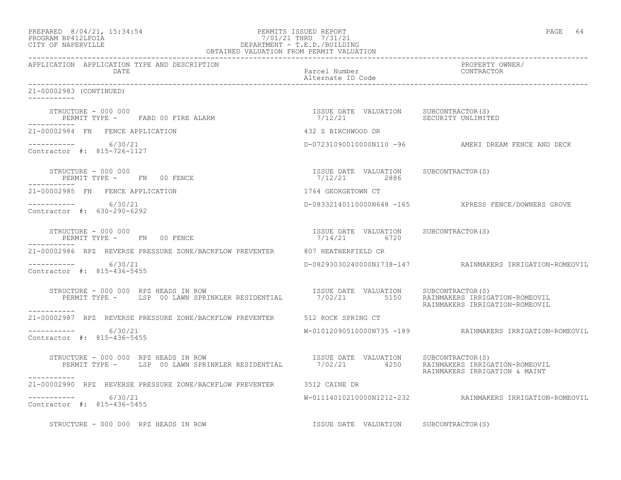| PREPARED 8/04/21, 15:34:54<br>DEPARTMENT - T.E.D./BUILDING<br>DEPARTMENT - T.E.D./BUILDING<br>CBTAINED VALUATION FROM PERMIT VALUATION<br>PROGRAM BP412LFOIA<br>CITY OF NAPERVILLE                                                                                             | PERMITS ISSUED REPORT                                 | PAGE 64                                                                             |
|--------------------------------------------------------------------------------------------------------------------------------------------------------------------------------------------------------------------------------------------------------------------------------|-------------------------------------------------------|-------------------------------------------------------------------------------------|
| APPLICATION APPLICATION TYPE AND DESCRIPTION<br>DATE                                                                                                                                                                                                                           | Parcel Number<br>Alternate ID Code                    | PROPERTY OWNER/<br>CONTRACTOR                                                       |
| 21-00002983 (CONTINUED)<br>-----------                                                                                                                                                                                                                                         |                                                       |                                                                                     |
| STRUCTURE - 000 000<br>PERMIT TYPE - FABD 00 FIRE ALARM                                                                                                                                                                                                                        | ISSUE DATE VALUATION<br>7/12/21                       | SUBCONTRACTOR(S)<br>SECURITY UNLIMITED                                              |
| 21-00002984 FN FENCE APPLICATION                                                                                                                                                                                                                                               | 432 S BIRCHWOOD DR                                    |                                                                                     |
| ----------- 6/30/21<br>Contractor #: 815-726-1127                                                                                                                                                                                                                              |                                                       | D-07231090010000N110 -96 AMERI DREAM FENCE AND DECK                                 |
| STRUCTURE - 000 000<br>PERMIT TYPE - FN 00 FENCE                                                                                                                                                                                                                               | ISSUE DATE VALUATION SUBCONTRACTOR(S)<br>7/12/21 2886 |                                                                                     |
| 21-00002985 FN FENCE APPLICATION                                                                                                                                                                                                                                               | 1764 GEORGETOWN CT                                    |                                                                                     |
| $--------- 6/30/21$<br>Contractor #: 630-290-6292                                                                                                                                                                                                                              |                                                       | D-08332140110000N648 -165 XPRESS FENCE/DOWNERS GROVE                                |
| STRUCTURE - 000 000<br>PERMIT TYPE - FN 00 FENCE<br>$- - - - - - - - - - -$                                                                                                                                                                                                    | ISSUE DATE VALUATION SUBCONTRACTOR(S)<br>7/14/21 6720 |                                                                                     |
| 21-00002986 RPZ REVERSE PRESSURE ZONE/BACKFLOW PREVENTER 607 HEATHERFIELD CR                                                                                                                                                                                                   |                                                       |                                                                                     |
| $--------- 6/30/21$<br>Contractor #: 815-436-5455                                                                                                                                                                                                                              |                                                       | D-08293030240000N1738-147 RAINMAKERS IRRIGATION-ROMEOVIL                            |
| STRUCTURE - 000 000 RPZ HEADS IN ROW<br>RUCTURE – 000 000 RPZ HEADS IN ROW                                  ISSUE DATE VALUATION     SUBCONTRACTOR(S)<br>PERMIT TYPE –     LSP 00 LAWN SPRINKLER RESIDENTIAL         7/02/21         5150     RAINMAKERS IRRIG.<br>----------- |                                                       | RAINMAKERS IRRIGATION-ROMEOVIL<br>RAINMAKERS IRRIGATION-ROMEOVIL                    |
| 21-00002987 RPZ REVERSE PRESSURE ZONE/BACKFLOW PREVENTER 512 ROCK SPRING CT                                                                                                                                                                                                    |                                                       |                                                                                     |
| 6/30/21<br>-----------<br>Contractor #: 815-436-5455                                                                                                                                                                                                                           |                                                       | W-01012090510000N735 -189 RAINMAKERS IRRIGATION-ROMEOVIL                            |
| STRUCTURE - 000 000 RPZ HEADS IN ROW<br>PERMIT TYPE - LSP 00 LAWN SPRINKLER RESIDENTIAL 7/02/21 4250                                                                                                                                                                           | ISSUE DATE VALUATION                                  | SUBCONTRACTOR(S)<br>RAINMAKERS IRRIGATION-ROMEOVIL<br>RAINMAKERS IRRIGATION & MAINT |
| 21-00002990 RPZ REVERSE PRESSURE ZONE/BACKFLOW PREVENTER 3512 CAINE DR                                                                                                                                                                                                         |                                                       |                                                                                     |
| 6/30/21<br>Contractor #: 815-436-5455                                                                                                                                                                                                                                          |                                                       | W-01114010210000N1212-232 RAINMAKERS IRRIGATION-ROMEOVIL                            |
| STRUCTURE - 000 000 RPZ HEADS IN ROW                                                                                                                                                                                                                                           | ISSUE DATE VALUATION SUBCONTRACTOR(S)                 |                                                                                     |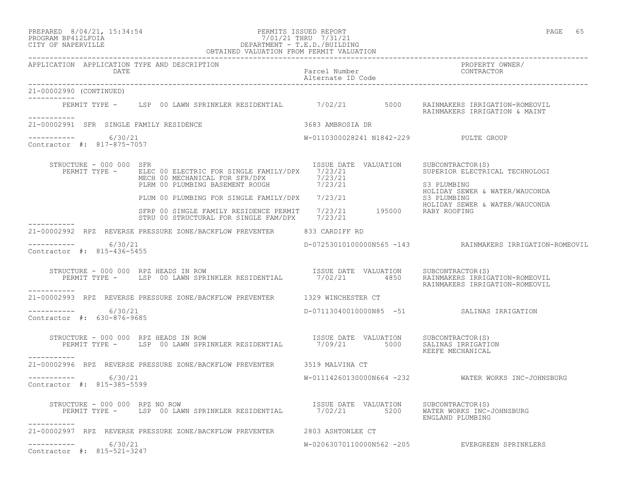| PREPARED | $8/04/21$ , $15:34:54$ |  |
|----------|------------------------|--|
|          |                        |  |

### PREPARED 8/04/21, 15:34:54 PERMITS ISSUED REPORT<br>PROGRAM BP412LFOIA PAGE 65 PROGRAM PROGRAM PAGE 65 PROGRAM BP412LFOIA 7/01/21 THRU 7/31/21 CITY OF NAPERVILLE DEPARTMENT - T.E.D./BUILDING

| OBTAINED VALUATION FROM PERMIT VALUATION               |                                                                                                                                                                        |                                            |  |                                                                                                           |
|--------------------------------------------------------|------------------------------------------------------------------------------------------------------------------------------------------------------------------------|--------------------------------------------|--|-----------------------------------------------------------------------------------------------------------|
| APPLICATION APPLICATION TYPE AND DESCRIPTION<br>DATE   |                                                                                                                                                                        | Parcel Number<br>Alternate ID Code         |  | PROPERTY OWNER/<br>CONTRACTOR                                                                             |
| 21-00002990 (CONTINUED)<br>-----------                 |                                                                                                                                                                        |                                            |  |                                                                                                           |
|                                                        | PERMIT TYPE - LSP 00 LAWN SPRINKLER RESIDENTIAL 7/02/21 5000                                                                                                           |                                            |  | RAINMAKERS IRRIGATION-ROMEOVIL<br>RAINMAKERS IRRIGATION & MAINT                                           |
| ___________<br>21-00002991 SFR SINGLE FAMILY RESIDENCE |                                                                                                                                                                        | 3683 AMBROSIA DR                           |  |                                                                                                           |
| 6/30/21<br>Contractor #: 817-875-7057                  |                                                                                                                                                                        |                                            |  | W-0110300028241 N1842-229 PULTE GROUP                                                                     |
| STRUCTURE - 000 000 SFR<br>PERMIT TYPE -               | ELEC 00 ELECTRIC FOR SINGLE FAMILY/DPX 7/23/21<br>MECH 00 MECHANICAL FOR SFR/DPX<br>PLRM 00 PLUMBING BASEMENT ROUGH                                                    | ISSUE DATE VALUATION<br>7/23/21<br>7/23/21 |  | SUBCONTRACTOR(S)<br>SUPERIOR ELECTRICAL TECHNOLOGI<br>S3 PLUMBING<br>HOLIDAY SEWER & WATER/WAUCONDA       |
|                                                        | PLUM 00 PLUMBING FOR SINGLE FAMILY/DPX                                                                                                                                 | 7/23/21                                    |  | S3 PLUMBING                                                                                               |
|                                                        | SFRP 00 SINGLE FAMILY RESIDENCE PERMIT 7/23/21 195000 RABY ROOFING<br>STRU 00 STRUCTURAL FOR SINGLE FAM/DPX 7/23/21                                                    |                                            |  | HOLIDAY SEWER & WATER/WAUCONDA                                                                            |
|                                                        | 21-00002992 RPZ REVERSE PRESSURE ZONE/BACKFLOW PREVENTER 633 CARDIFF RD                                                                                                |                                            |  |                                                                                                           |
| ----------     6/30/21<br>Contractor #: 815-436-5455   |                                                                                                                                                                        |                                            |  |                                                                                                           |
| STRUCTURE - 000 000 RPZ HEADS IN ROW<br>___________    | PERMIT TYPE - LSP 00 LAWN SPRINKLER RESIDENTIAL 7/02/21 4850                                                                                                           |                                            |  | ISSUE DATE VALUATION SUBCONTRACTOR(S)<br>RAINMAKERS IRRIGATION-ROMEOVIL<br>RAINMAKERS IRRIGATION-ROMEOVIL |
|                                                        | 21-00002993 RPZ REVERSE PRESSURE ZONE/BACKFLOW PREVENTER 1329 WINCHESTER CT                                                                                            |                                            |  |                                                                                                           |
| 6/30/21<br>Contractor #: 630-876-9685                  |                                                                                                                                                                        |                                            |  | D-07113040010000N85 -51 SALINAS IRRIGATION                                                                |
| STRUCTURE - 000 000 RPZ HEADS IN ROW<br>------------   | RUCTURE – 000 000 RPZ HEADS IN ROW FORTIDENTIAL TESUE DATE VALUATION SUBCONTRACTOR(S)<br>PERMIT TYPE – LSP 00 LAWN SPRINKLER RESIDENTIAL 7/09/21 5000 SALINAS IRRIGATI |                                            |  | SALINAS IRRIGATION<br>KEEFE MECHANICAL                                                                    |
|                                                        | 21-00002996 RPZ REVERSE PRESSURE ZONE/BACKFLOW PREVENTER 3519 MALVINA CT                                                                                               |                                            |  |                                                                                                           |
| 6/30/21<br>___________<br>Contractor #: 815-385-5599   |                                                                                                                                                                        |                                            |  | $W-01114260130000N664 -232$ WATER WORKS INC-JOHNSBURG                                                     |
| STRUCTURE - 000 000 RPZ NO ROW                         | PERMIT TYPE - LSP 00 LAWN SPRINKLER RESIDENTIAL 7/02/21 5200                                                                                                           |                                            |  | ISSUE DATE VALUATION SUBCONTRACTOR(S)<br>WATER WORKS INC-JOHNSBURG<br>ENGLAND PLUMBING                    |
|                                                        | 21-00002997 RPZ REVERSE PRESSURE ZONE/BACKFLOW PREVENTER 2803 ASHTONLEE CT                                                                                             |                                            |  |                                                                                                           |
| 6/30/21<br>Contractor #: 815-521-3247                  |                                                                                                                                                                        |                                            |  | W-02063070110000N562 -205 EVERGREEN SPRINKLERS                                                            |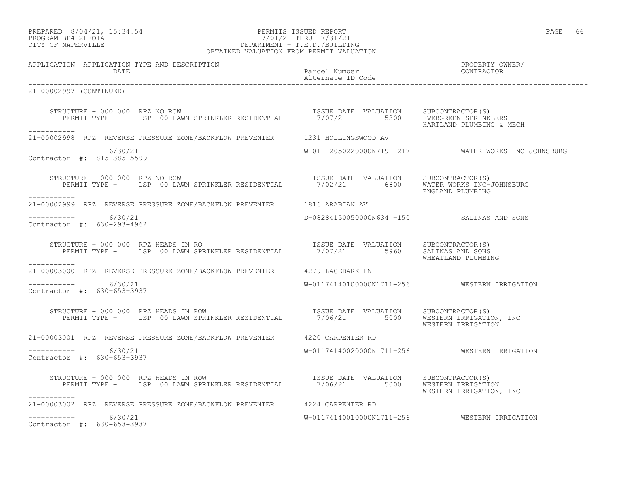# PREPARED 8/04/21, 15:34:54 PERMITS ISSUED REPORT<br>PROGRAM BP412LFOIA PAGE 66 PROGRAM PROGRAM PROGRAM PROGRAM PAGE 66 PROGRAM BP412LFOIA 7/01/21 THRU 7/31/21 CITY OF NAPERVILLE DEPARTMENT - T.E.D./BUILDING

| OBTAINED VALUATION FROM PERMIT VALUATION                                                                                                                                                                              |                                              |                                                     |  |  |  |
|-----------------------------------------------------------------------------------------------------------------------------------------------------------------------------------------------------------------------|----------------------------------------------|-----------------------------------------------------|--|--|--|
| APPLICATION APPLICATION TYPE AND DESCRIPTION<br>Parcel Number<br>Parcel Number<br>Alternate ID Code Alternate CONTRACTOR<br>DATE                                                                                      |                                              | PROPERTY OWNER/                                     |  |  |  |
| 21-00002997 (CONTINUED)                                                                                                                                                                                               |                                              |                                                     |  |  |  |
| STRUCTURE - 000 000 RPZ NO ROW [SSUE DATE VALUATION SUBCONTRACTOR(S)<br>PERMIT TYPE - LSP 00 LAWN SPRINKLER RESIDENTIAL 7/07/21 5300 EVERGREEN SPRINKLERS                                                             |                                              |                                                     |  |  |  |
| -----------<br>21-00002998 RPZ REVERSE PRESSURE ZONE/BACKFLOW PREVENTER 1231 HOLLINGSWOOD AV                                                                                                                          |                                              |                                                     |  |  |  |
| -----------     6/30/21<br>Contractor #: 815-385-5599                                                                                                                                                                 |                                              | W-01112050220000N719 -217 WATER WORKS INC-JOHNSBURG |  |  |  |
| TRUCTURE - 000 000 RPZ NO ROW FIRING ESTE DATE VALUATION SUBCONTRACTOR(S)<br>PERMIT TYPE - LSP 00 LAWN SPRINKLER RESIDENTIAL 7/02/21 6800 WATER WORKS INC-JOHNSBURG<br>STRUCTURE - 000 000 RPZ NO ROW<br>------------ |                                              |                                                     |  |  |  |
| 21-00002999 RPZ REVERSE PRESSURE ZONE/BACKFLOW PREVENTER 1816 ARABIAN AV                                                                                                                                              |                                              |                                                     |  |  |  |
| ----------- 6/30/21<br>Contractor #: 630-293-4962                                                                                                                                                                     | D-08284150050000N634 -150 SALINAS AND SONS   |                                                     |  |  |  |
| STRUCTURE - 000 000 RPZ HEADS IN RO<br>PERMIT TYPE - LSP 00 LAWN SPRINKLER RESIDENTIAL 7/07/21 5960 SALIATION<br>-----------                                                                                          |                                              | WHEATLAND PLUMBING                                  |  |  |  |
| 21-00003000 RPZ REVERSE PRESSURE ZONE/BACKFLOW PREVENTER 4279 LACEBARK LN                                                                                                                                             |                                              |                                                     |  |  |  |
| ----------- 6/30/21<br>Contractor #: 630-653-3937                                                                                                                                                                     | W-01174140100000N1711-256 WESTERN IRRIGATION |                                                     |  |  |  |
| STRUCTURE - 000 000 RPZ HEADS IN ROW<br>PERMIT TYPE - LSP 00 LAWN SPRINKLER RESIDENTIAL 7/06/21 5000 WESTERN IRRIGATION, INC<br>STRUCTURE - 000 000 RPZ HEADS IN ROW<br>-----------                                   |                                              | WESTERN IRRIGATION                                  |  |  |  |
| 21-00003001 RPZ REVERSE PRESSURE ZONE/BACKFLOW PREVENTER 4220 CARPENTER RD                                                                                                                                            |                                              |                                                     |  |  |  |
| $--------$ 6/30/21<br>Contractor #: 630-653-3937                                                                                                                                                                      | W-01174140020000N1711-256 WESTERN IRRIGATION |                                                     |  |  |  |
| STRUCTURE - 000 000 RPZ HEADS IN ROW<br>PERMIT TYPE - LSP 00 LAWN SPRINKLER RESIDENTIAL 7/06/21 5000 WESTERN IRRIGATION<br>-----------                                                                                |                                              | WESTERN IRRIGATION, INC                             |  |  |  |
| 21-00003002 RPZ REVERSE PRESSURE ZONE/BACKFLOW PREVENTER 4224 CARPENTER RD                                                                                                                                            |                                              |                                                     |  |  |  |
| $--------- 6/30/21$<br>Contractor #: 630-653-3937                                                                                                                                                                     |                                              | W-01174140010000N1711-256 WESTERN IRRIGATION        |  |  |  |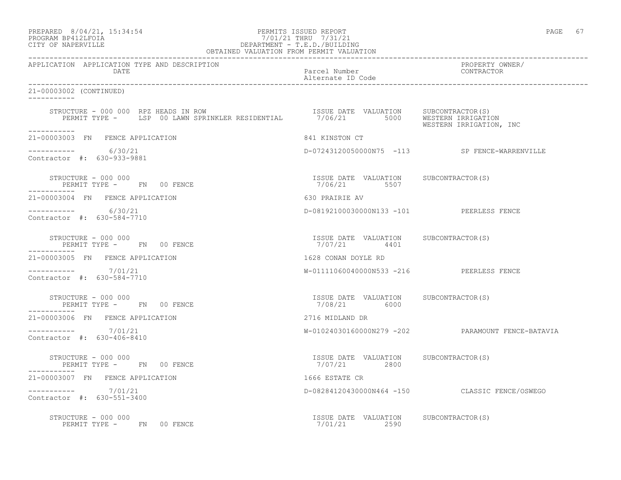| PREPARED | $8/04/21$ , $15:34:54$ |  |
|----------|------------------------|--|
|          | הדמה זמונות ווגמממחת   |  |

# PREPARED 8/04/21, 15:34:54 PERMITS ISSUED REPORT PROGRAM BP412LFOIA PAGE 67<br>PROGRAM BP412LFOIA PROGRAM PROGRAM PAGE 67 PROGRAM BP412LFOIA 7/01/21 THRU 7/31/21 CITY OF NAPERVILLE DEPARTMENT - T.E.D./BUILDING

| OBTAINED VALUATION FROM PERMIT VALUATION             |                                                       |                                                   |  |  |
|------------------------------------------------------|-------------------------------------------------------|---------------------------------------------------|--|--|
| APPLICATION APPLICATION TYPE AND DESCRIPTION<br>DATE | Parcel Number<br>Alternate ID Code                    | PROPERTY OWNER/<br>CONTRACTOR                     |  |  |
| 21-00003002 (CONTINUED)                              |                                                       |                                                   |  |  |
|                                                      |                                                       |                                                   |  |  |
| ------------<br>21-00003003 FN FENCE APPLICATION     | 841 KINSTON CT                                        |                                                   |  |  |
| ----------- 6/30/21<br>Contractor #: 630-933-9881    |                                                       | D-07243120050000N75 -113 SP FENCE-WARRENVILLE     |  |  |
| STRUCTURE - 000 000<br>PERMIT TYPE - FN 00 FENCE     | ISSUE DATE VALUATION SUBCONTRACTOR(S)<br>7/06/21 5507 |                                                   |  |  |
| 21-00003004 FN FENCE APPLICATION                     | 630 PRAIRIE AV                                        |                                                   |  |  |
| $--------- 6/30/21$<br>Contractor #: 630-584-7710    | D-08192100030000N133 -101 PEERLESS FENCE              |                                                   |  |  |
| STRUCTURE - 000 000<br>PERMIT TYPE - FN 00 FENCE     | ISSUE DATE VALUATION SUBCONTRACTOR(S)<br>7/07/21 4401 |                                                   |  |  |
| 21-00003005 FN FENCE APPLICATION                     | 1628 CONAN DOYLE RD                                   |                                                   |  |  |
| $--------- 7/01/21$<br>Contractor #: 630-584-7710    | W-01111060040000N533 -216 PEERLESS FENCE              |                                                   |  |  |
| STRUCTURE - 000 000<br>PERMIT TYPE - FN 00 FENCE     | ISSUE DATE VALUATION SUBCONTRACTOR(S)<br>7/08/21 6000 |                                                   |  |  |
| 21-00003006 FN FENCE APPLICATION                     | 2716 MIDLAND DR                                       |                                                   |  |  |
| $--------- 7/01/21$<br>Contractor #: 630-406-8410    |                                                       | W-01024030160000N279 -202 PARAMOUNT FENCE-BATAVIA |  |  |
| STRUCTURE - 000 000<br>PERMIT TYPE - FN 00 FENCE     | ISSUE DATE VALUATION SUBCONTRACTOR(S)<br>7/07/21 2800 |                                                   |  |  |
| 21-00003007 FN FENCE APPLICATION                     | 1666 ESTATE CR                                        |                                                   |  |  |
| $--------- 7/01/21$<br>Contractor #: 630-551-3400    |                                                       | D-08284120430000N464 -150 CLASSIC FENCE/OSWEGO    |  |  |
| STRUCTURE - 000 000<br>PERMIT TYPE - FN 00 FENCE     | ISSUE DATE VALUATION SUBCONTRACTOR(S)<br>7/01/21 2590 |                                                   |  |  |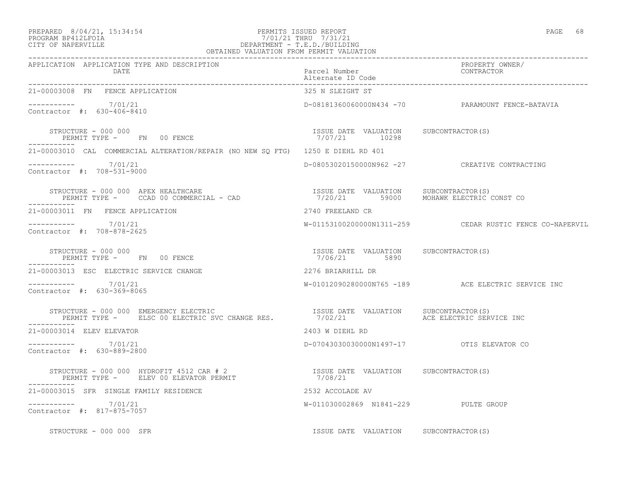# PREPARED 8/04/21, 15:34:54 PERMITS ISSUED REPORT<br>PROGRAM BP412LFOIA PAGE 68 PROGRAM PROGRAM PROGRAM PROGRAM BP412LFOIA PROGRAM BP412LFOIA 7/01/21 THRU 7/31/21 CITY OF NAPERVILLE DEPARTMENT - T.E.D./BUILDING

| OBTAINED VALUATION FROM PERMIT VALUATION                                                                                                                            |                                                                                |                                                          |  |
|---------------------------------------------------------------------------------------------------------------------------------------------------------------------|--------------------------------------------------------------------------------|----------------------------------------------------------|--|
| APPLICATION APPLICATION TYPE AND DESCRIPTION<br>DATE                                                                                                                | Parcel Number<br>Alternate ID Code                                             | PROPERTY OWNER/<br>CONTRACTOR                            |  |
| 21-00003008 FN FENCE APPLICATION                                                                                                                                    | 325 N SLEIGHT ST                                                               |                                                          |  |
| Contractor #: 630-406-8410                                                                                                                                          |                                                                                | D-08181360060000N434 -70 PARAMOUNT FENCE-BATAVIA         |  |
| STRUCTURE - 000 000<br>PERMIT TYPE - FN 00 FENCE                                                                                                                    | ISSUE DATE VALUATION SUBCONTRACTOR(S)<br>1880E DATE VALUATION<br>7/07/21 10298 |                                                          |  |
| 21-00003010 CAL COMMERCIAL ALTERATION/REPAIR (NO NEW SQ FTG) 1250 E DIEHL RD 401                                                                                    |                                                                                |                                                          |  |
| $--------- 7/01/21$<br>Contractor #: 708-531-9000                                                                                                                   |                                                                                | D-08053020150000N962 -27 CREATIVE CONTRACTING            |  |
| STRUCTURE - 000 000 APEX HEALTHCARE<br>PERMIT TYPE - CCAD 00 COMMERCIAL - CAD - 1/20/21 59000 MOHAWK ELECTRIC CONST CO                                              |                                                                                |                                                          |  |
| 21-00003011 FN FENCE APPLICATION                                                                                                                                    | 2740 FREELAND CR                                                               |                                                          |  |
| ----------- 7/01/21<br>Contractor #: 708-878-2625                                                                                                                   |                                                                                | W-01153100200000N1311-259 CEDAR RUSTIC FENCE CO-NAPERVIL |  |
| STRUCTURE - 000 000<br>PERMIT TYPE - FN 00 FENCE                                                                                                                    | ISSUE DATE VALUATION SUBCONTRACTOR(S)<br>7/06/21 5890                          |                                                          |  |
| 21-00003013 ESC ELECTRIC SERVICE CHANGE                                                                                                                             | 2276 BRIARHILL DR                                                              |                                                          |  |
| $--------- 7/01/21$<br>Contractor #: 630-369-8065                                                                                                                   |                                                                                | W-01012090280000N765 -189 ACE ELECTRIC SERVICE INC       |  |
| STRUCTURE - 000 000 EMERGENCY ELECTRIC<br>PERMIT TYPE - ELSC 00 ELECTRIC SVC CHANGE RES. 7/02/21 ACE ELECTRIC SERVICE INC<br>STRUCTURE - 000 000 EMERGENCY ELECTRIC |                                                                                |                                                          |  |
| 21-00003014 ELEV ELEVATOR                                                                                                                                           | 2403 W DIEHL RD                                                                |                                                          |  |
| $--------- 7/01/21$<br>Contractor #: 630-889-2800                                                                                                                   | D-07043030030000N1497-17 OTIS ELEVATOR CO                                      |                                                          |  |
|                                                                                                                                                                     |                                                                                |                                                          |  |
| 21-00003015 SFR SINGLE FAMILY RESIDENCE<br>2532 ACCOLADE AV                                                                                                         |                                                                                |                                                          |  |
| $--------- 7/01/21$<br>Contractor #: 817-875-7057                                                                                                                   | W-011030002869 N1841-229 PULTE GROUP                                           |                                                          |  |
| STRUCTURE - 000 000 SFR                                                                                                                                             | ISSUE DATE VALUATION SUBCONTRACTOR(S)                                          |                                                          |  |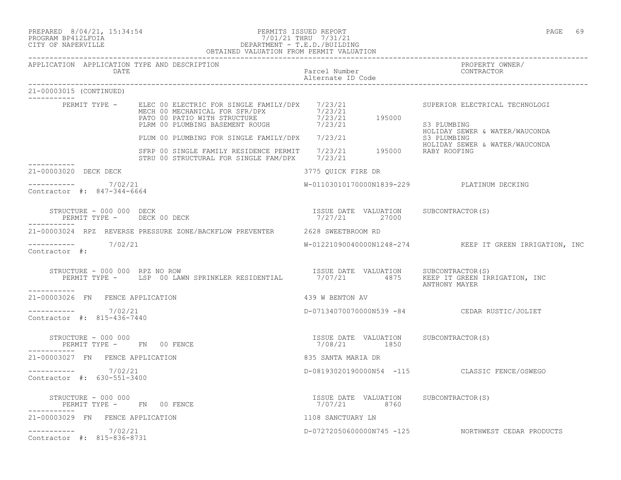PREPARED 8/04/21, 15:34:54 PERMITS ISSUED REPORT PAGE 69

# PROGRAM BP412LFOIA 7/01/21 THRU 7/31/21 CITY OF NAPERVILLE DEPARTMENT - T.E.D./BUILDING

|                         |                                                             | OBTAINED VALUATION FROM PERMIT VALUATION                                                                                                                                                                                                                                |                                    |                                                         |
|-------------------------|-------------------------------------------------------------|-------------------------------------------------------------------------------------------------------------------------------------------------------------------------------------------------------------------------------------------------------------------------|------------------------------------|---------------------------------------------------------|
|                         | APPLICATION APPLICATION TYPE AND DESCRIPTION<br><b>DATE</b> |                                                                                                                                                                                                                                                                         | Parcel Number<br>Alternate ID Code | PROPERTY OWNER/<br>CONTRACTOR                           |
| 21-00003015 (CONTINUED) |                                                             |                                                                                                                                                                                                                                                                         |                                    |                                                         |
| -----------             |                                                             | PERMIT TYPE - ELEC 00 ELECTRIC FOR SINGLE FAMILY/DPX 7/23/21<br>MECH 00 MECHANICAL FOR SFR/DPX 7/23/21<br>PATO 00 PATIO WITH STRUCTURE<br>PLRM 00 PLUMBING BASEMENT ROUGH 7/23/21 195000  PLRM 00 PLUMBING BASEMENT ROUGH  27/23/21  27/23/21  27/23/21  27/23/21  2011 |                                    | SUPERIOR ELECTRICAL TECHNOLOGI<br>S3 PLUMBING           |
|                         |                                                             |                                                                                                                                                                                                                                                                         |                                    | HOLIDAY SEWER & WATER/WAUCONDA                          |
|                         |                                                             | PLUM 00 PLUMBING FOR SINGLE FAMILY/DPX 7/23/21 ASSOLUMBING<br>STRP 00 SINGLE FAMILY RESIDENCE PERMIT 7/23/21 195000 RABY ROOFING<br>STRU 00 STRUCTURAL FOR SINGLE FAM/DPX 7/23/21                                                                                       |                                    | HOLIDAY SEWER & WATER/WAUCONDA                          |
| 21-00003020 DECK DECK   |                                                             |                                                                                                                                                                                                                                                                         | 3775 QUICK FIRE DR                 |                                                         |
|                         | 7/02/21<br>Contractor #: 847-344-6664                       |                                                                                                                                                                                                                                                                         |                                    | W-01103010170000N1839-229 PLATINUM DECKING              |
|                         | STRUCTURE - 000 000 DECK                                    | PERMIT TYPE - DECK 00 DECK                                                                                                                                                                                                                                              | 7/27/21 27000                      | ISSUE DATE VALUATION SUBCONTRACTOR(S)                   |
|                         |                                                             | 21-00003024 RPZ REVERSE PRESSURE ZONE/BACKFLOW PREVENTER 2628 SWEETBROOM RD                                                                                                                                                                                             |                                    |                                                         |
| Contractor #:           | $--------$ 7/02/21                                          |                                                                                                                                                                                                                                                                         |                                    | W-01221090040000N1248-274 KEEP IT GREEN IRRIGATION, INC |
| -----------             | STRUCTURE - 000 000 RPZ NO ROW                              |                                                                                                                                                                                                                                                                         |                                    | ANTHONY MAYER                                           |
|                         | 21-00003026 FN FENCE APPLICATION                            |                                                                                                                                                                                                                                                                         | 439 W BENTON AV                    |                                                         |
|                         | $--------- 7/02/21$<br>Contractor #: 815-436-7440           |                                                                                                                                                                                                                                                                         |                                    | D-07134070070000N539 -84 CEDAR RUSTIC/JOLIET            |
|                         | STRUCTURE - 000 000<br>PERMIT TYPE - FN 00 FENCE            |                                                                                                                                                                                                                                                                         | 7/08/21 1850                       | ISSUE DATE VALUATION SUBCONTRACTOR(S)                   |
|                         | 21-00003027 FN FENCE APPLICATION                            |                                                                                                                                                                                                                                                                         | 835 SANTA MARIA DR                 |                                                         |
|                         | $--------- 7/02/21$<br>Contractor #: 630-551-3400           |                                                                                                                                                                                                                                                                         |                                    | D-08193020190000N54 -115 CLASSIC FENCE/OSWEGO           |
|                         | STRUCTURE - 000 000                                         | STRUCTURE - 000 000<br>PERMIT TYPE - FN 00 FENCE                                                                                                                                                                                                                        | 7/07/21 8760                       | ISSUE DATE VALUATION SUBCONTRACTOR (S)                  |
|                         | 21-00003029 FN FENCE APPLICATION                            |                                                                                                                                                                                                                                                                         | 1108 SANCTUARY LN                  |                                                         |
|                         | $--------- 7/02/21$<br>Contractor #: 815-836-8731           |                                                                                                                                                                                                                                                                         |                                    | D-07272050600000N745 -125 NORTHWEST CEDAR PRODUCTS      |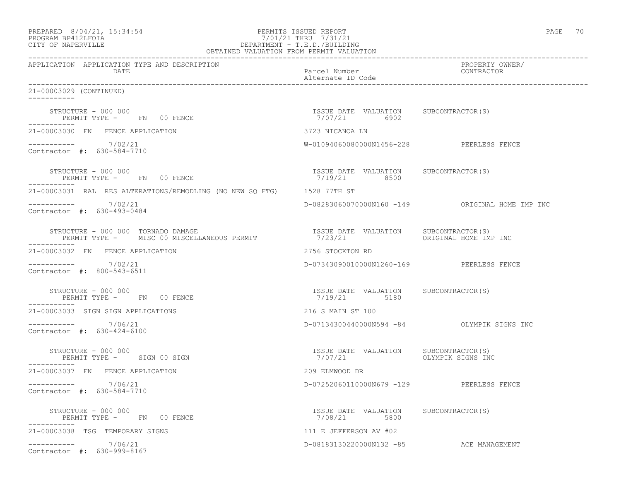| PREPARED 8/04/21, 15:34:54<br>PROGRAM BP412LFOIA<br>7/01/21 THRU 7/31/21<br>DEPARTMENT - T.E.D./BUILDING<br>OBTAINED VALUATION FROM PERMIT VALUATION<br>CITY OF NAPERVILLE | PERMITS ISSUED REPORT<br>7/01/21 THRU 7/31/21            | PAGE 70                                    |
|----------------------------------------------------------------------------------------------------------------------------------------------------------------------------|----------------------------------------------------------|--------------------------------------------|
| APPLICATION APPLICATION TYPE AND DESCRIPTION<br>DATE                                                                                                                       | Parcel Number<br>Alternate ID Code                       | PROPERTY OWNER/<br>CONTRACTOR              |
| 21-00003029 (CONTINUED)                                                                                                                                                    |                                                          |                                            |
| STRUCTURE - 000 000<br>PERMIT TYPE - FN 00 FENCE<br>-----------                                                                                                            | ISSUE DATE VALUATION SUBCONTRACTOR(S)<br>$7/07/21$ 6902  |                                            |
| 21-00003030 FN FENCE APPLICATION                                                                                                                                           | 3723 NICANOA LN                                          |                                            |
| $--------- 7/02/21$<br>Contractor #: 630-584-7710                                                                                                                          | W-01094060080000N1456-228 PEERLESS FENCE                 |                                            |
| STRUCTURE - 000 000<br>PERMIT TYPE - FN 00 FENCE                                                                                                                           | ISSUE DATE VALUATION SUBCONTRACTOR (S)<br>7/19/21 8500   |                                            |
| 21-00003031 RAL RES ALTERATIONS/REMODLING (NO NEW SQ FTG) 1528 77TH ST                                                                                                     |                                                          |                                            |
| $--------- 7/02/21$<br>Contractor #: 630-493-0484                                                                                                                          |                                                          |                                            |
| STRUCTURE - 000 000 TORNADO DAMAGE<br>PERMIT TYPE -     MISC 00 MISCELLANEOUS PERMIT<br>-----------                                                                        | ISSUE DATE VALUATION SUBCONTRACTOR (S)<br>7/23/21        | ORIGINAL HOME IMP INC                      |
| 21-00003032 FN FENCE APPLICATION                                                                                                                                           | 2756 STOCKTON RD                                         |                                            |
| $--------- 7/02/21$<br>Contractor #: 800-543-6511                                                                                                                          | D-07343090010000N1260-169 PEERLESS FENCE                 |                                            |
| STRUCTURE $-000000$<br>PERMIT TYPE - FN 00 FENCE                                                                                                                           | ISSUE DATE VALUATION SUBCONTRACTOR(S)<br>7/19/21 5180    |                                            |
| 21-00003033 SIGN SIGN APPLICATIONS                                                                                                                                         | 216 S MAIN ST 100                                        |                                            |
| $--------- 7/06/21$<br>Contractor #: 630-424-6100                                                                                                                          |                                                          | D-07134300440000N594 -84 OLYMPIK SIGNS INC |
| STRUCTURE - 000 000<br>PERMIT TYPE - SIGN 00 SIGN                                                                                                                          | ISSUE DATE VALUATION<br>7/07/21                          | SUBCONTRACTOR(S)<br>OLYMPIK SIGNS INC      |
| 21-00003037 FN FENCE APPLICATION                                                                                                                                           | 209 ELMWOOD DR                                           |                                            |
| 7/06/21<br>Contractor #: 630-584-7710                                                                                                                                      | D-07252060110000N679 -129 PEERLESS FENCE                 |                                            |
| STRUCTURE - 000 000<br>PERMIT TYPE - FN 00 FENCE<br>------------                                                                                                           | ISSUE DATE VALUATION SUBCONTRACTOR(S)<br>7/08/21<br>5800 |                                            |
| 21-00003038 TSG TEMPORARY SIGNS                                                                                                                                            | 111 E JEFFERSON AV #02                                   |                                            |
| $--------- 7/06/21$<br>Contractor #: 630-999-8167                                                                                                                          | D-08183130220000N132 -85                                 | ACE MANAGEMENT                             |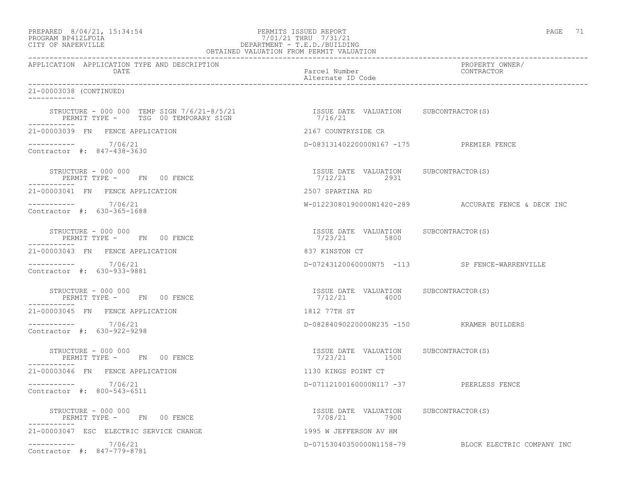# PREPARED 8/04/21, 15:34:54 PERMITS ISSUED REPORT PAGE 71 PROGRAM BP412LFOIA 7/01/21 THRU 7/31/21 THE CONSTRAINT CONSTRAINT DEPARTMENT AND THE CONSTRAINT OF NAPERVILLE CITY OF NAPERVILLE CITY OF NAPERVILLE

| OBTAINED VALUATION FROM PERMIT VALUATION                                           |                                                       |                                                     |  |  |  |
|------------------------------------------------------------------------------------|-------------------------------------------------------|-----------------------------------------------------|--|--|--|
| APPLICATION APPLICATION TYPE AND DESCRIPTION<br>DATE                               | Parcel Number<br>Alternate ID Code                    | PROPERTY OWNER/<br>CONTRACTOR                       |  |  |  |
| 21-00003038 (CONTINUED)<br>-----------                                             |                                                       |                                                     |  |  |  |
| STRUCTURE - 000 000 TEMP SIGN 7/6/21-8/5/21<br>PERMIT TYPE - TSG 00 TEMPORARY SIGN | ISSUE DATE VALUATION SUBCONTRACTOR(S)<br>7/16/21      |                                                     |  |  |  |
| 21-00003039 FN FENCE APPLICATION                                                   | 2167 COUNTRYSIDE CR                                   |                                                     |  |  |  |
| $--------- 7/06/21$<br>Contractor #: 847-438-3630                                  | D-08313140220000N167 -175 PREMIER FENCE               |                                                     |  |  |  |
| STRUCTURE - 000 000<br>PERMIT TYPE - FN 00 FENCE                                   | ISSUE DATE VALUATION SUBCONTRACTOR(S)<br>7/12/21 2931 |                                                     |  |  |  |
| 21-00003041 FN FENCE APPLICATION                                                   | 2507 SPARTINA RD                                      |                                                     |  |  |  |
| ____________<br>7/06/21<br>Contractor #: 630-365-1688                              |                                                       | W-01223080190000N1420-289 ACCURATE FENCE & DECK INC |  |  |  |
| STRUCTURE - 000 000<br>PERMIT TYPE - FN 00 FENCE                                   | ISSUE DATE VALUATION SUBCONTRACTOR(S)<br>7/23/21 5800 |                                                     |  |  |  |
| 21-00003043 FN FENCE APPLICATION                                                   | 837 KINSTON CT                                        |                                                     |  |  |  |
| 7/06/21<br>Contractor #: 630-933-9881                                              |                                                       | D-07243120060000N75 -113 SP FENCE-WARRENVILLE       |  |  |  |
| STRUCTURE - 000 000<br>PERMIT TYPE - FN 00 FENCE                                   | ISSUE DATE VALUATION SUBCONTRACTOR(S)<br>7/12/21 4000 |                                                     |  |  |  |
| 21-00003045 FN FENCE APPLICATION                                                   | 1812 77TH ST                                          |                                                     |  |  |  |
| 7/06/21<br>Contractor #: 630-922-9298                                              | D-08284090220000N235 -150 KRAMER BUILDERS             |                                                     |  |  |  |
| STRUCTURE - 000 000<br>PERMIT TYPE - FN 00 FENCE<br>------------                   | ISSUE DATE VALUATION SUBCONTRACTOR(S)<br>7/23/21 1500 |                                                     |  |  |  |
| 21-00003046 FN FENCE APPLICATION                                                   | 1130 KINGS POINT CT                                   |                                                     |  |  |  |
| ----------- 7/06/21<br>Contractor #: 800-543-6511                                  | D-07112100160000N117 -37 PEERLESS FENCE               |                                                     |  |  |  |
| STRUCTURE - 000 000<br>PERMIT TYPE - FN 00 FENCE                                   | ISSUE DATE VALUATION SUBCONTRACTOR(S)<br>7/08/21 7900 |                                                     |  |  |  |
| 21-00003047 ESC ELECTRIC SERVICE CHANGE                                            | 1995 W JEFFERSON AV HM                                |                                                     |  |  |  |
| $--------- 7/06/21$<br>Contractor #: 847-779-8781                                  |                                                       | D-07153040350000N1158-79 BLOCK ELECTRIC COMPANY INC |  |  |  |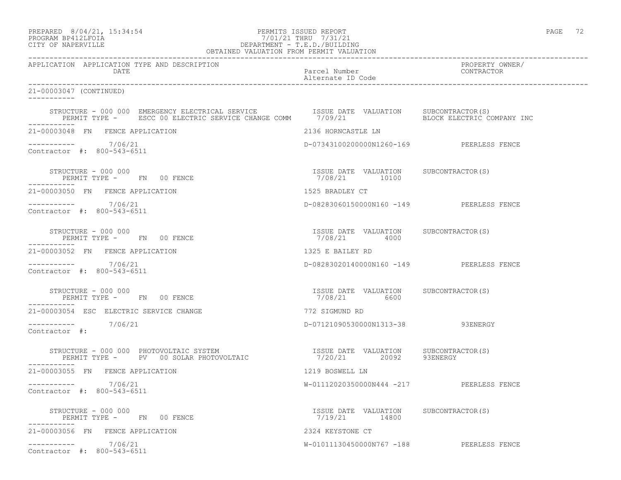## PREPARED 8/04/21, 15:34:54 PERMITS ISSUED REPORT PROGRAM BP412LFOIA PAGE 72<br>PROGRAM BP412LFOIA PROGRAM BP412LFOIA 7/01/21 THRU 7/31/21 CITY OF NAPERVILLE DEPARTMENT - T.E.D./BUILDING

| OBTAINED VALUATION FROM PERMIT VALUATION                                                                                                                                                                                                                                                  |                                                         |                               |  |
|-------------------------------------------------------------------------------------------------------------------------------------------------------------------------------------------------------------------------------------------------------------------------------------------|---------------------------------------------------------|-------------------------------|--|
| APPLICATION APPLICATION TYPE AND DESCRIPTION<br>DATE                                                                                                                                                                                                                                      | Parcel Number<br>Alternate ID Code                      | PROPERTY OWNER/<br>CONTRACTOR |  |
| 21-00003047 (CONTINUED)<br>-----------                                                                                                                                                                                                                                                    |                                                         |                               |  |
| STRUCTURE - 000 000 EMERGENCY ELECTRICAL SERVICE<br>substantion<br>substantion<br>substantion<br>substantion<br>substantion<br>substantion<br>substantion<br>substantion<br>substantion<br>subst<br>PERMIT TYPE - ESCC 00 ELECTRIC SERVICE CHANGE COMM 7/09/21 SLOCK ELECTRIC COMPANY INC |                                                         |                               |  |
| 21-00003048 FN FENCE APPLICATION                                                                                                                                                                                                                                                          | 2136 HORNCASTLE LN                                      |                               |  |
| $--------- 7/06/21$<br>Contractor #: 800-543-6511                                                                                                                                                                                                                                         | D-07343100200000N1260-169 PEERLESS FENCE                |                               |  |
| STRUCTURE - 000 000<br>PERMIT TYPE -     FN    00 FENCE                                                                                                                                                                                                                                   | ISSUE DATE VALUATION SUBCONTRACTOR (S)<br>7/08/21 10100 |                               |  |
| 21-00003050 FN FENCE APPLICATION                                                                                                                                                                                                                                                          | 1525 BRADLEY CT                                         |                               |  |
| $--------- 7/06/21$<br>Contractor #: 800-543-6511                                                                                                                                                                                                                                         | D-08283060150000N160 -149 PEERLESS FENCE                |                               |  |
| STRUCTURE - 000 000<br>PERMIT TYPE - FN 00 FENCE                                                                                                                                                                                                                                          | ISSUE DATE VALUATION SUBCONTRACTOR(S)<br>7/08/21 4000   |                               |  |
| 21-00003052 FN FENCE APPLICATION                                                                                                                                                                                                                                                          | 1325 E BAILEY RD                                        |                               |  |
| $--------$ 7/06/21<br>Contractor #: 800-543-6511                                                                                                                                                                                                                                          | D-08283020140000N160 -149 PEERLESS FENCE                |                               |  |
| STRUCTURE - 000 000<br>PERMIT TYPE - FN 00 FENCE                                                                                                                                                                                                                                          | ISSUE DATE VALUATION SUBCONTRACTOR (S)<br>7/08/21 6600  |                               |  |
| 21-00003054 ESC ELECTRIC SERVICE CHANGE                                                                                                                                                                                                                                                   | 772 SIGMUND RD                                          |                               |  |
| -----------    7/06/21<br>Contractor #:                                                                                                                                                                                                                                                   | D-07121090530000N1313-38 93ENERGY                       |                               |  |
| STRUCTURE – 000 000 PHOTOVOLTAIC SYSTEM                            ISSUE DATE VALUATION     SUBCONTRACTOR(S)<br>PERMIT TYPE –      PV   00 SOLAR PHOTOVOLTAIC                      7/20/21       20092       93ENERGY<br>-----------                                                      |                                                         |                               |  |
| 21-00003055 FN FENCE APPLICATION                                                                                                                                                                                                                                                          | 1219 BOSWELL LN                                         |                               |  |
| ----------- 7/06/21<br>Contractor #: 800-543-6511                                                                                                                                                                                                                                         | W-01112020350000N444 -217 PEERLESS FENCE                |                               |  |
| STRUCTURE - 000 000<br>PERMIT TYPE - FN 00 FENCE                                                                                                                                                                                                                                          | ISSUE DATE VALUATION SUBCONTRACTOR(S)<br>7/19/21 14800  |                               |  |
| 21-00003056 FN FENCE APPLICATION                                                                                                                                                                                                                                                          | 2324 KEYSTONE CT                                        |                               |  |
| 7/06/21<br>Contractor #: 800-543-6511                                                                                                                                                                                                                                                     | W-01011130450000N767 -188 PEERLESS FENCE                |                               |  |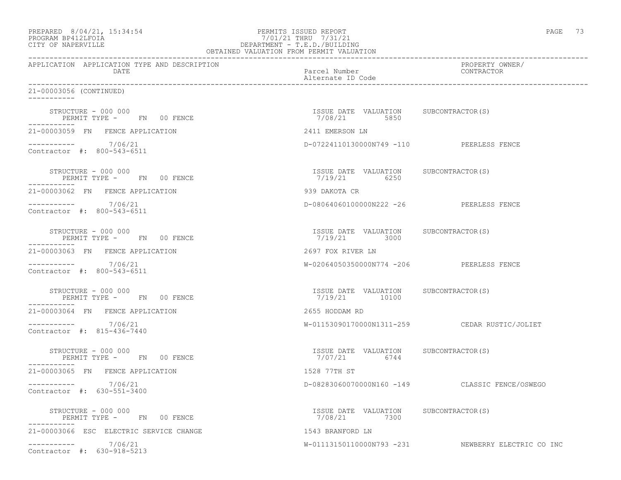| PROGRAM BP412LFOIA<br>CITY OF NAPERVILLE                               | 7/01/21 THRU 7/31/21<br>DEPARTMENT - T.E.D./BUILDING<br>OBTAINED VALUATION FROM PERMIT VALUATION |                                                    |
|------------------------------------------------------------------------|--------------------------------------------------------------------------------------------------|----------------------------------------------------|
| APPLICATION APPLICATION TYPE AND DESCRIPTION<br>DATE                   | Parcel Number<br>Alternate ID Code                                                               | PROPERTY OWNER/<br>CONTRACTOR                      |
| 21-00003056 (CONTINUED)<br>------------                                |                                                                                                  |                                                    |
| STRUCTURE - 000 000<br>PERMIT TYPE -     FN    00 FENCE<br>----------- | ISSUE DATE VALUATION SUBCONTRACTOR(S)<br>7/08/21 5850                                            |                                                    |
| 21-00003059 FN FENCE APPLICATION                                       | 2411 EMERSON LN                                                                                  |                                                    |
| ----------- 7/06/21<br>Contractor #: 800-543-6511                      | D-07224110130000N749 -110 PEERLESS FENCE                                                         |                                                    |
| STRUCTURE - 000 000<br>PERMIT TYPE - FN 00 FENCE                       | ISSUE DATE VALUATION SUBCONTRACTOR(S)<br>7/19/21 6250                                            |                                                    |
| 21-00003062 FN FENCE APPLICATION                                       | 939 DAKOTA CR                                                                                    |                                                    |
| ----------- 7/06/21<br>Contractor #: 800-543-6511                      | D-08064060100000N222 -26 PEERLESS FENCE                                                          |                                                    |
| STRUCTURE - 000 000<br>PERMIT TYPE - FN 00 FENCE<br>___________        | ISSUE DATE VALUATION SUBCONTRACTOR(S)<br>7/19/21 3000                                            |                                                    |
| 21-00003063 FN FENCE APPLICATION                                       | 2697 FOX RIVER LN                                                                                |                                                    |
| $--------$ 7/06/21<br>Contractor #: 800-543-6511                       | W-02064050350000N774 -206 PEERLESS FENCE                                                         |                                                    |
| STRUCTURE - 000 000<br>PERMIT TYPE - FN 00 FENCE                       | ISSUE DATE VALUATION SUBCONTRACTOR(S)<br>7/19/21 10100                                           |                                                    |
| 21-00003064 FN FENCE APPLICATION                                       | 2655 HODDAM RD                                                                                   |                                                    |
| $--------- 7/06/21$<br>Contractor #: 815-436-7440                      |                                                                                                  | W-01153090170000N1311-259 CEDAR RUSTIC/JOLIET      |
| STRUCTURE - 000 000<br>PERMIT TYPE - FN 00 FENCE<br>-----------        | ISSUE DATE VALUATION SUBCONTRACTOR(S)<br>7/07/21 6744                                            |                                                    |
| 21-00003065 FN FENCE APPLICATION                                       | 1528 77TH ST                                                                                     |                                                    |
| $--------- 7/06/21$<br>Contractor #: 630-551-3400                      |                                                                                                  | D-08283060070000N160 -149 CLASSIC FENCE/OSWEGO     |
| STRUCTURE - 000 000<br>PERMIT TYPE -<br>FN 00 FENCE                    | ISSUE DATE VALUATION SUBCONTRACTOR(S)<br>7/08/21<br>7300                                         |                                                    |
| 21-00003066 ESC ELECTRIC SERVICE CHANGE                                | 1543 BRANFORD LN                                                                                 |                                                    |
| 7/06/21<br>Contractor #: 630-918-5213                                  |                                                                                                  | W-01113150110000N793 -231 NEWBERRY ELECTRIC CO INC |

PREPARED 8/04/21, 15:34:54 PERMITS ISSUED REPORT PAGE 73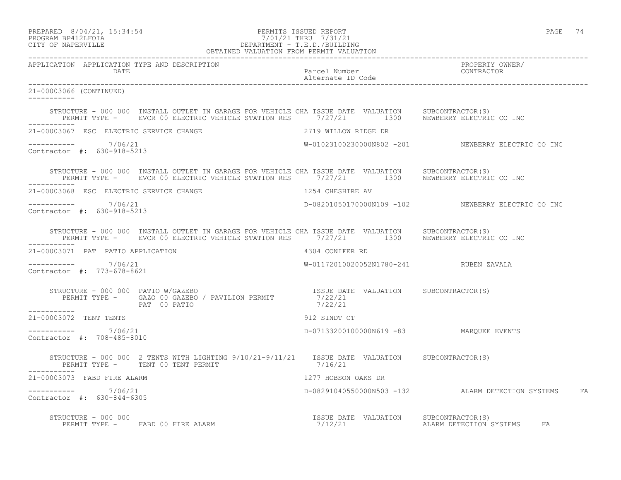| PREPARED | 8/04/21, 15:34:54  |  |
|----------|--------------------|--|
|          | PROGRAM BP412LFOIA |  |

## PERMITS ISSUED REPORT **PAGE 74** PROGRAM BP412LFOIA 7/01/21 THRU 7/31/21 CITY OF NAPERVILLE DEPARTMENT - T.E.D./BUILDING

|                                                       | OBTAINED VALUATION FROM PERMIT VALUATION                                                                                                                                                                                                                                                                                |                                         |                                                      |
|-------------------------------------------------------|-------------------------------------------------------------------------------------------------------------------------------------------------------------------------------------------------------------------------------------------------------------------------------------------------------------------------|-----------------------------------------|------------------------------------------------------|
| APPLICATION APPLICATION TYPE AND DESCRIPTION          |                                                                                                                                                                                                                                                                                                                         |                                         | PROPERTY OWNER/                                      |
| 21-00003066 (CONTINUED)                               |                                                                                                                                                                                                                                                                                                                         |                                         |                                                      |
|                                                       | STRUCTURE - 000 000 INSTALL OUTLET IN GARAGE FOR VEHICLE CHA ISSUE DATE VALUATION SUBCONTRACTOR(S)<br>PERMIT TYPE - EVCR 00 ELECTRIC VEHICLE STATION RES 7/27/21 1300 NEWBERRY ELECTRIC CO INC                                                                                                                          |                                         |                                                      |
| ------------                                          | 21-00003067 ESC ELECTRIC SERVICE CHANGE<br>2719 WILLOW RIDGE DR                                                                                                                                                                                                                                                         |                                         |                                                      |
| -----------     7/06/21<br>Contractor #: 630-918-5213 |                                                                                                                                                                                                                                                                                                                         |                                         | W-01023100230000N802 -201 NEWBERRY ELECTRIC CO INC   |
| -----------                                           | STRUCTURE - 000 000 INSTALL OUTLET IN GARAGE FOR VEHICLE CHA ISSUE DATE VALUATION SUBCONTRACTOR(S)<br>PERMIT TYPE - EVCR 00 ELECTRIC VEHICLE STATION RES 7/27/21 1300 NEWBERRY ELECTRIC CO INC                                                                                                                          |                                         |                                                      |
| 21-00003068 ESC ELECTRIC SERVICE CHANGE               | 1254 CHESHIRE AV                                                                                                                                                                                                                                                                                                        |                                         |                                                      |
| $--------- 7/06/21$<br>Contractor #: 630-918-5213     |                                                                                                                                                                                                                                                                                                                         |                                         | D-08201050170000N109 -102 NEWBERRY ELECTRIC CO INC   |
| ___________                                           | STRUCTURE - 000 000 INSTALL OUTLET IN GARAGE FOR VEHICLE CHA ISSUE DATE VALUATION SUBCONTRACTOR(S)<br>PERMIT TYPE - EVCR 00 ELECTRIC VEHICLE STATION RES 7/27/21 1300 NEWBERRY ELECTRIC CO INC                                                                                                                          |                                         |                                                      |
| 21-00003071 PAT PATIO APPLICATION                     | 4304 CONIFER RD<br>W-01172010020052N                                                                                                                                                                                                                                                                                    |                                         |                                                      |
| ----------- 7/06/21<br>Contractor #: 773-678-8621     |                                                                                                                                                                                                                                                                                                                         | W-01172010020052N1780-241 RUBEN ZAVALA  |                                                      |
| ___________                                           | $\begin{array}{cccc} \texttt{STRUCTURE} - 000 000 & \texttt{PATIO W/GAZEBO} & \texttt{PAVILION} & \texttt{ISUE DATE} & \texttt{VALUATION} & \texttt{SUBCONTRACTOR(S)} \\ \texttt{PERMIT TYPE} - & \texttt{GAZO 00 GAZEBO} / \texttt{PAVILION PERMIT} & 7/22/21 & \\ & \texttt{PAT 00 PATIO} & 7/22/21 & \\ \end{array}$ |                                         |                                                      |
| 21-00003072 TENT TENTS                                |                                                                                                                                                                                                                                                                                                                         | 912 SINDT CT                            |                                                      |
| $--------- 7/06/21$<br>Contractor #: 708-485-8010     |                                                                                                                                                                                                                                                                                                                         | D-07133200100000N619 -83 MARQUEE EVENTS |                                                      |
|                                                       | STRUCTURE - 000 000 2 TENTS WITH LIGHTING 9/10/21-9/11/21 ISSUE DATE VALUATION SUBCONTRACTOR(S)<br>PERMIT TYPE - TENT 00 TENT PERMIT   7/16/21                                                                                                                                                                          |                                         |                                                      |
| 21-00003073 FABD FIRE ALARM                           |                                                                                                                                                                                                                                                                                                                         | 1277 HOBSON OAKS DR                     |                                                      |
| $--------- 7/06/21$<br>Contractor #: 630-844-6305     |                                                                                                                                                                                                                                                                                                                         |                                         | D-08291040550000N503 -132 ALARM DETECTION SYSTEMS FA |
| STRUCTURE - 000 000                                   |                                                                                                                                                                                                                                                                                                                         |                                         |                                                      |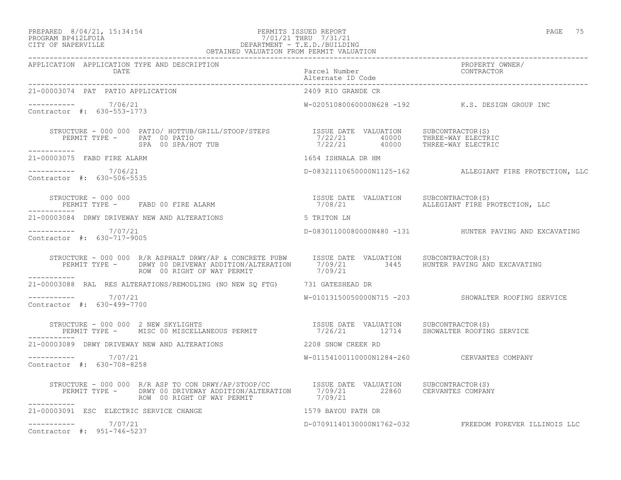## PREPARED 8/04/21, 15:34:54 PERMITS ISSUED REPORT PAGE 75 PROGRAM BP412LFOIA 7/01/21 THRU 7/31/21 CITY OF NAPERVILLE DEPARTMENT - T.E.D./BUILDING

| OBTAINED VALUATION FROM PERMIT VALUATION                                                                                                                                                                                              |                                                   |                                                          |
|---------------------------------------------------------------------------------------------------------------------------------------------------------------------------------------------------------------------------------------|---------------------------------------------------|----------------------------------------------------------|
| APPLICATION APPLICATION TYPE AND DESCRIPTION<br><b>DATE</b>                                                                                                                                                                           | Parcel Number<br>Alternate ID Code and CONTRACTOR | PROPERTY OWNER/                                          |
| 21-00003074 PAT PATIO APPLICATION                                                                                                                                                                                                     | 2409 RIO GRANDE CR                                |                                                          |
| ---------- 7/06/21<br>Contractor #: 630-553-1773                                                                                                                                                                                      |                                                   | W-02051080060000N628 -192 K.S. DESIGN GROUP INC          |
|                                                                                                                                                                                                                                       |                                                   |                                                          |
| ___________<br>21-00003075 FABD FIRE ALARM                                                                                                                                                                                            | 1654 ISHNALA DR HM                                |                                                          |
| $--------- 7/06/21$<br>Contractor #: 630-506-5535                                                                                                                                                                                     |                                                   | D-08321110650000N1125-162 ALLEGIANT FIRE PROTECTION, LLC |
| STRUCTURE - 000 000<br>PERMIT TYPE - FABD 00 FIRE ALARM<br>STRUCTURE - 000 000                                                                                                                                                        | ISSUE DATE VALUATION SUBCONTRACTOR(S)             | 7/08/21 ALLEGIANT FIRE PROTECTION, LLC                   |
| 21-00003084 DRWY DRIVEWAY NEW AND ALTERATIONS                                                                                                                                                                                         | 5 TRITON LN                                       |                                                          |
| $--------- 7/07/21$<br>Contractor #: 630-717-9005                                                                                                                                                                                     |                                                   | D-08301100080000N480 -131 HUNTER PAVING AND EXCAVATING   |
| STRUCTURE - 000 000 R/R ASPHALT DRWY/AP & CONCRETE PUBW ISSUE DATE VALUATION SUBCONTRACTOR(S)<br>PERMIT TYPE - DRWY 00 DRIVEWAY ADDITION/ALTERATION 7/09/21 3445 HUNTER PAVING AND EXCAVATING<br>-----------                          |                                                   |                                                          |
| 21-00003088 RAL RES ALTERATIONS/REMODLING (NO NEW SQ FTG) 731 GATESHEAD DR                                                                                                                                                            |                                                   |                                                          |
| $--------- 7/07/21$<br>Contractor #: 630-499-7700                                                                                                                                                                                     |                                                   | W-01013150050000N715 -203 SHOWALTER ROOFING SERVICE      |
| STRUCTURE - 000 000 2 NEW SKYLIGHTS<br>PERMIT TYPE - MISC 00 MISCELLANEOUS PERMIT - 12714 SHOWALTER ROOFING SERVICE                                                                                                                   |                                                   |                                                          |
| 21-00003089 DRWY DRIVEWAY NEW AND ALTERATIONS 4200 SNOW CREEK RD                                                                                                                                                                      |                                                   |                                                          |
| ----------- 7/07/21<br>Contractor #: 630-708-8258                                                                                                                                                                                     |                                                   | W-01154100110000N1284-260 CERVANTES COMPANY              |
| STRUCTURE - 000 000 R/R ASP TO CON DRWY/AP/STOOP/CC USSUE DATE VALUATION SUBCONTRACTOR(S)<br>PERMIT TYPE - DRWY 00 DRIVEWAY ADDITION/ALTERATION 7/09/21 22860 CERVANTES COMPANY<br>ROW 00 RIGHT OF WAY PERMIT 7/09/21<br>------------ |                                                   |                                                          |
| 21-00003091 ESC ELECTRIC SERVICE CHANGE                                                                                                                                                                                               | 1579 BAYOU PATH DR                                |                                                          |
| $--------- 7/07/21$<br>Contractor #: 951-746-5237                                                                                                                                                                                     |                                                   | D-07091140130000N1762-032 FREEDOM FOREVER ILLINOIS LLC   |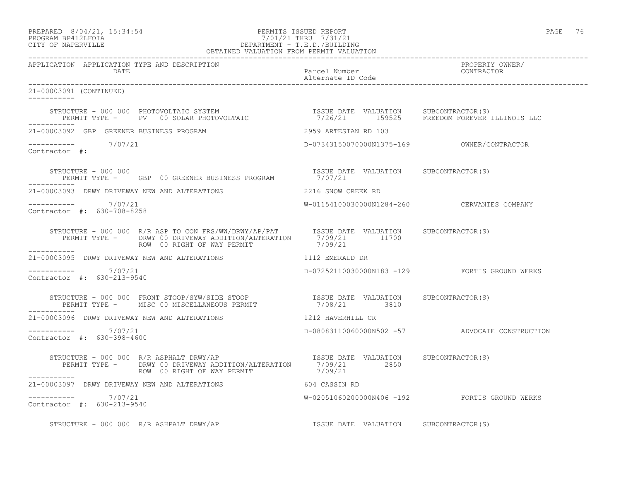#### PREPARED 8/04/21, 15:34:54 PERMITS ISSUED REPORT PAGE 76 PROGRAM BP412LFOIA 7/01/21 THRU 7/31/21 CITY OF NAPERVILLE DEPARTMENT - T.E.D./BUILDING OBTAINED VALUATION FROM PERMIT VALUATION

------------------------------------------------------------------------------------------------------------------------------------ APPLICATION APPLICATION TYPE AND DESCRIPTION<br>DATE barcel Number Parcel Number (CONTRACTOR DATE Parcel Number CONTRACTOR Alternate ID Code ------------------------------------------------------------------------------------------------------------------------------------ 21-00003091 (CONTINUED) ----------- STRUCTURE - 000 000 PHOTOVOLTAIC SYSTEM ISSUE DATE VALUATION SUBCONTRACTOR(S) PERMIT TYPE - PV 00 SOLAR PHOTOVOLTAIC 7/26/21 159525 FREEDOM FOREVER ILLINOIS LLC ----------- 21-00003092 GBP GREENER BUSINESS PROGRAM 2959 ARTESIAN RD 103 ----------- 7/07/21 D-07343150070000N1375-169 OWNER/CONTRACTOR Contractor #: STRUCTURE - 000 000 ISSUE DATE VALUATION SUBCONTRACTOR(S) PERMIT TYPE - GBP 00 GREENER BUSINESS PROGRAM 7/07/21 ----------- 21-00003093 DRWY DRIVEWAY NEW AND ALTERATIONS 2216 SNOW CREEK RD ----------- 7/07/21 W-01154100030000N1284-260 CERVANTES COMPANY Contractor #: 630-708-8258 STRUCTURE - 000 000 R/R ASP TO CON FRS/WW/DRWY/AP/PAT ISSUE DATE VALUATION SUBCONTRACTOR(S) PERMIT TYPE - DRWY 00 DRIVEWAY ADDITION/ALTERATION 7/09/21 11700 ROW 00 RIGHT OF WAY PERMIT THE ROLL TO 109/21 ----------- 21-00003095 DRWY DRIVEWAY NEW AND ALTERATIONS 1112 EMERALD DR ----------- 7/07/21 D-07252110030000N183 -129 FORTIS GROUND WERKS Contractor #: 630-213-9540 STRUCTURE - 000 000 FRONT STOOP/SYW/SIDE STOOP ISSUE DATE VALUATION SUBCONTRACTOR(S) PERMIT TYPE - MISC 00 MISCELLANEOUS PERMIT 7/08/21 3810 ----------- 21-00003096 DRWY DRIVEWAY NEW AND ALTERATIONS 1212 HAVERHILL CR ----------- 7/07/21 D-08083110060000N502 -57 ADVOCATE CONSTRUCTION Contractor #: 630-398-4600 STRUCTURE - 000 000 R/R ASPHALT DRWY/AP ISSUE DATE VALUATION SUBCONTRACTOR(S) PERMIT TYPE - DRWY 00 DRIVEWAY ADDITION/ALTERATION 7/09/21 2850 ROW 00 RIGHT OF WAY PERMIT THE ROLL TO 109/21 ----------- 21-00003097 DRWY DRIVEWAY NEW AND ALTERATIONS 604 CASSIN RD  $--------- 7/07/21$ W-02051060200000N406 -192 FORTIS GROUND WERKS Contractor #: 630-213-9540 STRUCTURE - 000 000 R/R ASHPALT DRWY/AP **ISSUE DATE VALUATION** SUBCONTRACTOR(S)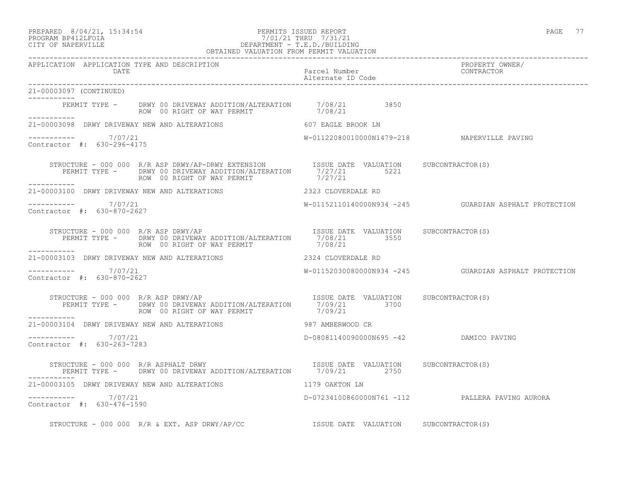## PREPARED 8/04/21, 15:34:54 PERMITS ISSUED REPORT PAGE 77 PROGRAM BP412LFOIA 7/01/21 THRU 7/31/21 CITY OF NAPERVILLE DEPARTMENT - T.E.D./BUILDING

 OBTAINED VALUATION FROM PERMIT VALUATION ------------------------------------------------------------------------------------------------------------------------------------ APPLICATION APPLICATION TYPE AND DESCRIPTION PROPERTY OWNER/ DATE Parcel Number CONTRACTOR Alternate ID Code ------------------------------------------------------------------------------------------------------------------------------------ 21-00003097 (CONTINUED) ----------- PERMIT TYPE - DRWY 00 DRIVEWAY ADDITION/ALTERATION 7/08/21 3850 ROW 00 RIGHT OF WAY PERMIT  $7/08/21$ ----------- 21-00003098 DRWY DRIVEWAY NEW AND ALTERATIONS 607 EAGLE BROOK LN  $--------- 7/07/21$ W-01122080010000N1479-218 NAPERVILLE PAVING Contractor #: 630-296-4175 STRUCTURE - 000 000 R/R ASP DRWY/AP-DRWY EXTENSION ISSUE DATE VALUATION SUBCONTRACTOR(S) PERMIT TYPE - DRWY 00 DRIVEWAY ADDITION/ALTERATION 7/27/21 5221 ROW 00 RIGHT OF WAY PERMIT  $7/27/21$ ----------- 21-00003100 DRWY DRIVEWAY NEW AND ALTERATIONS 2323 CLOVERDALE RD \_\_\_\_\_\_\_\_\_\_\_\_ ----------- 7/07/21 W-01152110140000N934 -245 GUARDIAN ASPHALT PROTECTION Contractor #: 630-870-2627 STRUCTURE - 000 000 R/R ASP DRWY/AP ISSUE DATE VALUATION SUBCONTRACTOR(S) PERMIT TYPE - DRWY 00 DRIVEWAY ADDITION/ALTERATION 7/08/21 3550 ROW 00 RIGHT OF WAY PERMIT  $7/08/21$ ----------- 21-00003103 DRWY DRIVEWAY NEW AND ALTERATIONS 2324 CLOVERDALE RD ----------- 7/07/21 W-01152030080000N934 -245 GUARDIAN ASPHALT PROTECTION Contractor #: 630-870-2627 STRUCTURE - 000 000 R/R ASP DRWY/AP ISSUE DATE VALUATION SUBCONTRACTOR(S) PERMIT TYPE - DRWY 00 DRIVEWAY ADDITION/ALTERATION 7/09/21 3700 ROW 00 RIGHT OF WAY PERMIT  $7/09/21$ ----------- 21-00003104 DRWY DRIVEWAY NEW AND ALTERATIONS 987 AMBERWOOD CR  $--------- 7/07/21$ D-08081140090000N695 -42 DAMICO PAVING Contractor #: 630-263-7283 STRUCTURE - 000 000 R/R ASPHALT DRWY ISSUE DATE VALUATION SUBCONTRACTOR(S) PERMIT TYPE - DRWY 00 DRIVEWAY ADDITION/ALTERATION 7/09/21 2750 ----------- 21-00003105 DRWY DRIVEWAY NEW AND ALTERATIONS 1179 OAKTON LN ----------- 7/07/21 D-07234100860000N761 -112 PALLERA PAVING AURORA Contractor #: 630-476-1590

STRUCTURE - 000 000 R/R & EXT. ASP DRWY/AP/CC TESSUE DATE VALUATION SUBCONTRACTOR(S)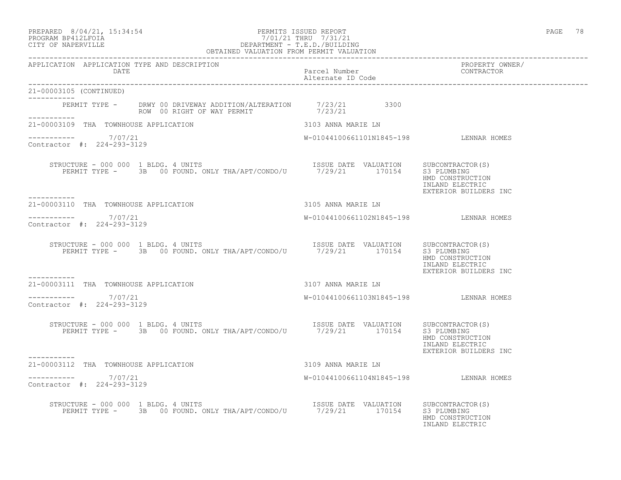## PREPARED 8/04/21, 15:34:54 PERMITS ISSUED REPORT PAGE 78 PAGE 78 PAGE 78 PAGE 78 PROGRAM BP412LFOIA 7/01/21 THRU 7/31/21 CITY OF NAPERVILLE DEPARTMENT - T.E.D./BUILDING

| OBTAINED VALUATION FROM PERMIT VALUATION                 |                                                                                                                   |                                                              |
|----------------------------------------------------------|-------------------------------------------------------------------------------------------------------------------|--------------------------------------------------------------|
| APPLICATION APPLICATION TYPE AND DESCRIPTION<br>DATE     | Parcel Number<br>Parcel Number<br>Alternate ID Code                                                               | PROPERTY OWNER/<br>CONTRACTOR                                |
| 21-00003105 (CONTINUED)                                  |                                                                                                                   |                                                              |
| ___________                                              | PERMIT TYPE - DRWY 00 DRIVEWAY ADDITION/ALTERATION 7/23/21 3300<br>ROW 00 RIGHT OF WAY PERMIT 7/23/21             |                                                              |
| 21-00003109 THA TOWNHOUSE APPLICATION 3103 ANNA MARIE LN |                                                                                                                   |                                                              |
| $--------- 7/07/21$<br>Contractor #: 224-293-3129        | W-01044100661101N1845-198 LENNAR HOMES                                                                            |                                                              |
| . _ _ _ _ _ _ _ _ _                                      | STRUCTURE - 000 000 1 BLDG. 4 UNITS<br>PERMIT TYPE - 3B 00 FOUND. ONLY THA/APT/CONDO/U 7/29/21 170154 S3 PLUMBING | HMD CONSTRUCTION<br>INLAND ELECTRIC<br>EXTERIOR BUILDERS INC |
|                                                          |                                                                                                                   |                                                              |
| $--------- 7/07/21$<br>Contractor #: 224-293-3129        | W-01044100661102N1845-198 LENNAR HOMES                                                                            |                                                              |
|                                                          | STRUCTURE - 000 000 1 BLDG. 4 UNITS<br>PERMIT TYPE - 3B 00 FOUND. ONLY THA/APT/CONDO/U 7/29/21 170154 S3 PLUMBING | HMD CONSTRUCTION<br>INLAND ELECTRIC<br>EXTERIOR BUILDERS INC |
| ---------                                                |                                                                                                                   |                                                              |
| ----------- 7/07/21<br>Contractor #: 224-293-3129        | W-01044100661103N1845-198 LENNAR HOMES                                                                            |                                                              |
|                                                          | STRUCTURE - 000 000 1 BLDG. 4 UNITS<br>PERMIT TYPE - 3B 00 FOUND. ONLY THA/APT/CONDO/U 7/29/21 170154 S3 PLUMBING | HMD CONSTRUCTION<br>INLAND ELECTRIC<br>EXTERIOR BUILDERS INC |
| 21-00003112 THA TOWNHOUSE APPLICATION                    | 3109 ANNA MARIE LN                                                                                                |                                                              |
| 7/07/21<br>Contractor #: 224-293-3129                    | W-01044100661104N1845-198 LENNAR HOMES                                                                            |                                                              |
|                                                          | STRUCTURE - 000 000 1 BLDG. 4 UNITS<br>PERMIT TYPE - 3B 00 FOUND. ONLY THA/APT/CONDO/U 7/29/21 170154 S3 PLUMBING | HMD CONSTRUCTION<br>INLAND ELECTRIC                          |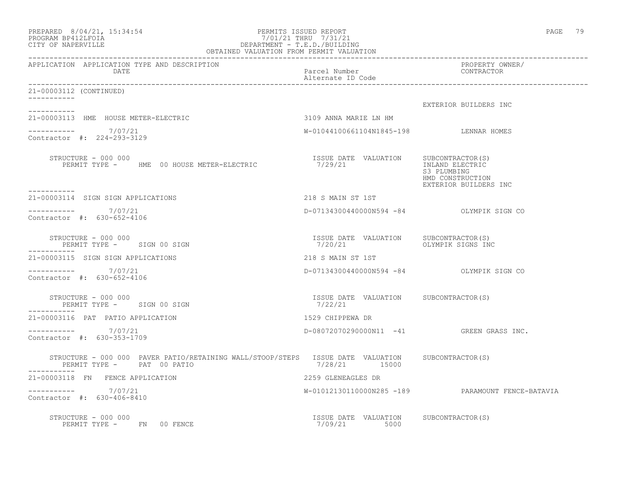| PREPARED 8/04/21, 15:34:54<br>PROGRAM BP412LFOIA<br>CITY OF NAPERVILLE                                                         | PERMITS ISSUED REPORT                                                                  | PAGE 79                                                  |
|--------------------------------------------------------------------------------------------------------------------------------|----------------------------------------------------------------------------------------|----------------------------------------------------------|
| APPLICATION APPLICATION TYPE AND DESCRIPTION<br>DATE                                                                           | Parcel Number<br>Alternate ID Code                                                     | PROPERTY OWNER/<br>CONTRACTOR                            |
| 21-00003112 (CONTINUED)                                                                                                        |                                                                                        |                                                          |
| -----------                                                                                                                    |                                                                                        | EXTERIOR BUILDERS INC                                    |
| 21-00003113 HME HOUSE METER-ELECTRIC                                                                                           | 3109 ANNA MARIE LN HM                                                                  |                                                          |
| $--------- 7/07/21$<br>Contractor #: 224-293-3129                                                                              | W-01044100661104N1845-198 LENNAR HOMES                                                 |                                                          |
| STRUCTURE - 000 000<br>PERMIT TYPE - HME 00 HOUSE METER-ELECTRIC<br>-----------                                                | ISSUE DATE VALUATION SUBCONTRACTOR(S)<br>7/29/21                       INLAND ELECTRIC | S3 PLUMBING<br>HMD CONSTRUCTION<br>EXTERIOR BUILDERS INC |
| 21-00003114 SIGN SIGN APPLICATIONS                                                                                             | 218 S MAIN ST 1ST                                                                      |                                                          |
| $--------- 7/07/21$<br>Contractor #: 630-652-4106                                                                              | D-07134300440000N594 -84 OLYMPIK SIGN CO                                               |                                                          |
| STRUCTURE - 000 000<br>PERMIT TYPE - SIGN 00 SIGN                                                                              | ISSUE DATE VALUATION<br>7/20/21                                                        | SUBCONTRACTOR(S)<br>OLYMPIK SIGNS INC                    |
| 21-00003115 SIGN SIGN APPLICATIONS                                                                                             | 218 S MAIN ST 1ST                                                                      |                                                          |
| $--------- 7/07/21$<br>Contractor #: 630-652-4106                                                                              | D-07134300440000N594 -84 OLYMPIK SIGN CO                                               |                                                          |
| STRUCTURE - 000 000<br>PERMIT TYPE - SIGN 00 SIGN<br>-----------                                                               | ISSUE DATE VALUATION SUBCONTRACTOR (S)<br>7/22/21                                      |                                                          |
| 21-00003116 PAT PATIO APPLICATION                                                                                              | 1529 CHIPPEWA DR                                                                       |                                                          |
| $--------- 7/07/21$<br>Contractor #: 630-353-1709                                                                              | D-08072070290000N11 -41 GREEN GRASS INC.                                               |                                                          |
| STRUCTURE - 000 000 PAVER PATIO/RETAINING WALL/STOOP/STEPS ISSUE DATE VALUATION SUBCONTRACTOR(S)<br>PERMIT TYPE - PAT 00 PATIO | 7/28/21 15000                                                                          |                                                          |
| 21-00003118 FN FENCE APPLICATION                                                                                               | 2259 GLENEAGLES DR                                                                     |                                                          |
| $--------- 7/07/21$<br>Contractor #: 630-406-8410                                                                              |                                                                                        | W-01012130110000N285 -189 PARAMOUNT FENCE-BATAVIA        |
| STRUCTURE - 000 000<br>PERMIT TYPE - FN 00 FENCE                                                                               | ISSUE DATE VALUATION SUBCONTRACTOR(S)<br>7/09/21 5000                                  |                                                          |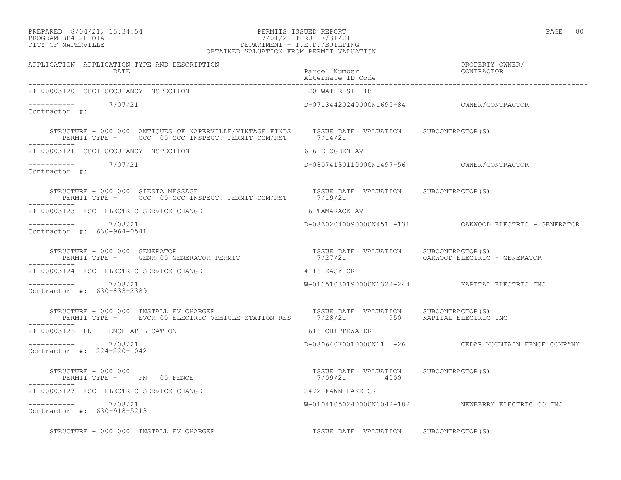## PREPARED 8/04/21, 15:34:54 PERMITS ISSUED REPORT PAGE 80 PROGRAM BP412LFOIA 7/01/21 THRU 7/31/21 CITY OF NAPERVILLE DEPARTMENT - T.E.D./BUILDING

| OBTAINED VALUATION FROM PERMIT VALUATION                                                                                                                                                                              |                                                       |                                                        |
|-----------------------------------------------------------------------------------------------------------------------------------------------------------------------------------------------------------------------|-------------------------------------------------------|--------------------------------------------------------|
| APPLICATION APPLICATION TYPE AND DESCRIPTION<br>DATE                                                                                                                                                                  | Parcel Number<br>Alternate ID Code                    | PROPERTY OWNER/<br>CONTRACTOR                          |
| 21-00003120 OCCI OCCUPANCY INSPECTION                                                                                                                                                                                 | 120 WATER ST 118                                      |                                                        |
| $--------$<br>Contractor #: 7/07/21                                                                                                                                                                                   |                                                       |                                                        |
| STRUCTURE - 000 000 ANTIQUES OF NAPERVILLE/VINTAGE FINDS ISSUE DATE VALUATION SUBCONTRACTOR(S)<br>PERMIT TYPE - OCC 00 OCC INSPECT. PERMIT COM/RST 7/14/21                                                            |                                                       |                                                        |
| 21-00003121 OCCI OCCUPANCY INSPECTION                                                                                                                                                                                 | 616 E OGDEN AV                                        |                                                        |
| $--------- 7/07/21$<br>Contractor #:                                                                                                                                                                                  |                                                       |                                                        |
| STRUCTURE - 000 000 SIESTA MESSAGE<br>STRUCTURE - 000 000 SIESTA MESSAGE                             ISSUE DATE VALUATION     SUBCONTRACTOR(S)<br>PERMIT TYPE -     OCC  00 OCC INSPECT. PERMIT COM/RST       7/19/21 |                                                       |                                                        |
| 21-00003123 ESC ELECTRIC SERVICE CHANGE                                                                                                                                                                               | 16 TAMARACK AV                                        |                                                        |
| ----------- 7/08/21<br>Contractor #: 630-964-0541                                                                                                                                                                     |                                                       | D-08302040090000N451 -131 OAKWOOD ELECTRIC - GENERATOR |
| PERMIT TYPE - GENR 00 GENERATOR PERMIT<br>--------                                                                                                                                                                    |                                                       | OAKWOOD ELECTRIC - GENERATOR                           |
| 21-00003124 ESC ELECTRIC SERVICE CHANGE                                                                                                                                                                               | 4116 EASY CR                                          |                                                        |
| $--------- 7/08/21$<br>Contractor #: 630-833-2389                                                                                                                                                                     |                                                       | W-01151080190000N1322-244 KAPITAL ELECTRIC INC         |
| STRUCTURE - 000 000 INSTALL EV CHARGER<br>PERMIT TYPE - EVCR 00 ELECTRIC VEHICLE STATION RES 7/28/21 950 KAPITAL ELECTRIC INC<br>STRUCTURE - 000 000 INSTALL EV CHARGER                                               |                                                       |                                                        |
| 21-00003126 FN FENCE APPLICATION                                                                                                                                                                                      | 1616 CHIPPEWA DR                                      |                                                        |
| $--------- 7/08/21$<br>Contractor #: 224-220-1042                                                                                                                                                                     |                                                       | D-08064070010000N11 -26 CEDAR MOUNTAIN FENCE COMPANY   |
| STRUCTURE - 000 000<br>PERMIT TYPE - FN 00 FENCE                                                                                                                                                                      | ISSUE DATE VALUATION SUBCONTRACTOR(S)<br>7/09/21 4000 |                                                        |
| 21-00003127 ESC ELECTRIC SERVICE CHANGE                                                                                                                                                                               | 2472 FAWN LAKE CR                                     |                                                        |
| $--------- 7/08/21$<br>Contractor #: 630-918-5213                                                                                                                                                                     |                                                       | W-01041050240000N1042-182 NEWBERRY ELECTRIC CO INC     |
| STRUCTURE - 000 000 INSTALL EV CHARGER                                                                                                                                                                                | ISSUE DATE VALUATION SUBCONTRACTOR(S)                 |                                                        |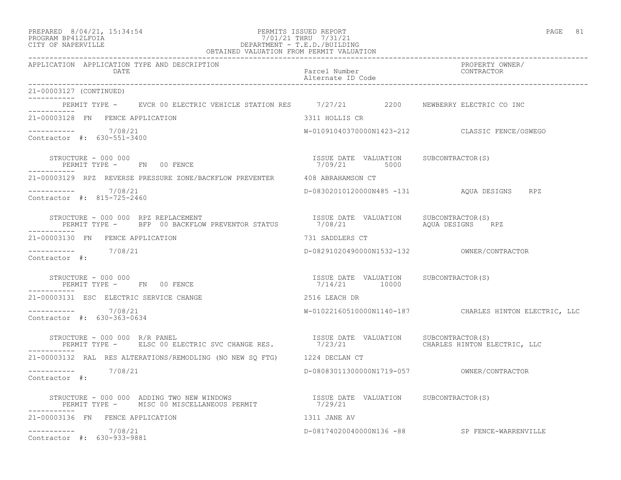| PREPARED | $8/04/21$ ,         | 15:34:54 |
|----------|---------------------|----------|
|          | - - - - - - - - - - |          |

## PREPARED 8/04/21, 15:34:54 PERMITS ISSUED REPORT PAGE 81 PROGRAM BP412LFOIA 7/01/21 THRU 7/31/21 CITY OF NAPERVILLE DEPARTMENT - T.E.D./BUILDING

| OBTAINED VALUATION FROM PERMIT VALUATION                                                                                                                                             |                                                        |                                                        |
|--------------------------------------------------------------------------------------------------------------------------------------------------------------------------------------|--------------------------------------------------------|--------------------------------------------------------|
| APPLICATION APPLICATION TYPE AND DESCRIPTION<br>DATE                                                                                                                                 | Parcel Number<br>Alternate ID Code                     | PROPERTY OWNER/<br>CONTRACTOR                          |
| 21-00003127 (CONTINUED)                                                                                                                                                              |                                                        |                                                        |
| PERMIT TYPE - EVCR 00 ELECTRIC VEHICLE STATION RES 7/27/21 2200 NEWBERRY ELECTRIC CO INC                                                                                             |                                                        |                                                        |
| 21-00003128 FN FENCE APPLICATION                                                                                                                                                     | 3311 HOLLIS CR                                         |                                                        |
| $--------- 7/08/21$<br>Contractor #: 630-551-3400                                                                                                                                    |                                                        | W-01091040370000N1423-212 CLASSIC FENCE/OSWEGO         |
| STRUCTURE - 000 000<br>STRUCTURE - 000 000<br>PERMIT TYPE - FN 00 FENCE                                                                                                              | ISSUE DATE VALUATION SUBCONTRACTOR (S)<br>7/09/21 5000 |                                                        |
| 21-00003129 RPZ REVERSE PRESSURE ZONE/BACKFLOW PREVENTER 408 ABRAHAMSON CT                                                                                                           |                                                        |                                                        |
| $--------- 7/08/21$<br>Contractor #: 815-725-2460                                                                                                                                    |                                                        | D-08302010120000N485 -131 AQUA DESIGNS RPZ             |
| ------------                                                                                                                                                                         |                                                        |                                                        |
| 21-00003130 FN FENCE APPLICATION                                                                                                                                                     | 731 SADDLERS CT                                        |                                                        |
| $--------- 7/08/21$<br>Contractor #:                                                                                                                                                 |                                                        |                                                        |
| STRUCTURE - 000 000<br>PERMIT TYPE -      FN    00 FENCE                                                                                                                             | ISSUE DATE VALUATION SUBCONTRACTOR(S)<br>7/14/21 10000 |                                                        |
| 2516 LEACH DR<br>21-00003131 ESC ELECTRIC SERVICE CHANGE                                                                                                                             |                                                        |                                                        |
| ----------     7/08/21<br>Contractor #: 630-363-0634                                                                                                                                 |                                                        | W-01022160510000N1140-187 CHARLES HINTON ELECTRIC, LLC |
| STRUCTURE - 000 000 R/R PANEL<br>PERMIT TYPE - ELSC 00 ELECTRIC SVC CHANGE RES. 7/23/21                                                                                              | ISSUE DATE VALUATION SUBCONTRACTOR(S)                  | CHARLES HINTON ELECTRIC, LLC                           |
| 21-00003132 RAL RES ALTERATIONS/REMODLING (NO NEW SQ FTG) 1224 DECLAN CT                                                                                                             |                                                        |                                                        |
| $--------- 7/08/21$<br>Contractor #:                                                                                                                                                 |                                                        |                                                        |
| STRUCTURE - 000 000 ADDING TWO NEW WINDOWS                          ISSUE DATE VALUATION    SUBCONTRACTOR(S)<br>PERMIT TYPE -    MISC 00 MISCELLANEOUS PERMIT                7/29/21 |                                                        |                                                        |
| 21-00003136 FN FENCE APPLICATION                                                                                                                                                     | 1311 JANE AV                                           |                                                        |
| $--------- 7/08/21$<br>Contractor #: 630-933-9881                                                                                                                                    |                                                        | D-08174020040000N136 -88 SP FENCE-WARRENVILLE          |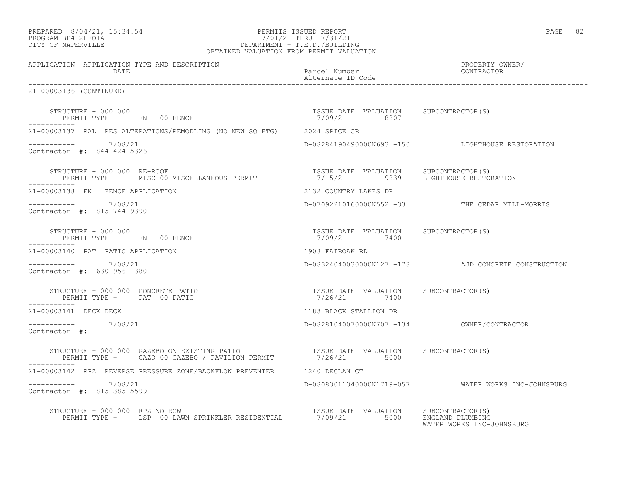| PREPARED | $8/04/21$ , $15:34:54$ |  |
|----------|------------------------|--|
| -------- | ----------             |  |

## PREPARED 8/04/21, 15:34:54 PERMITS ISSUED REPORT PAGE 82 PROGRAM BP412LFOIA 7/01/21 THRU 7/31/21 CITY OF NAPERVILLE DEPARTMENT - T.E.D./BUILDING

| OBTAINED VALUATION FROM PERMIT VALUATION                                                                                                                                                      |                                                         |                                                     |
|-----------------------------------------------------------------------------------------------------------------------------------------------------------------------------------------------|---------------------------------------------------------|-----------------------------------------------------|
| APPLICATION APPLICATION TYPE AND DESCRIPTION<br>DATE                                                                                                                                          | Parcel Number<br>Alternate ID Code                      | PROPERTY OWNER/<br>CONTRACTOR                       |
| 21-00003136 (CONTINUED)                                                                                                                                                                       |                                                         |                                                     |
|                                                                                                                                                                                               |                                                         |                                                     |
| 21-00003137 RAL RES ALTERATIONS/REMODLING (NO NEW SQ FTG) 2024 SPICE CR                                                                                                                       |                                                         |                                                     |
| $--------- 7/08/21$<br>Contractor #: 844-424-5326                                                                                                                                             |                                                         | D-08284190490000N693 -150 LIGHTHOUSE RESTORATION    |
|                                                                                                                                                                                               |                                                         |                                                     |
| 21-00003138 FN FENCE APPLICATION                                                                                                                                                              | 2132 COUNTRY LAKES DR                                   |                                                     |
| $--------- 7/08/21$<br>Contractor #: 815-744-9390                                                                                                                                             |                                                         | D-07092210160000N552 -33 THE CEDAR MILL-MORRIS      |
| STRUCTURE - 000 000<br>PERMIT TYPE - FN 00 FENCE<br>-------                                                                                                                                   | ISSUE DATE VALUATION SUBCONTRACTOR(S)<br>$7/09/21$ 7400 |                                                     |
| -----------<br>21-00003140 PAT PATIO APPLICATION                                                                                                                                              | 1908 FAIROAK RD                                         |                                                     |
| $--------- 7/08/21$<br>Contractor #: 630-956-1380                                                                                                                                             |                                                         | D-08324040030000N127 -178 AJD CONCRETE CONSTRUCTION |
| STRUCTURE - 000 000 CONCRETE PATIO<br>PERMIT TYPE - PAT 00 PATIO<br>------------                                                                                                              | ISSUE DATE VALUATION SUBCONTRACTOR(S)<br>7/26/21 7400   |                                                     |
| 21-00003141 DECK DECK                                                                                                                                                                         | 1183 BLACK STALLION DR                                  |                                                     |
| $--------- 7/08/21$<br>Contractor #:                                                                                                                                                          |                                                         |                                                     |
| STRUCTURE – 000 000 GAZEBO ON EXISTING PATIO                 ISSUE DATE VALUATION     SUBCONTRACTOR(S)<br>PERMIT TYPE –     GAZO 00 GAZEBO / PAVILION PERMIT             7/26/21         5000 |                                                         |                                                     |
| 21-00003142 RPZ REVERSE PRESSURE ZONE/BACKFLOW PREVENTER 1240 DECLAN CT                                                                                                                       |                                                         |                                                     |
| $--------- 7/08/21$<br>Contractor #: 815-385-5599                                                                                                                                             |                                                         | D-08083011340000N1719-057 WATER WORKS INC-JOHNSBURG |
| STRUCTURE - 000 000 RPZ NO ROW<br>PERMIT TYPE - LSP 00 LAWN SPRINKLER RESIDENTIAL 7/09/21 5000 ENGLAND PLUMBING                                                                               | ISSUE DATE VALUATION SUBCONTRACTOR(S)                   | WATER WORKS INC-JOHNSBURG                           |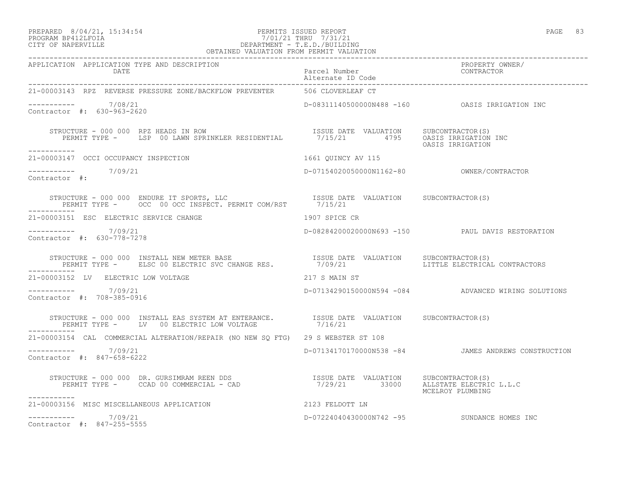## PREPARED 8/04/21, 15:34:54 PERMITS ISSUED REPORT<br>PROGRAM BP412LFOIA PAGE 83 PROGRAM BP412LFOIA 7/01/21 THRU 7/31/21 CITY OF NAPERVILLE DEPARTMENT - T.E.D./BUILDING

| OBTAINED VALUATION FROM PERMIT VALUATION                                                                                                                                                                                          |               |                                                     |
|-----------------------------------------------------------------------------------------------------------------------------------------------------------------------------------------------------------------------------------|---------------|-----------------------------------------------------|
| APPLICATION APPLICATION TYPE AND DESCRIPTION                                                                                                                                                                                      |               | PROPERTY OWNER/<br>CONTRACTOR                       |
| 21-00003143 RPZ REVERSE PRESSURE ZONE/BACKFLOW PREVENTER 506 CLOVERLEAF CT                                                                                                                                                        |               |                                                     |
| $--------- 7/08/21$<br>Contractor #: 630-963-2620                                                                                                                                                                                 |               |                                                     |
| -----------                                                                                                                                                                                                                       |               | OASIS IRRIGATION                                    |
| 21-00003147 OCCI OCCUPANCY INSPECTION 1661 QUINCY AV 115                                                                                                                                                                          |               |                                                     |
| $--------- 7/09/21$<br>Contractor #:                                                                                                                                                                                              |               |                                                     |
| STRUCTURE - 000 000 ENDURE IT SPORTS, LLC                 ISSUE DATE VALUATION     SUBCONTRACTOR(S)<br>PERMIT TYPE -     OCC  00 OCC INSPECT. PERMIT COM/RST       7/15/21                                                        |               |                                                     |
| 21-00003151 ESC ELECTRIC SERVICE CHANGE                                                                                                                                                                                           | 1907 SPICE CR |                                                     |
| -----------     7/09/21<br>Contractor #: 630-778-7278                                                                                                                                                                             |               | D-08284200020000N693 -150 PAUL DAVIS RESTORATION    |
| STRUCTURE - 000 000 INSTALL NEW METER BASE                            ISSUE DATE VALUATION     SUBCONTRACTOR(S)<br>PERMIT TYPE -       ELSC 00 ELECTRIC SVC CHANGE RES.              7/09/21                       LITTLE ELECTRI |               | LITTLE ELECTRICAL CONTRACTORS                       |
| 21-00003152 LV ELECTRIC LOW VOLTAGE                                                                                                                                                                                               | 217 S MAIN ST |                                                     |
| $--------- 7/09/21$<br>Contractor #: 708-385-0916                                                                                                                                                                                 |               | D-07134290150000N594 -084 ADVANCED WIRING SOLUTIONS |
| STRUCTURE - 000 000 INSTALL EAS SYSTEM AT ENTERANCE. ISSUE DATE VALUATION SUBCONTRACTOR(S) PERMIT TYPE - LV 00 ELECTRIC LOW VOLTAGE $7/16/21$                                                                                     |               |                                                     |
| 21-00003154 CAL COMMERCIAL ALTERATION/REPAIR (NO NEW SQ FTG) 29 S WEBSTER ST 108                                                                                                                                                  |               |                                                     |
| $--------- 7/09/21$<br>Contractor #: 847-658-6222                                                                                                                                                                                 |               | D-07134170170000N538 -84 JAMES ANDREWS CONSTRUCTION |
| STRUCTURE - 000 000 DR. GURSIMRAM REEN DDS<br>PERMIT TYPE - CCAD 00 COMMERCIAL - CAD                              7/29/21         33000     ALLIATION BLETT PLECTRIC L.L.C<br>-----------                                         |               | MCELROY PLUMBING                                    |
|                                                                                                                                                                                                                                   |               |                                                     |
| $--------- 7/09/21$<br>Contractor #: 847-255-5555                                                                                                                                                                                 |               | D-07224040430000N742 -95 SUNDANCE HOMES INC         |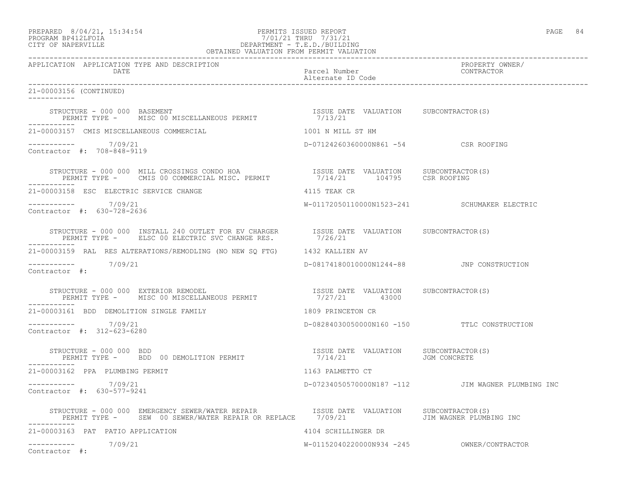## PREPARED 8/04/21, 15:34:54 PERMITS ISSUED REPORT<br>PROGRAM BP412LFOIA PAGE 84 PROGRAM BP412LFOIA 7/01/21 THRU 7/31/21 CITY OF NAPERVILLE DEPARTMENT - T.E.D./BUILDING

| OBTAINED VALUATION FROM PERMIT VALUATION                                                                                                                                                                        |                                                  |                                                   |
|-----------------------------------------------------------------------------------------------------------------------------------------------------------------------------------------------------------------|--------------------------------------------------|---------------------------------------------------|
| APPLICATION APPLICATION TYPE AND DESCRIPTION<br>DATE                                                                                                                                                            | Parcel Number<br>Alternate ID Code               | PROPERTY OWNER/<br>CONTRACTOR                     |
| 21-00003156 (CONTINUED)<br>___________                                                                                                                                                                          |                                                  |                                                   |
| STRUCTURE - 000 000 BASEMENT<br>PERMIT TYPE - MISC 00 MISCELLANEOUS PERMIT                                                                                                                                      | ISSUE DATE VALUATION SUBCONTRACTOR(S)<br>7/13/21 |                                                   |
| 21-00003157 CMIS MISCELLANEOUS COMMERCIAL                                                                                                                                                                       | 1001 N MILL ST HM                                |                                                   |
| ----------- 7/09/21<br>Contractor #: 708-848-9119                                                                                                                                                               | D-07124260360000N861 -54 CSR ROOFING             |                                                   |
| STRUCTURE - 000 000 MILL CROSSINGS CONDO HOA                      ISSUE DATE VALUATION     SUBCONTRACTOR(S)<br>PERMIT TYPE -    CMIS 00 COMMERCIAL MISC. PERMIT              7/14/21      104795    CSR ROOFING |                                                  |                                                   |
| 21-00003158 ESC ELECTRIC SERVICE CHANGE                                                                                                                                                                         | 4115 TEAK CR                                     |                                                   |
| $--------- 7/09/21$<br>Contractor #: 630-728-2636                                                                                                                                                               |                                                  | W-01172050110000N1523-241 SCHUMAKER ELECTRIC      |
| STRUCTURE - 000 000 INSTALL 240 OUTLET FOR EV CHARGER TSSUE DATE VALUATION SUBCONTRACTOR(S)<br>PERMIT TYPE - ELSC 00 ELECTRIC SVC CHANGE RES.                                                                   | 7/26/21                                          |                                                   |
| 21-00003159 RAL RES ALTERATIONS/REMODLING (NO NEW SQ FTG) 1432 KALLIEN AV                                                                                                                                       |                                                  |                                                   |
| 7/09/21<br>__________<br>Contractor #:                                                                                                                                                                          | D-08174180010000N1244-88 JNP CONSTRUCTION        |                                                   |
|                                                                                                                                                                                                                 |                                                  |                                                   |
| 21-00003161 BDD DEMOLITION SINGLE FAMILY                                                                                                                                                                        | 1809 PRINCETON CR                                |                                                   |
| ----------- 7/09/21<br>Contractor #: 312-623-6280                                                                                                                                                               |                                                  | D-08284030050000N160 -150 TTLC CONSTRUCTION       |
| STRUCTURE - 000 000 BDD<br>STRUCTURE - 000 000 BDD<br>PERMIT TYPE -     BDD 00 DEMOLITION PERMIT<br>-----------                                                                                                 | ISSUE DATE VALUATION SUBCONTRACTOR(S)<br>7/14/21 | JGM CONCRETE                                      |
| 21-00003162 PPA PLUMBING PERMIT                                                                                                                                                                                 | 1163 PALMETTO CT                                 |                                                   |
| ----------- 7/09/21<br>Contractor #: 630-577-9241                                                                                                                                                               |                                                  | D-07234050570000N187 -112 JIM WAGNER PLUMBING INC |
| STRUCTURE - 000 000 EMERGENCY SEWER/WATER REPAIR <a>&gt; SISSUE<br/> DATE VALUATION <br/> SUBCONTRACTOR(S)<br/>PERMIT TYPE - SEW 00 SEWER/WATER REPAIR OR REPLACE 7/09/21 STAND TIM WAGNER PLUMBING INC</a>     |                                                  |                                                   |
| 21-00003163 PAT PATIO APPLICATION                                                                                                                                                                               | 4104 SCHILLINGER DR                              |                                                   |
| -----------    7/09/21<br>Contractor #:                                                                                                                                                                         |                                                  |                                                   |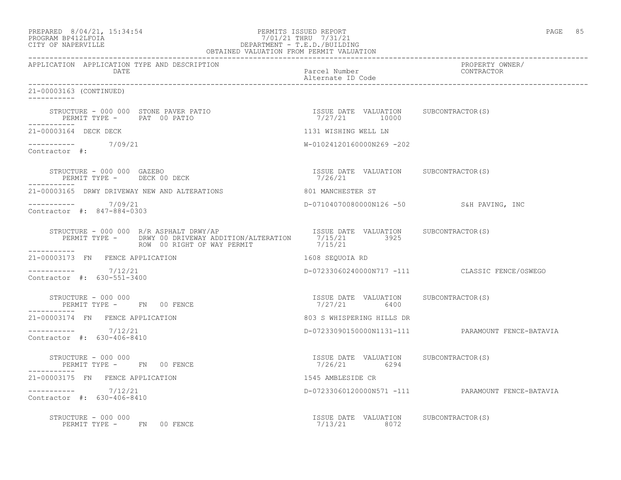| PREPARED 8/04/21, 15:34:54 |  |
|----------------------------|--|
| PROGRAM RP412LFOTA         |  |

## PREPARED 8/04/21, 15:34:54 PERMITS ISSUED REPORT PAGE 85 PROGRAM BP412LFOIA 7/01/21 THRU 7/31/21 CITY OF NAPERVILLE DEPARTMENT - T.E.D./BUILDING

| OBTAINED VALUATION FROM PERMIT VALUATION                                                                                                                |                                                        |                                                   |  |
|---------------------------------------------------------------------------------------------------------------------------------------------------------|--------------------------------------------------------|---------------------------------------------------|--|
| APPLICATION APPLICATION TYPE AND DESCRIPTION<br>DATE                                                                                                    | Parcel Number<br>Alternate ID Code                     | PROPERTY OWNER/<br>CONTRACTOR                     |  |
| 21-00003163 (CONTINUED)                                                                                                                                 |                                                        |                                                   |  |
| STRUCTURE - 000 000 STONE PAVER PATIO<br>PERMIT TYPE - PAT 00 PATIO                                                                                     | ISSUE DATE VALUATION SUBCONTRACTOR(S)<br>7/27/21 10000 |                                                   |  |
| 21-00003164 DECK DECK                                                                                                                                   | 1131 WISHING WELL LN                                   |                                                   |  |
| $--------- 7/09/21$<br>Contractor #:                                                                                                                    | W-01024120160000N269 -202                              |                                                   |  |
| STRUCTURE - 000 000 GAZEBO<br>PERMIT TYPE - DECK 00 DECK<br>------------                                                                                | ISSUE DATE VALUATION SUBCONTRACTOR(S)<br>7/26/21       |                                                   |  |
| 21-00003165 DRWY DRIVEWAY NEW AND ALTERATIONS                                                                                                           | 801 MANCHESTER ST                                      |                                                   |  |
| $--------- 7/09/21$<br>Contractor #: 847-884-0303                                                                                                       | D-07104070080000N126 -50 S&H PAVING, INC               |                                                   |  |
| STRUCTURE - 000 000 R/R ASPHALT DRWY/AP<br>PERMIT TYPE - DRWY 00 DRIVEWAY ADDITION/ALTERATION 7/15/21 3925<br>ROW 00 RIGHT OF WAY PERMIT<br>___________ | ISSUE DATE VALUATION SUBCONTRACTOR(S)<br>7/15/21       |                                                   |  |
| 21-00003173 FN FENCE APPLICATION                                                                                                                        | 1608 SEQUOIA RD                                        |                                                   |  |
| $--------- 7/12/21$<br>Contractor #: 630-551-3400                                                                                                       |                                                        | D-07233060240000N717 -111 CLASSIC FENCE/OSWEGO    |  |
| STRUCTURE - 000 000<br>PERMIT TYPE - FN 00 FENCE                                                                                                        | ISSUE DATE VALUATION SUBCONTRACTOR(S)<br>7/27/21 6400  |                                                   |  |
| 21-00003174 FN FENCE APPLICATION                                                                                                                        | 803 S WHISPERING HILLS DR                              |                                                   |  |
| $--------- 7/12/21$<br>Contractor #: 630-406-8410                                                                                                       |                                                        | D-07233090150000N1131-111 PARAMOUNT FENCE-BATAVIA |  |
| STRUCTURE - 000 000<br>PERMIT TYPE - FN 00 FENCE                                                                                                        | ISSUE DATE VALUATION SUBCONTRACTOR(S)<br>7/26/21 6294  |                                                   |  |
| 21-00003175 FN FENCE APPLICATION                                                                                                                        | 1545 AMBLESIDE CR                                      |                                                   |  |
| $--------- 7/12/21$<br>Contractor #: 630-406-8410                                                                                                       |                                                        | D-07233060120000N571 -111 PARAMOUNT FENCE-BATAVIA |  |
| STRUCTURE - 000 000<br>PERMIT TYPE - FN 00 FENCE                                                                                                        | ISSUE DATE VALUATION SUBCONTRACTOR(S)<br>7/13/21 8072  |                                                   |  |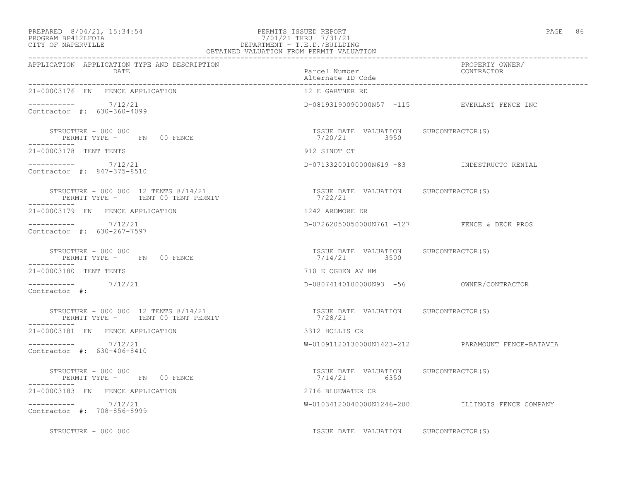## PREPARED 8/04/21, 15:34:54 PERMITS ISSUED REPORT<br>PROGRAM BP412LFOIA PAGE 86 PROGRAM PROGRAM PROGRAM PROGRAM BP412LFOIA PROGRAM BP412LFOIA 7/01/21 THRU 7/31/21 CITY OF NAPERVILLE DEPARTMENT - T.E.D./BUILDING

|                                                                                          | OBTAINED VALUATION FROM PERMIT VALUATION               |                                                   |
|------------------------------------------------------------------------------------------|--------------------------------------------------------|---------------------------------------------------|
| APPLICATION APPLICATION TYPE AND DESCRIPTION<br>DATE                                     | Parcel Number<br>Alternate ID Code                     | PROPERTY OWNER/<br>CONTRACTOR                     |
| 21-00003176 FN FENCE APPLICATION                                                         | 12 E GARTNER RD                                        |                                                   |
| $--------- 7/12/21$<br>Contractor #: 630-360-4099                                        |                                                        | D-08193190090000N57 -115 EVERLAST FENCE INC       |
| STRUCTURE - 000 000<br>PERMIT TYPE - FN 00 FENCE<br>-----------                          | ISSUE DATE VALUATION SUBCONTRACTOR(S)<br>7/20/21 3950  |                                                   |
| 21-00003178 TENT TENTS                                                                   | 912 SINDT CT                                           |                                                   |
| $--------- 7/12/21$<br>Contractor #: 847-375-8510                                        |                                                        | D-07133200100000N619 -83 INDESTRUCTO RENTAL       |
| STRUCTURE - 000 000 12 TENTS 8/14/21<br>PERMIT TYPE - TENT 00 TENT PERMIT<br>----------- | ISSUE DATE VALUATION SUBCONTRACTOR(S)<br>7/22/21       |                                                   |
| 21-00003179 FN FENCE APPLICATION                                                         | 1242 ARDMORE DR                                        |                                                   |
| $--------- 7/12/21$<br>Contractor #: 630-267-7597                                        |                                                        | D-07262050050000N761 -127 FENCE & DECK PROS       |
| STRUCTURE - 000 000<br>PERMIT TYPE - FN 00 FENCE                                         | ISSUE DATE VALUATION SUBCONTRACTOR(S)<br>7/14/21 3500  |                                                   |
| 21-00003180 TENT TENTS                                                                   | 710 E OGDEN AV HM                                      |                                                   |
| $--------- 7/12/21$<br>Contractor #:                                                     |                                                        |                                                   |
| STRUCTURE - 000 000 12 TENTS 8/14/21<br>PERMIT TYPE - TENT 00 TENT PERMIT                | ISSUE DATE VALUATION SUBCONTRACTOR(S)<br>7/28/21       |                                                   |
| 21-00003181 FN FENCE APPLICATION                                                         | 3312 HOLLIS CR                                         |                                                   |
| $--------- 7/12/21$<br>Contractor #: 630-406-8410                                        |                                                        | W-01091120130000N1423-212 PARAMOUNT FENCE-BATAVIA |
| STRUCTURE - 000 000<br>PERMIT TYPE - FN 00 FENCE                                         | ISSUE DATE VALUATION SUBCONTRACTOR (S)<br>7/14/21 6350 |                                                   |
| 21-00003183 FN FENCE APPLICATION                                                         | 2716 BLUEWATER CR                                      |                                                   |
| $--------- 7/12/21$<br>Contractor #: 708-856-8999                                        |                                                        | W-01034120040000N1246-200 ILLINOIS FENCE COMPANY  |
| STRUCTURE - 000 000                                                                      | ISSUE DATE VALUATION SUBCONTRACTOR(S)                  |                                                   |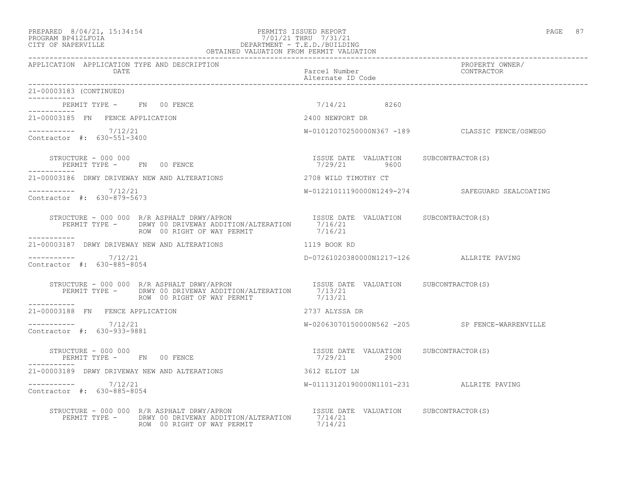#### PREPARED 8/04/21, 15:34:54 PERMITS ISSUED REPORT PAGE 87 PROGRAM BP412LFOIA 7/01/21 THRU 7/31/21 CITY OF NAPERVILLE DEPARTMENT - T.E.D./BUILDING OBTAINED VALUATION FROM PERMIT VALUATION

------------------------------------------------------------------------------------------------------------------------------------ APPLICATION APPLICATION TYPE AND DESCRIPTION PROPERTY OWNER/ DATE Parcel Number CONTRACTOR Alternate ID Code ------------------------------------------------------------------------------------------------------------------------------------ 21-00003183 (CONTINUED) ----------- PERMIT TYPE - FN 00 FENCE 7/14/21 8260 ----------- 21-00003185 FN FENCE APPLICATION 2400 NEWPORT DR ----------- 7/12/21 W-01012070250000N367 -189 CLASSIC FENCE/OSWEGO Contractor #: 630-551-3400 STRUCTURE - 000 000 ISSUE DATE VALUATION SUBCONTRACTOR(S) PERMIT TYPE - FN 00 FENCE ----------- 21-00003186 DRWY DRIVEWAY NEW AND ALTERATIONS 2708 WILD TIMOTHY CT ----------- 7/12/21 W-01221011190000N1249-274 SAFEGUARD SEALCOATING Contractor #: 630-879-5673 STRUCTURE - 000 000 R/R ASPHALT DRWY/APRON ISSUE DATE VALUATION SUBCONTRACTOR(S) PERMIT TYPE - DRWY 00 DRIVEWAY ADDITION/ALTERATION 7/16/21 ROW 00 RIGHT OF WAY PERMIT 7/16/21 ----------- 21-00003187 DRWY DRIVEWAY NEW AND ALTERATIONS 1119 BOOK RD  $--------- 7/12/21$ ----------- 7/12/21 D-07261020380000N1217-126 ALLRITE PAVING Contractor #: 630-885-8054 STRUCTURE - 000 000 R/R ASPHALT DRWY/APRON ISSUE DATE VALUATION SUBCONTRACTOR(S) PERMIT TYPE - DRWY 00 DRIVEWAY ADDITION/ALTERATION 7/13/21 ROW 00 RIGHT OF WAY PERMIT 7/13/21 ----------- 21-00003188 FN FENCE APPLICATION 2737 ALYSSA DR  $--------- 7/12/21$ W-02063070150000N562 -205 SP FENCE-WARRENVILLE Contractor #: 630-933-9881 STRUCTURE - 000 000 ISSUE DATE VALUATION SUBCONTRACTOR(S) PERMIT TYPE - FN 00 FENCE ----------- 21-00003189 DRWY DRIVEWAY NEW AND ALTERATIONS 3612 ELIOT LN ----------- 7/12/21 W-01113120190000N1101-231 ALLRITE PAVING Contractor #: 630-885-8054 STRUCTURE - 000 000 R/R ASPHALT DRWY/APRON **ISSUE DATE** VALUATION SUBCONTRACTOR(S) PERMIT TYPE - DRWY 00 DRIVEWAY ADDITION/ALTERATION 7/14/21 ROW 00 RIGHT OF WAY PERMIT  $7/14/21$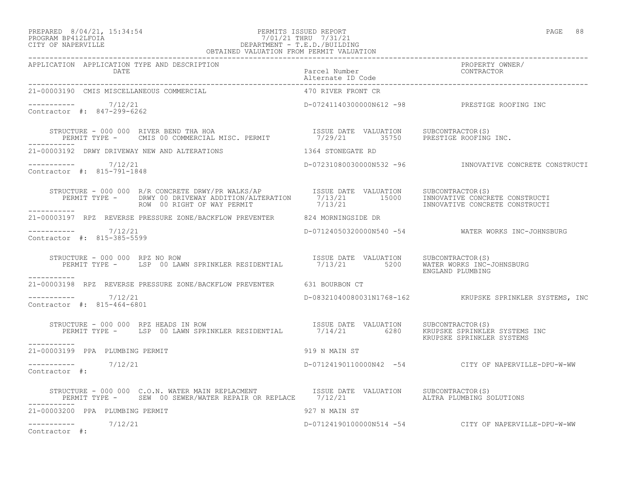#### PREPARED 8/04/21, 15:34:54 PERMITS ISSUED REPORT<br>PROGRAM BP412LFOIA PAGE 88 PROGRAM PROGRAM PROGRAM PROGRAM BP412LFOIA PROGRAM BP412LFOIA 7/01/21 THRU 7/31/21 CITY OF NAPERVILLE DEPARTMENT - T.E.D./BUILDING OBTAINED VALUATION FROM PERMIT VALUATION

| APPLICATION APPLICATION TYPE AND DESCRIPTION PACKERTY PUBERTY OWNER PROPERTY OWNER PERPLICATION APPLICATION DATE<br>DATE Parcel Number alternate ID Code enterprovember and the contractor alternate ID Code                      |                    |                                                            |
|-----------------------------------------------------------------------------------------------------------------------------------------------------------------------------------------------------------------------------------|--------------------|------------------------------------------------------------|
| 21-00003190 CMIS MISCELLANEOUS COMMERCIAL                                                                                                                                                                                         | 470 RIVER FRONT CR |                                                            |
| $--------- 7/12/21$<br>Contractor #: 847-299-6262                                                                                                                                                                                 |                    | D-07241140300000N612 -98 PRESTIGE ROOFING INC              |
| STRUCTURE - 000 000 RIVER BEND THA HOA                               ISSUE DATE VALUATION     SUBCONTRACTOR(S)<br>PERMIT TYPE -     CMIS 00 COMMERCIAL MISC. PERMIT             7/29/21        35750     PRESTIGE ROOFING INC.    |                    |                                                            |
| 21-00003192 DRWY DRIVEWAY NEW AND ALTERATIONS                                                                                                                                                                                     | 1364 STONEGATE RD  |                                                            |
| $--------- 7/12/21$<br>Contractor #: 815-791-1848                                                                                                                                                                                 |                    | D-07231080030000N532 -96    INNOVATIVE CONCRETE CONSTRUCTI |
| STRUCTURE - 000 000 R/R CONCRETE DRWY/PR WALKS/AP              ISSUE DATE VALUATION      SUBCONTRACTOR(S)<br>PERMIT TYPE -       DRWY 00 DRIVEWAY ADDITION/ALTERATION       7/13/21          15000    INNOVATIVE CONCRETE CONSTRU |                    |                                                            |
| 21-00003197 RPZ REVERSE PRESSURE ZONE/BACKFLOW PREVENTER 824 MORNINGSIDE DR                                                                                                                                                       |                    |                                                            |
| $--------- 7/12/21$<br>Contractor #: 815-385-5599                                                                                                                                                                                 |                    | D-07124050320000N540 -54 WATER WORKS INC-JOHNSBURG         |
| STRUCTURE - 000 000 RPZ NO ROW<br>PERMIT TYPE - LSP 00 LAWN SPRINKLER RESIDENTIAL 7/13/21 5200 MATER MORKS INC-JOHNSBURG<br>STRUCTURE - 000 000 RPZ NO ROW                                                                        |                    | ENGLAND PLUMBING                                           |
| ------------<br>21-00003198 RPZ REVERSE PRESSURE ZONE/BACKFLOW PREVENTER 631 BOURBON CT                                                                                                                                           |                    |                                                            |
| $--------- 7/12/21$<br>Contractor #: 815-464-6801                                                                                                                                                                                 |                    | D-08321040080031N1768-162 KRUPSKE SPRINKLER SYSTEMS, INC   |
| TRUCTURE - 000 000 RPZ HEADS IN ROW<br>PERMIT TYPE - LSP 00 LAWN SPRINKLER RESIDENTIAL 1990 7/14/21 6280 KRUPSKE SPRINKLER SYSTEMS INC<br>STRUCTURE - 000 000 RPZ HEADS IN ROW                                                    |                    | KRUPSKE SPRINKLER SYSTEMS                                  |
| -----------<br>21-00003199 PPA PLUMBING PERMIT                                                                                                                                                                                    | 919 N MAIN ST      |                                                            |
| $--------- 7/12/21$<br>Contractor #:                                                                                                                                                                                              |                    | D-07124190110000N42 -54 CITY OF NAPERVILLE-DPU-W-WW        |
| STRUCTURE - 000 000 C.O.N. WATER MAIN REPLACMENT             ISSUE DATE VALUATION     SUBCONTRACTOR(S)<br>PERMIT TYPE -     SEW 00 SEWER/WATER REPAIR OR REPLACE     7/12/21             ALTRA PLUMBING SOLUTIONS<br>-----------  |                    |                                                            |
| 21-00003200 PPA PLUMBING PERMIT<br>927 N MAIN ST                                                                                                                                                                                  |                    |                                                            |
| $\frac{--------}{7/12/21}$<br>Contractor #:                                                                                                                                                                                       |                    | D-07124190100000N514 -54 CITY OF NAPERVILLE-DPU-W-WW       |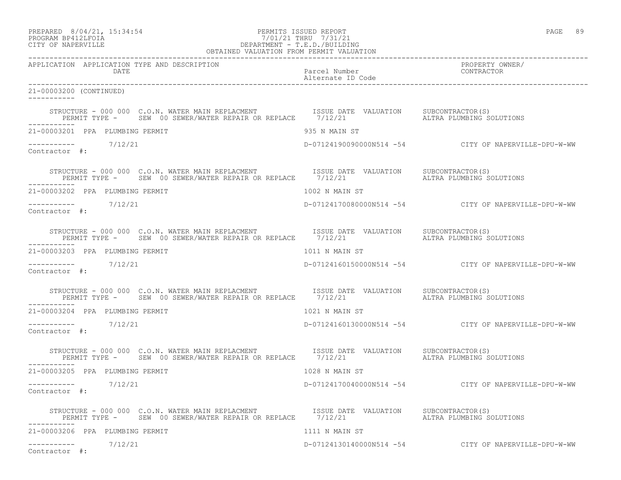| PREPARED | 8/04/21, 15:34:54  |  |
|----------|--------------------|--|
|          | PROGRAM RP412LFOIA |  |

## PREPARED 8/04/21, 15:34:54 PERMITS ISSUED REPORT PAGE 89 PROGRAM BP412LFOIA 7/01/21 THRU 7/31/21 CITY OF NAPERVILLE DEPARTMENT - T.E.D./BUILDING

| OBTAINED VALUATION FROM PERMIT VALUATION                                                                                                                                                                              |                                    |                                                      |
|-----------------------------------------------------------------------------------------------------------------------------------------------------------------------------------------------------------------------|------------------------------------|------------------------------------------------------|
| APPLICATION APPLICATION TYPE AND DESCRIPTION<br>DATE                                                                                                                                                                  | Parcel Number<br>Alternate ID Code | PROPERTY OWNER/<br>CONTRACTOR                        |
| 21-00003200 (CONTINUED)<br><u>Listenbelle</u>                                                                                                                                                                         |                                    |                                                      |
| STRUCTURE - 000 000 C.O.N. WATER MAIN REPLACMENT TSSUE DATE VALUATION SUBCONTRACTOR(S)<br>PERMIT TYPE - SEW 00 SEWER/WATER REPAIR OR REPLACE 7/12/21                                                                  |                                    | ALTRA PLUMBING SOLUTIONS                             |
| 21-00003201 PPA PLUMBING PERMIT                                                                                                                                                                                       | 935 N MAIN ST                      |                                                      |
| $--------$ 7/12/21<br>Contractor #:                                                                                                                                                                                   |                                    | D-07124190090000N514 -54 CITY OF NAPERVILLE-DPU-W-WW |
| STRUCTURE - 000 000 C.O.N. WATER MAIN REPLACMENT             ISSUE DATE VALUATION     SUBCONTRACTOR(S)<br>PERMIT TYPE -     SEW 00 SEWER/WATER REPAIR OR REPLACE     7/12/21             ALTRA PLUMBING SOLUTIONS     |                                    |                                                      |
| 21-00003202 PPA PLUMBING PERMIT                                                                                                                                                                                       | 1002 N MAIN ST                     |                                                      |
| $--------- 7/12/21$<br>Contractor #:                                                                                                                                                                                  |                                    | D-07124170080000N514 -54 CITY OF NAPERVILLE-DPU-W-WW |
| STRUCTURE - 000 000 C.O.N. WATER MAIN REPLACMENT TISSUE DATE VALUATION<br>PERMIT TYPE - SEW 00 SEWER/WATER REPAIR OR REPLACE 7/12/21                                                                                  |                                    | SUBCONTRACTOR(S)<br>ALTRA PLUMBING SOLUTIONS         |
| 21-00003203 PPA PLUMBING PERMIT                                                                                                                                                                                       | 1011 N MAIN ST                     |                                                      |
| ---------- 7/12/21<br>Contractor #:                                                                                                                                                                                   |                                    | D-07124160150000N514 -54 CITY OF NAPERVILLE-DPU-W-WW |
| STRUCTURE - 000 000 C.O.N. WATER MAIN REPLACMENT               ISSUE DATE VALUATION     SUBCONTRACTOR(S)<br>PERMIT TYPE -     SEW 00 SEWER/WATER REPAIR OR REPLACE     7/12/21               ALTRA PLUMBING SOLUTIONS |                                    |                                                      |
| 21-00003204 PPA PLUMBING PERMIT                                                                                                                                                                                       | 1021 N MAIN ST                     |                                                      |
| ----------- 7/12/21<br>Contractor #:                                                                                                                                                                                  |                                    | D-07124160130000N514 -54 CITY OF NAPERVILLE-DPU-W-WW |
| STRUCTURE - 000 000 C.O.N. WATER MAIN REPLACMENT TISSUE DATE VALUATION<br>PERMIT TYPE - SEW 00 SEWER/WATER REPAIR OR REPLACE 7/12/21 THE MALTRA PLUMBING SOLUTIONS<br>-----------                                     |                                    | SUBCONTRACTOR(S)                                     |
| 21-00003205 PPA PLUMBING PERMIT                                                                                                                                                                                       | 1028 N MAIN ST                     |                                                      |
| -----------    7/12/21<br>Contractor #:                                                                                                                                                                               |                                    | D-07124170040000N514 -54 CITY OF NAPERVILLE-DPU-W-WW |
| STRUCTURE - 000 000 C.O.N. WATER MAIN REPLACMENT TSSUE DATE VALUATION SUBCONTRACTOR(S)<br>PERMIT TYPE - SEW 00 SEWER/WATER REPAIR OR REPLACE 7/12/21 ALTRA PLUMBING SOLUTIONS                                         |                                    |                                                      |
| 21-00003206 PPA PLUMBING PERMIT                                                                                                                                                                                       | 1111 N MAIN ST                     |                                                      |
| $--------- 7/12/21$<br>Contractor #:                                                                                                                                                                                  |                                    | D-07124130140000N514 -54 CITY OF NAPERVILLE-DPU-W-WW |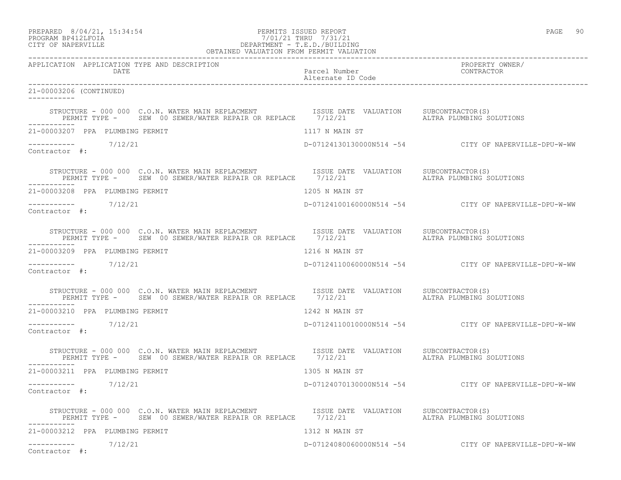| PREPARED 8/04/21, 15:34:54 | PERMITS ISSUED REPORT | 90<br>PAGE |
|----------------------------|-----------------------|------------|
| PROGRAM RP412LFOTA         | 7/01/21 THRII 7/31/21 |            |

# PROGRAM BP412LFOIA 7/01/21 THRU 7/31/21 CITY OF NAPERVILLE DEPARTMENT - T.E.D./BUILDING

| OBTAINED VALUATION FROM PERMIT VALUATION                                                                                                                                                                              |                                    |                                                      |
|-----------------------------------------------------------------------------------------------------------------------------------------------------------------------------------------------------------------------|------------------------------------|------------------------------------------------------|
| APPLICATION APPLICATION TYPE AND DESCRIPTION<br>DATE                                                                                                                                                                  | Parcel Number<br>Alternate ID Code | PROPERTY OWNER/<br>CONTRACTOR                        |
| 21-00003206 (CONTINUED)<br><u>Listenbelle</u>                                                                                                                                                                         |                                    |                                                      |
| STRUCTURE - 000 000 C.O.N. WATER MAIN REPLACMENT TSSUE DATE VALUATION SUBCONTRACTOR(S)<br>PERMIT TYPE - SEW 00 SEWER/WATER REPAIR OR REPLACE 7/12/21                                                                  |                                    | ALTRA PLUMBING SOLUTIONS                             |
| 21-00003207 PPA PLUMBING PERMIT                                                                                                                                                                                       | 1117 N MAIN ST                     |                                                      |
| $--------$ 7/12/21<br>Contractor #:                                                                                                                                                                                   |                                    | D-07124130130000N514 -54 CITY OF NAPERVILLE-DPU-W-WW |
| STRUCTURE - 000 000 C.O.N. WATER MAIN REPLACMENT             ISSUE DATE VALUATION     SUBCONTRACTOR(S)<br>PERMIT TYPE -     SEW 00 SEWER/WATER REPAIR OR REPLACE     7/12/21             ALTRA PLUMBING SOLUTIONS     |                                    |                                                      |
| 21-00003208 PPA PLUMBING PERMIT                                                                                                                                                                                       | 1205 N MAIN ST                     |                                                      |
| $--------- 7/12/21$<br>Contractor #:                                                                                                                                                                                  |                                    | D-07124100160000N514 -54 CITY OF NAPERVILLE-DPU-W-WW |
| STRUCTURE - 000 000 C.O.N. WATER MAIN REPLACMENT TISSUE DATE VALUATION<br>PERMIT TYPE - SEW 00 SEWER/WATER REPAIR OR REPLACE 7/12/21                                                                                  |                                    | SUBCONTRACTOR(S)<br>ALTRA PLUMBING SOLUTIONS         |
| 21-00003209 PPA PLUMBING PERMIT                                                                                                                                                                                       | 1216 N MAIN ST                     |                                                      |
| ---------- 7/12/21<br>Contractor #:                                                                                                                                                                                   |                                    | D-07124110060000N514 -54 CITY OF NAPERVILLE-DPU-W-WW |
| STRUCTURE - 000 000 C.O.N. WATER MAIN REPLACMENT               ISSUE DATE VALUATION     SUBCONTRACTOR(S)<br>PERMIT TYPE -     SEW 00 SEWER/WATER REPAIR OR REPLACE     7/12/21               ALTRA PLUMBING SOLUTIONS |                                    |                                                      |
| 21-00003210 PPA PLUMBING PERMIT                                                                                                                                                                                       | 1242 N MAIN ST                     |                                                      |
| ----------- 7/12/21<br>Contractor #:                                                                                                                                                                                  |                                    | D-07124110010000N514 -54 CITY OF NAPERVILLE-DPU-W-WW |
| STRUCTURE - 000 000 C.O.N. WATER MAIN REPLACMENT TISSUE DATE VALUATION<br>PERMIT TYPE - SEW 00 SEWER/WATER REPAIR OR REPLACE 7/12/21 THE MALTRA PLUMBING SOLUTIONS<br>-----------                                     |                                    | SUBCONTRACTOR(S)                                     |
| 21-00003211 PPA PLUMBING PERMIT                                                                                                                                                                                       | 1305 N MAIN ST                     |                                                      |
| -----------    7/12/21<br>Contractor #:                                                                                                                                                                               |                                    | D-07124070130000N514 -54 CITY OF NAPERVILLE-DPU-W-WW |
| STRUCTURE - 000 000 C.O.N. WATER MAIN REPLACMENT             ISSUE DATE VALUATION     SUBCONTRACTOR(S)<br>PERMIT TYPE -     SEW 00 SEWER/WATER REPAIR OR REPLACE     7/12/21             ALTRA PLUMBING SOLUTIONS     |                                    |                                                      |
| 21-00003212 PPA PLUMBING PERMIT                                                                                                                                                                                       | 1312 N MAIN ST                     |                                                      |
| $--------- 7/12/21$<br>Contractor #:                                                                                                                                                                                  |                                    | D-07124080060000N514 -54 CITY OF NAPERVILLE-DPU-W-WW |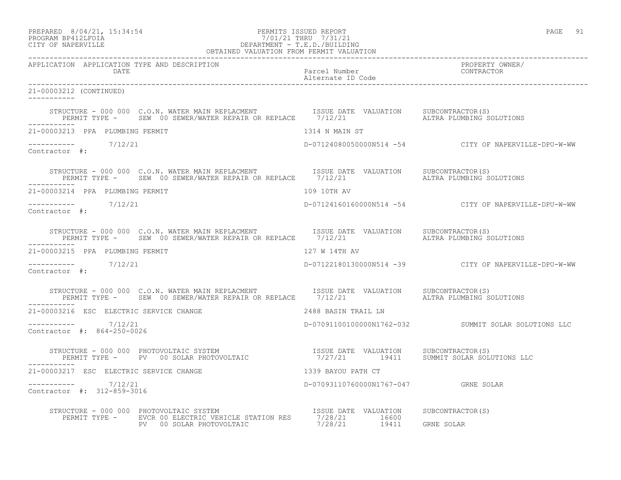| PREPARED | 8/04/21, 15:34:54  |  |
|----------|--------------------|--|
|          | PROGRAM RP412LFOIA |  |

## PERMITS ISSUED REPORT **PAGE 91** PROGRAM BP412LFOIA<br>
PROGRAM BP412LFOIA<br>
CITY OF NAPERVILLE<br>
CITY OF NAPERVILLE CITY OF NAPERVILLE DEPARTMENT - T.E.D./BUILDING

| OBTAINED VALUATION FROM PERMIT VALUATION              |                                                                                                                                                                                                                                  |                                      |                                                      |
|-------------------------------------------------------|----------------------------------------------------------------------------------------------------------------------------------------------------------------------------------------------------------------------------------|--------------------------------------|------------------------------------------------------|
| APPLICATION APPLICATION TYPE AND DESCRIPTION<br>DATE  |                                                                                                                                                                                                                                  | Parcel Number<br>Alternate ID Code   | PROPERTY OWNER/<br>CONTRACTOR                        |
| 21-00003212 (CONTINUED)                               |                                                                                                                                                                                                                                  |                                      |                                                      |
|                                                       | STRUCTURE - 000 000 C.O.N. WATER MAIN REPLACMENT              ISSUE DATE VALUATION      SUBCONTRACTOR(S)<br>PERMIT TYPE -      SEW 00 SEWER/WATER REPAIR OR REPLACE     7/12/21                         ALTRA PLUMBING SOLUTIONS |                                      |                                                      |
| ___________<br>21-00003213 PPA PLUMBING PERMIT        |                                                                                                                                                                                                                                  | 1314 N MAIN ST                       |                                                      |
| $\frac{1}{2}$ -----------<br>Contractor #: 7/12/21    |                                                                                                                                                                                                                                  |                                      | D-07124080050000N514 -54 CITY OF NAPERVILLE-DPU-W-WW |
|                                                       | STRUCTURE - 000 000 C.O.N. WATER MAIN REPLACMENT             ISSUE DATE VALUATION     SUBCONTRACTOR(S)<br>PERMIT TYPE -       SEW  00 SEWER/WATER REPAIR OR REPLACE      7/12/21                        ALTRA PLUMBING SOLUTIONS |                                      |                                                      |
| 21-00003214 PPA PLUMBING PERMIT                       |                                                                                                                                                                                                                                  | 109 10TH AV                          |                                                      |
| $--------- 7/12/21$<br>Contractor #:                  |                                                                                                                                                                                                                                  |                                      | D-07124160160000N514 -54 CITY OF NAPERVILLE-DPU-W-WW |
| __________                                            | STRUCTURE - 000 000 C.O.N. WATER MAIN REPLACMENT            ISSUE DATE VALUATION     SUBCONTRACTOR(S)<br>PERMIT TYPE -     SEW 00 SEWER/WATER REPAIR OR REPLACE     7/12/21                       ALTRA PLUMBING SOLUTIONS       |                                      |                                                      |
| 21-00003215 PPA PLUMBING PERMIT                       |                                                                                                                                                                                                                                  | 127 W 14TH AV                        |                                                      |
| $--------- 7/12/21$<br>Contractor #:                  |                                                                                                                                                                                                                                  |                                      | D-07122180130000N514 -39 CITY OF NAPERVILLE-DPU-W-WW |
| ------------                                          | STRUCTURE - 000 000 C.O.N. WATER MAIN REPLACMENT TISSUE DATE VALUATION SUBCONTRACTOR(S)<br>PERMIT TYPE - SEW 00 SEWER/WATER REPAIR OR REPLACE 7/12/21 ALTRA PLUMBING SOLUTIONS                                                   |                                      |                                                      |
| 21-00003216 ESC ELECTRIC SERVICE CHANGE               | 2488 BASIN TRAIL LN                                                                                                                                                                                                              |                                      |                                                      |
| $--------- 7/12/21$<br>Contractor #: 864-250-0026     |                                                                                                                                                                                                                                  |                                      | D-07091100100000N1762-032 SUMMIT SOLAR SOLUTIONS LLC |
|                                                       | STRUCTURE - 000 000 PHOTOVOLTAIC SYSTEM                           ISSUE DATE VALUATION    SUBCONTRACTOR(S)<br>PERMIT TYPE -     PV  00 SOLAR PHOTOVOLTAIC                 7/27/21       19411    SUMMIT SOLAR SOLUTIONS LLC      |                                      |                                                      |
| __________<br>21-00003217 ESC ELECTRIC SERVICE CHANGE |                                                                                                                                                                                                                                  | 1339 BAYOU PATH CT                   |                                                      |
| $--------- 7/12/21$<br>Contractor #: 312-859-3016     |                                                                                                                                                                                                                                  | D-07093110760000N1767-047 GRNE SOLAR |                                                      |
|                                                       | STRUCTURE - 000 000 PHOTOVOLTAIC SYSTEM <b>Example 2018</b> ISSUE DATE VALUATION SUBCONTRACTOR(S)<br>PERMIT TYPE - EVCR 00 ELECTRIC VEHICLE STATION RES 7/28/21 16600<br>PV 00 SOLAR PHOTOVOLTAIC                                | 7/28/21 19411 GRNE SOLAR             |                                                      |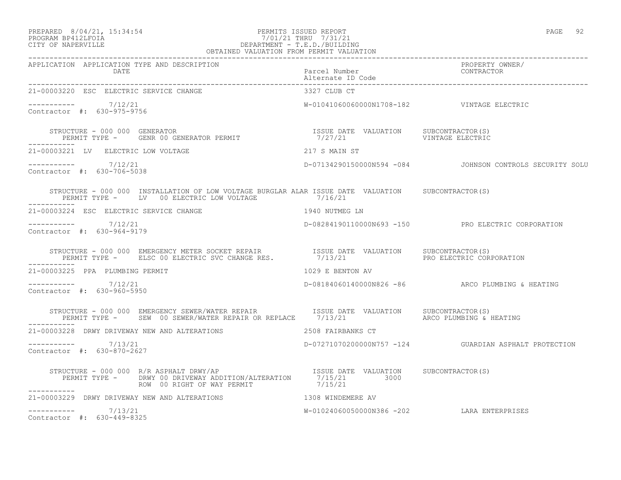#### PREPARED 8/04/21, 15:34:54 PERMITS ISSUED REPORT PAGE 92 PROGRAM BP412LFOIA 7/01/21 THRU 7/31/21 CITY OF NAPERVILLE DEPARTMENT - T.E.D./BUILDING OBTAINED VALUATION FROM PERMIT VALUATION

| APPLICATION APPLICATION TYPE AND DESCRIPTION<br>PPLICATION APPLICATION TYPE AND DESCRIPTION PACKERTY PARTE PERPLICATION PROPERTY OWNER/<br>DATE Parcel Number Parcel D Code Alternate ID Code Alternate ID Code Parcel Alternate ID Code Alternate ID Code                                                                                                        |                                               |                                                          |
|-------------------------------------------------------------------------------------------------------------------------------------------------------------------------------------------------------------------------------------------------------------------------------------------------------------------------------------------------------------------|-----------------------------------------------|----------------------------------------------------------|
| 21-00003220 ESC ELECTRIC SERVICE CHANGE                                                                                                                                                                                                                                                                                                                           | 3327 CLUB CT                                  |                                                          |
| ----------- 7/12/21<br>Contractor #: 630-975-9756                                                                                                                                                                                                                                                                                                                 | W-01041060060000N1708-182    VINTAGE ELECTRIC |                                                          |
| STRUCTURE - 000 000 GENERATOR<br>$\begin{tabular}{lllllllll} \texttt{STRUCTURE} & - & 000 & 000 & \texttt{GENERATOR} & \texttt{PERMIT} & \texttt{SUE} & \texttt{DATE} & \texttt{VALUATION} & & \texttt{SUBCONTRACTOR(S)} \\ \texttt{PERMIT TYPE} & - & \texttt{GENR} & 00 & \texttt{GENERATOR} & \texttt{PERMIT} & & & & & & & & \\ \end{tabular}$<br>___________ |                                               |                                                          |
| 21-00003221 LV ELECTRIC LOW VOLTAGE                                                                                                                                                                                                                                                                                                                               | 217 S MAIN ST                                 |                                                          |
| $--------- 7/12/21$<br>Contractor #: 630-706-5038                                                                                                                                                                                                                                                                                                                 |                                               | D-07134290150000N594 -084 JOHNSON CONTROLS SECURITY SOLU |
| STRUCTURE - 000 000 INSTALLATION OF LOW VOLTAGE BURGLAR ALAR ISSUE DATE VALUATION SUBCONTRACTOR(S)<br>PERMIT TYPE - LV 00 ELECTRIC LOW VOLTAGE 7/16/21                                                                                                                                                                                                            |                                               |                                                          |
| -----------<br>1940 NUTMEG LN<br>21-00003224 ESC ELECTRIC SERVICE CHANGE                                                                                                                                                                                                                                                                                          |                                               |                                                          |
| $--------- 7/12/21$<br>Contractor #: 630-964-9179                                                                                                                                                                                                                                                                                                                 |                                               | D-08284190110000N693 -150 PRO ELECTRIC CORPORATION       |
|                                                                                                                                                                                                                                                                                                                                                                   |                                               |                                                          |
| ------------<br>21-00003225 PPA PLUMBING PERMIT                                                                                                                                                                                                                                                                                                                   | 1029 E BENTON AV                              |                                                          |
| ----------- 7/12/21<br>Contractor #: 630-960-5950                                                                                                                                                                                                                                                                                                                 |                                               | D-08184060140000N826 -86 ARCO PLUMBING & HEATING         |
|                                                                                                                                                                                                                                                                                                                                                                   |                                               |                                                          |
|                                                                                                                                                                                                                                                                                                                                                                   |                                               |                                                          |
| $--------- 7/13/21$<br>Contractor #: 630-870-2627                                                                                                                                                                                                                                                                                                                 |                                               | D-07271070200000N757 -124 GUARDIAN ASPHALT PROTECTION    |
| ------------                                                                                                                                                                                                                                                                                                                                                      |                                               |                                                          |
| 21-00003229 DRWY DRIVEWAY NEW AND ALTERATIONS 1308 WINDEMERE AV                                                                                                                                                                                                                                                                                                   |                                               |                                                          |
| $--------- 7/13/21$<br>Contractor #: 630-449-8325                                                                                                                                                                                                                                                                                                                 | W-01024060050000N386 -202 LARA ENTERPRISES    |                                                          |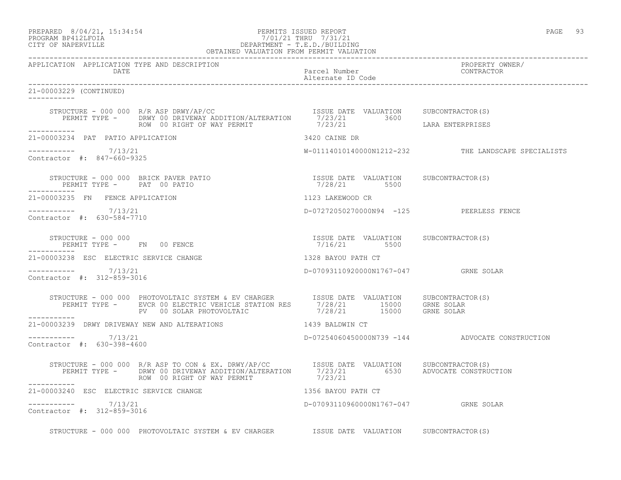## PREPARED 8/04/21, 15:34:54 PERMITS ISSUED REPORT PAGE 93 PROGRAM BP412LFOIA 7/01/21 THRU 7/31/21 CITY OF NAPERVILLE CITY OF NAPERVILLE DEPARTMENT - T.E.D./BUILDING

|                                                        | OBTAINED VALUATION FROM PERMIT VALUATION                                                                                                                                                                                                                                    |                                                       |                                                     |
|--------------------------------------------------------|-----------------------------------------------------------------------------------------------------------------------------------------------------------------------------------------------------------------------------------------------------------------------------|-------------------------------------------------------|-----------------------------------------------------|
| APPLICATION APPLICATION TYPE AND DESCRIPTION<br>DATE   |                                                                                                                                                                                                                                                                             | Parcel Number<br>Alternate ID Code                    | PROPERTY OWNER/<br>CONTRACTOR                       |
| 21-00003229 (CONTINUED)<br>. _ _ _ _ _ _ _ _ _         |                                                                                                                                                                                                                                                                             |                                                       |                                                     |
|                                                        |                                                                                                                                                                                                                                                                             |                                                       |                                                     |
| ------------<br>21-00003234 PAT PATIO APPLICATION      |                                                                                                                                                                                                                                                                             | 3420 CAINE DR                                         |                                                     |
| -----------     7/13/21<br>Contractor #: 847-660-9325  |                                                                                                                                                                                                                                                                             |                                                       | W-01114010140000N1212-232 THE LANDSCAPE SPECIALISTS |
|                                                        | $\begin{array}{cccc} \texttt{STRUCTURE} - 000 000 & \texttt{BRICK PAVER PATIO} & \texttt{SUSE DATE} & \texttt{VALUATION} & \texttt{SUBCONTRACTOR(S)} \\ \texttt{PERMIT TYPE} - & \texttt{PAT} & 00 PATIO & \texttt{SUSCH} & \texttt{SUSCH} & \texttt{SISOO} \\ \end{array}$ |                                                       |                                                     |
| 21-00003235 FN FENCE APPLICATION                       |                                                                                                                                                                                                                                                                             | 1123 LAKEWOOD CR                                      |                                                     |
| -----------     7/13/21<br>Contractor #: 630-584-7710  |                                                                                                                                                                                                                                                                             | D-07272050270000N94 -125 PEERLESS FENCE               |                                                     |
| STRUCTURE - 000 000                                    | STRUCTURE - 000 000<br>PERMIT TYPE - FN 00 FENCE<br>------                                                                                                                                                                                                                  | ISSUE DATE VALUATION SUBCONTRACTOR(S)<br>7/16/21 5500 |                                                     |
| 21-00003238 ESC ELECTRIC SERVICE CHANGE                |                                                                                                                                                                                                                                                                             | 1328 BAYOU PATH CT                                    |                                                     |
| ----------- 7/13/21<br>Contractor #: 312-859-3016      |                                                                                                                                                                                                                                                                             | D-07093110920000N1767-047 GRNE SOLAR                  |                                                     |
|                                                        | STRUCTURE - 000 000 PHOTOVOLTAIC SYSTEM & EV CHARGER ISSUE DATE VALUATION SUBCONTRACTOR(S)<br>PERMIT TYPE - EVCR 00 ELECTRIC VEHICLE STATION RES 7/28/21 15000 GRNE SOLAR<br>PV 00 SOLAR PHOTOVOLTAIC 7/28/21 15000 GRNE SOLAR                                              |                                                       |                                                     |
|                                                        | 21-00003239 DRWY DRIVEWAY NEW AND ALTERATIONS 1439 BALDWIN CT                                                                                                                                                                                                               |                                                       |                                                     |
| $--------- 7/13/21$<br>Contractor #: 630-398-4600      |                                                                                                                                                                                                                                                                             |                                                       | D-07254060450000N739 -144 ADVOCATE CONSTRUCTION     |
|                                                        | STRUCTURE - 000 000 R/R ASP TO CON & EX. DRWY/AP/CC       ISSUE DATE VALUATION     SUBCONTRACTOR(S)<br>PERMIT TYPE -     DRWY 00 DRIVEWAY ADDITION/ALTERATION      7/23/21         6530     ADVOCATE CONSTRUCTION                                                           |                                                       |                                                     |
| -----------<br>21-00003240 ESC ELECTRIC SERVICE CHANGE |                                                                                                                                                                                                                                                                             | 1356 BAYOU PATH CT                                    |                                                     |
| $--------$ 7/13/21<br>Contractor #: 312-859-3016       |                                                                                                                                                                                                                                                                             |                                                       |                                                     |

STRUCTURE - 000 000 PHOTOVOLTAIC SYSTEM & EV CHARGER ISSUE DATE VALUATION SUBCONTRACTOR(S)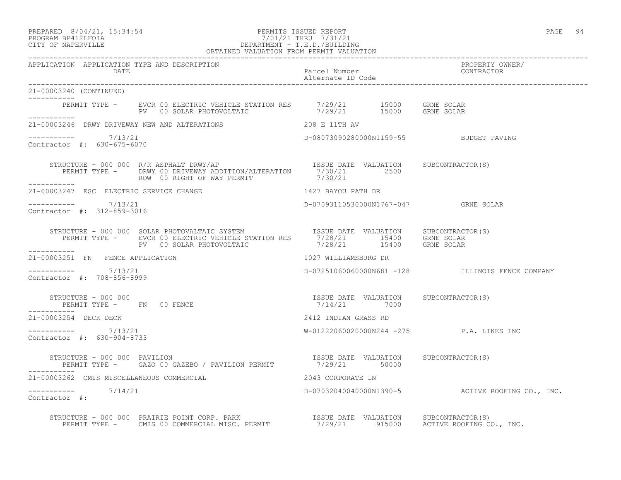## PREPARED 8/04/21, 15:34:54 PERMITS ISSUED REPORT PROGRAM BP412LFOIA PAGE 94 PROGRAM BP412LFOIA 7/01/21 THRU 7/31/21 CITY OF NAPERVILLE DEPARTMENT - T.E.D./BUILDING

|                                                      | OBTAINED VALUATION FROM PERMIT VALUATION                                                                                                                                                                                                            |                                                         |                                                  |
|------------------------------------------------------|-----------------------------------------------------------------------------------------------------------------------------------------------------------------------------------------------------------------------------------------------------|---------------------------------------------------------|--------------------------------------------------|
| APPLICATION APPLICATION TYPE AND DESCRIPTION<br>DATE |                                                                                                                                                                                                                                                     | Parcel Number<br>Alternate ID Code                      | PROPERTY OWNER/<br>CONTRACTOR                    |
| 21-00003240 (CONTINUED)<br>__________                |                                                                                                                                                                                                                                                     |                                                         |                                                  |
| ___________                                          | PERMIT TYPE - EVCR 00 ELECTRIC VEHICLE STATION RES $7/29/21$ 15000 GRNE SOLAR<br>PV 00 SOLAR PHOTOVOLTAIC 7/29/21 15000 GRNE SOLAR                                                                                                                  |                                                         |                                                  |
|                                                      | 21-00003246 DRWY DRIVEWAY NEW AND ALTERATIONS 208 E 11TH AV                                                                                                                                                                                         |                                                         |                                                  |
| $--------- 7/13/21$<br>Contractor #: 630-675-6070    |                                                                                                                                                                                                                                                     | D-08073090280000N1159-55 BUDGET PAVING                  |                                                  |
| ------------                                         |                                                                                                                                                                                                                                                     |                                                         |                                                  |
| 21-00003247 ESC ELECTRIC SERVICE CHANGE              | 1427 BAYOU PATH DR                                                                                                                                                                                                                                  |                                                         |                                                  |
| $--------- 7/13/21$<br>Contractor #: 312-859-3016    |                                                                                                                                                                                                                                                     | D-07093110530000N1767-047 GRNE SOLAR                    |                                                  |
|                                                      | STRUCTURE - 000 000 SOLAR PHOTOVALTAIC SYSTEM ISSUE DATE VALUATION SUBCONTRACTOR(S)<br>PERMIT TYPE - EVCR 00 ELECTRIC VEHICLE STATION RES 7/28/21 15400 GRNE SOLAR<br>PV 00 SOLAR PHOTOVOLTAIC 7/28/21 15400 GRNE SOLAR<br>PV 00 SOLAR PHOTOVOLTAIC |                                                         |                                                  |
| ___________<br>21-00003251 FN FENCE APPLICATION      |                                                                                                                                                                                                                                                     | 1027 WILLIAMSBURG DR                                    |                                                  |
| $--------- 7/13/21$<br>Contractor #: 708-856-8999    |                                                                                                                                                                                                                                                     |                                                         | D-07251060060000N681 -128 ILLINOIS FENCE COMPANY |
| STRUCTURE - 000 000                                  | PERMIT TYPE - FN 00 FENCE                                                                                                                                                                                                                           | ISSUE DATE VALUATION SUBCONTRACTOR(S)<br>$7/14/21$ 7000 |                                                  |
| 21-00003254 DECK DECK                                |                                                                                                                                                                                                                                                     | 2412 INDIAN GRASS RD                                    |                                                  |
| ----------- 7/13/21<br>Contractor #: 630-904-8733    |                                                                                                                                                                                                                                                     | W-01222060020000N244 -275 P.A. LIKES INC                |                                                  |
| STRUCTURE - 000 000 PAVILION                         | PERMIT TYPE - GAZO 00 GAZEBO / PAVILION PERMIT 7/29/21 50000                                                                                                                                                                                        | ISSUE DATE VALUATION SUBCONTRACTOR(S)                   |                                                  |
|                                                      | 21-00003262 CMIS MISCELLANEOUS COMMERCIAL                                                                                                                                                                                                           | 2043 CORPORATE LN                                       |                                                  |
| $--------- 7/14/21$<br>Contractor #:                 |                                                                                                                                                                                                                                                     |                                                         | D-07032040040000N1390-5 ACTIVE ROOFING CO., INC. |
|                                                      | STRUCTURE - 000 000 PRAIRIE POINT CORP. PARK                    ISSUE DATE VALUATION     SUBCONTRACTOR(S)<br>PERMIT TYPE -    CMIS 00 COMMERCIAL MISC. PERMIT             7/29/21       915000    ACTIVE ROOFING CO., INC.                          |                                                         |                                                  |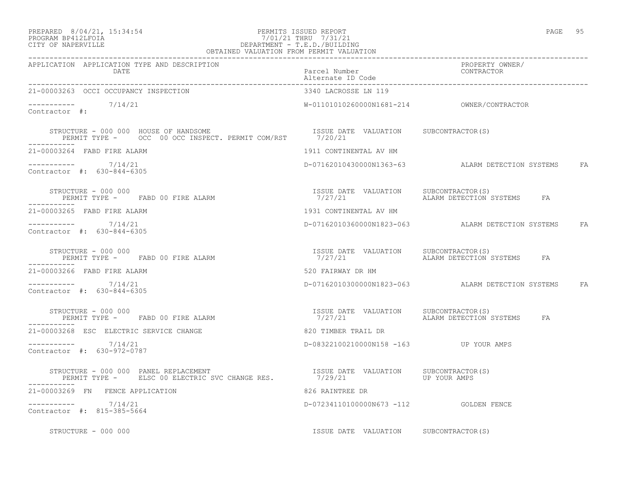### PREPARED 8/04/21, 15:34:54 PERMITS ISSUED REPORT<br>PROGRAM BP412LFOIA PAGE 95 PROGRAM PP412LFOIA PROGRAM BP412LFOIA 7/01/21 THRU 7/31/21 CITY OF NAPERVILLE DEPARTMENT - T.E.D./BUILDING OBTAINED VALUATION FROM PERMIT VALUATION

| LAGE | ۰ |
|------|---|
|      |   |
|      |   |
|      |   |
|      |   |

| APPLICATION APPLICATION TYPE AND DESCRIPTION                                                                                                                                                                 |                                           |                                                      |  |
|--------------------------------------------------------------------------------------------------------------------------------------------------------------------------------------------------------------|-------------------------------------------|------------------------------------------------------|--|
| 21-00003263 OCCI OCCUPANCY INSPECTION                                                                                                                                                                        | 3340 LACROSSE LN 119                      |                                                      |  |
| $--------- 7/14/21$<br>Contractor #:                                                                                                                                                                         |                                           |                                                      |  |
| STRUCTURE - 000 000 HOUSE OF HANDSOME                                                                                                                                                                        |                                           |                                                      |  |
| 21-00003264 FABD FIRE ALARM                                                                                                                                                                                  | 1911 CONTINENTAL AV HM                    |                                                      |  |
| $--------- 7/14/21$<br>Contractor #: 630-844-6305                                                                                                                                                            |                                           | D-07162010430000N1363-63 ALARM DETECTION SYSTEMS FA  |  |
| STRUCTURE - 000 000<br>PERMIT TYPE - FABD 00 FIRE ALARM                                                                                                                                                      |                                           | 7/27/21 TALARM DETECTION SYSTEMS FA                  |  |
| 21-00003265 FABD FIRE ALARM                                                                                                                                                                                  | 1931 CONTINENTAL AV HM                    |                                                      |  |
| $--------- 7/14/21$<br>Contractor #: 630-844-6305                                                                                                                                                            |                                           | D-07162010360000N1823-063 ALARM DETECTION SYSTEMS FA |  |
| STRUCTURE - 000 000<br>PERMIT TYPE - FABD 00 FIRE ALARM                                                                                                                                                      |                                           |                                                      |  |
| 21-00003266 FABD FIRE ALARM                                                                                                                                                                                  | 520 FAIRWAY DR HM                         |                                                      |  |
| $--------- 7/14/21$<br>Contractor #: 630-844-6305                                                                                                                                                            |                                           | D-07162010300000N1823-063 ALARM DETECTION SYSTEMS FA |  |
|                                                                                                                                                                                                              |                                           |                                                      |  |
| 21-00003268 ESC ELECTRIC SERVICE CHANGE                                                                                                                                                                      | 820 TIMBER TRAIL DR                       |                                                      |  |
| $--------- 7/14/21$<br>Contractor #: 630-972-0787                                                                                                                                                            | D-08322100210000N158 -163 UP YOUR AMPS    |                                                      |  |
| STRUCTURE - 000 000 PANEL REPLACEMENT                             ISSUE DATE VALUATION   SUBCONTRACTOR(S)<br>PERMIT TYPE -     ELSC 00 ELECTRIC SVC CHANGE RES.             7/29/21             UP YOUR AMPS |                                           |                                                      |  |
| 21-00003269 FN FENCE APPLICATION                                                                                                                                                                             | 826 RAINTREE DR                           |                                                      |  |
| $--------- 7/14/21$<br>Contractor #: 815-385-5664                                                                                                                                                            | D-07234110100000N673 -112    GOLDEN FENCE |                                                      |  |
| STRUCTURE - 000 000                                                                                                                                                                                          | ISSUE DATE VALUATION SUBCONTRACTOR(S)     |                                                      |  |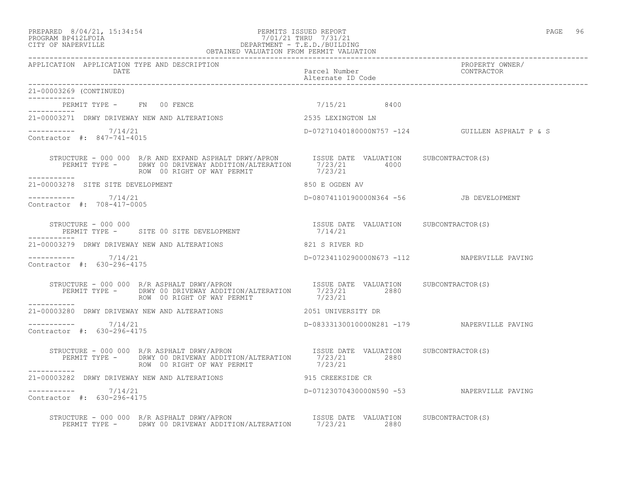#### PREPARED 8/04/21, 15:34:54 PERMITS ISSUED REPORT PAGE 96 PROGRAM BP412LFOIA 7/01/21 THRU 7/31/21 CITY OF NAPERVILLE DEPARTMENT - T.E.D./BUILDING OBTAINED VALUATION FROM PERMIT VALUATION

------------------------------------------------------------------------------------------------------------------------------------ APPLICATION APPLICATION TYPE AND DESCRIPTION PROPERTY OWNER/ DATE PARTICLE IN PARTICLE IN THE PARTICLE IN THE PARTICLE IN THE PARTICLE IN THE PARTICLE IN THE PARTICLE IN THE PARTICLE IN THE PARTICLE IN THE PARTICLE IN THE PARTICLE IN THE PARTICLE IN THE PARTICLE IN THE PARTICLE IN T Alternate ID Code ------------------------------------------------------------------------------------------------------------------------------------ 21-00003269 (CONTINUED) ----------- PERMIT TYPE - FN 00 FENCE 7/15/21 8400 ----------- 21-00003271 DRWY DRIVEWAY NEW AND ALTERATIONS 2535 LEXINGTON LN  $--------- 7/14/21$ ----------- 7/14/21 D-07271040180000N757 -124 GUILLEN ASPHALT P & S Contractor #: 847-741-4015 STRUCTURE - 000 000 R/R AND EXPAND ASPHALT DRWY/APRON ISSUE DATE VALUATION SUBCONTRACTOR(S) PERMIT TYPE - DRWY 00 DRIVEWAY ADDITION/ALTERATION 7/23/21 4000 ROW 00 RIGHT OF WAY PERMIT  $7/23/21$ ----------- 21-00003278 SITE SITE DEVELOPMENT SERIES AND SOME SOME OGDEN AV \_\_\_\_\_\_\_\_\_\_\_ ----------- 7/14/21 D-08074110190000N364 -56 JB DEVELOPMENT Contractor #: 708-417-0005 STRUCTURE - 000 000<br>PERMIT TYPE - SITE 00 SITE DEVELOPMENT - 1/14/21 7/14/21 PERMIT TYPE - SITE 00 SITE DEVELOPMENT ----------- 21-00003279 DRWY DRIVEWAY NEW AND ALTERATIONS 821 S RIVER RD ----------- 7/14/21 D-07234110290000N673 -112 NAPERVILLE PAVING Contractor #: 630-296-4175 STRUCTURE - 000 000 R/R ASPHALT DRWY/APRON ISSUE DATE VALUATION SUBCONTRACTOR(S) PERMIT TYPE - DRWY 00 DRIVEWAY ADDITION/ALTERATION 7/23/21 2880 ROW 00 RIGHT OF WAY PERMIT  $7/23/21$ ----------- 21-00003280 DRWY DRIVEWAY NEW AND ALTERATIONS 2051 UNIVERSITY DR  $--------- 7/14/21$ ----------- 7/14/21 D-08333130010000N281 -179 NAPERVILLE PAVING Contractor #: 630-296-4175 STRUCTURE - 000 000 R/R ASPHALT DRWY/APRON ISSUE DATE VALUATION SUBCONTRACTOR(S) PERMIT TYPE - DRWY 00 DRIVEWAY ADDITION/ALTERATION 7/23/21 2880 STRUCTURE - 000 000 R/R ASPHALT DRWY/APRON<br>PERMIT TYPE - DRWY 00 DRIVEWAY ADDITION/ALTERATION 7/23/21 ----------- 21-00003282 DRWY DRIVEWAY NEW AND ALTERATIONS 915 CREEKSIDE CR \_\_\_\_\_\_\_\_\_\_\_ ----------- 7/14/21 D-07123070430000N590 -53 NAPERVILLE PAVING Contractor #: 630-296-4175 STRUCTURE - 000 000 R/R ASPHALT DRWY/APRON **ISSUE DATE** VALUATION SUBCONTRACTOR(S) PERMIT TYPE - DRWY 00 DRIVEWAY ADDITION/ALTERATION 7/23/21 2880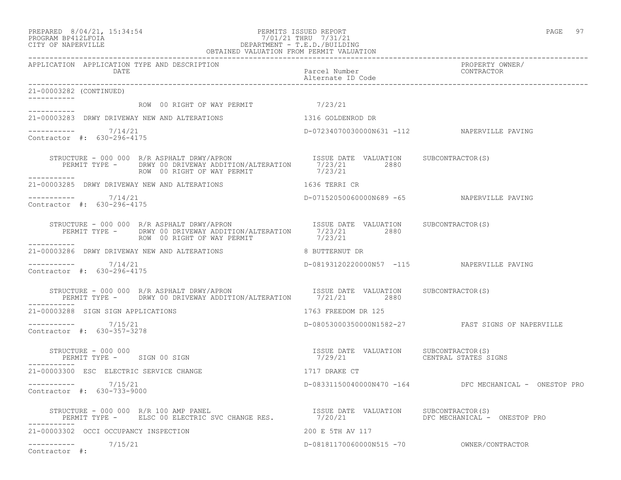#### PREPARED 8/04/21, 15:34:54 PERMITS ISSUED REPORT PAGE 97 PROGRAM BP412LFOIA 7/01/21 THRU 7/31/21 CITY OF NAPERVILLE DEPARTMENT - T.E.D./BUILDING OBTAINED VALUATION FROM PERMIT VALUATION

------------------------------------------------------------------------------------------------------------------------------------ APPLICATION APPLICATION TYPE AND DESCRIPTION PROPERTY OWNER/ DATE **Parcel Number** Parcel Number Contractor Contractor Parcel Number Alternate ID Code ------------------------------------------------------------------------------------------------------------------------------------ 21-00003282 (CONTINUED) ----------- ROW 00 RIGHT OF WAY PERMIT 7/23/21 ----------- 21-00003283 DRWY DRIVEWAY NEW AND ALTERATIONS 1316 GOLDENROD DR  $--------- 7/14/21$ D-07234070030000N631 -112 NAPERVILLE PAVING Contractor #: 630-296-4175 STRUCTURE - 000 000 R/R ASPHALT DRWY/APRON **ISSUE DATE VALUATION** SUBCONTRACTOR(S) PERMIT TYPE - DRWY 00 DRIVEWAY ADDITION/ALTERATION 7/23/21 2880 ROW 00 RIGHT OF WAY PERMIT  $7/23/21$ ----------- 21-00003285 DRWY DRIVEWAY NEW AND ALTERATIONS 1636 TERRI CR <u> Liste Liste List</u> ----------- 7/14/21 D-07152050060000N689 -65 NAPERVILLE PAVING Contractor #: 630-296-4175 STRUCTURE - 000 000 R/R ASPHALT DRWY/APRON ISSUE DATE VALUATION SUBCONTRACTOR(S) PERMIT TYPE - DRWY 00 DRIVEWAY ADDITION/ALTERATION 7/23/21 2880 ROW 00 RIGHT OF WAY PERMIT  $7/23/21$ ----------- 21-00003286 DRWY DRIVEWAY NEW AND ALTERATIONS 8 BUTTERNUT DR  $--------- 7/14/21$ ----------- 7/14/21 D-08193120220000N57 -115 NAPERVILLE PAVING Contractor #: 630-296-4175 STRUCTURE - 000 000 R/R ASPHALT DRWY/APRON ISSUE DATE VALUATION SUBCONTRACTOR(S) PERMIT TYPE - DRWY 00 DRIVEWAY ADDITION/ALTERATION 7/21/21 2880 ----------- 21-00003288 SIGN SIGN APPLICATIONS 1763 FREEDOM DR 125 ----------- 7/15/21 D-08053000350000N1582-27 FAST SIGNS OF NAPERVILLE Contractor #: 630-357-3278 STRUCTURE - 000 000 ISSUE DATE VALUATION SUBCONTRACTOR(S) PERMIT TYPE - SIGN 00 SIGN 1999 1999 1999/21 2000 2011 TYPE CENTRAL STATES SIGNS ----------- 21-00003300 ESC ELECTRIC SERVICE CHANGE 1717 DRAKE CT ----------- 7/15/21 D-08331150040000N470 -164 DFC MECHANICAL - ONESTOP PRO Contractor #: 630-733-9000 STRUCTURE - 000 000 R/R 100 AMP PANEL ISSUE DATE VALUATION SUBCONTRACTOR(S) PERMIT TYPE - ELSC 00 ELECTRIC SVC CHANGE RES.  $7/20/21$  DFC MECHANICAL - ONESTOP PRO ----------- 21-00003302 OCCI OCCUPANCY INSPECTION 200 E 5TH AV 117 ----------- 7/15/21 D-08181170060000N515 -70 OWNER/CONTRACTOR Contractor #: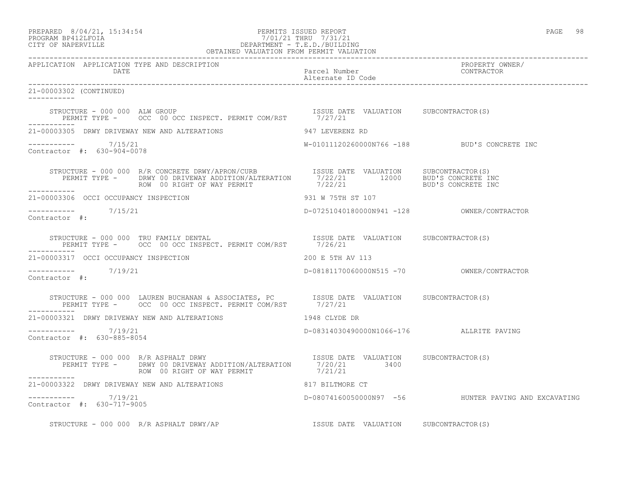## PREPARED 8/04/21, 15:34:54 PERMITS ISSUED REPORT PAGE 98 PROGRAM BP412LFOIA 7/01/21 THRU 7/31/21 CITY OF NAPERVILLE DEPARTMENT - T.E.D./BUILDING

| OBTAINED VALUATION FROM PERMIT VALUATION                                                                                                                                                                                                                                           |                                              |                                                      |  |
|------------------------------------------------------------------------------------------------------------------------------------------------------------------------------------------------------------------------------------------------------------------------------------|----------------------------------------------|------------------------------------------------------|--|
| APPLICATION APPLICATION TYPE AND DESCRIPTION<br>DATE                                                                                                                                                                                                                               | Parcel Number<br>Alternate ID Code           | PROPERTY OWNER/<br>CONTRACTOR                        |  |
| 21-00003302 (CONTINUED)                                                                                                                                                                                                                                                            |                                              |                                                      |  |
|                                                                                                                                                                                                                                                                                    |                                              |                                                      |  |
|                                                                                                                                                                                                                                                                                    |                                              |                                                      |  |
| $--------- 7/15/21$<br>Contractor #: 630-904-0078                                                                                                                                                                                                                                  | W-01011120260000N766 -188 BUD'S CONCRETE INC |                                                      |  |
| STRUCTURE - 000 000 R/R CONCRETE DRWY/APRON/CURB 1SSUE DATE VALUATION SUBCONTRACTOR(S)<br>PERMIT TYPE - DRWY 00 DRIVEWAY ADDITION/ALTERATION 7/22/21 12000 BUD'S CONCRETE INC<br>ROW 00 RIGHT OF WAY PERMIT 7/22/21 BUD'S CONCRETE I<br>ROW 00 RIGHT OF WAY PERMIT<br>------------ |                                              |                                                      |  |
| 21-00003306 OCCI OCCUPANCY INSPECTION                                                                                                                                                                                                                                              | 931 W 75TH ST 107                            |                                                      |  |
| $--------- 7/15/21$<br>Contractor #:                                                                                                                                                                                                                                               | D-07251040180000N941 -128 OWNER/CONTRACTOR   |                                                      |  |
|                                                                                                                                                                                                                                                                                    |                                              |                                                      |  |
| 21-00003317 OCCI OCCUPANCY INSPECTION                                                                                                                                                                                                                                              | 200 E 5TH AV 113                             |                                                      |  |
| $--------- 7/19/21$<br>Contractor #:                                                                                                                                                                                                                                               |                                              |                                                      |  |
|                                                                                                                                                                                                                                                                                    |                                              |                                                      |  |
| 21-00003321 DRWY DRIVEWAY NEW AND ALTERATIONS                                                                                                                                                                                                                                      | 1948 CLYDE DR                                |                                                      |  |
| $--------- 7/19/21$<br>Contractor #: 630-885-8054                                                                                                                                                                                                                                  | D-08314030490000N1066-176 ALLRITE PAVING     |                                                      |  |
| STRUCTURE - 000 000 R/R ASPHALT DRWY<br>PERMIT TYPE - DRWY 00 DRIVEWAY ADDITION/ALTERATION 7/20/21 3400<br>ROW 00 RIGHT OF WAY PERMIT 7/21/21<br>STRUCTURE - 000 000 R/R ASPHALT DRWY                                                                                              |                                              |                                                      |  |
| ___________<br>21-00003322 DRWY DRIVEWAY NEW AND ALTERATIONS 617 BILTMORE CT                                                                                                                                                                                                       |                                              |                                                      |  |
| $--------- 7/19/21$<br>Contractor #: 630-717-9005                                                                                                                                                                                                                                  |                                              | D-08074160050000N97 -56 HUNTER PAVING AND EXCAVATING |  |
|                                                                                                                                                                                                                                                                                    |                                              |                                                      |  |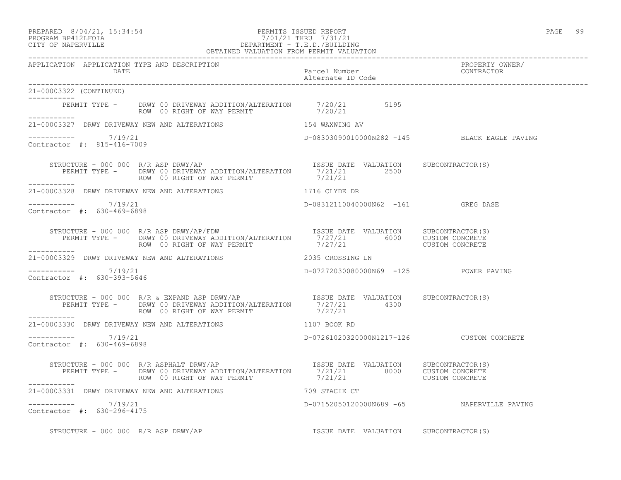## PREPARED 8/04/21, 15:34:54 PERMITS ISSUED REPORT<br>PROGRAM BP412LFOIA PAGE 99 PAGE 99 PROGRAM PROGRAM PROGRAM PAGE 99 PROGRAM BP412LFOIA 7/01/21 THRU 7/31/21 CITY OF NAPERVILLE CITY OF NAPERVILLE DEPARTMENT - T.E.D./BUILDING

|                                                      | OBTAINED VALUATION FROM PERMIT VALUATION                                                                                                                      |                                               |                                              |
|------------------------------------------------------|---------------------------------------------------------------------------------------------------------------------------------------------------------------|-----------------------------------------------|----------------------------------------------|
| APPLICATION APPLICATION TYPE AND DESCRIPTION<br>DATE |                                                                                                                                                               | Parcel Number<br>Alternate ID Code CONTRACTOR | PROPERTY OWNER/                              |
| 21-00003322 (CONTINUED)                              |                                                                                                                                                               |                                               |                                              |
|                                                      | PERMIT TYPE - DRWY 00 DRIVEWAY ADDITION/ALTERATION 7/20/21 5195<br>ROW 00 RIGHT OF WAY PERMIT 7/20/21                                                         |                                               |                                              |
|                                                      | 21-00003327 DRWY DRIVEWAY NEW AND ALTERATIONS 154 WAXWING AV                                                                                                  |                                               |                                              |
| $--------- 7/19/21$<br>Contractor #: 815-416-7009    |                                                                                                                                                               |                                               | D-08303090010000N282 -145 BLACK EAGLE PAVING |
| -----------                                          | STRUCTURE - 000 000 R/R ASP DRWY/AP<br>PERMIT TYPE - DRWY 00 DRIVEWAY ADDITION/ALTERATION 7/21/21 2500<br>ROW 00 RIGHT OF WAY PERMIT 7/21/21                  |                                               |                                              |
|                                                      | 21-00003328 DRWY DRIVEWAY NEW AND ALTERATIONS 1716 CLYDE DR                                                                                                   |                                               |                                              |
| $--------- 7/19/21$<br>Contractor #: 630-469-6898    |                                                                                                                                                               | D-08312110040000N62 -161 GREG DASE            |                                              |
| ___________                                          |                                                                                                                                                               |                                               |                                              |
|                                                      | 21-00003329 DRWY DRIVEWAY NEW AND ALTERATIONS 2035 CROSSING LN                                                                                                |                                               |                                              |
| $--------- 7/19/21$<br>Contractor #: 630-393-5646    |                                                                                                                                                               | D-07272030080000N69 -125 POWER PAVING         |                                              |
| -----------                                          | STRUCTURE - 000 000 R/R & EXPAND ASP DRWY/AP<br>PERMIT TYPE - DRWY 00 DRIVEWAY ADDITION/ALTERATION 7/27/21 4300<br>------- ROW 00 RIGHT OF WAY PERMIT 7/27/21 |                                               |                                              |
|                                                      | 21-00003330 DRWY DRIVEWAY NEW AND ALTERATIONS 1107 BOOK RD                                                                                                    |                                               |                                              |
| ----------- 7/19/21<br>Contractor #: 630-469-6898    |                                                                                                                                                               | D-07261020320000N1217-126 CUSTOM CONCRETE     |                                              |
|                                                      |                                                                                                                                                               |                                               |                                              |
|                                                      | 21-00003331 DRWY DRIVEWAY NEW AND ALTERATIONS 709 STACIE CT                                                                                                   |                                               |                                              |
| $--------- 7/19/21$<br>Contractor #: 630-296-4175    |                                                                                                                                                               | D-07152050120000N689 -65 NAPERVILLE PAVING    |                                              |
| STRUCTURE - 000 000 R/R ASP DRWY/AP                  |                                                                                                                                                               | ISSUE DATE VALUATION SUBCONTRACTOR(S)         |                                              |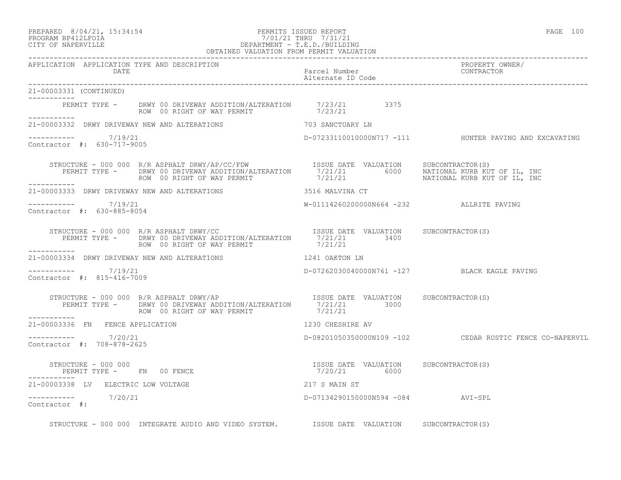## PREPARED 8/04/21, 15:34:54 PERMITS ISSUED REPORT PAGE 100 PROGRAM BP412LFOIA 7/01/21 THRU 7/31/21 CITY OF NAPERVILLE DEPARTMENT - T.E.D./BUILDING

| OBTAINED VALUATION FROM PERMIT VALUATION             |                                                                                                                                                                                                                                     |                                                       |                                                          |
|------------------------------------------------------|-------------------------------------------------------------------------------------------------------------------------------------------------------------------------------------------------------------------------------------|-------------------------------------------------------|----------------------------------------------------------|
| APPLICATION APPLICATION TYPE AND DESCRIPTION<br>DATE |                                                                                                                                                                                                                                     | Parcel Number<br>Alternate ID Code                    | PROPERTY OWNER/<br>CONTRACTOR                            |
| 21-00003331 (CONTINUED)                              |                                                                                                                                                                                                                                     |                                                       |                                                          |
| <u>u u u u u u u u u n</u>                           | PERMIT TYPE - DRWY 00 DRIVEWAY ADDITION/ALTERATION $7/23/21$ 3375<br>ROW 00 RIGHT OF WAY PERMIT 7/23/21                                                                                                                             |                                                       |                                                          |
|                                                      | 21-00003332 DRWY DRIVEWAY NEW AND ALTERATIONS 703 SANCTUARY LN                                                                                                                                                                      |                                                       |                                                          |
| ----------     7/19/21<br>Contractor #: 630-717-9005 |                                                                                                                                                                                                                                     |                                                       | D-07233110010000N717 -111 HUNTER PAVING AND EXCAVATING   |
| ___________                                          | STRUCTURE - 000 000 R/R ASPHALT DRWY/AP/CC/FDW ISSUE DATE VALUATION SUBCONTRACTOR(S)<br>PERMIT TYPE - DRWY 00 DRIVEWAY ADDITION/ALTERATION 7/21/21 6000 NATIONAL KURB KUT OF IL, INC<br>ROW 00 RIGHT OF WAY PERMIT 7/21/21 MATIONAL |                                                       |                                                          |
|                                                      | 21-00003333 DRWY DRIVEWAY NEW AND ALTERATIONS 3516 MALVINA CT                                                                                                                                                                       |                                                       |                                                          |
| ----------- 7/19/21<br>Contractor #: 630-885-8054    |                                                                                                                                                                                                                                     | W-01114260200000N664 -232 ALLRITE PAVING              |                                                          |
|                                                      |                                                                                                                                                                                                                                     |                                                       |                                                          |
| ------------                                         | 21-00003334 DRWY DRIVEWAY NEW AND ALTERATIONS 4241 OAKTON LN                                                                                                                                                                        |                                                       |                                                          |
| $--------- 7/19/21$<br>Contractor #: 815-416-7009    |                                                                                                                                                                                                                                     |                                                       | D-07262030040000N761 -127 BLACK EAGLE PAVING             |
| ----------                                           | PERMIT TYPE - DRWY 00 DRIVEWAY ADDITION/ALTERATION 7/21/21 3000<br>ROW 00 RIGHT OF WAY PERMIT                                                                                                                                       | 7/21/21                                               |                                                          |
| 21-00003336 FN FENCE APPLICATION                     |                                                                                                                                                                                                                                     | 1230 CHESHIRE AV                                      |                                                          |
| $--------$ 7/20/21<br>Contractor #: 708-878-2625     |                                                                                                                                                                                                                                     |                                                       | D-08201050350000N109 -102 CEDAR RUSTIC FENCE CO-NAPERVIL |
| STRUCTURE - 000 000<br>PERMIT TYPE - FN 00 FENCE     |                                                                                                                                                                                                                                     | ISSUE DATE VALUATION SUBCONTRACTOR(S)<br>7/20/21 6000 |                                                          |
| 21-00003338 LV ELECTRIC LOW VOLTAGE                  |                                                                                                                                                                                                                                     | 217 S MAIN ST                                         |                                                          |
| ----------    7/20/21<br>Contractor #:               |                                                                                                                                                                                                                                     | D-07134290150000N594 -084 AVI-SPL                     |                                                          |

STRUCTURE - 000 000 INTEGRATE AUDIO AND VIDEO SYSTEM. ISSUE DATE VALUATION SUBCONTRACTOR(S)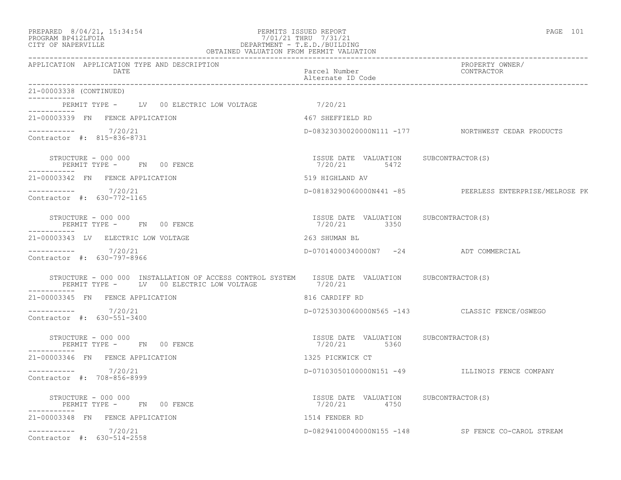| PREPARED | $8/04/21$ , $15:34:54$ |  |
|----------|------------------------|--|
|          | - - - - - - -          |  |

### PREPARED 8/04/21, 15:34:54 PERMITS ISSUED REPORT<br>PROGRAM BP412LFOIA PAGE 101 PROGRAM BP412LFOIA 7/01/21 THRU 7/31/21 CITY OF NAPERVILLE DEPARTMENT - T.E.D./BUILDING OBTAINED VALUATION FROM PERMIT VALUATION

| APPLICATION APPLICATION TYPE AND DESCRIPTION<br>DATE                                                                                        | Parcel Number<br>Alternate ID Code                    | PROPERTY OWNER/<br>PROPERTY OW<br>CONTRACTOR            |
|---------------------------------------------------------------------------------------------------------------------------------------------|-------------------------------------------------------|---------------------------------------------------------|
| 21-00003338 (CONTINUED)                                                                                                                     |                                                       |                                                         |
| PERMIT TYPE - LV 00 ELECTRIC LOW VOLTAGE 7/20/21                                                                                            |                                                       |                                                         |
| . _ _ _ _ _ _ _ _ _ _<br>21-00003339 FN FENCE APPLICATION                                                                                   | 467 SHEFFIELD RD                                      |                                                         |
| ----------- 7/20/21<br>Contractor #: 815-836-8731                                                                                           |                                                       | D-08323030020000N111 -177 NORTHWEST CEDAR PRODUCTS      |
| STRUCTURE - 000 000<br>PERMIT TYPE - FN 00 FENCE                                                                                            | ISSUE DATE VALUATION SUBCONTRACTOR(S)<br>7/20/21 5472 |                                                         |
| 21-00003342 FN FENCE APPLICATION                                                                                                            | 519 HIGHLAND AV                                       |                                                         |
| $--------- 7/20/21$<br>Contractor #: 630-772-1165                                                                                           |                                                       | D-08183290060000N441 -85 PEERLESS ENTERPRISE/MELROSE PK |
| STRUCTURE - 000 000<br>PERMIT TYPE - FN 00 FENCE                                                                                            | ISSUE DATE VALUATION SUBCONTRACTOR(S)<br>7/20/21 3350 |                                                         |
| 21-00003343 LV ELECTRIC LOW VOLTAGE                                                                                                         | 263 SHUMAN BL                                         |                                                         |
| $--------- 7/20/21$<br>Contractor #: 630-797-8966                                                                                           | D-07014000340000N7 -24 ADT COMMERCIAL                 |                                                         |
| STRUCTURE - 000 000 INSTALLATION OF ACCESS CONTROL SYSTEM ISSUE DATE VALUATION SUBCONTRACTOR(S)<br>PERMIT TYPE - LV 00 ELECTRIC LOW VOLTAGE | 7/20/21                                               |                                                         |
| 21-00003345 FN FENCE APPLICATION                                                                                                            | 816 CARDIFF RD                                        |                                                         |
| $--------- 7/20/21$<br>Contractor #: 630-551-3400                                                                                           |                                                       | D-07253030060000N565 -143 CLASSIC FENCE/OSWEGO          |
| STRUCTURE - 000 000<br>PERMIT TYPE - FN 00 FENCE                                                                                            | ISSUE DATE VALUATION SUBCONTRACTOR(S)<br>7/20/21 5360 |                                                         |
| 21-00003346 FN FENCE APPLICATION                                                                                                            | 1325 PICKWICK CT                                      |                                                         |
| $--------- 7/20/21$<br>Contractor #: 708-856-8999                                                                                           |                                                       | D-07103050100000N151 -49 ILLINOIS FENCE COMPANY         |
| STRUCTURE - 000 000<br>PERMIT TYPE - FN 00 FENCE                                                                                            | ISSUE DATE VALUATION SUBCONTRACTOR(S)<br>7/20/21 4750 |                                                         |
| 21-00003348 FN FENCE APPLICATION                                                                                                            | 1514 FENDER RD                                        |                                                         |
| $--------- 7/20/21$<br>Contractor #: 630-514-2558                                                                                           |                                                       | D-08294100040000N155 -148 SP FENCE CO-CAROL STREAM      |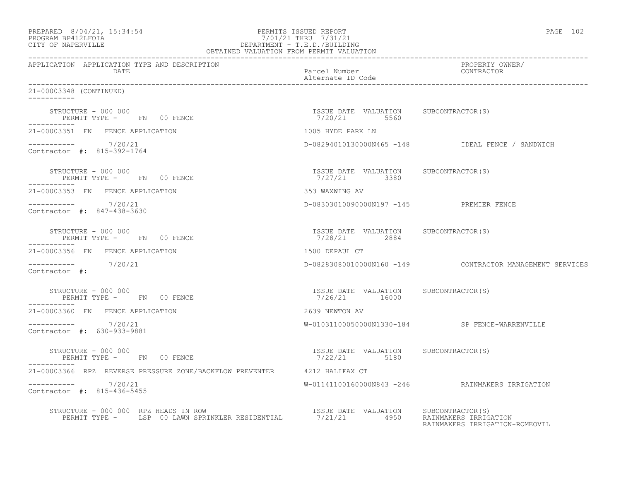| PREPARED 8/04/21, 15:34:54<br>PROGRAM BP412LFOIA<br>CITY OF NAPERVILLE<br>CITY OF NAPERVILLE<br>PEPARTMENT - T.E.D./BUILDING<br>OBTAINED VALUATION FROM PERMIT VALUATION                                                                                             |                                                        | PAGE 102                                                 |
|----------------------------------------------------------------------------------------------------------------------------------------------------------------------------------------------------------------------------------------------------------------------|--------------------------------------------------------|----------------------------------------------------------|
| APPLICATION APPLICATION TYPE AND DESCRIPTION<br>DATE                                                                                                                                                                                                                 | Parcel Number<br>Alternate ID Code                     | PROPERTY OWNER/<br>CONTRACTOR                            |
| 21-00003348 (CONTINUED)<br>-----------                                                                                                                                                                                                                               |                                                        |                                                          |
| STRUCTURE - 000 000<br>PERMIT TYPE - FN 00 FENCE                                                                                                                                                                                                                     | ISSUE DATE VALUATION SUBCONTRACTOR(S)<br>7/20/21 5560  |                                                          |
| 21-00003351 FN FENCE APPLICATION                                                                                                                                                                                                                                     | 1005 HYDE PARK LN                                      |                                                          |
| $--------- 7/20/21$<br>Contractor #: 815-392-1764                                                                                                                                                                                                                    |                                                        | D-08294010130000N465 -148 IDEAL FENCE / SANDWICH         |
| STRUCTURE - 000 000<br>PERMIT TYPE - FN 00 FENCE                                                                                                                                                                                                                     | ISSUE DATE VALUATION SUBCONTRACTOR(S)<br>7/27/21 3380  |                                                          |
| 21-00003353 FN FENCE APPLICATION                                                                                                                                                                                                                                     | 353 WAXWING AV                                         |                                                          |
| $--------- 7/20/21$<br>Contractor #: 847-438-3630                                                                                                                                                                                                                    | D-08303010090000N197 -145 PREMIER FENCE                |                                                          |
| STRUCTURE - 000 000<br>PERMIT TYPE - FN 00 FENCE<br>------------                                                                                                                                                                                                     | ISSUE DATE VALUATION SUBCONTRACTOR(S)<br>7/28/21 2884  |                                                          |
| 21-00003356 FN FENCE APPLICATION                                                                                                                                                                                                                                     | 1500 DEPAUL CT                                         |                                                          |
| $--------- 7/20/21$<br>Contractor #:                                                                                                                                                                                                                                 |                                                        | D-08283080010000N160 -149 CONTRACTOR MANAGEMENT SERVICES |
| STRUCTURE - 000 000<br>PERMIT TYPE - FN 00 FENCE<br>------------                                                                                                                                                                                                     | ISSUE DATE VALUATION SUBCONTRACTOR(S)<br>7/26/21 16000 |                                                          |
| 21-00003360 FN FENCE APPLICATION                                                                                                                                                                                                                                     | 2639 NEWTON AV                                         |                                                          |
| $--------- 7/20/21$<br>Contractor #: 630-933-9881                                                                                                                                                                                                                    |                                                        | W-01031100050000N1330-184 SP FENCE-WARRENVILLE           |
| STRUCTURE - 000 000<br>PERMIT TYPE - FN 00 FENCE                                                                                                                                                                                                                     | ISSUE DATE VALUATION SUBCONTRACTOR(S)<br>7/22/21 5180  |                                                          |
| 21-00003366 RPZ REVERSE PRESSURE ZONE/BACKFLOW PREVENTER 4212 HALIFAX CT                                                                                                                                                                                             |                                                        |                                                          |
| $--------- 7/20/21$<br>Contractor #: 815-436-5455                                                                                                                                                                                                                    |                                                        | W-01141100160000N843 -246 RAINMAKERS IRRIGATION          |
| STRUCTURE - 000 000 RPZ HEADS IN ROW<br>RUCTURE - 000 000 RPZ HEADS IN ROW                                  ISSUE DATE VALUATION     SUBCONTRACTOR(S)<br>PERMIT TYPE -     LSP 00 LAWN SPRINKLER RESIDENTIAL          7/21/21         4950     RAINMAKERS IRRIGATION |                                                        | RAINMAKERS IRRIGATION-ROMEOVIL                           |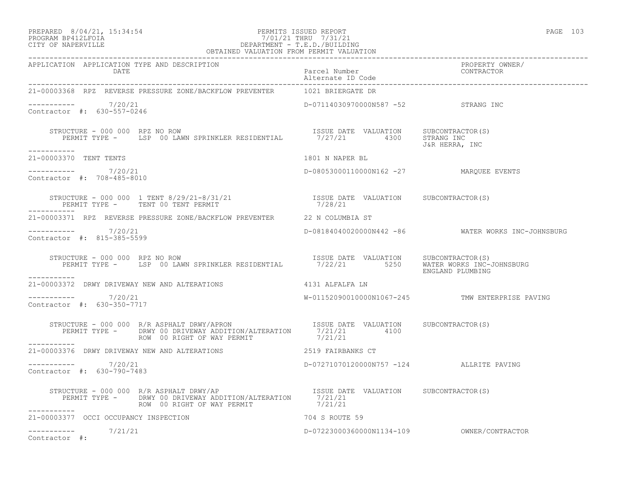### PREPARED 8/04/21, 15:34:54 PERMITS ISSUED REPORT PAGE 103 PROGRAM BP412LFOIA 7/01/21 THRU 7/31/21 CITY OF NAPERVILLE DEPARTMENT - T.E.D./BUILDING

| OBTAINED VALUATION FROM PERMIT VALUATION                                                                                                                                                                 |                                                                         |                                                    |
|----------------------------------------------------------------------------------------------------------------------------------------------------------------------------------------------------------|-------------------------------------------------------------------------|----------------------------------------------------|
| APPLICATION APPLICATION TYPE AND DESCRIPTION<br>DATE                                                                                                                                                     | Parcel Number<br>Alternate ID Code<br>--------------------------------- | PROPERTY OWNER/<br>CONTRACTOR                      |
| 21-00003368 RPZ REVERSE PRESSURE ZONE/BACKFLOW PREVENTER 1021 BRIERGATE DR                                                                                                                               |                                                                         |                                                    |
| $--------$ 7/20/21<br>Contractor #: 630-557-0246                                                                                                                                                         | D-07114030970000N587 -52 STRANG INC                                     |                                                    |
| STRUCTURE - 000 000 RPZ NO ROW<br>RUCTURE - 000 000 RPZ NO ROW<br>PERMIT TYPE - LSP 00 LAWN SPRINKLER RESIDENTIAL 7/27/21 4300 STRANG INC<br>___________                                                 |                                                                         | J&R HERRA, INC                                     |
| 21-00003370 TENT TENTS                                                                                                                                                                                   | 1801 N NAPER BL                                                         |                                                    |
| $--------- 7/20/21$<br>Contractor #: 708-485-8010                                                                                                                                                        | D-08053000110000N162 -27 MARQUEE EVENTS                                 |                                                    |
| STRUCTURE - 000 000 1 TENT 8/29/21-8/31/21<br>PERMIT TYPE - TENT 00 TENT PERMIT - 1/28/21 128/21                                                                                                         |                                                                         |                                                    |
| 21-00003371 RPZ REVERSE PRESSURE ZONE/BACKFLOW PREVENTER 22 N COLUMBIA ST                                                                                                                                |                                                                         |                                                    |
| -----------    7/20/21<br>Contractor #: 815-385-5599                                                                                                                                                     |                                                                         | D-08184040020000N442 -86 WATER WORKS INC-JOHNSBURG |
| TRUCTURE - 000 000 RPZ NO ROW<br>PERMIT TYPE - LSP 00 LAWN SPRINKLER RESIDENTIAL 7/22/21 5250 WATER MATER TO JOHNSBURG<br>STRUCTURE - 000 000 RPZ NO ROW                                                 |                                                                         | ENGLAND PLUMBING                                   |
| 21-00003372 DRWY DRIVEWAY NEW AND ALTERATIONS                                                                                                                                                            | 4131 ALFALFA LN                                                         |                                                    |
| $--------- 7/20/21$<br>Contractor #: 630-350-7717                                                                                                                                                        |                                                                         | W-01152090010000N1067-245 TMW ENTERPRISE PAVING    |
| STRUCTURE - 000 000 R/R ASPHALT DRWY/APRON ISSUE DATE VALUATION SUBCONTRACTOR(S)<br>PERMIT TYPE - DRWY 00 DRIVEWAY ADDITION/ALTERATION 7/21/21 4100<br>ROW 00 RIGHT OF WAY PERMIT 7/21/21<br>----------- |                                                                         |                                                    |
| 21-00003376 DRWY DRIVEWAY NEW AND ALTERATIONS 2519 FAIRBANKS CT                                                                                                                                          |                                                                         |                                                    |
| $--------$ 7/20/21<br>Contractor #: 630-790-7483                                                                                                                                                         | D-07271070120000N757 -124 ALLRITE PAVING                                |                                                    |
| STRUCTURE - 000 000 R/R ASPHALT DRWY/AP<br>------------                                                                                                                                                  |                                                                         |                                                    |
| 21-00003377 OCCI OCCUPANCY INSPECTION                                                                                                                                                                    | 704 S ROUTE 59                                                          |                                                    |
| -----------    7/21/21<br>Contractor #:                                                                                                                                                                  |                                                                         | D-07223000360000N1134-109 OWNER/CONTRACTOR         |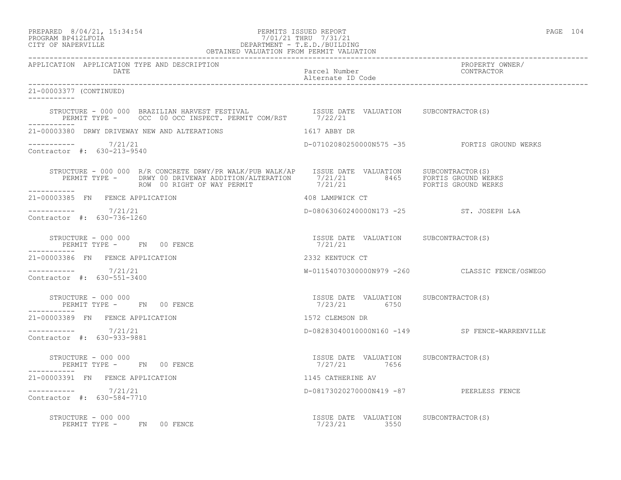## PREPARED 8/04/21, 15:34:54 PERMITS ISSUED REPORT<br>PROGRAM BP412LFOIA PAGE 104 PROGRAM PROGRAM PROGRAM PROGRAM PAGE 104 PROGRAM BP412LFOIA 7/01/21 THRU 7/31/21 CITY OF NAPERVILLE DEPARTMENT - T.E.D./BUILDING

| OBTAINED VALUATION FROM PERMIT VALUATION                                                                                                                                                                                                                                 |                                                       |                                                |
|--------------------------------------------------------------------------------------------------------------------------------------------------------------------------------------------------------------------------------------------------------------------------|-------------------------------------------------------|------------------------------------------------|
| APPLICATION APPLICATION TYPE AND DESCRIPTION<br>DATE                                                                                                                                                                                                                     | Parcel Number<br>Alternate ID Code                    | PROPERTY OWNER/<br>CONTRACTOR                  |
| 21-00003377 (CONTINUED)<br>___________                                                                                                                                                                                                                                   |                                                       |                                                |
| STRUCTURE - 000 000 BRAZILIAN HARVEST FESTIVAL                     ISSUE DATE VALUATION      SUBCONTRACTOR(S)                                                                                                                                                            |                                                       |                                                |
| 21-00003380 DRWY DRIVEWAY NEW AND ALTERATIONS 46 1617 ABBY DR                                                                                                                                                                                                            |                                                       |                                                |
| $--------- 7/21/21$<br>Contractor #: 630-213-9540                                                                                                                                                                                                                        |                                                       | D-07102080250000N575 -35 FORTIS GROUND WERKS   |
| STRUCTURE - 000 000 R/R CONCRETE DRWY/PR WALK/PUB WALK/AP ISSUE DATE VALUATION SUBCONTRACTOR(S)<br>PERMIT TYPE - DRWY 00 DRIVEWAY ADDITION/ALTERATION 7/21/21 8465 FORTIS GROUND WERKS<br>ROW 00 RIGHT OF WAY PERMIT 7/21/21 8465 FO<br><u> 2000 - 2000 - 20</u> 00 - 20 |                                                       |                                                |
| 21-00003385 FN FENCE APPLICATION                                                                                                                                                                                                                                         | 408 LAMPWICK CT                                       |                                                |
| $--------- 7/21/21$<br>Contractor #: 630-736-1260                                                                                                                                                                                                                        | D-08063060240000N173 -25 ST. JOSEPH L&A               |                                                |
| STRUCTURE - 000 000<br>PERMIT TYPE - FN 00 FENCE<br>. _ _ _ _ _ _ _ _ _ _                                                                                                                                                                                                | ISSUE DATE VALUATION SUBCONTRACTOR(S)<br>7/21/21      |                                                |
| 21-00003386 FN FENCE APPLICATION                                                                                                                                                                                                                                         | 2332 KENTUCK CT                                       |                                                |
| $--------- 7/21/21$<br>Contractor #: 630-551-3400                                                                                                                                                                                                                        |                                                       | W-01154070300000N979 -260 CLASSIC FENCE/OSWEGO |
| STRUCTURE - 000 000<br>PERMIT TYPE - FN 00 FENCE                                                                                                                                                                                                                         | ISSUE DATE VALUATION SUBCONTRACTOR(S)<br>7/23/21 6750 |                                                |
| 21-00003389 FN FENCE APPLICATION                                                                                                                                                                                                                                         | 1572 CLEMSON DR                                       |                                                |
| $--------- 7/21/21$<br>Contractor #: 630-933-9881                                                                                                                                                                                                                        |                                                       | D-08283040010000N160 -149 SP FENCE-WARRENVILLE |
| STRUCTURE - 000 000<br>PERMIT TYPE - FN 00 FENCE                                                                                                                                                                                                                         | ISSUE DATE VALUATION SUBCONTRACTOR(S)<br>7/27/21 7656 |                                                |
| 21-00003391 FN FENCE APPLICATION                                                                                                                                                                                                                                         | 1145 CATHERINE AV                                     |                                                |
| $--------- 7/21/21$<br>Contractor #: 630-584-7710                                                                                                                                                                                                                        | D-08173020270000N419 -87 PEERLESS FENCE               |                                                |
| STRUCTURE - 000 000<br>PERMIT TYPE - FN 00 FENCE                                                                                                                                                                                                                         | ISSUE DATE VALUATION SUBCONTRACTOR(S)<br>7/23/21 3550 |                                                |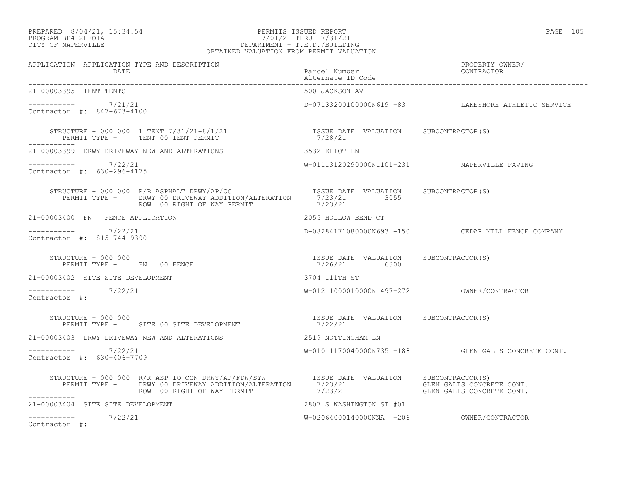## PREPARED 8/04/21, 15:34:54 PERMITS ISSUED REPORT PAGE 105 PROGRAM BP412LFOIA 7/01/21 THRU 7/31/21 CITY OF NAPERVILLE DEPARTMENT - T.E.D./BUILDING

| PAGE |  |
|------|--|
|      |  |

| OBTAINED VALUATION FROM PERMIT VALUATION                                                                                                                                                                                                         |                                                       |                                                     |
|--------------------------------------------------------------------------------------------------------------------------------------------------------------------------------------------------------------------------------------------------|-------------------------------------------------------|-----------------------------------------------------|
| APPLICATION APPLICATION TYPE AND DESCRIPTION<br>DATE                                                                                                                                                                                             | Parcel Number<br>Alternate ID Code                    | PROPERTY OWNER/<br>CONTRACTOR                       |
| 21-00003395 TENT TENTS                                                                                                                                                                                                                           | 500 JACKSON AV                                        |                                                     |
| -----------     7/21/21<br>Contractor #: 847-673-4100                                                                                                                                                                                            |                                                       | D-07133200100000N619 -83 LAKESHORE ATHLETIC SERVICE |
|                                                                                                                                                                                                                                                  |                                                       |                                                     |
| 21-00003399 DRWY DRIVEWAY NEW AND ALTERATIONS THE STATE STATE STATE ON STATE IN                                                                                                                                                                  |                                                       |                                                     |
| -----------     7/22/21<br>Contractor #: 630-296-4175                                                                                                                                                                                            |                                                       | W-01113120290000N1101-231 NAPERVILLE PAVING         |
| ROW 00 RIGHT OF WAY PERMIT<br><u> Liste Liste List</u> er                                                                                                                                                                                        | 7/23/21                                               |                                                     |
| 21-00003400 FN FENCE APPLICATION                                                                                                                                                                                                                 | 2055 HOLLOW BEND CT                                   |                                                     |
| ----------- 7/22/21<br>Contractor #: 815-744-9390                                                                                                                                                                                                |                                                       | D-08284171080000N693 -150 CEDAR MILL FENCE COMPANY  |
| STRUCTURE - 000 000<br>PERMIT TYPE - FN 00 FENCE                                                                                                                                                                                                 | ISSUE DATE VALUATION SUBCONTRACTOR(S)<br>7/26/21 6300 |                                                     |
| 21-00003402 SITE SITE DEVELOPMENT                                                                                                                                                                                                                | 3704 111TH ST                                         |                                                     |
| $--------$ 7/22/21<br>Contractor $\#$ :                                                                                                                                                                                                          |                                                       |                                                     |
| STRUCTURE - 000 000<br>PERMIT TYPE - SITE 00 SITE DEVELOPMENT                                                                                                                                                                                    | ISSUE DATE VALUATION SUBCONTRACTOR(S)<br>7/22/21      |                                                     |
| 21-00003403 DRWY DRIVEWAY NEW AND ALTERATIONS THE RESERVED SET 2519 NOTTINGHAM LN                                                                                                                                                                |                                                       |                                                     |
| $-$ --------- $7/22/21$<br>Contractor #: 630-406-7709                                                                                                                                                                                            |                                                       | W-01011170040000N735 -188 GLEN GALIS CONCRETE CONT. |
| STRUCTURE - 000 000 R/R ASP TO CON DRWY/AP/FDW/SYW ISSUE DATE VALUATION SUBCONTRACTOR(S)<br>PERMIT TYPE - DRWY 00 DRIVEWAY ADDITION/ALTERATION 7/23/21 GLEN GALIS CONCRETE CONT.<br>ROW 00 RIGHT OF WAY PERMIT 7/23/21 GLEN GALIS CONCRETE CONT. |                                                       |                                                     |
| 21-00003404 SITE SITE DEVELOPMENT                                                                                                                                                                                                                | 2807 S WASHINGTON ST #01                              |                                                     |
| ----------- 7/22/21<br>Contractor #:                                                                                                                                                                                                             |                                                       |                                                     |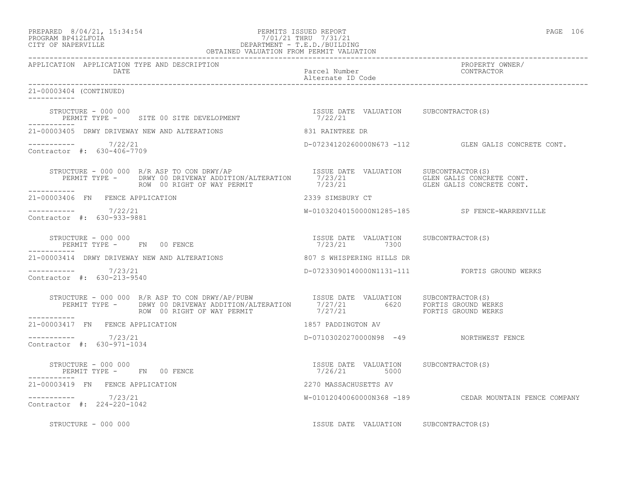| PREPARED             | $8/04/21$ , $15:34:54$ |  |
|----------------------|------------------------|--|
| גד∩ם זר11תם ווגם∩חםם |                        |  |

## PREPARED 8/04/21, 15:34:54 PERMITS ISSUED REPORT PAGE 106 PROGRAM BP412LFOIA 7/01/21 THRU 7/31/21 CITY OF NAPERVILLE DEPARTMENT - T.E.D./BUILDING

| OBTAINED VALUATION FROM PERMIT VALUATION                                                                                                                                                                                                                                                                                               |                                                        |                                                        |
|----------------------------------------------------------------------------------------------------------------------------------------------------------------------------------------------------------------------------------------------------------------------------------------------------------------------------------------|--------------------------------------------------------|--------------------------------------------------------|
| APPLICATION APPLICATION TYPE AND DESCRIPTION<br>DATE                                                                                                                                                                                                                                                                                   | Parcel Number<br>Alternate ID Code                     | PROPERTY OWNER/<br>CONTRACTOR                          |
| 21-00003404 (CONTINUED)<br>___________                                                                                                                                                                                                                                                                                                 |                                                        |                                                        |
| STRUCTURE - 000 000<br>PERMIT TYPE - SITE 00 SITE DEVELOPMENT 1/22/21<br>STRUCTURE - 000 000                                                                                                                                                                                                                                           |                                                        |                                                        |
| 21-00003405 DRWY DRIVEWAY NEW AND ALTERATIONS 631 RAINTREE DR                                                                                                                                                                                                                                                                          |                                                        |                                                        |
| $--------- 7/22/21$<br>Contractor #: 630-406-7709                                                                                                                                                                                                                                                                                      |                                                        | D-07234120260000N673 -112 GLEN GALIS CONCRETE CONT.    |
| STRUCTURE - 000 000 R/R ASP TO CON DRWY/AP (S) STRUCTURE VALUATION SUBCONTRACTOR(S)<br>STRUCTURE - 000 000 K/K ASP TO CON DRWI/AF<br>PERMIT TYPE - DRWY 00 DRIVEWAY ADDITION/ALTERATION 7/23/21 GLEN GALIS CONCRETE CONT.<br>ROW 00 RIGHT OF WAY PERMIT 7/23/21 6LEN GALIS CONCRETE CONT.<br>ROW 00 RIGHT OF WAY PERMIT<br>___________ |                                                        |                                                        |
| 21-00003406 FN FENCE APPLICATION                                                                                                                                                                                                                                                                                                       | 2339 SIMSBURY CT                                       |                                                        |
| ----------- 7/22/21<br>Contractor #: 630-933-9881                                                                                                                                                                                                                                                                                      |                                                        | W-01032040150000N1285-185 SP FENCE-WARRENVILLE         |
| STRUCTURE - 000 000<br>PERMIT TYPE - FN 00 FENCE                                                                                                                                                                                                                                                                                       | ISSUE DATE VALUATION SUBCONTRACTOR (S)<br>7/23/21 7300 |                                                        |
|                                                                                                                                                                                                                                                                                                                                        |                                                        |                                                        |
| ----------- 7/23/21<br>Contractor #: 630-213-9540                                                                                                                                                                                                                                                                                      |                                                        | D-07233090140000N1131-111 FORTIS GROUND WERKS          |
| STRUCTURE - 000 000 R/R ASP TO CON DRWY/AP/PUBW ISSUE DATE VALUATION SUBCONTRACTOR(S)<br>PERMIT TYPE - DRWY 00 DRIVEWAY ADDITION/ALTERATION 7/27/21 6620 FORTIS GROUND WERKS<br>------- ROW 00 RIGHT OF WAY PERMIT 7/27/21 FORTIS GR                                                                                                   |                                                        |                                                        |
| 21-00003417 FN FENCE APPLICATION                                                                                                                                                                                                                                                                                                       | 1857 PADDINGTON AV                                     |                                                        |
| $--------- 7/23/21$<br>Contractor #: 630-971-1034                                                                                                                                                                                                                                                                                      | D-07103020270000N98 -49 NORTHWEST FENCE                |                                                        |
|                                                                                                                                                                                                                                                                                                                                        |                                                        |                                                        |
| 21-00003419 FN FENCE APPLICATION                                                                                                                                                                                                                                                                                                       | 2270 MASSACHUSETTS AV                                  |                                                        |
| $--------- 7/23/21$<br>Contractor #: 224-220-1042                                                                                                                                                                                                                                                                                      |                                                        | W-01012040060000N368 -189 CEDAR MOUNTAIN FENCE COMPANY |
| STRUCTURE - 000 000                                                                                                                                                                                                                                                                                                                    | ISSUE DATE VALUATION SUBCONTRACTOR(S)                  |                                                        |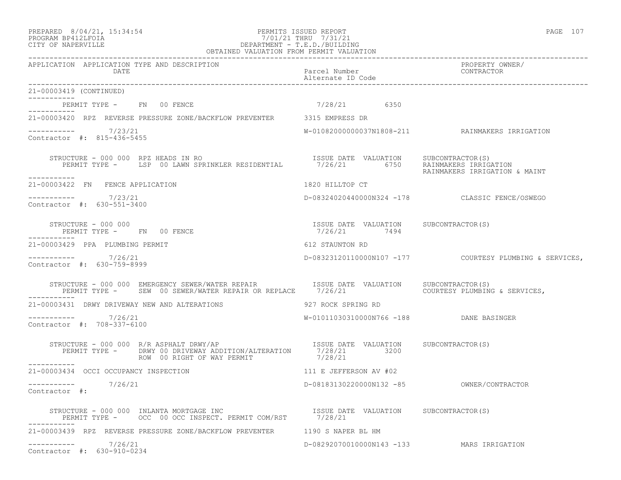## PREPARED 8/04/21, 15:34:54 PERMITS ISSUED REPORT PAGE 107 PROGRAM BP412LFOIA 7/01/21 THRU 7/31/21 CITY OF NAPERVILLE DEPARTMENT - T.E.D./BUILDING

| OBTAINED VALUATION FROM PERMIT VALUATION                                                                                                                           |                                           |                                                         |
|--------------------------------------------------------------------------------------------------------------------------------------------------------------------|-------------------------------------------|---------------------------------------------------------|
| APPLICATION APPLICATION TYPE AND DESCRIPTION<br>DATE                                                                                                               | Parcel Number<br>Alternate ID Code        | PROPERTY OWNER/<br>CONTRACTOR                           |
| 21-00003419 (CONTINUED)<br>___________                                                                                                                             |                                           |                                                         |
| PERMIT TYPE - FN 00 FENCE                                                                                                                                          | $7/28/21$ 6350                            |                                                         |
| 21-00003420 RPZ REVERSE PRESSURE ZONE/BACKFLOW PREVENTER 3315 EMPRESS DR                                                                                           |                                           |                                                         |
| ----------- 7/23/21<br>Contractor #: 815-436-5455                                                                                                                  |                                           | W-01082000000037N1808-211 RAINMAKERS IRRIGATION         |
| STRUCTURE - 000 000 RPZ HEADS IN RO<br>PERMIT TYPE - LSP 00 LAWN SPRINKLER RESIDENTIAL 7/26/21 6750 RAINMAKERS IRRIGATION<br>------------                          |                                           | RAINMAKERS IRRIGATION & MAINT                           |
| 21-00003422 FN FENCE APPLICATION                                                                                                                                   | 1820 HILLTOP CT                           |                                                         |
| $--------- 7/23/21$<br>Contractor #: 630-551-3400                                                                                                                  |                                           | D-08324020440000N324 -178 CLASSIC FENCE/OSWEGO          |
| $\begin{tabular}{lcccccc} \texttt{STRUCTURE} & - & 000 & 000 & & & & & & \\ \texttt{PERMIT TYPE} & - & \texttt{FN} & 00 & \texttt{FENCE} & & & & \\ \end{tabular}$ |                                           |                                                         |
| 21-00003429 PPA PLUMBING PERMIT                                                                                                                                    | 612 STAUNTON RD                           |                                                         |
| $--------- 7/26/21$<br>Contractor #: 630-759-8999                                                                                                                  |                                           | D-08323120110000N107 -177 COURTESY PLUMBING & SERVICES, |
| STRUCTURE - 000 000 EMERGENCY SEWER/WATER REPAIR TSSUE DATE VALUATION SUBCONTRACTOR(S)<br>PERMIT TYPE - SEW 00 SEWER/WATER REPAIR OR REPLACE 7/26/21               |                                           | COURTESY PLUMBING & SERVICES,                           |
| 21-00003431 DRWY DRIVEWAY NEW AND ALTERATIONS                                                                                                                      | 927 ROCK SPRING RD                        |                                                         |
| ----------- 7/26/21<br>Contractor #: 708-337-6100                                                                                                                  | W-01011030310000N766 -188 DANE BASINGER   |                                                         |
| STRUCTURE - 000 000 R/R ASPHALT DRWY/AP<br>PERMIT TYPE - DRWY 00 DRIVEWAY ADDITION/ALTERATION 7/28/21 3200<br>7/28/21 3200<br>ROW 00 RIGHT OF WAY PERMIT           | 7/28/21                                   |                                                         |
| ------------<br>21-00003434 OCCI OCCUPANCY INSPECTION                                                                                                              | 111 E JEFFERSON AV #02                    |                                                         |
| 7/26/21<br>___________<br>Contractor #:                                                                                                                            |                                           |                                                         |
| STRUCTURE – 000 000 INLANTA MORTGAGE INC<br>PERMIT TYPE – OCC 00 OCC INSPECT. PERMIT COM/RST 1/28/21<br>STRUCTURE - 000 000 INLANTA MORTGAGE INC                   |                                           |                                                         |
| 21-00003439 RPZ REVERSE PRESSURE ZONE/BACKFLOW PREVENTER 1190 S NAPER BL HM                                                                                        |                                           |                                                         |
| 7/26/21<br>Contractor #: 630-910-0234                                                                                                                              | D-08292070010000N143 -133 MARS IRRIGATION |                                                         |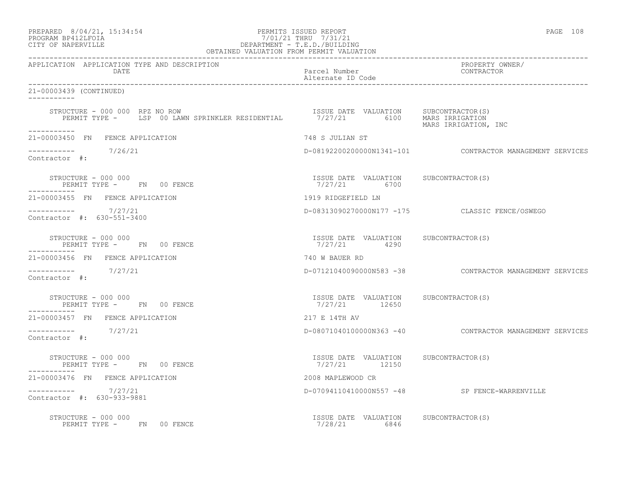| PREPARED            | $8/04/21$ , $15:34:54$ |  |
|---------------------|------------------------|--|
| DDOOD3M DD410T DOT3 |                        |  |

## PREPARED 8/04/21, 15:34:54 PERMITS ISSUED REPORT PAGE 108 PROGRAM BP412LFOIA 7/01/21 THRU 7/31/21 CITY OF NAPERVILLE DEPARTMENT - T.E.D./BUILDING

| OBTAINED VALUATION FROM PERMIT VALUATION             |                                                        |                                                          |  |  |
|------------------------------------------------------|--------------------------------------------------------|----------------------------------------------------------|--|--|
| APPLICATION APPLICATION TYPE AND DESCRIPTION<br>DATE | Parcel Number<br>Alternate ID Code                     | PROPERTY OWNER/<br>CONTRACTOR                            |  |  |
| 21-00003439 (CONTINUED)                              |                                                        |                                                          |  |  |
| STRUCTURE - 000 000 RPZ NO ROW                       |                                                        | MARS IRRIGATION, INC                                     |  |  |
| -----------<br>21-00003450 FN FENCE APPLICATION      | 748 S JULIAN ST                                        |                                                          |  |  |
| ----------    7/26/21<br>Contractor #:               |                                                        | D-08192200200000N1341-101 CONTRACTOR MANAGEMENT SERVICES |  |  |
| STRUCTURE - 000 000<br>PERMIT TYPE - FN 00 FENCE     | ISSUE DATE VALUATION SUBCONTRACTOR(S)<br>7/27/21 6700  |                                                          |  |  |
| 21-00003455 FN FENCE APPLICATION                     | 1919 RIDGEFIELD LN                                     |                                                          |  |  |
| $--------- 7/27/21$<br>Contractor #: 630-551-3400    |                                                        | D-08313090270000N177 -175 CLASSIC FENCE/OSWEGO           |  |  |
| STRUCTURE - 000 000<br>PERMIT TYPE - FN 00 FENCE     | ISSUE DATE VALUATION SUBCONTRACTOR(S)<br>7/27/21 4290  |                                                          |  |  |
| 21-00003456 FN FENCE APPLICATION                     | 740 W BAUER RD                                         |                                                          |  |  |
| ----------- 7/27/21<br>Contractor #:                 |                                                        | D-07121040090000N583 -38 CONTRACTOR MANAGEMENT SERVICES  |  |  |
| STRUCTURE - 000 000<br>PERMIT TYPE - FN 00 FENCE     | ISSUE DATE VALUATION SUBCONTRACTOR(S)<br>7/27/21 12650 |                                                          |  |  |
| 21-00003457 FN FENCE APPLICATION                     | 217 E 14TH AV                                          |                                                          |  |  |
| $--------- 7/27/21$<br>Contractor #:                 |                                                        | D-08071040100000N363 -40 CONTRACTOR MANAGEMENT SERVICES  |  |  |
| STRUCTURE - 000 000<br>PERMIT TYPE - FN 00 FENCE     | ISSUE DATE VALUATION SUBCONTRACTOR(S)<br>7/27/21 12150 |                                                          |  |  |
| 21-00003476 FN FENCE APPLICATION                     | 2008 MAPLEWOOD CR                                      |                                                          |  |  |
| $--------- 7/27/21$<br>Contractor #: 630-933-9881    |                                                        | D-07094110410000N557 -48 SP FENCE-WARRENVILLE            |  |  |
| STRUCTURE - 000 000<br>PERMIT TYPE - FN 00 FENCE     | ISSUE DATE VALUATION SUBCONTRACTOR(S)<br>7/28/21 6846  |                                                          |  |  |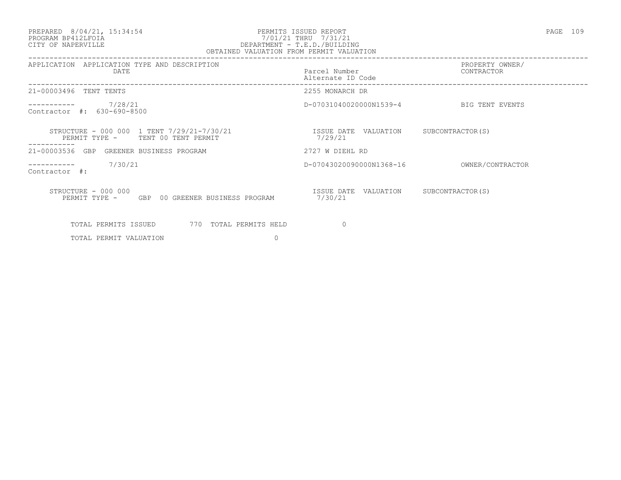### PREPARED 8/04/21, 15:34:54 PERMITS ISSUED REPORT<br>PROGRAM BP412LFOIA PAGE 109 7/01/21 THRU 7/31/21 PROGRAM BP412LFOIA 7/01/21 THRU 7/31/21 CITY OF NAPERVILLE DEPARTMENT - T.E.D./BUILDING OBTAINED VALUATION FROM PERMIT VALUATION

| APPLICATION TYPE AND DESCRIPTION<br>APPLICATION<br>DATE                            | Parcel Number<br>Alternate ID Code      | PROPERTY OWNER/<br>CONTRACTOR |
|------------------------------------------------------------------------------------|-----------------------------------------|-------------------------------|
| 21-00003496 TENT TENTS                                                             | 2255 MONARCH DR                         |                               |
| 7/28/21<br>Contractor #: 630-690-8500                                              | D-07031040020000N1539-4 BIG TENT EVENTS |                               |
| STRUCTURE - 000 000 1 TENT 7/29/21-7/30/21<br>TENT 00 TENT PERMIT<br>PERMIT TYPE - | ISSUE DATE VALUATION<br>7/29/21         | SUBCONTRACTOR(S)              |
| 21-00003536<br>GBP<br>GREENER BUSINESS PROGRAM                                     | 2727 W DIEHL RD                         |                               |
| 7/30/21<br>Contractor #:                                                           | D-07043020090000N1368-16                | OWNER/CONTRACTOR              |
| STRUCTURE - 000 000<br>PERMIT TYPE - GBP 00 GREENER BUSINESS PROGRAM               | ISSUE DATE<br>VALUATION<br>7/30/21      | SUBCONTRACTOR(S)              |
| TOTAL PERMITS ISSUED<br>770 TOTAL PERMITS HELD                                     | $\circ$                                 |                               |
| 0<br>TOTAL PERMIT VALUATION                                                        |                                         |                               |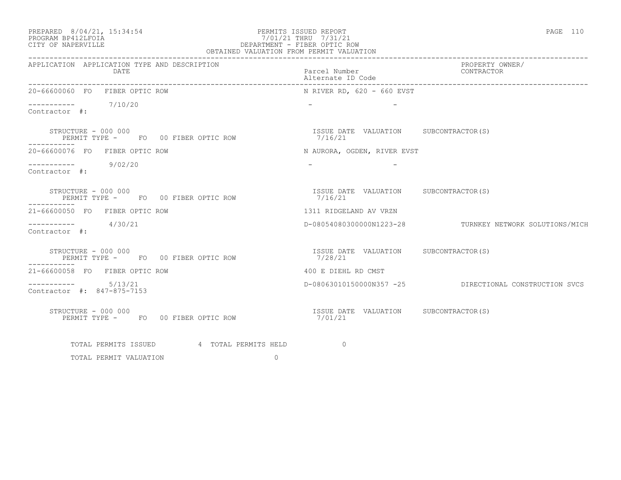### PREPARED 8/04/21, 15:34:54 PERMITS ISSUED REPORT<br>PROGRAM BP412LFOIA PAGE 110 PROGRAM BP412LFOIA 7/01/21 THRU 7/31/21 CITY OF NAPERVILLE DEPARTMENT - FIBER OPTIC ROW OBTAINED VALUATION FROM PERMIT VALUATION

| APPLICATION APPLICATION TYPE AND DESCRIPTION<br>DATE                                          | Parcel Number<br>Alternate ID Code                | PROPERTY OWNER/<br>CONTRACTOR                           |
|-----------------------------------------------------------------------------------------------|---------------------------------------------------|---------------------------------------------------------|
| 20-66600060 FO FIBER OPTIC ROW                                                                | N RIVER RD, 620 - 660 EVST                        |                                                         |
| $--------- 7/10/20$<br>Contractor #:                                                          | the company's company's company's                 |                                                         |
| STRUCTURE - 000 000<br>PERMIT TYPE - FO 00 FIBER OPTIC ROW                                    | ISSUE DATE VALUATION SUBCONTRACTOR(S)<br>7/16/21  |                                                         |
| 20-66600076 FO FIBER OPTIC ROW                                                                | N AURORA, OGDEN, RIVER EVST                       |                                                         |
| $--------- 9/02/20$<br>Contractor #:                                                          |                                                   |                                                         |
| STRUCTURE - 000 000<br>PERMIT TYPE - FO 00 FIBER OPTIC ROW                                    | ISSUE DATE VALUATION SUBCONTRACTOR (S)<br>7/16/21 |                                                         |
| 21-66600050 FO FIBER OPTIC ROW                                                                | 1311 RIDGELAND AV VRZN                            |                                                         |
| $--------- 4/30/21$<br>Contractor #:                                                          |                                                   | D-08054080300000N1223-28 TURNKEY NETWORK SOLUTIONS/MICH |
| STRUCTURE - 000 000<br>PERMIT TYPE - FO 00 FIBER OPTIC ROW<br>-----------                     | ISSUE DATE VALUATION SUBCONTRACTOR(S)<br>7/28/21  |                                                         |
| 21-66600058 FO FIBER OPTIC ROW                                                                | 400 E DIEHL RD CMST                               |                                                         |
| $--------- 5/13/21$<br>Contractor #: 847-875-7153                                             |                                                   | D-08063010150000N357 -25 DIRECTIONAL CONSTRUCTION SVCS  |
| STRUCTURE - 000 000<br>PERMIT TYPE - FO 00 FIBER OPTIC ROW FOR THE VALUATION SUBCONTRACTOR(S) |                                                   |                                                         |
| TOTAL PERMITS ISSUED 4 TOTAL PERMITS HELD                                                     | $\overline{a}$                                    |                                                         |

TOTAL PERMIT VALUATION 0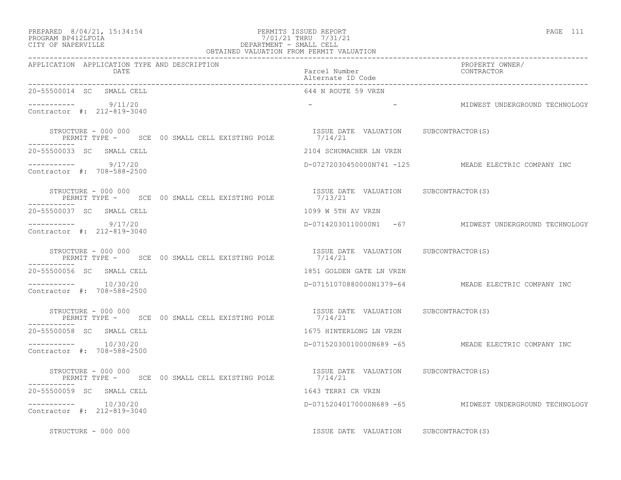## PREPARED 8/04/21, 15:34:54 PERMITS ISSUED REPORT PAGE 111 PROGRAM BP412LFOIA 7/01/21 THRU 7/31/21 PREPARED 8/04/21, 15:34:54<br>
PERMITS ISSUED REPOR<br>
CITY OF NAPERVILLE CELL<br>
CITY OF NAPERVILLE DEPARTMENT - SMALL CELL

| OBTAINED VALUATION FROM PERMIT VALUATION                                                                            |                                       |                                                         |  |
|---------------------------------------------------------------------------------------------------------------------|---------------------------------------|---------------------------------------------------------|--|
| APPLICATION APPLICATION TYPE AND DESCRIPTION<br>DATE                                                                | Parcel Number<br>Alternate ID Code    | PROPERTY OWNER/<br>CONTRACTOR                           |  |
| 20-55500014 SC SMALL CELL                                                                                           | 644 N ROUTE 59 VRZN                   |                                                         |  |
| $--------- 9/11/20$<br>Contractor #: 212-819-3040                                                                   |                                       | - MIDWEST UNDERGROUND TECHNOLOGY                        |  |
| STRUCTURE - 000 000<br>STRUCTURE - 000 000<br>PERMIT TYPE - SCE 00 SMALL CELL EXISTING POLE 7/14/21<br>-----------  | ISSUE DATE VALUATION SUBCONTRACTOR(S) |                                                         |  |
| 20-55500033 SC SMALL CELL                                                                                           | 2104 SCHUMACHER LN VRZN               |                                                         |  |
| $--------- 9/17/20$<br>Contractor #: 708-588-2500                                                                   |                                       | D-07272030450000N741 -125 MEADE ELECTRIC COMPANY INC    |  |
| STRUCTURE - 000 000<br>PERMIT TYPE - SCE 00 SMALL CELL EXISTING POLE 7/13/21                                        | ISSUE DATE VALUATION SUBCONTRACTOR(S) |                                                         |  |
| 20-55500037 SC SMALL CELL                                                                                           | 1099 W 5TH AV VRZN                    |                                                         |  |
| ----------- 9/17/20<br>Contractor #: 212-819-3040                                                                   |                                       | D-07142030110000N1 -67 MIDWEST UNDERGROUND TECHNOLOGY   |  |
| STRUCTURE - 000 000<br>PERMIT TYPE - SCE 00 SMALL CELL EXISTING POLE 7/14/21<br>STRUCTURE - 000 000<br>------------ |                                       |                                                         |  |
| 20-55500056 SC SMALL CELL                                                                                           | 1851 GOLDEN GATE LN VRZN              |                                                         |  |
| $--------$ 10/30/20<br>Contractor #: 708-588-2500                                                                   |                                       | D-07151070880000N1379-64 MEADE ELECTRIC COMPANY INC     |  |
| STRUCTURE - 000 000<br>PERMIT TYPE - SCE 00 SMALL CELL EXISTING POLE 7/14/21                                        | ISSUE DATE VALUATION SUBCONTRACTOR(S) |                                                         |  |
| 20-55500058 SC SMALL CELL                                                                                           | 1675 HINTERLONG LN VRZN               |                                                         |  |
| $--------- 10/30/20$<br>Contractor #: 708-588-2500                                                                  |                                       | D-07152030010000N689 -65 MEADE ELECTRIC COMPANY INC     |  |
| STRUCTURE - 000 000<br>PERMIT TYPE - SCE 00 SMALL CELL EXISTING POLE 7/14/21                                        | ISSUE DATE VALUATION SUBCONTRACTOR(S) |                                                         |  |
| 20-55500059 SC SMALL CELL                                                                                           | 1643 TERRI CR VRZN                    |                                                         |  |
| ----------    10/30/20<br>Contractor #: 212-819-3040                                                                |                                       | D-07152040170000N689 -65 MIDWEST UNDERGROUND TECHNOLOGY |  |
| STRUCTURE - 000 000                                                                                                 | ISSUE DATE VALUATION SUBCONTRACTOR(S) |                                                         |  |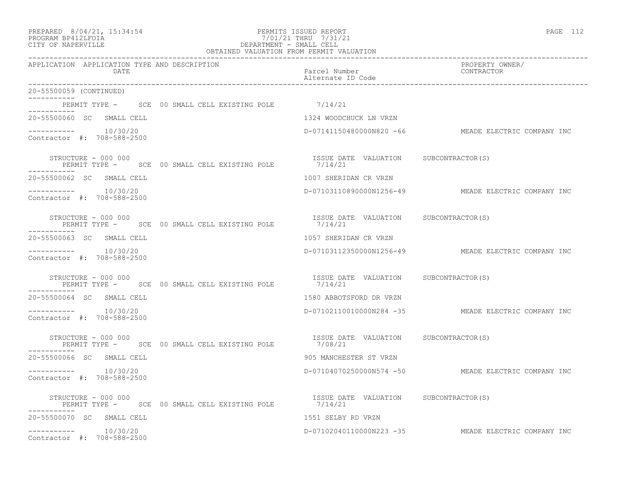| PREPARED | $8/04/21$ , | 15:34:54 |
|----------|-------------|----------|
|----------|-------------|----------|

# PREPARED 8/04/21, 15:34:54 PERMITS ISSUED REPORT<br>PROGRAM BP412LFOIA PAGE 112 PROGRAM BP412LFOIA<br>
PROGRAM BP412LFOIA<br>
CITY OF NAPERVILLE<br>
CITY OF NAPERVILLE CITY OF NAPERVILLE DEPARTMENT - SMALL CELL

| OBTAINED VALUATION FROM PERMIT VALUATION                                                      |                                       |                                                     |  |  |
|-----------------------------------------------------------------------------------------------|---------------------------------------|-----------------------------------------------------|--|--|
| APPLICATION APPLICATION TYPE AND DESCRIPTION<br>DATE                                          | Parcel Number<br>Alternate ID Code    | PROPERTY OWNER/<br>CONTRACTOR                       |  |  |
| 20-55500059 (CONTINUED)                                                                       |                                       |                                                     |  |  |
| PERMIT TYPE - SCE 00 SMALL CELL EXISTING POLE 7/14/21                                         |                                       |                                                     |  |  |
| 20-55500060 SC SMALL CELL                                                                     | 1324 WOODCHUCK LN VRZN                |                                                     |  |  |
| $--------- 10/30/20$<br>Contractor #: 708-588-2500                                            |                                       | D-07141150480000N820 -66 MEADE ELECTRIC COMPANY INC |  |  |
| STRUCTURE - 000 000<br>PERMIT TYPE - SCE 00 SMALL CELL EXISTING POLE 7/14/21                  | ISSUE DATE VALUATION SUBCONTRACTOR(S) |                                                     |  |  |
| 20-55500062 SC SMALL CELL                                                                     | 1007 SHERIDAN CR VRZN                 |                                                     |  |  |
| Contractor #: 708-588-2500                                                                    |                                       | D-07103110890000N1256-49 MEADE ELECTRIC COMPANY INC |  |  |
| STRUCTURE - 000 000<br>PERMIT TYPE - SCE 00 SMALL CELL EXISTING POLE 67/14/21<br>------------ |                                       |                                                     |  |  |
| 20-55500063 SC SMALL CELL                                                                     | 1057 SHERIDAN CR VRZN                 |                                                     |  |  |
| $--------- 10/30/20$<br>Contractor #: 708-588-2500                                            |                                       | D-07103112350000N1256-49 MEADE ELECTRIC COMPANY INC |  |  |
| STRUCTURE - 000 000<br>PERMIT TYPE - SCE 00 SMALL CELL EXISTING POLE 7/14/21                  | ISSUE DATE VALUATION SUBCONTRACTOR(S) |                                                     |  |  |
| 20-55500064 SC SMALL CELL                                                                     | 1580 ABBOTSFORD DR VRZN               |                                                     |  |  |
| ----------    10/30/20<br>Contractor #: 708-588-2500                                          |                                       | D-07102110010000N284 -35 MEADE ELECTRIC COMPANY INC |  |  |
| STRUCTURE - 000 000<br>PERMIT TYPE - SCE 00 SMALL CELL EXISTING POLE 7/08/21                  | ISSUE DATE VALUATION SUBCONTRACTOR(S) |                                                     |  |  |
| 20-55500066 SC SMALL CELL                                                                     | 905 MANCHESTER ST VRZN                |                                                     |  |  |
| $--------- 10/30/20$<br>Contractor #: 708-588-2500                                            |                                       | D-07104070250000N574 -50 MEADE ELECTRIC COMPANY INC |  |  |
| STRUCTURE - 000 000<br>PERMIT TYPE - SCE 00 SMALL CELL EXISTING POLE 7/14/21                  | ISSUE DATE VALUATION SUBCONTRACTOR(S) |                                                     |  |  |
| 20-55500070 SC SMALL CELL                                                                     | 1551 SELBY RD VRZN                    |                                                     |  |  |
| $--------- 10/30/20$<br>Contractor #: 708-588-2500                                            |                                       | D-07102040110000N223 -35 MEADE ELECTRIC COMPANY INC |  |  |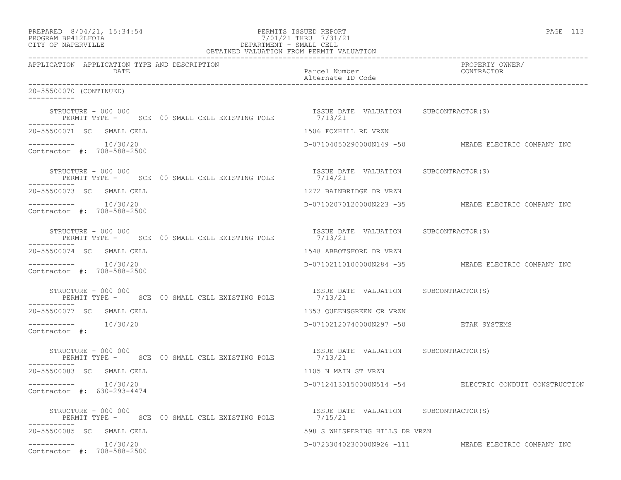|                                                    |                      |                                               | PREPARED 8/04/21, 15:34:54<br>PERMITS ISSUED REPORT<br>PROGRAM BP412LFOIA<br>CITY OF NAPERVILLE<br>CITY OF NAPERVILLE<br>CELL OBTAINED VALUATION FROM PERMIT VALUATION                                                                                   | PAGE 113                                               |
|----------------------------------------------------|----------------------|-----------------------------------------------|----------------------------------------------------------------------------------------------------------------------------------------------------------------------------------------------------------------------------------------------------------|--------------------------------------------------------|
|                                                    | DATE                 | APPLICATION APPLICATION TYPE AND DESCRIPTION  | Parcel Number<br>Alternate ID Code                                                                                                                                                                                                                       | PROPERTY OWNER/<br>CONTRACTOR                          |
| 20-55500070 (CONTINUED)                            |                      |                                               |                                                                                                                                                                                                                                                          |                                                        |
| -----------                                        | STRUCTURE - 000 000  |                                               | ISSUE DATE VALUATION SUBCONTRACTOR(S)<br>PERMIT TYPE - SCE 00 SMALL CELL EXISTING POLE 7/13/21                                                                                                                                                           |                                                        |
| 20-55500071 SC SMALL CELL                          |                      |                                               | 1506 FOXHILL RD VRZN                                                                                                                                                                                                                                     |                                                        |
| $--------- 10/30/20$<br>Contractor #: 708-588-2500 |                      |                                               |                                                                                                                                                                                                                                                          | D-07104050290000N149 -50 MEADE ELECTRIC COMPANY INC    |
|                                                    | STRUCTURE - 000 000  |                                               |                                                                                                                                                                                                                                                          |                                                        |
| 20-55500073 SC SMALL CELL                          |                      |                                               | 1272 BAINBRIDGE DR VRZN                                                                                                                                                                                                                                  |                                                        |
| $--------- 10/30/20$<br>Contractor #: 708-588-2500 |                      |                                               | D-07102070120000N223 -35 WEADE ELECTRIC COMPANY INC                                                                                                                                                                                                      |                                                        |
|                                                    | STRUCTURE - 000 000  |                                               | $\begin{array}{cccc} \texttt{STRUCTURE} - 000 000 & \texttt{SCE} 00 \texttt{ SMALL CEL} \texttt{EXISTING POLE} & \texttt{7/13/21} \\ \texttt{PERMIT TYPE} - & \texttt{SCE} 00 \texttt{ SMALL CEL} \texttt{EXISTING POLE} & \texttt{7/13/21} \end{array}$ |                                                        |
| 20-55500074 SC SMALL CELL                          |                      |                                               | 1548 ABBOTSFORD DR VRZN                                                                                                                                                                                                                                  |                                                        |
| $--------- 10/30/20$<br>Contractor #: 708-588-2500 |                      |                                               |                                                                                                                                                                                                                                                          | D-07102110100000N284 -35 MEADE ELECTRIC COMPANY INC    |
|                                                    | STRUCTURE - 000 000  |                                               | ISSUE DATE VALUATION SUBCONTRACTOR(S)<br>PERMIT TYPE - SCE 00 SMALL CELL EXISTING POLE 7/13/21                                                                                                                                                           |                                                        |
| 20-55500077 SC SMALL CELL                          |                      |                                               | 1353 QUEENSGREEN CR VRZN                                                                                                                                                                                                                                 |                                                        |
| Contractor #:                                      | $--------- 10/30/20$ |                                               | D-07102120740000N297 -50 ETAK SYSTEMS                                                                                                                                                                                                                    |                                                        |
|                                                    | STRUCTURE - 000 000  |                                               | ISSUE DATE VALUATION SUBCONTRACTOR(S)<br>PERMIT TYPE - SCE 00 SMALL CELL EXISTING POLE 7/13/21                                                                                                                                                           |                                                        |
| 20-55500083 SC SMALL CELL                          |                      |                                               | 1105 N MAIN ST VRZN                                                                                                                                                                                                                                      |                                                        |
| -----------<br>Contractor #: 630-293-4474          | 10/30/20             |                                               |                                                                                                                                                                                                                                                          | D-07124130150000N514 -54 ELECTRIC CONDUIT CONSTRUCTION |
|                                                    | STRUCTURE - 000 000  | PERMIT TYPE - SCE 00 SMALL CELL EXISTING POLE | ISSUE DATE VALUATION SUBCONTRACTOR(S)<br>7/15/21                                                                                                                                                                                                         |                                                        |
| 20-55500085 SC SMALL CELL                          |                      |                                               | 598 S WHISPERING HILLS DR VRZN                                                                                                                                                                                                                           |                                                        |
| $--------- 10/30/20$<br>Contractor #: 708-588-2500 |                      |                                               |                                                                                                                                                                                                                                                          | D-07233040230000N926 -111 MEADE ELECTRIC COMPANY INC   |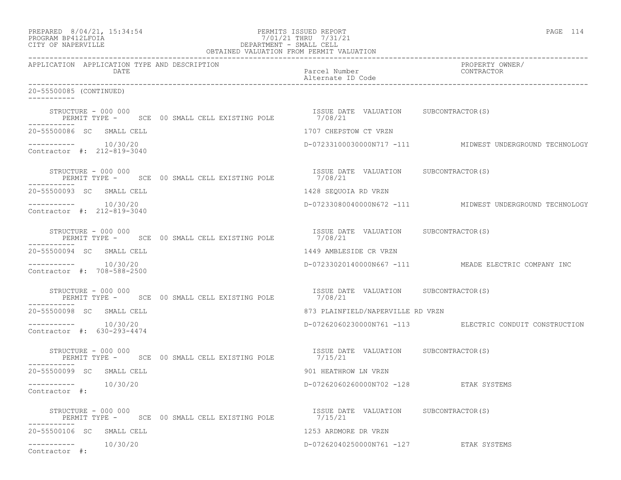| PREPARED 8/04/21, 15:34:54<br>PROGRAM BP412LFOIA<br>CITY OF NAPERVILLE | -7/01/21 THRU 7/31/21<br>DEPARTMENT - SMALL CELL<br>OBTAINED VALUATION FROM PERMIT VALUATION     | PERMITS ISSUED REPORT                            | PAGE 114                                                 |
|------------------------------------------------------------------------|--------------------------------------------------------------------------------------------------|--------------------------------------------------|----------------------------------------------------------|
| APPLICATION APPLICATION TYPE AND DESCRIPTION<br>DATE                   |                                                                                                  | Parcel Number<br>Alternate ID Code               | PROPERTY OWNER/<br>CONTRACTOR                            |
| 20-55500085 (CONTINUED)                                                |                                                                                                  |                                                  |                                                          |
| STRUCTURE - 000 000<br>-----------                                     | BIRUCTURE - UUU UUU<br>PERMIT TYPE -     SCE   00 SMALL CELL EXISTING POLE               7/08/21 | ISSUE DATE VALUATION SUBCONTRACTOR(S)            |                                                          |
| 20-55500086 SC SMALL CELL                                              |                                                                                                  | 1707 CHEPSTOW CT VRZN                            |                                                          |
| $--------- 10/30/20$<br>Contractor #: 212-819-3040                     |                                                                                                  |                                                  | D-07233100030000N717 -111 MIDWEST UNDERGROUND TECHNOLOGY |
| STRUCTURE - 000 000                                                    | PERMIT TYPE - SCE 00 SMALL CELL EXISTING POLE 7/08/21                                            | ISSUE DATE VALUATION SUBCONTRACTOR(S)            |                                                          |
| 20-55500093 SC SMALL CELL                                              |                                                                                                  | 1428 SEQUOIA RD VRZN                             |                                                          |
| $--------- 10/30/20$<br>Contractor #: 212-819-3040                     |                                                                                                  |                                                  | D-07233080040000N672 -111 MIDWEST UNDERGROUND TECHNOLOGY |
| STRUCTURE - 000 000                                                    | PERMIT TYPE - SCE 00 SMALL CELL EXISTING POLE                                                    | ISSUE DATE VALUATION SUBCONTRACTOR(S)<br>7/08/21 |                                                          |
| 20-55500094 SC SMALL CELL                                              |                                                                                                  | 1449 AMBLESIDE CR VRZN                           |                                                          |
| $--------- 10/30/20$<br>Contractor #: 708-588-2500                     |                                                                                                  |                                                  | D-07233020140000N667 -111 MEADE ELECTRIC COMPANY INC     |
| STRUCTURE - 000 000                                                    | PERMIT TYPE - SCE 00 SMALL CELL EXISTING POLE 7/08/21                                            | ISSUE DATE VALUATION SUBCONTRACTOR(S)            |                                                          |
| 20-55500098 SC SMALL CELL                                              |                                                                                                  | 873 PLAINFIELD/NAPERVILLE RD VRZN                |                                                          |
| $--------- 10/30/20$<br>Contractor #: 630-293-4474                     |                                                                                                  |                                                  | D-07262060230000N761 -113 ELECTRIC CONDUIT CONSTRUCTION  |
| STRUCTURE - 000 000                                                    | PERMIT TYPE - SCE 00 SMALL CELL EXISTING POLE 7/15/21                                            | ISSUE DATE VALUATION SUBCONTRACTOR(S)            |                                                          |
| 20-55500099 SC SMALL CELL                                              |                                                                                                  | 901 HEATHROW LN VRZN                             |                                                          |
| 10/30/20<br>------------<br>Contractor $\#$ :                          |                                                                                                  | D-07262060260000N702 -128 ETAK SYSTEMS           |                                                          |
| STRUCTURE - 000 000<br>PERMIT TYPE - SCE 00 SMALL CELL EXISTING POLE   |                                                                                                  | ISSUE DATE VALUATION SUBCONTRACTOR(S)<br>7/15/21 |                                                          |
| 20-55500106 SC SMALL CELL                                              |                                                                                                  | 1253 ARDMORE DR VRZN                             |                                                          |
| $--------- 10/30/20$<br>Contractor #:                                  |                                                                                                  | D-07262040250000N761 -127 ETAK SYSTEMS           |                                                          |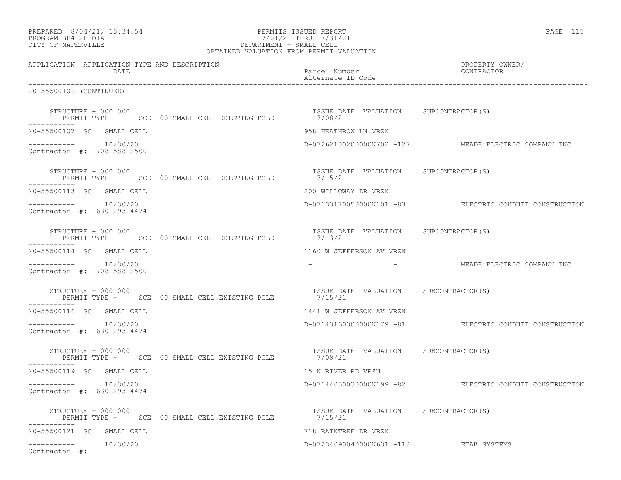| PREPARED 8/04/21, 15:34:54<br>PROGRAM BP412LFOIA<br>CITY OF NAPERVILLE | 7/01/21 THRU 7/31/21<br>DEPARTMENT - SMALL CELL<br>OBTAINED VALUATION FROM PERMIT VALUATION | PERMITS ISSUED REPORT<br>7/01/21 THRU 7/31/21    | PAGE 115                                               |
|------------------------------------------------------------------------|---------------------------------------------------------------------------------------------|--------------------------------------------------|--------------------------------------------------------|
| APPLICATION APPLICATION TYPE AND DESCRIPTION<br>DATE                   |                                                                                             | Parcel Number<br>Alternate ID Code               | PROPERTY OWNER/<br>CONTRACTOR                          |
| 20-55500106 (CONTINUED)                                                |                                                                                             |                                                  |                                                        |
| STRUCTURE - 000 000<br>-----------                                     | PERMIT TYPE - SCE 00 SMALL CELL EXISTING POLE 7/08/21                                       | ISSUE DATE VALUATION SUBCONTRACTOR(S)            |                                                        |
| 20-55500107 SC SMALL CELL                                              |                                                                                             | 958 HEATHROW LN VRZN                             |                                                        |
| $--------- 10/30/20$<br>Contractor #: 708-588-2500                     |                                                                                             |                                                  | D-07262100200000N702 -127 MEADE ELECTRIC COMPANY INC   |
| STRUCTURE - 000 000                                                    | PERMIT TYPE - SCE 00 SMALL CELL EXISTING POLE 7/15/21                                       | ISSUE DATE VALUATION SUBCONTRACTOR(S)            |                                                        |
| 20-55500113 SC SMALL CELL                                              |                                                                                             | 200 WILLOWAY DR VRZN                             |                                                        |
| $--------- 10/30/20$<br>Contractor $\#: 630 - 293 - 4474$              |                                                                                             |                                                  | D-07133170050000N101 -83 ELECTRIC CONDUIT CONSTRUCTION |
| STRUCTURE - 000 000                                                    | PERMIT TYPE - SCE 00 SMALL CELL EXISTING POLE                                               | ISSUE DATE VALUATION SUBCONTRACTOR(S)<br>7/13/21 |                                                        |
| 20-55500114 SC SMALL CELL                                              |                                                                                             | 1160 W JEFFERSON AV VRZN                         |                                                        |
| $--------- 10/30/20$<br>Contractor #: 708-588-2500                     |                                                                                             |                                                  | - AMEADE ELECTRIC COMPANY INC                          |
| STRUCTURE - 000 000                                                    | PERMIT TYPE - SCE 00 SMALL CELL EXISTING POLE 7/15/21                                       | ISSUE DATE VALUATION SUBCONTRACTOR(S)            |                                                        |
| 20-55500116 SC SMALL CELL                                              |                                                                                             | 1441 W JEFFERSON AV VRZN                         |                                                        |
| $--------- 10/30/20$<br>Contractor #: 630-293-4474                     |                                                                                             |                                                  | D-07143160300000N179 -81 ELECTRIC CONDUIT CONSTRUCTION |
| STRUCTURE - 000 000                                                    | PERMIT TYPE - SCE 00 SMALL CELL EXISTING POLE 7/08/21                                       | ISSUE DATE VALUATION SUBCONTRACTOR(S)            |                                                        |
| 20-55500119 SC SMALL CELL                                              |                                                                                             | 15 N RIVER RD VRZN                               |                                                        |
| 10/30/20<br>-----------<br>Contractor #: 630-293-4474                  |                                                                                             |                                                  | D-07144050030000N199 -82 ELECTRIC CONDUIT CONSTRUCTION |
| STRUCTURE - 000 000                                                    | PERMIT TYPE - SCE 00 SMALL CELL EXISTING POLE                                               | ISSUE DATE VALUATION SUBCONTRACTOR(S)<br>7/15/21 |                                                        |
| 20-55500121 SC SMALL CELL                                              |                                                                                             | 718 RAINTREE DR VRZN                             |                                                        |
| 10/30/20<br>------------<br>Contractor #:                              |                                                                                             | D-07234090040000N631 -112 ETAK SYSTEMS           |                                                        |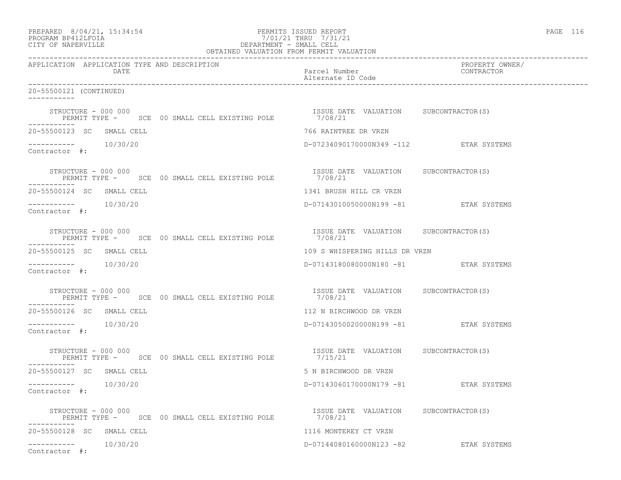| PREPARED 8/04/21, 15:34:54<br>PROGRAM BP412LFOIA<br>CITY OF NAPERVILLE                                                              | PERMITS ISSUED REPORT<br>250AD FERTIS 1550AD REVITI<br>21/01/21 THRU 7/31/21<br>DEPARTMENT - SMALL CELL<br>OBTAINED VALUATION FROM PERMIT VALUATION | PAGE 116 |
|-------------------------------------------------------------------------------------------------------------------------------------|-----------------------------------------------------------------------------------------------------------------------------------------------------|----------|
| APPLICATION APPLICATION TYPE AND DESCRIPTION<br>DATE                                                                                | PROPERTY OWNER/<br>Parcel Number<br>CONTRACTOR<br>Alternate ID Code                                                                                 |          |
| 20-55500121 (CONTINUED)<br>-----------                                                                                              |                                                                                                                                                     |          |
|                                                                                                                                     | STRUCTURE - 000 000<br>PERMIT TYPE - SCE 00 SMALL CELL EXISTING POLE 67/08/21                                                                       |          |
| 20-55500123 SC SMALL CELL                                                                                                           | 766 RAINTREE DR VRZN                                                                                                                                |          |
| $--------- 10/30/20$<br>Contractor #:                                                                                               | D-07234090170000N349 -112 ETAK SYSTEMS                                                                                                              |          |
| STRUCTURE - 000 000<br>PERMIT TYPE - SCE 00 SMALL CELL EXISTING POLE 7/08/21<br>-----------                                         | ISSUE DATE VALUATION SUBCONTRACTOR(S)                                                                                                               |          |
| 20-55500124 SC SMALL CELL                                                                                                           | 1341 BRUSH HILL CR VRZN                                                                                                                             |          |
| $--------- 10/30/20$<br>Contractor #:                                                                                               | D-07143010050000N199 -81 ETAK SYSTEMS                                                                                                               |          |
| STRUCTURE - 000 000<br>RUCTURE - 000 000<br>PERMIT TYPE -     SCE  00 SMALL CELL EXISTING POLE               7/08/21<br>----------- | ISSUE DATE VALUATION SUBCONTRACTOR(S)                                                                                                               |          |
| 20-55500125 SC SMALL CELL                                                                                                           | 109 S WHISPERING HILLS DR VRZN                                                                                                                      |          |
| -----------<br>10/30/20<br>Contractor #:                                                                                            | D-07143180080000N180 -81 ETAK SYSTEMS                                                                                                               |          |
| STRUCTURE - 000 000<br>PERMIT TYPE - SCE 00 SMALL CELL EXISTING POLE                                                                | ISSUE DATE VALUATION SUBCONTRACTOR(S)<br>7/08/21                                                                                                    |          |
| 20-55500126 SC SMALL CELL                                                                                                           | 112 N BIRCHWOOD DR VRZN                                                                                                                             |          |
| $--------- 10/30/20$<br>Contractor #:                                                                                               | D-07143050020000N199 -81 ETAK SYSTEMS                                                                                                               |          |
| STRUCTURE - 000 000<br>PERMIT TYPE - SCE 00 SMALL CELL EXISTING POLE<br>-----------                                                 | ISSUE DATE VALUATION SUBCONTRACTOR(S)<br>7/15/21                                                                                                    |          |
| 20-55500127 SC SMALL CELL                                                                                                           | 5 N BIRCHWOOD DR VRZN                                                                                                                               |          |
| 10/30/20<br>Contractor #:                                                                                                           | D-07143060170000N179 -81 ETAK SYSTEMS                                                                                                               |          |
| STRUCTURE - 000 000<br>PERMIT TYPE - SCE 00 SMALL CELL EXISTING POLE                                                                | ISSUE DATE VALUATION SUBCONTRACTOR(S)<br>7/08/21                                                                                                    |          |
| 20-55500128 SC SMALL CELL                                                                                                           | 1116 MONTEREY CT VRZN                                                                                                                               |          |
| $--------- 10/30/20$<br>Contractor #:                                                                                               | D-07144080160000N123 -82<br>ETAK SYSTEMS                                                                                                            |          |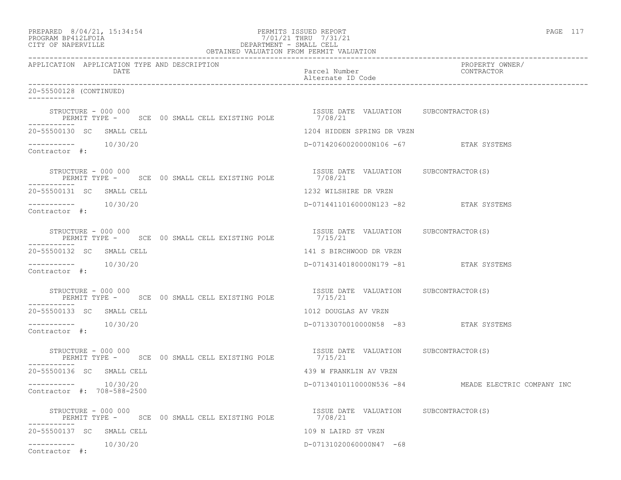| PREPARED 8/04/21, 15:34:54<br>PROGRAM BP412LFOIA<br>CITY OF NAPERVILLE                      | PERMITS ISSUED REPORT<br>250KW115 1550KBD RAPUR<br>21/01/21 THRU 7/31/21<br>DEPARTMENT - SMALL CELL<br>OBTAINED VALUATION FROM PERMIT VALUATION | PAGE 117 |
|---------------------------------------------------------------------------------------------|-------------------------------------------------------------------------------------------------------------------------------------------------|----------|
| APPLICATION APPLICATION TYPE AND DESCRIPTION<br>DATE                                        | PROPERTY OWNER/<br>Parcel Number<br>CONTRACTOR<br>Alternate ID Code                                                                             |          |
| 20-55500128 (CONTINUED)<br>-----------                                                      |                                                                                                                                                 |          |
|                                                                                             |                                                                                                                                                 |          |
| 20-55500130 SC SMALL CELL                                                                   | 1204 HIDDEN SPRING DR VRZN                                                                                                                      |          |
| $--------- 10/30/20$<br>Contractor #:                                                       | D-07142060020000N106 -67 ETAK SYSTEMS                                                                                                           |          |
| STRUCTURE - 000 000<br>PERMIT TYPE - SCE 00 SMALL CELL EXISTING POLE 7/08/21<br>----------- | ISSUE DATE VALUATION SUBCONTRACTOR(S)                                                                                                           |          |
| 20-55500131 SC SMALL CELL                                                                   | 1232 WILSHIRE DR VRZN                                                                                                                           |          |
| $--------- 10/30/20$<br>Contractor #:                                                       | D-07144110160000N123 -82 ETAK SYSTEMS                                                                                                           |          |
| STRUCTURE - 000 000<br>PERMIT TYPE - SCE 00 SMALL CELL EXISTING POLE $7/15/21$              | ISSUE DATE VALUATION SUBCONTRACTOR(S)                                                                                                           |          |
| -----------<br>20-55500132 SC SMALL CELL                                                    | 141 S BIRCHWOOD DR VRZN                                                                                                                         |          |
| -----------<br>10/30/20<br>Contractor #:                                                    | D-07143140180000N179 -81 ETAK SYSTEMS                                                                                                           |          |
| STRUCTURE – 000 000<br>PERMIT TYPE - SCE 00 SMALL CELL EXISTING POLE                        | ISSUE DATE VALUATION SUBCONTRACTOR(S)<br>7/15/21                                                                                                |          |
| 20-55500133 SC SMALL CELL                                                                   | 1012 DOUGLAS AV VRZN                                                                                                                            |          |
| $--------- 10/30/20$<br>Contractor #:                                                       | D-07133070010000N58 -83 ETAK SYSTEMS                                                                                                            |          |
| STRUCTURE - 000 000<br>PERMIT TYPE - SCE 00 SMALL CELL EXISTING POLE                        | ISSUE DATE VALUATION SUBCONTRACTOR(S)<br>7/15/21                                                                                                |          |
| -----------<br>20-55500136 SC SMALL CELL                                                    | 439 W FRANKLIN AV VRZN                                                                                                                          |          |
| 10/30/20<br>Contractor #: 708-588-2500                                                      | D-07134010110000N536 -84 MEADE ELECTRIC COMPANY INC                                                                                             |          |
| STRUCTURE - 000 000<br>PERMIT TYPE - SCE 00 SMALL CELL EXISTING POLE                        | ISSUE DATE VALUATION SUBCONTRACTOR(S)<br>7/08/21                                                                                                |          |
| 20-55500137 SC SMALL CELL                                                                   | 109 N LAIRD ST VRZN                                                                                                                             |          |
| 10/30/20<br>-----------<br>Contractor #:                                                    | D-07131020060000N47 -68                                                                                                                         |          |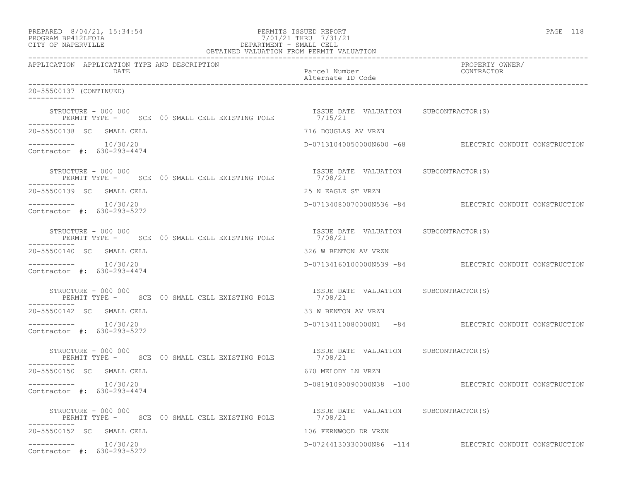| PROGRAM BP412LFOIA<br>CITY OF NAPERVILLE | PREPARED 8/04/21, 15:34:54                           | 7/01/21 THRU 7/31/21<br>DEPARTMENT - SMALL CELL<br>OBTAINED VALUATION FROM PERMIT VALUATION | PERMITS ISSUED REPORT                                                                               | PAGE 118                                                |
|------------------------------------------|------------------------------------------------------|---------------------------------------------------------------------------------------------|-----------------------------------------------------------------------------------------------------|---------------------------------------------------------|
|                                          | APPLICATION APPLICATION TYPE AND DESCRIPTION<br>DATE |                                                                                             | Parcel Number<br>Alternate ID Code                                                                  | PROPERTY OWNER/<br>CONTRACTOR                           |
| 20-55500137 (CONTINUED)<br>-----------   |                                                      |                                                                                             |                                                                                                     |                                                         |
| -----------                              | STRUCTURE - 000 000                                  | PERMIT TYPE - SCE 00 SMALL CELL EXISTING POLE 7/15/21                                       | ISSUE DATE VALUATION SUBCONTRACTOR(S)                                                               |                                                         |
|                                          | 20-55500138 SC SMALL CELL                            |                                                                                             | 716 DOUGLAS AV VRZN                                                                                 |                                                         |
|                                          | $--------- 10/30/20$<br>Contractor #: 630-293-4474   |                                                                                             |                                                                                                     | D-07131040050000N600 -68 ELECTRIC CONDUIT CONSTRUCTION  |
| -----------                              | STRUCTURE - 000 000                                  | PERMIT TYPE - SCE 00 SMALL CELL EXISTING POLE 7/08/21                                       | ISSUE DATE VALUATION SUBCONTRACTOR(S)                                                               |                                                         |
|                                          | 20-55500139 SC SMALL CELL                            |                                                                                             | 25 N EAGLE ST VRZN                                                                                  |                                                         |
|                                          | $--------- 10/30/20$<br>Contractor #: 630-293-5272   |                                                                                             |                                                                                                     | D-07134080070000N536 -84 ELECTRIC CONDUIT CONSTRUCTION  |
| -----------                              |                                                      |                                                                                             | STRUCTURE - 000 000<br>PERMIT TYPE - SCE 00 SMALL CELL EXISTING POLE 67/08/21                       |                                                         |
|                                          | 20-55500140 SC SMALL CELL                            |                                                                                             | 326 W BENTON AV VRZN                                                                                |                                                         |
|                                          | $--------- 10/30/20$<br>Contractor #: 630-293-4474   |                                                                                             |                                                                                                     | D-07134160100000N539 -84 ELECTRIC CONDUIT CONSTRUCTION  |
|                                          |                                                      |                                                                                             | STRUCTURE - 000 000<br>PERMIT TYPE -       SCE   00 SMALL CELL EXISTING POLE                7/08/21 |                                                         |
|                                          | 20-55500142 SC SMALL CELL                            |                                                                                             | 33 W BENTON AV VRZN                                                                                 |                                                         |
|                                          | $--------- 10/30/20$<br>Contractor #: 630-293-5272   |                                                                                             |                                                                                                     | D-07134110080000N1 -84 ELECTRIC CONDUIT CONSTRUCTION    |
|                                          | STRUCTURE - 000 000                                  | PERMIT TYPE - SCE 00 SMALL CELL EXISTING POLE 7/08/21                                       | ISSUE DATE VALUATION SUBCONTRACTOR(S)                                                               |                                                         |
|                                          | 20-55500150 SC SMALL CELL                            |                                                                                             | 670 MELODY LN VRZN                                                                                  |                                                         |
|                                          | 10/30/20<br>Contractor #: 630-293-4474               |                                                                                             |                                                                                                     | D-081910900900000038 -100 ELECTRIC CONDUIT CONSTRUCTION |
| ------------                             | STRUCTURE - 000 000                                  | PERMIT TYPE - SCE 00 SMALL CELL EXISTING POLE                                               | ISSUE DATE VALUATION SUBCONTRACTOR(S)<br>7/08/21                                                    |                                                         |
|                                          | 20-55500152 SC SMALL CELL                            |                                                                                             | 106 FERNWOOD DR VRZN                                                                                |                                                         |
| -----------                              | 10/30/20<br>Contractor #: 630-293-5272               |                                                                                             |                                                                                                     | D-07244130330000N86 -114 ELECTRIC CONDUIT CONSTRUCTION  |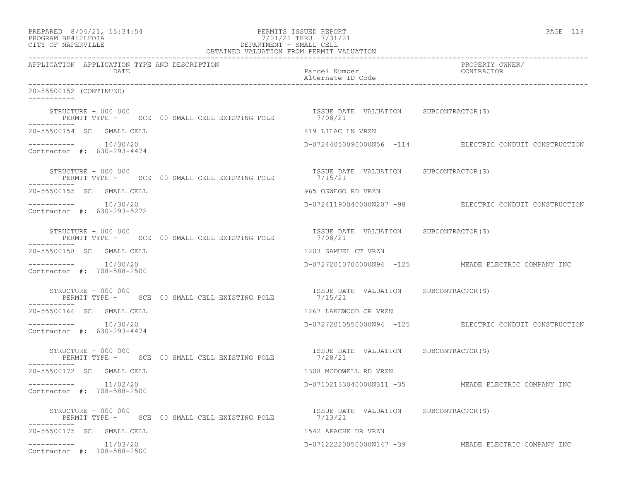| PREPARED 8/04/21, 15:34:54<br>PROGRAM BP412LFOIA<br>CITY OF NAPERVILLE | PERMITS ISSUED REPORT<br>7/01/21 THRU 7/31/21<br>DEPARTMENT - SMALL CELL<br>OBTAINED VALUATION FROM PERMIT VALUATION<br>CONTAINED VALUATION FOR THE PERMIT VALUATION |                                                  | PAGE 119                                               |  |
|------------------------------------------------------------------------|----------------------------------------------------------------------------------------------------------------------------------------------------------------------|--------------------------------------------------|--------------------------------------------------------|--|
| APPLICATION APPLICATION TYPE AND DESCRIPTION<br>DATE                   |                                                                                                                                                                      | Parcel Number<br>Alternate ID Code               | PROPERTY OWNER/<br>CONTRACTOR                          |  |
| 20-55500152 (CONTINUED)                                                |                                                                                                                                                                      |                                                  |                                                        |  |
| STRUCTURE - 000 000<br>-----------                                     | RUCTURE - 000 000<br>PERMIT TYPE -     SCE  00 SMALL CELL EXISTING POLE                     7/08/21                                                                  | ISSUE DATE VALUATION SUBCONTRACTOR(S)            |                                                        |  |
| 20-55500154 SC SMALL CELL                                              |                                                                                                                                                                      | 819 LILAC LN VRZN                                |                                                        |  |
| $---------$ 10/30/20<br>Contractor #: 630-293-4474                     |                                                                                                                                                                      |                                                  | D-07244050090000N56 -114 ELECTRIC CONDUIT CONSTRUCTION |  |
| STRUCTURE - 000 000                                                    | PERMIT TYPE - SCE 00 SMALL CELL EXISTING POLE 7/15/21                                                                                                                | ISSUE DATE VALUATION SUBCONTRACTOR(S)            |                                                        |  |
| 20-55500155 SC SMALL CELL                                              |                                                                                                                                                                      | 965 OSWEGO RD VRZN                               |                                                        |  |
| $--------- 10/30/20$<br>Contractor #: 630-293-5272                     |                                                                                                                                                                      |                                                  | D-07241190040000N207 -98 ELECTRIC CONDUIT CONSTRUCTION |  |
| STRUCTURE - 000 000<br>-----------                                     | PERMIT TYPE - SCE 00 SMALL CELL EXISTING POLE 7/08/21                                                                                                                | ISSUE DATE VALUATION SUBCONTRACTOR(S)            |                                                        |  |
| 20-55500158 SC SMALL CELL                                              |                                                                                                                                                                      | 1203 SAMUEL CT VRZN                              |                                                        |  |
| $--------- 10/30/20$<br>Contractor #: 708-588-2500                     |                                                                                                                                                                      |                                                  | D-07272010700000N94 -125 MEADE ELECTRIC COMPANY INC    |  |
| -----------                                                            |                                                                                                                                                                      |                                                  |                                                        |  |
| 20-55500166 SC SMALL CELL                                              |                                                                                                                                                                      | 1267 LAKEWOOD CR VRZN                            |                                                        |  |
| $--------- 10/30/20$<br>Contractor #: 630-293-4474                     |                                                                                                                                                                      |                                                  | D-07272010550000N94 -125 ELECTRIC CONDUIT CONSTRUCTION |  |
| STRUCTURE - 000 000<br>----------                                      | PERMIT TYPE - SCE 00 SMALL CELL EXISTING POLE 7/28/21                                                                                                                | ISSUE DATE VALUATION SUBCONTRACTOR(S)            |                                                        |  |
| 20-55500172 SC SMALL CELL                                              |                                                                                                                                                                      | 1308 MCDOWELL RD VRZN                            |                                                        |  |
| 11/02/20<br>Contractor #: 708-588-2500                                 |                                                                                                                                                                      |                                                  | D-07102133040000N311 -35 MEADE ELECTRIC COMPANY INC    |  |
| STRUCTURE - 000 000<br>------------                                    | PERMIT TYPE - SCE 00 SMALL CELL EXISTING POLE                                                                                                                        | ISSUE DATE VALUATION SUBCONTRACTOR(S)<br>7/13/21 |                                                        |  |
| 20-55500175 SC SMALL CELL                                              |                                                                                                                                                                      | 1542 APACHE DR VRZN                              |                                                        |  |
| 11/03/20<br>Contractor #: 708-588-2500                                 |                                                                                                                                                                      |                                                  | D-07122220050000N147 -39 MEADE ELECTRIC COMPANY INC    |  |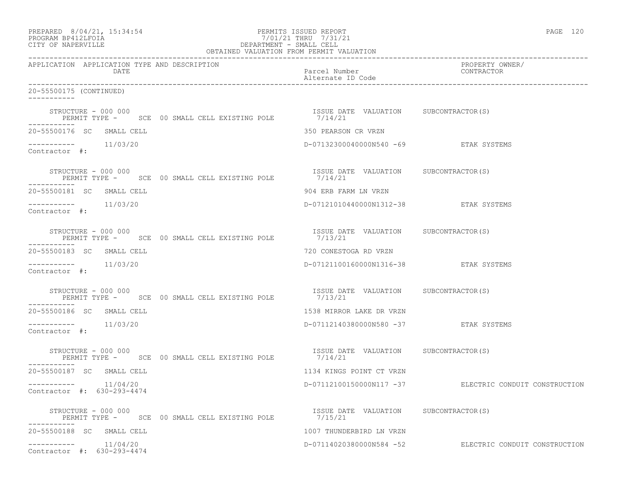| PREPARED 8/04/21, 15:34:54<br>PERMITS ISSUED REPORT<br>PROGRAM BP412LFOIA<br>CITY OF NAPERVILLE<br>CITY OF NAPERVILLE<br>CITY OF NAPERVILLE<br>CELL  OBTAINED VALUATION FROM PERMIT VALUATION       |                                                  | PAGE 120                      |  |
|-----------------------------------------------------------------------------------------------------------------------------------------------------------------------------------------------------|--------------------------------------------------|-------------------------------|--|
| APPLICATION APPLICATION TYPE AND DESCRIPTION<br>DATE                                                                                                                                                | Parcel Number<br>Alternate ID Code               | PROPERTY OWNER/<br>CONTRACTOR |  |
| 20-55500175 (CONTINUED)                                                                                                                                                                             |                                                  |                               |  |
| STRUCTURE - 000 000<br>PERMIT TYPE - SCE 00 SMALL CELL EXISTING POLE 67/14/21<br>-----------                                                                                                        |                                                  |                               |  |
| 20-55500176 SC SMALL CELL                                                                                                                                                                           | 350 PEARSON CR VRZN                              |                               |  |
| $--------- 11/03/20$<br>Contractor #:                                                                                                                                                               | D-07132300040000N540 -69 ETAK SYSTEMS            |                               |  |
| STRUCTURE - 000 000<br>PERMIT TYPE - SCE 00 SMALL CELL EXISTING POLE 7/14/21                                                                                                                        |                                                  |                               |  |
| 20-55500181 SC SMALL CELL                                                                                                                                                                           | 904 ERB FARM LN VRZN                             |                               |  |
| $--------- 11/03/20$<br>Contractor #:                                                                                                                                                               | D-07121010440000N1312-38 ETAK SYSTEMS            |                               |  |
| $\begin{array}{cccc} \texttt{STRUCTURE} - 000\ 000 & \\ \texttt{PERMIT TYPE} - \texttt{SCE} \ 00 \texttt{SMALL CEL EXISTING POLE} & 7/13/21 & \\ \end{array}$<br>STRUCTURE - 000 000<br>___________ |                                                  |                               |  |
| 20-55500183 SC SMALL CELL                                                                                                                                                                           | 720 CONESTOGA RD VRZN                            |                               |  |
| $--------- 11/03/20$<br>Contractor #:                                                                                                                                                               | D-07121100160000N1316-38 ETAK SYSTEMS            |                               |  |
| STRUCTURE - 000 000<br>PERMIT TYPE - SCE 00 SMALL CELL EXISTING POLE 67/13/21                                                                                                                       | ISSUE DATE VALUATION SUBCONTRACTOR(S)            |                               |  |
| -----------<br>20-55500186 SC SMALL CELL                                                                                                                                                            | 1538 MIRROR LAKE DR VRZN                         |                               |  |
| $--------- 11/03/20$<br>Contractor #:                                                                                                                                                               | D-07112140380000N580 -37 ETAK SYSTEMS            |                               |  |
| STRUCTURE - 000 000<br>PERMIT TYPE - SCE 00 SMALL CELL EXISTING POLE 7/14/21                                                                                                                        | ISSUE DATE VALUATION SUBCONTRACTOR(S)            |                               |  |
| 20-55500187 SC SMALL CELL                                                                                                                                                                           | 1134 KINGS POINT CT VRZN                         |                               |  |
| $--------- 11/04/20$<br>Contractor #: 630-293-4474                                                                                                                                                  | D-07112100150000N117 -37                         | ELECTRIC CONDUIT CONSTRUCTION |  |
| STRUCTURE - 000 000<br>PERMIT TYPE - SCE 00 SMALL CELL EXISTING POLE<br>-----------                                                                                                                 | ISSUE DATE VALUATION SUBCONTRACTOR(S)<br>7/15/21 |                               |  |
| 20-55500188 SC SMALL CELL                                                                                                                                                                           | 1007 THUNDERBIRD LN VRZN                         |                               |  |
| $--------- 11/04/20$<br>Contractor #: 630-293-4474                                                                                                                                                  | D-07114020380000N584 -52                         | ELECTRIC CONDUIT CONSTRUCTION |  |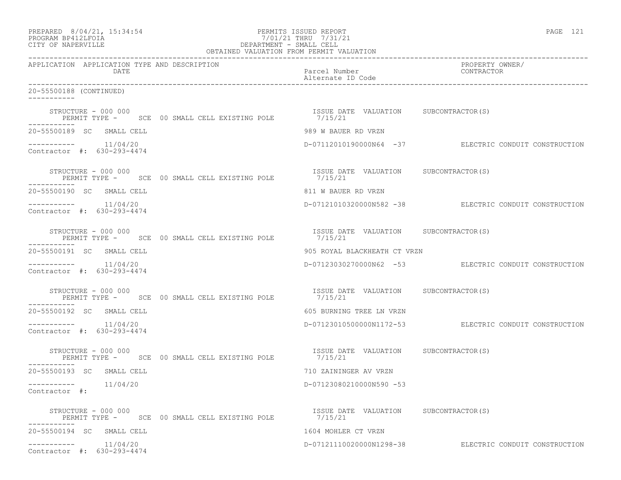| PREPARED 8/04/21, 15:34:54<br>PROGRAM BP412LFOIA<br>CITY OF NAPERVILLE                      | PERMITS ISSUED REPORT<br>7/01/21 THRU 7/31/21<br>7/01/21 THRU 7/31/21<br>DEPARTMENT - SMALL CELL<br>OBTAINED VALUATION FROM PERMIT VALUATION | PAGE 121                                               |
|---------------------------------------------------------------------------------------------|----------------------------------------------------------------------------------------------------------------------------------------------|--------------------------------------------------------|
| APPLICATION APPLICATION TYPE AND DESCRIPTION<br>DATE                                        | Parcel Number<br>Alternate ID Code                                                                                                           | PROPERTY OWNER/<br>CONTRACTOR                          |
| 20-55500188 (CONTINUED)                                                                     |                                                                                                                                              |                                                        |
| STRUCTURE - 000 000<br>PERMIT TYPE - SCE 00 SMALL CELL EXISTING POLE 7/15/21                | ISSUE DATE VALUATION SUBCONTRACTOR(S)                                                                                                        |                                                        |
| 20-55500189 SC SMALL CELL                                                                   | 989 W BAUER RD VRZN                                                                                                                          |                                                        |
| -----------    11/04/20<br>Contractor #: 630-293-4474                                       |                                                                                                                                              | D-07112010190000N64 -37 ELECTRIC CONDUIT CONSTRUCTION  |
| STRUCTURE - 000 000<br>PERMIT TYPE - SCE 00 SMALL CELL EXISTING POLE 7/15/21                | ISSUE DATE VALUATION SUBCONTRACTOR(S)                                                                                                        |                                                        |
| 20-55500190 SC SMALL CELL                                                                   | 811 W BAUER RD VRZN                                                                                                                          |                                                        |
| Contractor $\#: 630 - 293 - 4474$                                                           |                                                                                                                                              | D-07121010320000N582 -38 ELECTRIC CONDUIT CONSTRUCTION |
| STRUCTURE - 000 000<br>PERMIT TYPE - SCE 00 SMALL CELL EXISTING POLE 7/15/21<br>----------- | ISSUE DATE VALUATION SUBCONTRACTOR(S)                                                                                                        |                                                        |
| 20-55500191 SC SMALL CELL                                                                   | 905 ROYAL BLACKHEATH CT VRZN                                                                                                                 |                                                        |
| $---------$ 11/04/20<br>Contractor #: 630-293-4474                                          |                                                                                                                                              | D-07123030270000N62 -53 ELECTRIC CONDUIT CONSTRUCTION  |
| STRUCTURE - 000 000<br>PERMIT TYPE - SCE 00 SMALL CELL EXISTING POLE                        | ISSUE DATE VALUATION SUBCONTRACTOR(S)<br>7/15/21                                                                                             |                                                        |
| 20-55500192 SC SMALL CELL                                                                   | 605 BURNING TREE LN VRZN                                                                                                                     |                                                        |
| $--------- 11/04/20$<br>Contractor #: 630-293-4474                                          |                                                                                                                                              | D-07123010500000N1172-53 ELECTRIC CONDUIT CONSTRUCTION |
| STRUCTURE - 000 000<br>PERMIT TYPE - SCE 00 SMALL CELL EXISTING POLE 7/15/21                | ISSUE DATE VALUATION SUBCONTRACTOR(S)                                                                                                        |                                                        |
| 20-55500193 SC SMALL CELL                                                                   | 710 ZAININGER AV VRZN                                                                                                                        |                                                        |
| 11/04/20<br>-----------<br>Contractor $\#$ :                                                | D-07123080210000N590 -53                                                                                                                     |                                                        |
| STRUCTURE - 000 000<br>PERMIT TYPE - SCE 00 SMALL CELL EXISTING POLE                        | ISSUE DATE VALUATION SUBCONTRACTOR(S)<br>7/15/21                                                                                             |                                                        |
| 20-55500194 SC SMALL CELL                                                                   | 1604 MOHLER CT VRZN                                                                                                                          |                                                        |
| 11/04/20<br>Contractor #: 630-293-4474                                                      | D-07121110020000N1298-38                                                                                                                     | ELECTRIC CONDUIT CONSTRUCTION                          |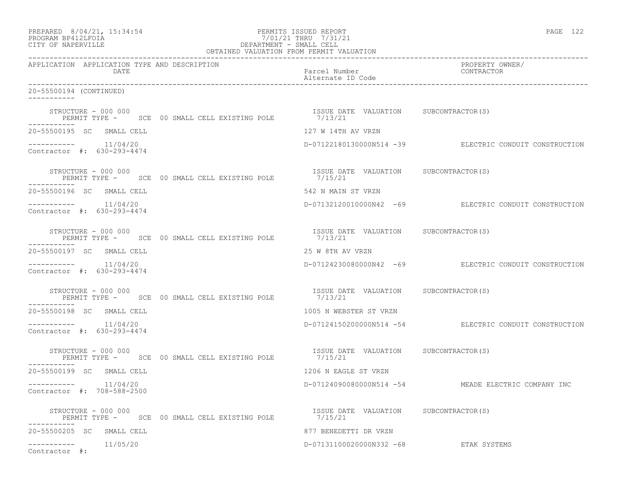| PREPARED 8/04/21, 15:34:54<br>PROGRAM BP412LFOIA<br>CITY OF NAPERVILLE                       | PERMITS ISSUED REPORT<br>7/01/21 THRU 7/31/21<br>7/01/21 THRU 7/31/21<br>DEPARTMENT - SMALL CELL<br>OBTAINED VALUATION FROM PERMIT VALUATION | PAGE 122                                               |  |
|----------------------------------------------------------------------------------------------|----------------------------------------------------------------------------------------------------------------------------------------------|--------------------------------------------------------|--|
| APPLICATION APPLICATION TYPE AND DESCRIPTION<br>DATE                                         | Parcel Number<br>Alternate ID Code                                                                                                           | PROPERTY OWNER/<br>CONTRACTOR                          |  |
| 20-55500194 (CONTINUED)                                                                      |                                                                                                                                              |                                                        |  |
| STRUCTURE - 000 000<br>PERMIT TYPE - SCE 00 SMALL CELL EXISTING POLE 7/13/21<br>------------ | ISSUE DATE VALUATION SUBCONTRACTOR(S)                                                                                                        |                                                        |  |
| 20-55500195 SC SMALL CELL                                                                    | 127 W 14TH AV VRZN                                                                                                                           |                                                        |  |
| $---------$ 11/04/20<br>Contractor #: 630-293-4474                                           |                                                                                                                                              | D-07122180130000N514 -39 ELECTRIC CONDUIT CONSTRUCTION |  |
| STRUCTURE - 000 000<br>PERMIT TYPE - SCE 00 SMALL CELL EXISTING POLE 7/15/21                 | ISSUE DATE VALUATION SUBCONTRACTOR(S)                                                                                                        |                                                        |  |
| 20-55500196 SC SMALL CELL                                                                    | 542 N MAIN ST VRZN                                                                                                                           |                                                        |  |
| $------- 11/04/20$<br>Contractor #: 630-293-4474                                             |                                                                                                                                              | D-07132120010000N42 -69 ELECTRIC CONDUIT CONSTRUCTION  |  |
| STRUCTURE - 000 000<br>PERMIT TYPE - SCE 00 SMALL CELL EXISTING POLE 7/13/21<br>-----------  | ISSUE DATE VALUATION SUBCONTRACTOR(S)                                                                                                        |                                                        |  |
| 20-55500197 SC SMALL CELL                                                                    | 25 W 8TH AV VRZN                                                                                                                             |                                                        |  |
| $---------$ 11/04/20<br>Contractor #: 630-293-4474                                           |                                                                                                                                              | D-07124230080000N42 -69 ELECTRIC CONDUIT CONSTRUCTION  |  |
|                                                                                              |                                                                                                                                              |                                                        |  |
| 20-55500198 SC SMALL CELL                                                                    | 1005 N WEBSTER ST VRZN                                                                                                                       |                                                        |  |
| $---------$ 11/04/20<br>Contractor #: 630-293-4474                                           |                                                                                                                                              | D-07124150200000N514 -54 ELECTRIC CONDUIT CONSTRUCTION |  |
| STRUCTURE - 000 000<br>PERMIT TYPE - SCE 00 SMALL CELL EXISTING POLE 7/15/21<br>----------   | ISSUE DATE VALUATION SUBCONTRACTOR(S)                                                                                                        |                                                        |  |
| 20-55500199 SC SMALL CELL                                                                    | 1206 N EAGLE ST VRZN                                                                                                                         |                                                        |  |
| 11/04/20<br>-----------<br>Contractor #: 708-588-2500                                        |                                                                                                                                              | D-071240900800000N514 -54 MEADE ELECTRIC COMPANY INC   |  |
| STRUCTURE - 000 000<br>PERMIT TYPE - SCE 00 SMALL CELL EXISTING POLE                         | ISSUE DATE VALUATION SUBCONTRACTOR(S)<br>7/15/21                                                                                             |                                                        |  |
| 20-55500205 SC SMALL CELL                                                                    | 877 BENEDETTI DR VRZN                                                                                                                        |                                                        |  |
| 11/05/20<br>------------<br>Contractor #:                                                    | D-07131100020000N332 -68                                                                                                                     | ETAK SYSTEMS                                           |  |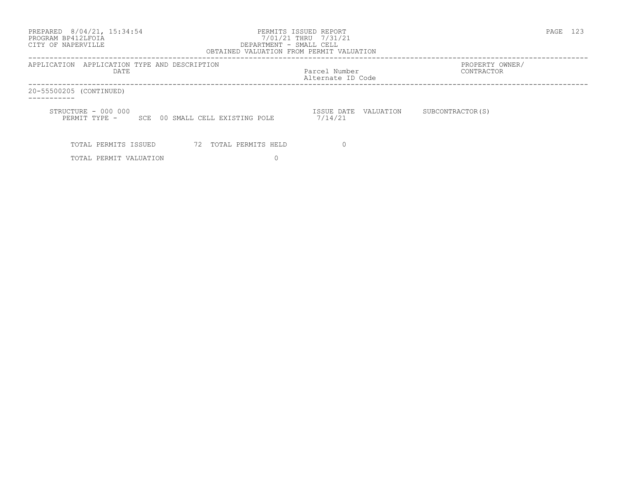| PREPARED 8/04/21, 15:34:54<br>PROGRAM BP412LFOIA<br>CITY OF NAPERVILLE | PERMITS ISSUED REPORT<br>7/01/21 THRU 7/31/21<br>DEPARTMENT - SMALL CELL<br>OBTAINED VALUATION FROM PERMIT VALUATION |                               | PAGE | - 123 |
|------------------------------------------------------------------------|----------------------------------------------------------------------------------------------------------------------|-------------------------------|------|-------|
| APPLICATION APPLICATION TYPE AND DESCRIPTION<br>DATE                   | Parcel Number<br>Alternate ID Code                                                                                   | PROPERTY OWNER/<br>CONTRACTOR |      |       |
| 20-55500205 (CONTINUED)                                                |                                                                                                                      |                               |      |       |
| STRUCTURE - 000 000<br>PERMIT TYPE - SCE 00 SMALL CELL EXISTING POLE   | ISSUE DATE VALUATION<br>7/14/21                                                                                      | SUBCONTRACTOR (S)             |      |       |
| TOTAL PERMITS ISSUED<br>72 TOTAL PERMITS HELD                          |                                                                                                                      |                               |      |       |
| TOTAL PERMIT VALUATION                                                 |                                                                                                                      |                               |      |       |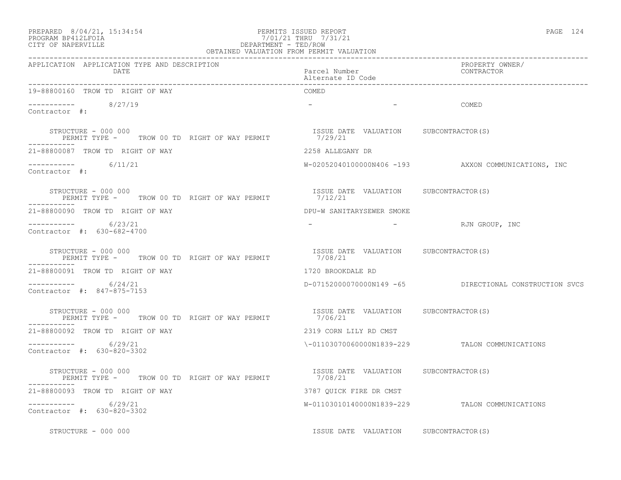### PREPARED 8/04/21, 15:34:54 PERMITS ISSUED REPORT PAGE 124 PROGRAM BP412LFOIA 7/01/21 THRU 7/31/21 CITY OF NAPERVILLE **Example 20** and the contract of the DEPARTMENT - TED/ROW

| OBTAINED VALUATION FROM PERMIT VALUATION                                    |                                                   |                                                        |  |  |
|-----------------------------------------------------------------------------|---------------------------------------------------|--------------------------------------------------------|--|--|
| APPLICATION APPLICATION TYPE AND DESCRIPTION<br>DATE                        | Parcel Number<br>Alternate ID Code                | PROPERTY OWNER/<br>CONTRACTOR                          |  |  |
| 19-88800160 TROW TD RIGHT OF WAY                                            | COMED                                             |                                                        |  |  |
| $--------$<br>Contractor #: 8/27/19                                         |                                                   | – COMED                                                |  |  |
| STRUCTURE - 000 000<br>PERMIT TYPE - TROW 00 TD RIGHT OF WAY PERMIT 7/29/21 | ISSUE DATE VALUATION SUBCONTRACTOR(S)             |                                                        |  |  |
| 21-88800087 TROW TD RIGHT OF WAY                                            | 2258 ALLEGANY DR                                  |                                                        |  |  |
| $--------- 6/11/21$<br>Contractor #:                                        |                                                   | W-02052040100000N406 -193 AXXON COMMUNICATIONS, INC    |  |  |
| STRUCTURE - 000 000<br>PERMIT TYPE - TROW 00 TD RIGHT OF WAY PERMIT         | ISSUE DATE VALUATION SUBCONTRACTOR(S)<br>7/12/21  |                                                        |  |  |
| 21-88800090 TROW TD RIGHT OF WAY                                            | DPU-W SANITARYSEWER SMOKE                         |                                                        |  |  |
| $--------$ 6/23/21<br>Contractor #: 630-682-4700                            |                                                   | - RJN GROUP, INC                                       |  |  |
| STRUCTURE - 000 000<br>PERMIT TYPE - TROW 00 TD RIGHT OF WAY PERMIT         | ISSUE DATE VALUATION SUBCONTRACTOR (S)<br>7/08/21 |                                                        |  |  |
| 21-88800091 TROW TD RIGHT OF WAY                                            | 1720 BROOKDALE RD                                 |                                                        |  |  |
| $--------- 6/24/21$<br>Contractor #: 847-875-7153                           |                                                   | D-07152000070000N149 -65 DIRECTIONAL CONSTRUCTION SVCS |  |  |
| STRUCTURE - 000 000<br>PERMIT TYPE - TROW 00 TD RIGHT OF WAY PERMIT 7/06/21 | ISSUE DATE VALUATION SUBCONTRACTOR(S)             |                                                        |  |  |
| 21-88800092 TROW TD RIGHT OF WAY                                            | 2319 CORN LILY RD CMST                            |                                                        |  |  |
| $--------- 6/29/21$<br>Contractor #: 630-820-3302                           |                                                   | $\{-01103070060000N1839-229$ TALON COMMUNICATIONS      |  |  |
| STRUCTURE - 000 000<br>PERMIT TYPE - TROW 00 TD RIGHT OF WAY PERMIT         | ISSUE DATE VALUATION SUBCONTRACTOR (S)<br>7/08/21 |                                                        |  |  |
| 21-88800093 TROW TD RIGHT OF WAY                                            | 3787 QUICK FIRE DR CMST                           |                                                        |  |  |
| ----------- 6/29/21<br>Contractor #: 630-820-3302                           |                                                   | W-01103010140000N1839-229 TALON COMMUNICATIONS         |  |  |
| STRUCTURE - 000 000                                                         | ISSUE DATE VALUATION SUBCONTRACTOR(S)             |                                                        |  |  |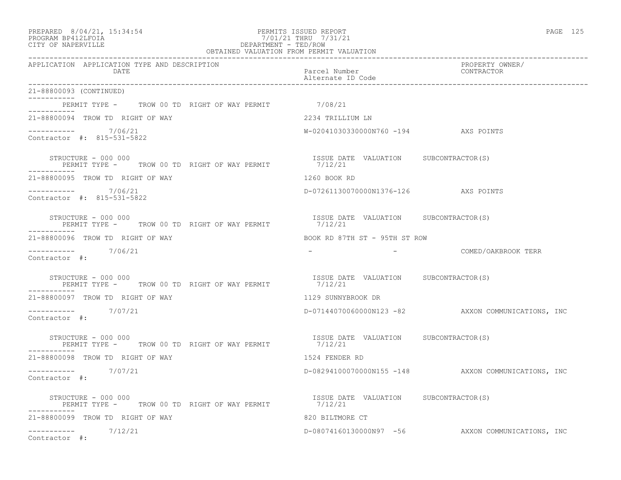| PREPARED | $8/04/21$ , | 15:34:54 |
|----------|-------------|----------|
|----------|-------------|----------|

## PREPARED 8/04/21, 15:34:54 PERMITS ISSUED REPORT<br>PROGRAM BP412LFOIA PAGE 125 PROGRAM BP412LFOIA  $7/01/21$  THRU  $7/31/21$  CITY OF NAPERVILLE CITY OF NAPERVILLE **Example 20** and the contract of the DEPARTMENT - TED/ROW

| OBTAINED VALUATION FROM PERMIT VALUATION                                    |                                                     |                               |  |  |
|-----------------------------------------------------------------------------|-----------------------------------------------------|-------------------------------|--|--|
| APPLICATION APPLICATION TYPE AND DESCRIPTION<br>DATE                        | Parcel Number<br>Alternate ID Code                  | PROPERTY OWNER/<br>CONTRACTOR |  |  |
| 21-88800093 (CONTINUED)                                                     |                                                     |                               |  |  |
| PERMIT TYPE - TROW 00 TD RIGHT OF WAY PERMIT 7/08/21                        |                                                     |                               |  |  |
| 21-88800094 TROW TD RIGHT OF WAY                                            | 2234 TRILLIUM LN                                    |                               |  |  |
| $--------$ 7/06/21<br>Contractor #: 815-531-5822                            | W-02041030330000N760 -194 AXS POINTS                |                               |  |  |
| STRUCTURE – 000 000<br>PERMIT TYPE - TROW 00 TD RIGHT OF WAY PERMIT 7/12/21 | ISSUE DATE VALUATION SUBCONTRACTOR(S)               |                               |  |  |
| 21-88800095 TROW TD RIGHT OF WAY                                            | 1260 BOOK RD                                        |                               |  |  |
| ----------- 7/06/21<br>Contractor #: 815-531-5822                           | D-07261130070000N1376-126 AXS POINTS                |                               |  |  |
|                                                                             |                                                     |                               |  |  |
| 21-88800096 TROW TD RIGHT OF WAY                                            | BOOK RD 87TH ST - 95TH ST ROW                       |                               |  |  |
| $--------- 7/06/21$<br>Contractor #:                                        |                                                     | - COMED/OAKBROOK TERR         |  |  |
| STRUCTURE - 000 000<br>PERMIT TYPE - TROW 00 TD RIGHT OF WAY PERMIT 7/12/21 | ISSUE DATE VALUATION SUBCONTRACTOR(S)               |                               |  |  |
| 21-88800097 TROW TD RIGHT OF WAY                                            | 1129 SUNNYBROOK DR                                  |                               |  |  |
| 7/07/21<br>Contractor #:                                                    | D-07144070060000N123 -82 AXXON COMMUNICATIONS, INC  |                               |  |  |
| STRUCTURE - 000 000<br>PERMIT TYPE - TROW 00 TD RIGHT OF WAY PERMIT         | ISSUE DATE VALUATION SUBCONTRACTOR(S)<br>7/12/21    |                               |  |  |
| 21-88800098 TROW TD RIGHT OF WAY                                            | 1524 FENDER RD                                      |                               |  |  |
| $--------- 7/07/21$<br>Contractor #:                                        | D-08294100070000N155 -148 AXXON COMMUNICATIONS, INC |                               |  |  |
| STRUCTURE - 000 000<br>PERMIT TYPE - TROW 00 TD RIGHT OF WAY PERMIT 7/12/21 | ISSUE DATE VALUATION SUBCONTRACTOR(S)               |                               |  |  |
| 21-88800099 TROW TD RIGHT OF WAY                                            | 820 BILTMORE CT                                     |                               |  |  |
| $--------- 7/12/21$<br>Contractor #:                                        | D-08074160130000N97 -56 AXXON COMMUNICATIONS, INC   |                               |  |  |